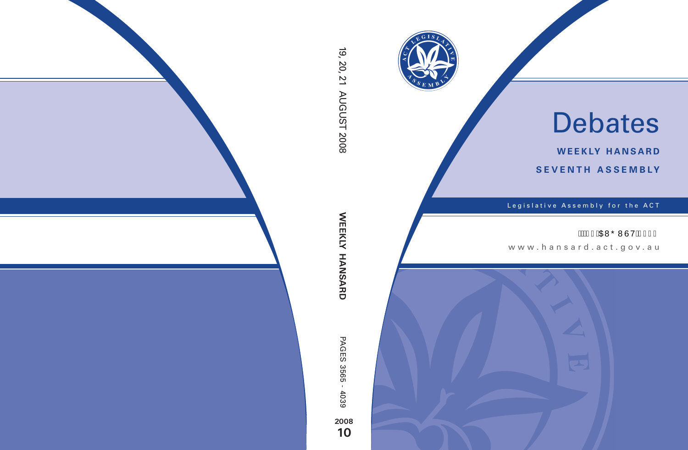

# Debates

**weekly hansard seventh asseMBly**

Legislative Assembly for the ACT

# ÁÁKGÍ ÁDEVŐ WÙ VÁG€F€

www .hansard.act.gov.au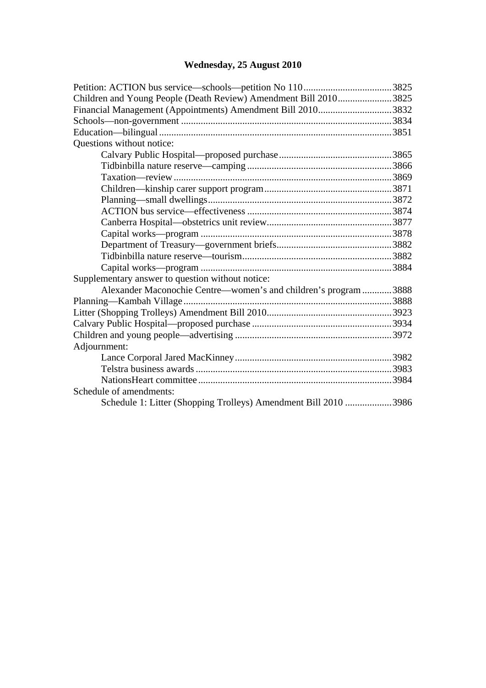# **[Wednesday, 25 August 2010](#page-2-0)**

| Children and Young People (Death Review) Amendment Bill 20103825 |  |  |
|------------------------------------------------------------------|--|--|
| Financial Management (Appointments) Amendment Bill 20103832      |  |  |
|                                                                  |  |  |
|                                                                  |  |  |
| Questions without notice:                                        |  |  |
|                                                                  |  |  |
|                                                                  |  |  |
|                                                                  |  |  |
|                                                                  |  |  |
|                                                                  |  |  |
|                                                                  |  |  |
|                                                                  |  |  |
|                                                                  |  |  |
|                                                                  |  |  |
|                                                                  |  |  |
|                                                                  |  |  |
| Supplementary answer to question without notice:                 |  |  |
| Alexander Maconochie Centre—women's and children's program 3888  |  |  |
|                                                                  |  |  |
|                                                                  |  |  |
|                                                                  |  |  |
|                                                                  |  |  |
| Adjournment:                                                     |  |  |
|                                                                  |  |  |
|                                                                  |  |  |
|                                                                  |  |  |
| Schedule of amendments:                                          |  |  |
| Schedule 1: Litter (Shopping Trolleys) Amendment Bill 2010 3986  |  |  |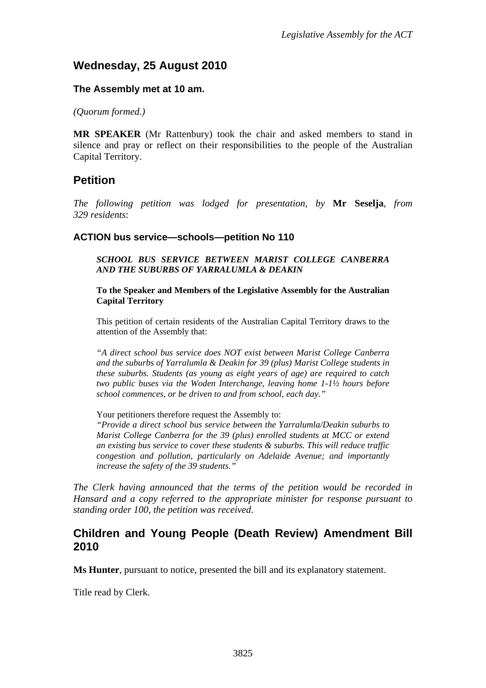# <span id="page-2-0"></span>**Wednesday, 25 August 2010**

#### **The Assembly met at 10 am.**

*(Quorum formed.)*

**MR SPEAKER** (Mr Rattenbury) took the chair and asked members to stand in silence and pray or reflect on their responsibilities to the people of the Australian Capital Territory.

## <span id="page-2-1"></span>**Petition**

*The following petition was lodged for presentation, by* **Mr Seselja**, *from 329 residents*:

#### **ACTION bus service—schools—petition No 110**

*SCHOOL BUS SERVICE BETWEEN MARIST COLLEGE CANBERRA AND THE SUBURBS OF YARRALUMLA & DEAKIN* 

**To the Speaker and Members of the Legislative Assembly for the Australian Capital Territory** 

This petition of certain residents of the Australian Capital Territory draws to the attention of the Assembly that:

*"A direct school bus service does NOT exist between Marist College Canberra and the suburbs of Yarralumla & Deakin for 39 (plus) Marist College students in these suburbs. Students (as young as eight years of age) are required to catch two public buses via the Woden Interchange, leaving home 1-1½ hours before school commences, or be driven to and from school, each day."* 

Your petitioners therefore request the Assembly to:

*"Provide a direct school bus service between the Yarralumla/Deakin suburbs to Marist College Canberra for the 39 (plus) enrolled students at MCC or extend an existing bus service to cover these students & suburbs. This will reduce traffic congestion and pollution, particularly on Adelaide Avenue; and importantly increase the safety of the 39 students."* 

*The Clerk having announced that the terms of the petition would be recorded in Hansard and a copy referred to the appropriate minister for response pursuant to standing order 100, the petition was received*.

### <span id="page-2-2"></span>**Children and Young People (Death Review) Amendment Bill 2010**

**Ms Hunter**, pursuant to notice, presented the bill and its explanatory statement.

Title read by Clerk.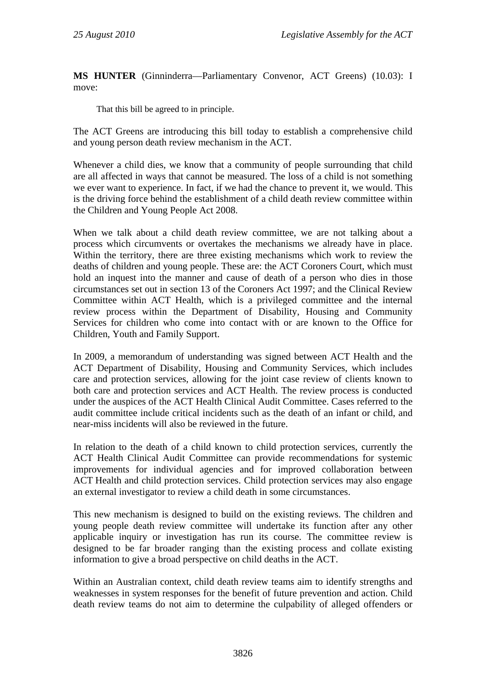**MS HUNTER** (Ginninderra—Parliamentary Convenor, ACT Greens) (10.03): I move:

That this bill be agreed to in principle.

The ACT Greens are introducing this bill today to establish a comprehensive child and young person death review mechanism in the ACT.

Whenever a child dies, we know that a community of people surrounding that child are all affected in ways that cannot be measured. The loss of a child is not something we ever want to experience. In fact, if we had the chance to prevent it, we would. This is the driving force behind the establishment of a child death review committee within the Children and Young People Act 2008.

When we talk about a child death review committee, we are not talking about a process which circumvents or overtakes the mechanisms we already have in place. Within the territory, there are three existing mechanisms which work to review the deaths of children and young people. These are: the ACT Coroners Court, which must hold an inquest into the manner and cause of death of a person who dies in those circumstances set out in section 13 of the Coroners Act 1997; and the Clinical Review Committee within ACT Health, which is a privileged committee and the internal review process within the Department of Disability, Housing and Community Services for children who come into contact with or are known to the Office for Children, Youth and Family Support.

In 2009, a memorandum of understanding was signed between ACT Health and the ACT Department of Disability, Housing and Community Services, which includes care and protection services, allowing for the joint case review of clients known to both care and protection services and ACT Health. The review process is conducted under the auspices of the ACT Health Clinical Audit Committee. Cases referred to the audit committee include critical incidents such as the death of an infant or child, and near-miss incidents will also be reviewed in the future.

In relation to the death of a child known to child protection services, currently the ACT Health Clinical Audit Committee can provide recommendations for systemic improvements for individual agencies and for improved collaboration between ACT Health and child protection services. Child protection services may also engage an external investigator to review a child death in some circumstances.

This new mechanism is designed to build on the existing reviews. The children and young people death review committee will undertake its function after any other applicable inquiry or investigation has run its course. The committee review is designed to be far broader ranging than the existing process and collate existing information to give a broad perspective on child deaths in the ACT.

Within an Australian context, child death review teams aim to identify strengths and weaknesses in system responses for the benefit of future prevention and action. Child death review teams do not aim to determine the culpability of alleged offenders or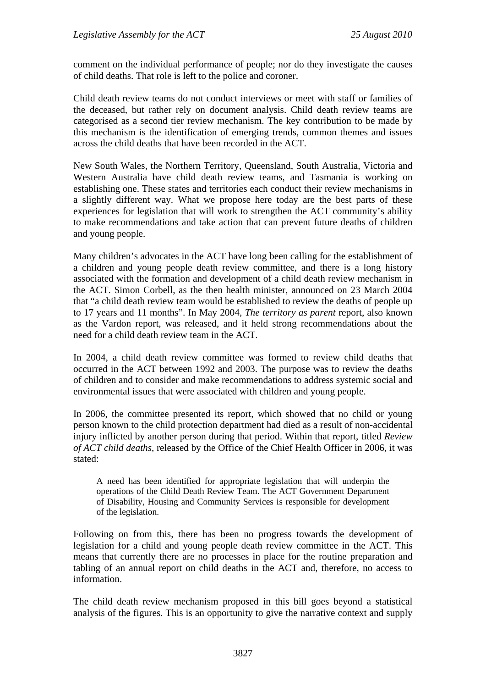comment on the individual performance of people; nor do they investigate the causes of child deaths. That role is left to the police and coroner.

Child death review teams do not conduct interviews or meet with staff or families of the deceased, but rather rely on document analysis. Child death review teams are categorised as a second tier review mechanism. The key contribution to be made by this mechanism is the identification of emerging trends, common themes and issues across the child deaths that have been recorded in the ACT.

New South Wales, the Northern Territory, Queensland, South Australia, Victoria and Western Australia have child death review teams, and Tasmania is working on establishing one. These states and territories each conduct their review mechanisms in a slightly different way. What we propose here today are the best parts of these experiences for legislation that will work to strengthen the ACT community's ability to make recommendations and take action that can prevent future deaths of children and young people.

Many children's advocates in the ACT have long been calling for the establishment of a children and young people death review committee, and there is a long history associated with the formation and development of a child death review mechanism in the ACT. Simon Corbell, as the then health minister, announced on 23 March 2004 that "a child death review team would be established to review the deaths of people up to 17 years and 11 months". In May 2004, *The territory as parent* report, also known as the Vardon report, was released, and it held strong recommendations about the need for a child death review team in the ACT.

In 2004, a child death review committee was formed to review child deaths that occurred in the ACT between 1992 and 2003. The purpose was to review the deaths of children and to consider and make recommendations to address systemic social and environmental issues that were associated with children and young people.

In 2006, the committee presented its report, which showed that no child or young person known to the child protection department had died as a result of non-accidental injury inflicted by another person during that period. Within that report, titled *Review of ACT child deaths*, released by the Office of the Chief Health Officer in 2006, it was stated:

A need has been identified for appropriate legislation that will underpin the operations of the Child Death Review Team. The ACT Government Department of Disability, Housing and Community Services is responsible for development of the legislation.

Following on from this, there has been no progress towards the development of legislation for a child and young people death review committee in the ACT. This means that currently there are no processes in place for the routine preparation and tabling of an annual report on child deaths in the ACT and, therefore, no access to information.

The child death review mechanism proposed in this bill goes beyond a statistical analysis of the figures. This is an opportunity to give the narrative context and supply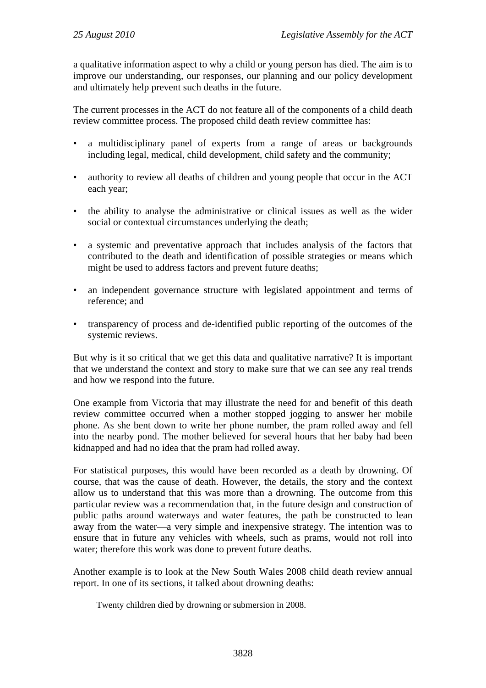a qualitative information aspect to why a child or young person has died. The aim is to improve our understanding, our responses, our planning and our policy development and ultimately help prevent such deaths in the future.

The current processes in the ACT do not feature all of the components of a child death review committee process. The proposed child death review committee has:

- a multidisciplinary panel of experts from a range of areas or backgrounds including legal, medical, child development, child safety and the community;
- authority to review all deaths of children and young people that occur in the ACT each year;
- the ability to analyse the administrative or clinical issues as well as the wider social or contextual circumstances underlying the death;
- a systemic and preventative approach that includes analysis of the factors that contributed to the death and identification of possible strategies or means which might be used to address factors and prevent future deaths;
- an independent governance structure with legislated appointment and terms of reference; and
- transparency of process and de-identified public reporting of the outcomes of the systemic reviews.

But why is it so critical that we get this data and qualitative narrative? It is important that we understand the context and story to make sure that we can see any real trends and how we respond into the future.

One example from Victoria that may illustrate the need for and benefit of this death review committee occurred when a mother stopped jogging to answer her mobile phone. As she bent down to write her phone number, the pram rolled away and fell into the nearby pond. The mother believed for several hours that her baby had been kidnapped and had no idea that the pram had rolled away.

For statistical purposes, this would have been recorded as a death by drowning. Of course, that was the cause of death. However, the details, the story and the context allow us to understand that this was more than a drowning. The outcome from this particular review was a recommendation that, in the future design and construction of public paths around waterways and water features, the path be constructed to lean away from the water—a very simple and inexpensive strategy. The intention was to ensure that in future any vehicles with wheels, such as prams, would not roll into water; therefore this work was done to prevent future deaths.

Another example is to look at the New South Wales 2008 child death review annual report. In one of its sections, it talked about drowning deaths:

Twenty children died by drowning or submersion in 2008.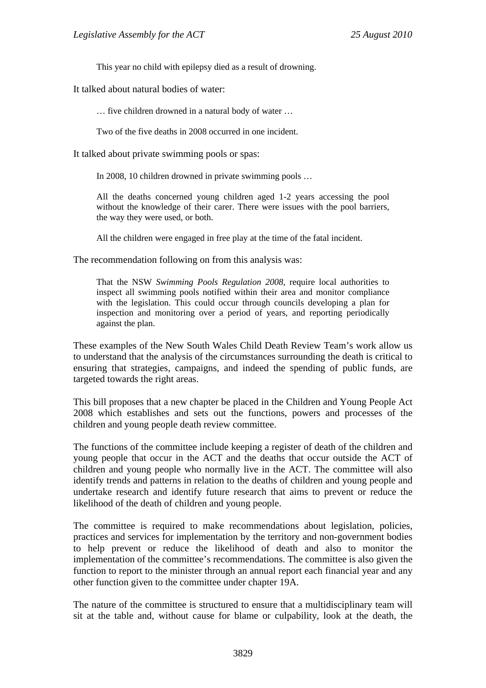This year no child with epilepsy died as a result of drowning.

It talked about natural bodies of water:

… five children drowned in a natural body of water …

Two of the five deaths in 2008 occurred in one incident.

It talked about private swimming pools or spas:

In 2008, 10 children drowned in private swimming pools …

All the deaths concerned young children aged 1-2 years accessing the pool without the knowledge of their carer. There were issues with the pool barriers, the way they were used, or both.

All the children were engaged in free play at the time of the fatal incident.

The recommendation following on from this analysis was:

That the NSW *Swimming Pools Regulation 2008*, require local authorities to inspect all swimming pools notified within their area and monitor compliance with the legislation. This could occur through councils developing a plan for inspection and monitoring over a period of years, and reporting periodically against the plan.

These examples of the New South Wales Child Death Review Team's work allow us to understand that the analysis of the circumstances surrounding the death is critical to ensuring that strategies, campaigns, and indeed the spending of public funds, are targeted towards the right areas.

This bill proposes that a new chapter be placed in the Children and Young People Act 2008 which establishes and sets out the functions, powers and processes of the children and young people death review committee.

The functions of the committee include keeping a register of death of the children and young people that occur in the ACT and the deaths that occur outside the ACT of children and young people who normally live in the ACT. The committee will also identify trends and patterns in relation to the deaths of children and young people and undertake research and identify future research that aims to prevent or reduce the likelihood of the death of children and young people.

The committee is required to make recommendations about legislation, policies, practices and services for implementation by the territory and non-government bodies to help prevent or reduce the likelihood of death and also to monitor the implementation of the committee's recommendations. The committee is also given the function to report to the minister through an annual report each financial year and any other function given to the committee under chapter 19A.

The nature of the committee is structured to ensure that a multidisciplinary team will sit at the table and, without cause for blame or culpability, look at the death, the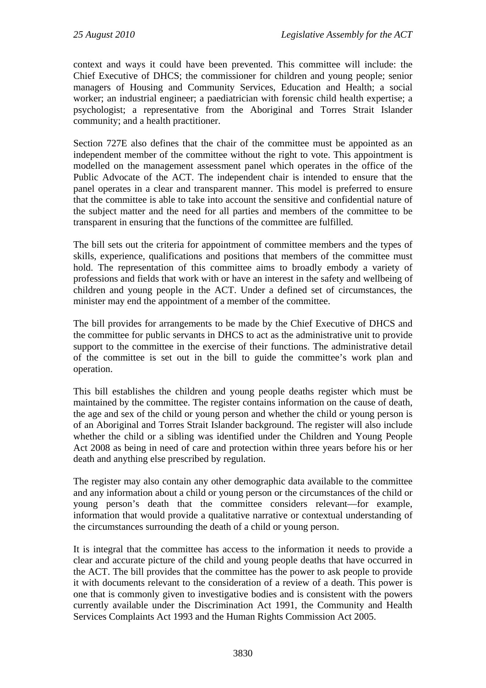context and ways it could have been prevented. This committee will include: the Chief Executive of DHCS; the commissioner for children and young people; senior managers of Housing and Community Services, Education and Health; a social worker; an industrial engineer; a paediatrician with forensic child health expertise; a psychologist; a representative from the Aboriginal and Torres Strait Islander community; and a health practitioner.

Section 727E also defines that the chair of the committee must be appointed as an independent member of the committee without the right to vote. This appointment is modelled on the management assessment panel which operates in the office of the Public Advocate of the ACT. The independent chair is intended to ensure that the panel operates in a clear and transparent manner. This model is preferred to ensure that the committee is able to take into account the sensitive and confidential nature of the subject matter and the need for all parties and members of the committee to be transparent in ensuring that the functions of the committee are fulfilled.

The bill sets out the criteria for appointment of committee members and the types of skills, experience, qualifications and positions that members of the committee must hold. The representation of this committee aims to broadly embody a variety of professions and fields that work with or have an interest in the safety and wellbeing of children and young people in the ACT. Under a defined set of circumstances, the minister may end the appointment of a member of the committee.

The bill provides for arrangements to be made by the Chief Executive of DHCS and the committee for public servants in DHCS to act as the administrative unit to provide support to the committee in the exercise of their functions. The administrative detail of the committee is set out in the bill to guide the committee's work plan and operation.

This bill establishes the children and young people deaths register which must be maintained by the committee. The register contains information on the cause of death, the age and sex of the child or young person and whether the child or young person is of an Aboriginal and Torres Strait Islander background. The register will also include whether the child or a sibling was identified under the Children and Young People Act 2008 as being in need of care and protection within three years before his or her death and anything else prescribed by regulation.

The register may also contain any other demographic data available to the committee and any information about a child or young person or the circumstances of the child or young person's death that the committee considers relevant—for example, information that would provide a qualitative narrative or contextual understanding of the circumstances surrounding the death of a child or young person.

It is integral that the committee has access to the information it needs to provide a clear and accurate picture of the child and young people deaths that have occurred in the ACT. The bill provides that the committee has the power to ask people to provide it with documents relevant to the consideration of a review of a death. This power is one that is commonly given to investigative bodies and is consistent with the powers currently available under the Discrimination Act 1991, the Community and Health Services Complaints Act 1993 and the Human Rights Commission Act 2005.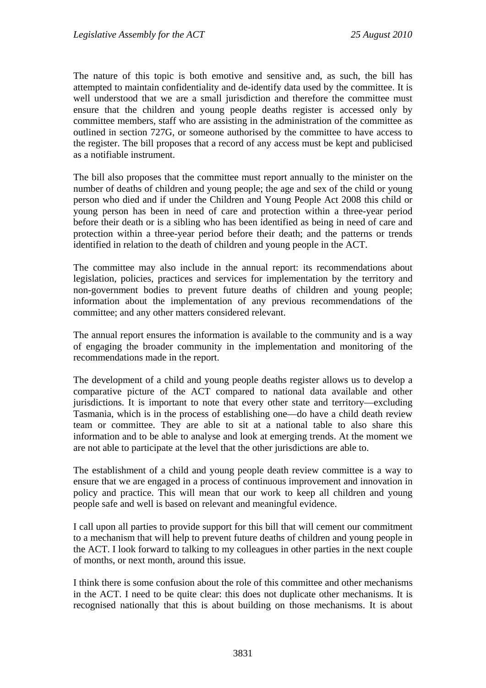The nature of this topic is both emotive and sensitive and, as such, the bill has attempted to maintain confidentiality and de-identify data used by the committee. It is well understood that we are a small jurisdiction and therefore the committee must ensure that the children and young people deaths register is accessed only by committee members, staff who are assisting in the administration of the committee as outlined in section 727G, or someone authorised by the committee to have access to the register. The bill proposes that a record of any access must be kept and publicised as a notifiable instrument.

The bill also proposes that the committee must report annually to the minister on the number of deaths of children and young people; the age and sex of the child or young person who died and if under the Children and Young People Act 2008 this child or young person has been in need of care and protection within a three-year period before their death or is a sibling who has been identified as being in need of care and protection within a three-year period before their death; and the patterns or trends identified in relation to the death of children and young people in the ACT.

The committee may also include in the annual report: its recommendations about legislation, policies, practices and services for implementation by the territory and non-government bodies to prevent future deaths of children and young people; information about the implementation of any previous recommendations of the committee; and any other matters considered relevant.

The annual report ensures the information is available to the community and is a way of engaging the broader community in the implementation and monitoring of the recommendations made in the report.

The development of a child and young people deaths register allows us to develop a comparative picture of the ACT compared to national data available and other jurisdictions. It is important to note that every other state and territory—excluding Tasmania, which is in the process of establishing one—do have a child death review team or committee. They are able to sit at a national table to also share this information and to be able to analyse and look at emerging trends. At the moment we are not able to participate at the level that the other jurisdictions are able to.

The establishment of a child and young people death review committee is a way to ensure that we are engaged in a process of continuous improvement and innovation in policy and practice. This will mean that our work to keep all children and young people safe and well is based on relevant and meaningful evidence.

I call upon all parties to provide support for this bill that will cement our commitment to a mechanism that will help to prevent future deaths of children and young people in the ACT. I look forward to talking to my colleagues in other parties in the next couple of months, or next month, around this issue.

I think there is some confusion about the role of this committee and other mechanisms in the ACT. I need to be quite clear: this does not duplicate other mechanisms. It is recognised nationally that this is about building on those mechanisms. It is about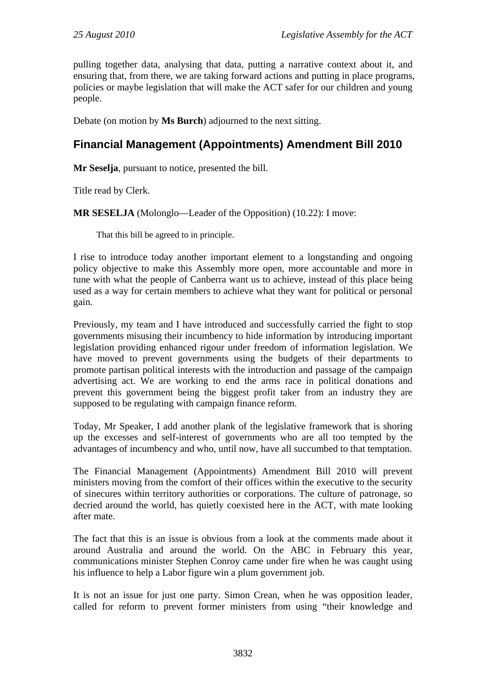pulling together data, analysing that data, putting a narrative context about it, and ensuring that, from there, we are taking forward actions and putting in place programs, policies or maybe legislation that will make the ACT safer for our children and young people.

Debate (on motion by **Ms Burch**) adjourned to the next sitting.

# <span id="page-9-0"></span>**Financial Management (Appointments) Amendment Bill 2010**

**Mr Seselja**, pursuant to notice, presented the bill.

Title read by Clerk.

**MR SESELJA** (Molonglo—Leader of the Opposition) (10.22): I move:

That this bill be agreed to in principle.

I rise to introduce today another important element to a longstanding and ongoing policy objective to make this Assembly more open, more accountable and more in tune with what the people of Canberra want us to achieve, instead of this place being used as a way for certain members to achieve what they want for political or personal gain.

Previously, my team and I have introduced and successfully carried the fight to stop governments misusing their incumbency to hide information by introducing important legislation providing enhanced rigour under freedom of information legislation. We have moved to prevent governments using the budgets of their departments to promote partisan political interests with the introduction and passage of the campaign advertising act. We are working to end the arms race in political donations and prevent this government being the biggest profit taker from an industry they are supposed to be regulating with campaign finance reform.

Today, Mr Speaker, I add another plank of the legislative framework that is shoring up the excesses and self-interest of governments who are all too tempted by the advantages of incumbency and who, until now, have all succumbed to that temptation.

The Financial Management (Appointments) Amendment Bill 2010 will prevent ministers moving from the comfort of their offices within the executive to the security of sinecures within territory authorities or corporations. The culture of patronage, so decried around the world, has quietly coexisted here in the ACT, with mate looking after mate.

The fact that this is an issue is obvious from a look at the comments made about it around Australia and around the world. On the ABC in February this year, communications minister Stephen Conroy came under fire when he was caught using his influence to help a Labor figure win a plum government job.

It is not an issue for just one party. Simon Crean, when he was opposition leader, called for reform to prevent former ministers from using "their knowledge and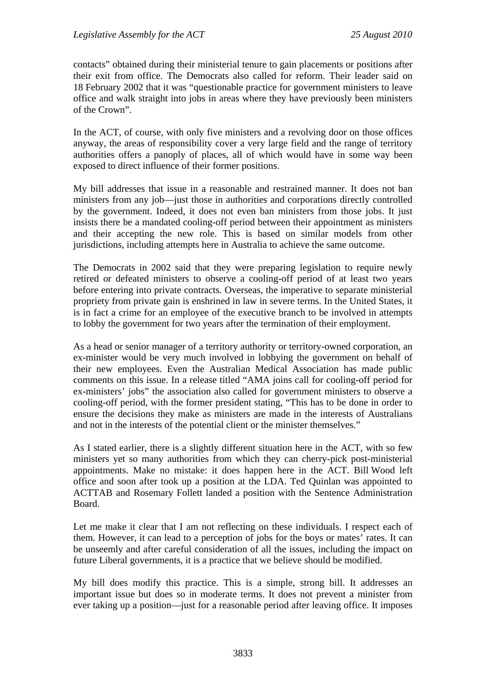contacts" obtained during their ministerial tenure to gain placements or positions after their exit from office. The Democrats also called for reform. Their leader said on 18 February 2002 that it was "questionable practice for government ministers to leave office and walk straight into jobs in areas where they have previously been ministers of the Crown".

In the ACT, of course, with only five ministers and a revolving door on those offices anyway, the areas of responsibility cover a very large field and the range of territory authorities offers a panoply of places, all of which would have in some way been exposed to direct influence of their former positions.

My bill addresses that issue in a reasonable and restrained manner. It does not ban ministers from any job—just those in authorities and corporations directly controlled by the government. Indeed, it does not even ban ministers from those jobs. It just insists there be a mandated cooling-off period between their appointment as ministers and their accepting the new role. This is based on similar models from other jurisdictions, including attempts here in Australia to achieve the same outcome.

The Democrats in 2002 said that they were preparing legislation to require newly retired or defeated ministers to observe a cooling-off period of at least two years before entering into private contracts. Overseas, the imperative to separate ministerial propriety from private gain is enshrined in law in severe terms. In the United States, it is in fact a crime for an employee of the executive branch to be involved in attempts to lobby the government for two years after the termination of their employment.

As a head or senior manager of a territory authority or territory-owned corporation, an ex-minister would be very much involved in lobbying the government on behalf of their new employees. Even the Australian Medical Association has made public comments on this issue. In a release titled "AMA joins call for cooling-off period for ex-ministers' jobs" the association also called for government ministers to observe a cooling-off period, with the former president stating, "This has to be done in order to ensure the decisions they make as ministers are made in the interests of Australians and not in the interests of the potential client or the minister themselves."

As I stated earlier, there is a slightly different situation here in the ACT, with so few ministers yet so many authorities from which they can cherry-pick post-ministerial appointments. Make no mistake: it does happen here in the ACT. Bill Wood left office and soon after took up a position at the LDA. Ted Quinlan was appointed to ACTTAB and Rosemary Follett landed a position with the Sentence Administration Board.

Let me make it clear that I am not reflecting on these individuals. I respect each of them. However, it can lead to a perception of jobs for the boys or mates' rates. It can be unseemly and after careful consideration of all the issues, including the impact on future Liberal governments, it is a practice that we believe should be modified.

My bill does modify this practice. This is a simple, strong bill. It addresses an important issue but does so in moderate terms. It does not prevent a minister from ever taking up a position—just for a reasonable period after leaving office. It imposes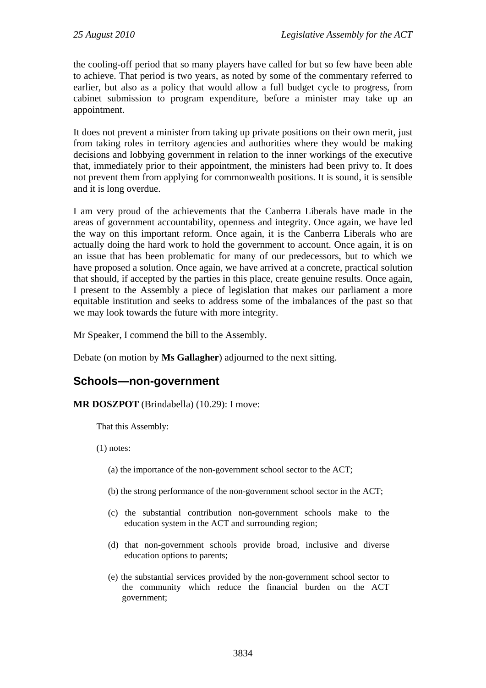the cooling-off period that so many players have called for but so few have been able to achieve. That period is two years, as noted by some of the commentary referred to earlier, but also as a policy that would allow a full budget cycle to progress, from cabinet submission to program expenditure, before a minister may take up an appointment.

It does not prevent a minister from taking up private positions on their own merit, just from taking roles in territory agencies and authorities where they would be making decisions and lobbying government in relation to the inner workings of the executive that, immediately prior to their appointment, the ministers had been privy to. It does not prevent them from applying for commonwealth positions. It is sound, it is sensible and it is long overdue.

I am very proud of the achievements that the Canberra Liberals have made in the areas of government accountability, openness and integrity. Once again, we have led the way on this important reform. Once again, it is the Canberra Liberals who are actually doing the hard work to hold the government to account. Once again, it is on an issue that has been problematic for many of our predecessors, but to which we have proposed a solution. Once again, we have arrived at a concrete, practical solution that should, if accepted by the parties in this place, create genuine results. Once again, I present to the Assembly a piece of legislation that makes our parliament a more equitable institution and seeks to address some of the imbalances of the past so that we may look towards the future with more integrity.

Mr Speaker, I commend the bill to the Assembly.

Debate (on motion by **Ms Gallagher**) adjourned to the next sitting.

# <span id="page-11-0"></span>**Schools—non-government**

#### **MR DOSZPOT** (Brindabella) (10.29): I move:

That this Assembly:

(1) notes:

- (a) the importance of the non-government school sector to the ACT;
- (b) the strong performance of the non-government school sector in the ACT;
- (c) the substantial contribution non-government schools make to the education system in the ACT and surrounding region;
- (d) that non-government schools provide broad, inclusive and diverse education options to parents;
- (e) the substantial services provided by the non-government school sector to the community which reduce the financial burden on the ACT government;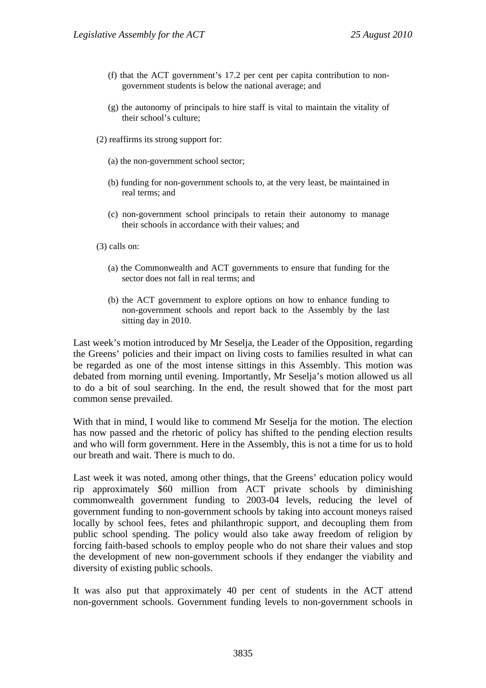- (f) that the ACT government's 17.2 per cent per capita contribution to nongovernment students is below the national average; and
- (g) the autonomy of principals to hire staff is vital to maintain the vitality of their school's culture;
- (2) reaffirms its strong support for:
	- (a) the non-government school sector;
	- (b) funding for non-government schools to, at the very least, be maintained in real terms; and
	- (c) non-government school principals to retain their autonomy to manage their schools in accordance with their values; and

(3) calls on:

- (a) the Commonwealth and ACT governments to ensure that funding for the sector does not fall in real terms; and
- (b) the ACT government to explore options on how to enhance funding to non-government schools and report back to the Assembly by the last sitting day in 2010.

Last week's motion introduced by Mr Seselja, the Leader of the Opposition, regarding the Greens' policies and their impact on living costs to families resulted in what can be regarded as one of the most intense sittings in this Assembly. This motion was debated from morning until evening. Importantly, Mr Seselja's motion allowed us all to do a bit of soul searching. In the end, the result showed that for the most part common sense prevailed.

With that in mind, I would like to commend Mr Seselja for the motion. The election has now passed and the rhetoric of policy has shifted to the pending election results and who will form government. Here in the Assembly, this is not a time for us to hold our breath and wait. There is much to do.

Last week it was noted, among other things, that the Greens' education policy would rip approximately \$60 million from ACT private schools by diminishing commonwealth government funding to 2003-04 levels, reducing the level of government funding to non-government schools by taking into account moneys raised locally by school fees, fetes and philanthropic support, and decoupling them from public school spending. The policy would also take away freedom of religion by forcing faith-based schools to employ people who do not share their values and stop the development of new non-government schools if they endanger the viability and diversity of existing public schools.

It was also put that approximately 40 per cent of students in the ACT attend non-government schools. Government funding levels to non-government schools in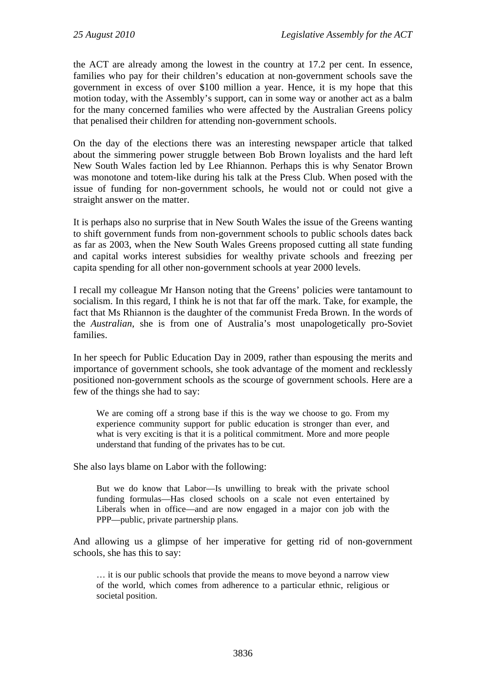the ACT are already among the lowest in the country at 17.2 per cent. In essence, families who pay for their children's education at non-government schools save the government in excess of over \$100 million a year. Hence, it is my hope that this motion today, with the Assembly's support, can in some way or another act as a balm for the many concerned families who were affected by the Australian Greens policy that penalised their children for attending non-government schools.

On the day of the elections there was an interesting newspaper article that talked about the simmering power struggle between Bob Brown loyalists and the hard left New South Wales faction led by Lee Rhiannon. Perhaps this is why Senator Brown was monotone and totem-like during his talk at the Press Club. When posed with the issue of funding for non-government schools, he would not or could not give a straight answer on the matter.

It is perhaps also no surprise that in New South Wales the issue of the Greens wanting to shift government funds from non-government schools to public schools dates back as far as 2003, when the New South Wales Greens proposed cutting all state funding and capital works interest subsidies for wealthy private schools and freezing per capita spending for all other non-government schools at year 2000 levels.

I recall my colleague Mr Hanson noting that the Greens' policies were tantamount to socialism. In this regard, I think he is not that far off the mark. Take, for example, the fact that Ms Rhiannon is the daughter of the communist Freda Brown. In the words of the *Australian*, she is from one of Australia's most unapologetically pro-Soviet families.

In her speech for Public Education Day in 2009, rather than espousing the merits and importance of government schools, she took advantage of the moment and recklessly positioned non-government schools as the scourge of government schools. Here are a few of the things she had to say:

We are coming off a strong base if this is the way we choose to go. From my experience community support for public education is stronger than ever, and what is very exciting is that it is a political commitment. More and more people understand that funding of the privates has to be cut.

She also lays blame on Labor with the following:

But we do know that Labor—Is unwilling to break with the private school funding formulas—Has closed schools on a scale not even entertained by Liberals when in office—and are now engaged in a major con job with the PPP—public, private partnership plans.

And allowing us a glimpse of her imperative for getting rid of non-government schools, she has this to say:

… it is our public schools that provide the means to move beyond a narrow view of the world, which comes from adherence to a particular ethnic, religious or societal position.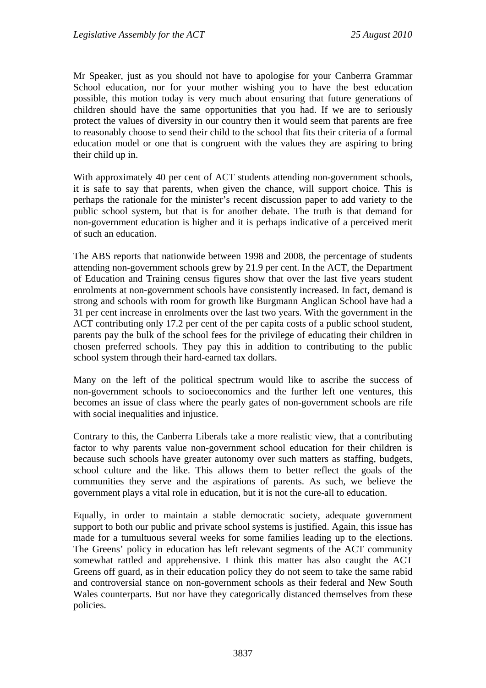Mr Speaker, just as you should not have to apologise for your Canberra Grammar School education, nor for your mother wishing you to have the best education possible, this motion today is very much about ensuring that future generations of children should have the same opportunities that you had. If we are to seriously protect the values of diversity in our country then it would seem that parents are free to reasonably choose to send their child to the school that fits their criteria of a formal education model or one that is congruent with the values they are aspiring to bring their child up in.

With approximately 40 per cent of ACT students attending non-government schools, it is safe to say that parents, when given the chance, will support choice. This is perhaps the rationale for the minister's recent discussion paper to add variety to the public school system, but that is for another debate. The truth is that demand for non-government education is higher and it is perhaps indicative of a perceived merit of such an education.

The ABS reports that nationwide between 1998 and 2008, the percentage of students attending non-government schools grew by 21.9 per cent. In the ACT, the Department of Education and Training census figures show that over the last five years student enrolments at non-government schools have consistently increased. In fact, demand is strong and schools with room for growth like Burgmann Anglican School have had a 31 per cent increase in enrolments over the last two years. With the government in the ACT contributing only 17.2 per cent of the per capita costs of a public school student, parents pay the bulk of the school fees for the privilege of educating their children in chosen preferred schools. They pay this in addition to contributing to the public school system through their hard-earned tax dollars.

Many on the left of the political spectrum would like to ascribe the success of non-government schools to socioeconomics and the further left one ventures, this becomes an issue of class where the pearly gates of non-government schools are rife with social inequalities and injustice.

Contrary to this, the Canberra Liberals take a more realistic view, that a contributing factor to why parents value non-government school education for their children is because such schools have greater autonomy over such matters as staffing, budgets, school culture and the like. This allows them to better reflect the goals of the communities they serve and the aspirations of parents. As such, we believe the government plays a vital role in education, but it is not the cure-all to education.

Equally, in order to maintain a stable democratic society, adequate government support to both our public and private school systems is justified. Again, this issue has made for a tumultuous several weeks for some families leading up to the elections. The Greens' policy in education has left relevant segments of the ACT community somewhat rattled and apprehensive. I think this matter has also caught the ACT Greens off guard, as in their education policy they do not seem to take the same rabid and controversial stance on non-government schools as their federal and New South Wales counterparts. But nor have they categorically distanced themselves from these policies.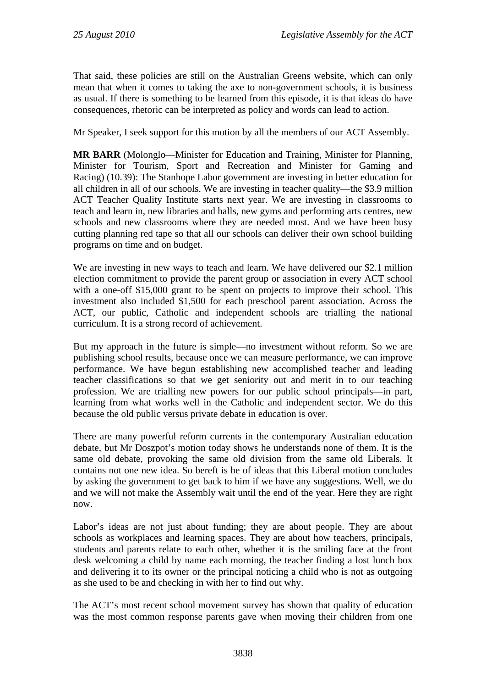That said, these policies are still on the Australian Greens website, which can only mean that when it comes to taking the axe to non-government schools, it is business as usual. If there is something to be learned from this episode, it is that ideas do have consequences, rhetoric can be interpreted as policy and words can lead to action.

Mr Speaker, I seek support for this motion by all the members of our ACT Assembly.

**MR BARR** (Molonglo—Minister for Education and Training, Minister for Planning, Minister for Tourism, Sport and Recreation and Minister for Gaming and Racing) (10.39): The Stanhope Labor government are investing in better education for all children in all of our schools. We are investing in teacher quality—the \$3.9 million ACT Teacher Quality Institute starts next year. We are investing in classrooms to teach and learn in, new libraries and halls, new gyms and performing arts centres, new schools and new classrooms where they are needed most. And we have been busy cutting planning red tape so that all our schools can deliver their own school building programs on time and on budget.

We are investing in new ways to teach and learn. We have delivered our \$2.1 million election commitment to provide the parent group or association in every ACT school with a one-off \$15,000 grant to be spent on projects to improve their school. This investment also included \$1,500 for each preschool parent association. Across the ACT, our public, Catholic and independent schools are trialling the national curriculum. It is a strong record of achievement.

But my approach in the future is simple—no investment without reform. So we are publishing school results, because once we can measure performance, we can improve performance. We have begun establishing new accomplished teacher and leading teacher classifications so that we get seniority out and merit in to our teaching profession. We are trialling new powers for our public school principals—in part, learning from what works well in the Catholic and independent sector. We do this because the old public versus private debate in education is over.

There are many powerful reform currents in the contemporary Australian education debate, but Mr Doszpot's motion today shows he understands none of them. It is the same old debate, provoking the same old division from the same old Liberals. It contains not one new idea. So bereft is he of ideas that this Liberal motion concludes by asking the government to get back to him if we have any suggestions. Well, we do and we will not make the Assembly wait until the end of the year. Here they are right now.

Labor's ideas are not just about funding; they are about people. They are about schools as workplaces and learning spaces. They are about how teachers, principals, students and parents relate to each other, whether it is the smiling face at the front desk welcoming a child by name each morning, the teacher finding a lost lunch box and delivering it to its owner or the principal noticing a child who is not as outgoing as she used to be and checking in with her to find out why.

The ACT's most recent school movement survey has shown that quality of education was the most common response parents gave when moving their children from one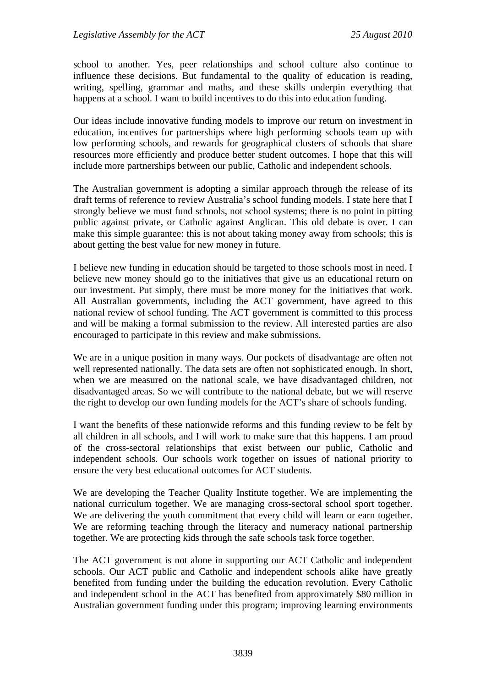school to another. Yes, peer relationships and school culture also continue to influence these decisions. But fundamental to the quality of education is reading, writing, spelling, grammar and maths, and these skills underpin everything that happens at a school. I want to build incentives to do this into education funding.

Our ideas include innovative funding models to improve our return on investment in education, incentives for partnerships where high performing schools team up with low performing schools, and rewards for geographical clusters of schools that share resources more efficiently and produce better student outcomes. I hope that this will include more partnerships between our public, Catholic and independent schools.

The Australian government is adopting a similar approach through the release of its draft terms of reference to review Australia's school funding models. I state here that I strongly believe we must fund schools, not school systems; there is no point in pitting public against private, or Catholic against Anglican. This old debate is over. I can make this simple guarantee: this is not about taking money away from schools; this is about getting the best value for new money in future.

I believe new funding in education should be targeted to those schools most in need. I believe new money should go to the initiatives that give us an educational return on our investment. Put simply, there must be more money for the initiatives that work. All Australian governments, including the ACT government, have agreed to this national review of school funding. The ACT government is committed to this process and will be making a formal submission to the review. All interested parties are also encouraged to participate in this review and make submissions.

We are in a unique position in many ways. Our pockets of disadvantage are often not well represented nationally. The data sets are often not sophisticated enough. In short, when we are measured on the national scale, we have disadvantaged children, not disadvantaged areas. So we will contribute to the national debate, but we will reserve the right to develop our own funding models for the ACT's share of schools funding.

I want the benefits of these nationwide reforms and this funding review to be felt by all children in all schools, and I will work to make sure that this happens. I am proud of the cross-sectoral relationships that exist between our public, Catholic and independent schools. Our schools work together on issues of national priority to ensure the very best educational outcomes for ACT students.

We are developing the Teacher Quality Institute together. We are implementing the national curriculum together. We are managing cross-sectoral school sport together. We are delivering the youth commitment that every child will learn or earn together. We are reforming teaching through the literacy and numeracy national partnership together. We are protecting kids through the safe schools task force together.

The ACT government is not alone in supporting our ACT Catholic and independent schools. Our ACT public and Catholic and independent schools alike have greatly benefited from funding under the building the education revolution. Every Catholic and independent school in the ACT has benefited from approximately \$80 million in Australian government funding under this program; improving learning environments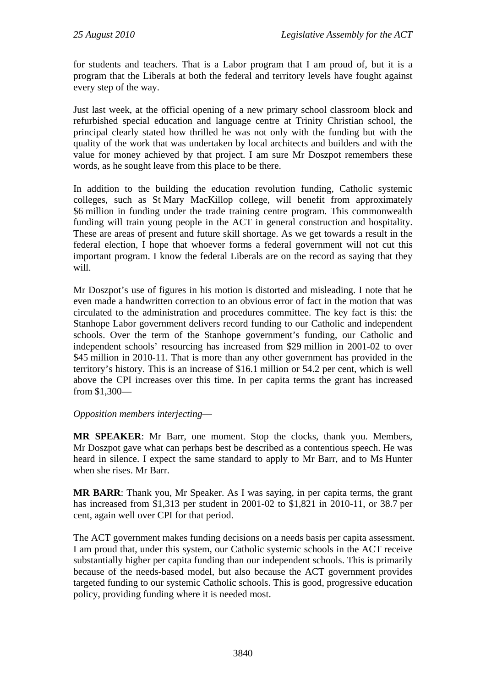for students and teachers. That is a Labor program that I am proud of, but it is a program that the Liberals at both the federal and territory levels have fought against every step of the way.

Just last week, at the official opening of a new primary school classroom block and refurbished special education and language centre at Trinity Christian school, the principal clearly stated how thrilled he was not only with the funding but with the quality of the work that was undertaken by local architects and builders and with the value for money achieved by that project. I am sure Mr Doszpot remembers these words, as he sought leave from this place to be there.

In addition to the building the education revolution funding, Catholic systemic colleges, such as St Mary MacKillop college, will benefit from approximately \$6 million in funding under the trade training centre program. This commonwealth funding will train young people in the ACT in general construction and hospitality. These are areas of present and future skill shortage. As we get towards a result in the federal election, I hope that whoever forms a federal government will not cut this important program. I know the federal Liberals are on the record as saying that they will.

Mr Doszpot's use of figures in his motion is distorted and misleading. I note that he even made a handwritten correction to an obvious error of fact in the motion that was circulated to the administration and procedures committee. The key fact is this: the Stanhope Labor government delivers record funding to our Catholic and independent schools. Over the term of the Stanhope government's funding, our Catholic and independent schools' resourcing has increased from \$29 million in 2001-02 to over \$45 million in 2010-11. That is more than any other government has provided in the territory's history. This is an increase of \$16.1 million or 54.2 per cent, which is well above the CPI increases over this time. In per capita terms the grant has increased from \$1,300—

#### *Opposition members interjecting*—

**MR SPEAKER**: Mr Barr, one moment. Stop the clocks, thank you. Members, Mr Doszpot gave what can perhaps best be described as a contentious speech. He was heard in silence. I expect the same standard to apply to Mr Barr, and to Ms Hunter when she rises. Mr Barr.

**MR BARR**: Thank you, Mr Speaker. As I was saying, in per capita terms, the grant has increased from \$1,313 per student in 2001-02 to \$1,821 in 2010-11, or 38.7 per cent, again well over CPI for that period.

The ACT government makes funding decisions on a needs basis per capita assessment. I am proud that, under this system, our Catholic systemic schools in the ACT receive substantially higher per capita funding than our independent schools. This is primarily because of the needs-based model, but also because the ACT government provides targeted funding to our systemic Catholic schools. This is good, progressive education policy, providing funding where it is needed most.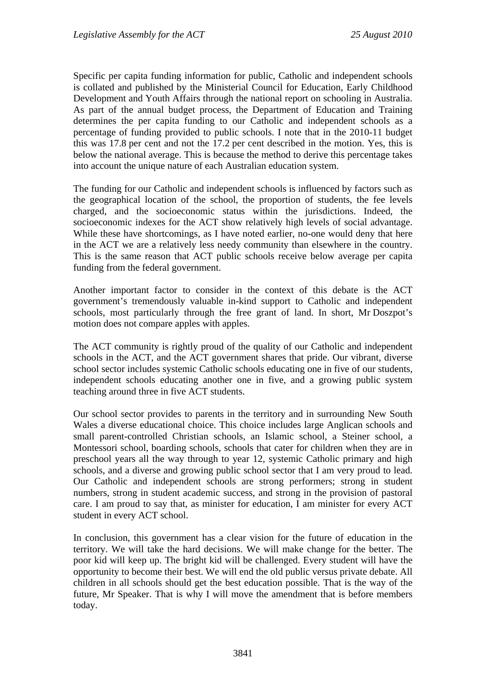Specific per capita funding information for public, Catholic and independent schools is collated and published by the Ministerial Council for Education, Early Childhood Development and Youth Affairs through the national report on schooling in Australia. As part of the annual budget process, the Department of Education and Training determines the per capita funding to our Catholic and independent schools as a percentage of funding provided to public schools. I note that in the 2010-11 budget this was 17.8 per cent and not the 17.2 per cent described in the motion. Yes, this is below the national average. This is because the method to derive this percentage takes into account the unique nature of each Australian education system.

The funding for our Catholic and independent schools is influenced by factors such as the geographical location of the school, the proportion of students, the fee levels charged, and the socioeconomic status within the jurisdictions. Indeed, the socioeconomic indexes for the ACT show relatively high levels of social advantage. While these have shortcomings, as I have noted earlier, no-one would deny that here in the ACT we are a relatively less needy community than elsewhere in the country. This is the same reason that ACT public schools receive below average per capita funding from the federal government.

Another important factor to consider in the context of this debate is the ACT government's tremendously valuable in-kind support to Catholic and independent schools, most particularly through the free grant of land. In short, Mr Doszpot's motion does not compare apples with apples.

The ACT community is rightly proud of the quality of our Catholic and independent schools in the ACT, and the ACT government shares that pride. Our vibrant, diverse school sector includes systemic Catholic schools educating one in five of our students, independent schools educating another one in five, and a growing public system teaching around three in five ACT students.

Our school sector provides to parents in the territory and in surrounding New South Wales a diverse educational choice. This choice includes large Anglican schools and small parent-controlled Christian schools, an Islamic school, a Steiner school, a Montessori school, boarding schools, schools that cater for children when they are in preschool years all the way through to year 12, systemic Catholic primary and high schools, and a diverse and growing public school sector that I am very proud to lead. Our Catholic and independent schools are strong performers; strong in student numbers, strong in student academic success, and strong in the provision of pastoral care. I am proud to say that, as minister for education, I am minister for every ACT student in every ACT school.

In conclusion, this government has a clear vision for the future of education in the territory. We will take the hard decisions. We will make change for the better. The poor kid will keep up. The bright kid will be challenged. Every student will have the opportunity to become their best. We will end the old public versus private debate. All children in all schools should get the best education possible. That is the way of the future, Mr Speaker. That is why I will move the amendment that is before members today.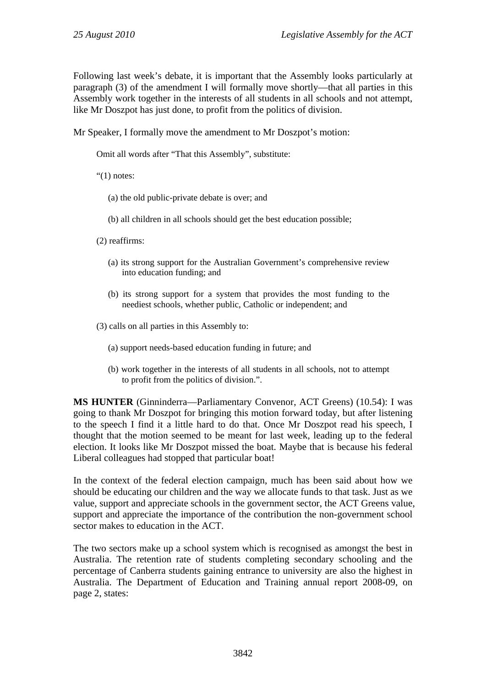Following last week's debate, it is important that the Assembly looks particularly at paragraph (3) of the amendment I will formally move shortly—that all parties in this Assembly work together in the interests of all students in all schools and not attempt, like Mr Doszpot has just done, to profit from the politics of division.

Mr Speaker, I formally move the amendment to Mr Doszpot's motion:

Omit all words after "That this Assembly", substitute:

" $(1)$  notes:

(a) the old public-private debate is over; and

- (b) all children in all schools should get the best education possible;
- (2) reaffirms:
	- (a) its strong support for the Australian Government's comprehensive review into education funding; and
	- (b) its strong support for a system that provides the most funding to the neediest schools, whether public, Catholic or independent; and

(3) calls on all parties in this Assembly to:

- (a) support needs-based education funding in future; and
- (b) work together in the interests of all students in all schools, not to attempt to profit from the politics of division.".

**MS HUNTER** (Ginninderra—Parliamentary Convenor, ACT Greens) (10.54): I was going to thank Mr Doszpot for bringing this motion forward today, but after listening to the speech I find it a little hard to do that. Once Mr Doszpot read his speech, I thought that the motion seemed to be meant for last week, leading up to the federal election. It looks like Mr Doszpot missed the boat. Maybe that is because his federal Liberal colleagues had stopped that particular boat!

In the context of the federal election campaign, much has been said about how we should be educating our children and the way we allocate funds to that task. Just as we value, support and appreciate schools in the government sector, the ACT Greens value, support and appreciate the importance of the contribution the non-government school sector makes to education in the ACT.

The two sectors make up a school system which is recognised as amongst the best in Australia. The retention rate of students completing secondary schooling and the percentage of Canberra students gaining entrance to university are also the highest in Australia. The Department of Education and Training annual report 2008-09, on page 2, states: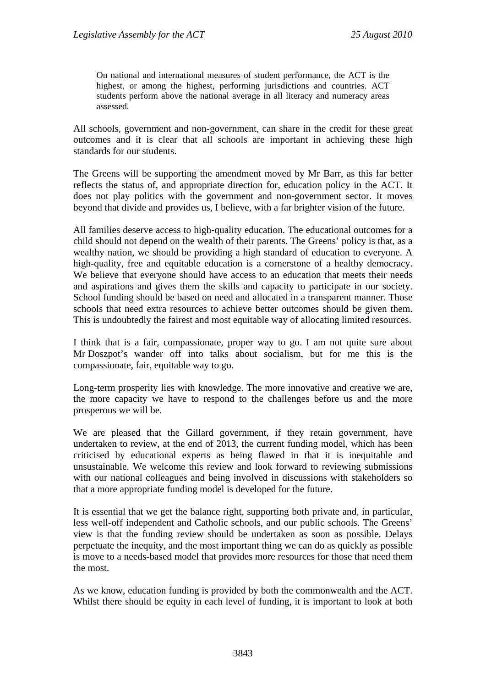On national and international measures of student performance, the ACT is the highest, or among the highest, performing jurisdictions and countries. ACT students perform above the national average in all literacy and numeracy areas assessed.

All schools, government and non-government, can share in the credit for these great outcomes and it is clear that all schools are important in achieving these high standards for our students.

The Greens will be supporting the amendment moved by Mr Barr, as this far better reflects the status of, and appropriate direction for, education policy in the ACT. It does not play politics with the government and non-government sector. It moves beyond that divide and provides us, I believe, with a far brighter vision of the future.

All families deserve access to high-quality education. The educational outcomes for a child should not depend on the wealth of their parents. The Greens' policy is that, as a wealthy nation, we should be providing a high standard of education to everyone. A high-quality, free and equitable education is a cornerstone of a healthy democracy. We believe that everyone should have access to an education that meets their needs and aspirations and gives them the skills and capacity to participate in our society. School funding should be based on need and allocated in a transparent manner. Those schools that need extra resources to achieve better outcomes should be given them. This is undoubtedly the fairest and most equitable way of allocating limited resources.

I think that is a fair, compassionate, proper way to go. I am not quite sure about Mr Doszpot's wander off into talks about socialism, but for me this is the compassionate, fair, equitable way to go.

Long-term prosperity lies with knowledge. The more innovative and creative we are, the more capacity we have to respond to the challenges before us and the more prosperous we will be.

We are pleased that the Gillard government, if they retain government, have undertaken to review, at the end of 2013, the current funding model, which has been criticised by educational experts as being flawed in that it is inequitable and unsustainable. We welcome this review and look forward to reviewing submissions with our national colleagues and being involved in discussions with stakeholders so that a more appropriate funding model is developed for the future.

It is essential that we get the balance right, supporting both private and, in particular, less well-off independent and Catholic schools, and our public schools. The Greens' view is that the funding review should be undertaken as soon as possible. Delays perpetuate the inequity, and the most important thing we can do as quickly as possible is move to a needs-based model that provides more resources for those that need them the most.

As we know, education funding is provided by both the commonwealth and the ACT. Whilst there should be equity in each level of funding, it is important to look at both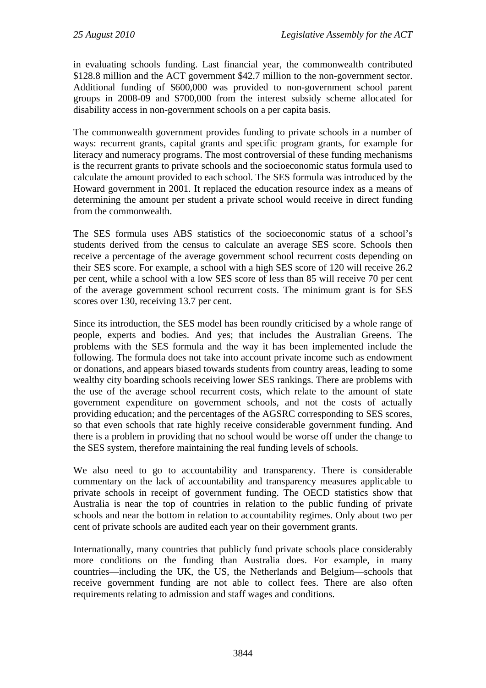in evaluating schools funding. Last financial year, the commonwealth contributed \$128.8 million and the ACT government \$42.7 million to the non-government sector. Additional funding of \$600,000 was provided to non-government school parent groups in 2008-09 and \$700,000 from the interest subsidy scheme allocated for disability access in non-government schools on a per capita basis.

The commonwealth government provides funding to private schools in a number of ways: recurrent grants, capital grants and specific program grants, for example for literacy and numeracy programs. The most controversial of these funding mechanisms is the recurrent grants to private schools and the socioeconomic status formula used to calculate the amount provided to each school. The SES formula was introduced by the Howard government in 2001. It replaced the education resource index as a means of determining the amount per student a private school would receive in direct funding from the commonwealth.

The SES formula uses ABS statistics of the socioeconomic status of a school's students derived from the census to calculate an average SES score. Schools then receive a percentage of the average government school recurrent costs depending on their SES score. For example, a school with a high SES score of 120 will receive 26.2 per cent, while a school with a low SES score of less than 85 will receive 70 per cent of the average government school recurrent costs. The minimum grant is for SES scores over 130, receiving 13.7 per cent.

Since its introduction, the SES model has been roundly criticised by a whole range of people, experts and bodies. And yes; that includes the Australian Greens. The problems with the SES formula and the way it has been implemented include the following. The formula does not take into account private income such as endowment or donations, and appears biased towards students from country areas, leading to some wealthy city boarding schools receiving lower SES rankings. There are problems with the use of the average school recurrent costs, which relate to the amount of state government expenditure on government schools, and not the costs of actually providing education; and the percentages of the AGSRC corresponding to SES scores, so that even schools that rate highly receive considerable government funding. And there is a problem in providing that no school would be worse off under the change to the SES system, therefore maintaining the real funding levels of schools.

We also need to go to accountability and transparency. There is considerable commentary on the lack of accountability and transparency measures applicable to private schools in receipt of government funding. The OECD statistics show that Australia is near the top of countries in relation to the public funding of private schools and near the bottom in relation to accountability regimes. Only about two per cent of private schools are audited each year on their government grants.

Internationally, many countries that publicly fund private schools place considerably more conditions on the funding than Australia does. For example, in many countries—including the UK, the US, the Netherlands and Belgium—schools that receive government funding are not able to collect fees. There are also often requirements relating to admission and staff wages and conditions.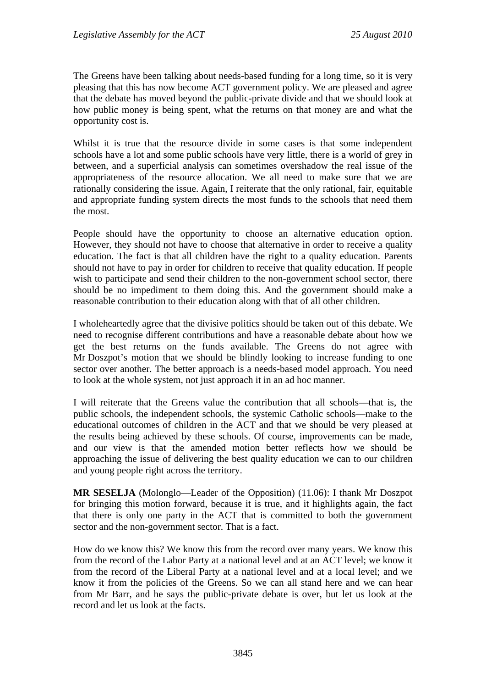The Greens have been talking about needs-based funding for a long time, so it is very pleasing that this has now become ACT government policy. We are pleased and agree that the debate has moved beyond the public-private divide and that we should look at how public money is being spent, what the returns on that money are and what the opportunity cost is.

Whilst it is true that the resource divide in some cases is that some independent schools have a lot and some public schools have very little, there is a world of grey in between, and a superficial analysis can sometimes overshadow the real issue of the appropriateness of the resource allocation. We all need to make sure that we are rationally considering the issue. Again, I reiterate that the only rational, fair, equitable and appropriate funding system directs the most funds to the schools that need them the most.

People should have the opportunity to choose an alternative education option. However, they should not have to choose that alternative in order to receive a quality education. The fact is that all children have the right to a quality education. Parents should not have to pay in order for children to receive that quality education. If people wish to participate and send their children to the non-government school sector, there should be no impediment to them doing this. And the government should make a reasonable contribution to their education along with that of all other children.

I wholeheartedly agree that the divisive politics should be taken out of this debate. We need to recognise different contributions and have a reasonable debate about how we get the best returns on the funds available. The Greens do not agree with Mr Doszpot's motion that we should be blindly looking to increase funding to one sector over another. The better approach is a needs-based model approach. You need to look at the whole system, not just approach it in an ad hoc manner.

I will reiterate that the Greens value the contribution that all schools—that is, the public schools, the independent schools, the systemic Catholic schools—make to the educational outcomes of children in the ACT and that we should be very pleased at the results being achieved by these schools. Of course, improvements can be made, and our view is that the amended motion better reflects how we should be approaching the issue of delivering the best quality education we can to our children and young people right across the territory.

**MR SESELJA** (Molonglo—Leader of the Opposition) (11.06): I thank Mr Doszpot for bringing this motion forward, because it is true, and it highlights again, the fact that there is only one party in the ACT that is committed to both the government sector and the non-government sector. That is a fact.

How do we know this? We know this from the record over many years. We know this from the record of the Labor Party at a national level and at an ACT level; we know it from the record of the Liberal Party at a national level and at a local level; and we know it from the policies of the Greens. So we can all stand here and we can hear from Mr Barr, and he says the public-private debate is over, but let us look at the record and let us look at the facts.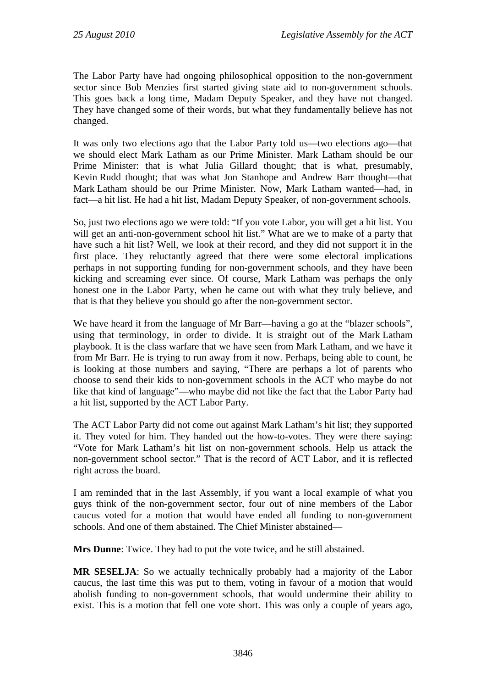The Labor Party have had ongoing philosophical opposition to the non-government sector since Bob Menzies first started giving state aid to non-government schools. This goes back a long time, Madam Deputy Speaker, and they have not changed. They have changed some of their words, but what they fundamentally believe has not changed.

It was only two elections ago that the Labor Party told us—two elections ago—that we should elect Mark Latham as our Prime Minister. Mark Latham should be our Prime Minister: that is what Julia Gillard thought; that is what, presumably, Kevin Rudd thought; that was what Jon Stanhope and Andrew Barr thought—that Mark Latham should be our Prime Minister. Now, Mark Latham wanted—had, in fact—a hit list. He had a hit list, Madam Deputy Speaker, of non-government schools.

So, just two elections ago we were told: "If you vote Labor, you will get a hit list. You will get an anti-non-government school hit list." What are we to make of a party that have such a hit list? Well, we look at their record, and they did not support it in the first place. They reluctantly agreed that there were some electoral implications perhaps in not supporting funding for non-government schools, and they have been kicking and screaming ever since. Of course, Mark Latham was perhaps the only honest one in the Labor Party, when he came out with what they truly believe, and that is that they believe you should go after the non-government sector.

We have heard it from the language of Mr Barr—having a go at the "blazer schools", using that terminology, in order to divide. It is straight out of the Mark Latham playbook. It is the class warfare that we have seen from Mark Latham, and we have it from Mr Barr. He is trying to run away from it now. Perhaps, being able to count, he is looking at those numbers and saying, "There are perhaps a lot of parents who choose to send their kids to non-government schools in the ACT who maybe do not like that kind of language"—who maybe did not like the fact that the Labor Party had a hit list, supported by the ACT Labor Party.

The ACT Labor Party did not come out against Mark Latham's hit list; they supported it. They voted for him. They handed out the how-to-votes. They were there saying: "Vote for Mark Latham's hit list on non-government schools. Help us attack the non-government school sector." That is the record of ACT Labor, and it is reflected right across the board.

I am reminded that in the last Assembly, if you want a local example of what you guys think of the non-government sector, four out of nine members of the Labor caucus voted for a motion that would have ended all funding to non-government schools. And one of them abstained. The Chief Minister abstained—

**Mrs Dunne**: Twice. They had to put the vote twice, and he still abstained.

**MR SESELJA**: So we actually technically probably had a majority of the Labor caucus, the last time this was put to them, voting in favour of a motion that would abolish funding to non-government schools, that would undermine their ability to exist. This is a motion that fell one vote short. This was only a couple of years ago,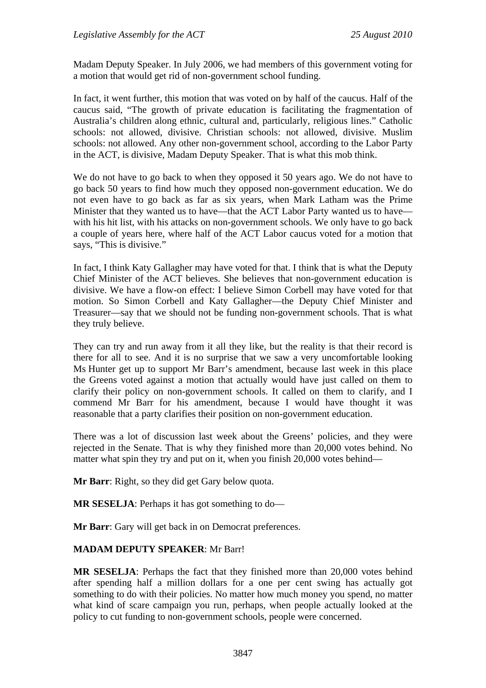Madam Deputy Speaker. In July 2006, we had members of this government voting for a motion that would get rid of non-government school funding.

In fact, it went further, this motion that was voted on by half of the caucus. Half of the caucus said, "The growth of private education is facilitating the fragmentation of Australia's children along ethnic, cultural and, particularly, religious lines." Catholic schools: not allowed, divisive. Christian schools: not allowed, divisive. Muslim schools: not allowed. Any other non-government school, according to the Labor Party in the ACT, is divisive, Madam Deputy Speaker. That is what this mob think.

We do not have to go back to when they opposed it 50 years ago. We do not have to go back 50 years to find how much they opposed non-government education. We do not even have to go back as far as six years, when Mark Latham was the Prime Minister that they wanted us to have—that the ACT Labor Party wanted us to have with his hit list, with his attacks on non-government schools. We only have to go back a couple of years here, where half of the ACT Labor caucus voted for a motion that says, "This is divisive."

In fact, I think Katy Gallagher may have voted for that. I think that is what the Deputy Chief Minister of the ACT believes. She believes that non-government education is divisive. We have a flow-on effect: I believe Simon Corbell may have voted for that motion. So Simon Corbell and Katy Gallagher—the Deputy Chief Minister and Treasurer—say that we should not be funding non-government schools. That is what they truly believe.

They can try and run away from it all they like, but the reality is that their record is there for all to see. And it is no surprise that we saw a very uncomfortable looking Ms Hunter get up to support Mr Barr's amendment, because last week in this place the Greens voted against a motion that actually would have just called on them to clarify their policy on non-government schools. It called on them to clarify, and I commend Mr Barr for his amendment, because I would have thought it was reasonable that a party clarifies their position on non-government education.

There was a lot of discussion last week about the Greens' policies, and they were rejected in the Senate. That is why they finished more than 20,000 votes behind. No matter what spin they try and put on it, when you finish 20,000 votes behind—

**Mr Barr**: Right, so they did get Gary below quota.

**MR SESELJA**: Perhaps it has got something to do—

**Mr Barr**: Gary will get back in on Democrat preferences.

#### **MADAM DEPUTY SPEAKER**: Mr Barr!

**MR SESELJA**: Perhaps the fact that they finished more than 20,000 votes behind after spending half a million dollars for a one per cent swing has actually got something to do with their policies. No matter how much money you spend, no matter what kind of scare campaign you run, perhaps, when people actually looked at the policy to cut funding to non-government schools, people were concerned.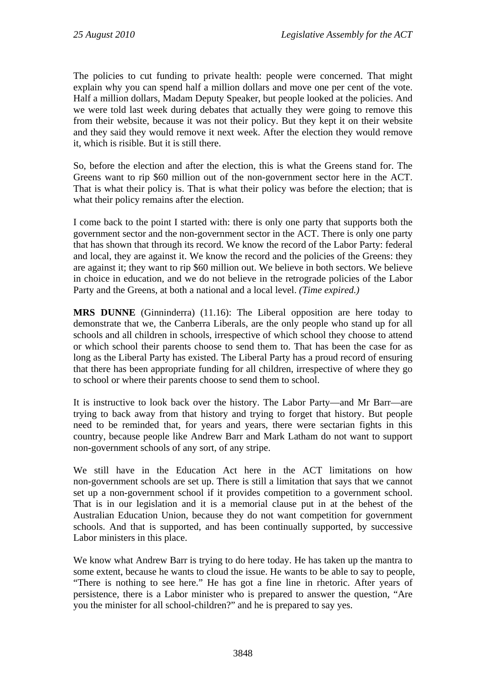The policies to cut funding to private health: people were concerned. That might explain why you can spend half a million dollars and move one per cent of the vote. Half a million dollars, Madam Deputy Speaker, but people looked at the policies. And we were told last week during debates that actually they were going to remove this from their website, because it was not their policy. But they kept it on their website and they said they would remove it next week. After the election they would remove it, which is risible. But it is still there.

So, before the election and after the election, this is what the Greens stand for. The Greens want to rip \$60 million out of the non-government sector here in the ACT. That is what their policy is. That is what their policy was before the election; that is what their policy remains after the election.

I come back to the point I started with: there is only one party that supports both the government sector and the non-government sector in the ACT. There is only one party that has shown that through its record. We know the record of the Labor Party: federal and local, they are against it. We know the record and the policies of the Greens: they are against it; they want to rip \$60 million out. We believe in both sectors. We believe in choice in education, and we do not believe in the retrograde policies of the Labor Party and the Greens, at both a national and a local level. *(Time expired.)* 

**MRS DUNNE** (Ginninderra) (11.16): The Liberal opposition are here today to demonstrate that we, the Canberra Liberals, are the only people who stand up for all schools and all children in schools, irrespective of which school they choose to attend or which school their parents choose to send them to. That has been the case for as long as the Liberal Party has existed. The Liberal Party has a proud record of ensuring that there has been appropriate funding for all children, irrespective of where they go to school or where their parents choose to send them to school.

It is instructive to look back over the history. The Labor Party—and Mr Barr—are trying to back away from that history and trying to forget that history. But people need to be reminded that, for years and years, there were sectarian fights in this country, because people like Andrew Barr and Mark Latham do not want to support non-government schools of any sort, of any stripe.

We still have in the Education Act here in the ACT limitations on how non-government schools are set up. There is still a limitation that says that we cannot set up a non-government school if it provides competition to a government school. That is in our legislation and it is a memorial clause put in at the behest of the Australian Education Union, because they do not want competition for government schools. And that is supported, and has been continually supported, by successive Labor ministers in this place.

We know what Andrew Barr is trying to do here today. He has taken up the mantra to some extent, because he wants to cloud the issue. He wants to be able to say to people, "There is nothing to see here." He has got a fine line in rhetoric. After years of persistence, there is a Labor minister who is prepared to answer the question, "Are you the minister for all school-children?" and he is prepared to say yes.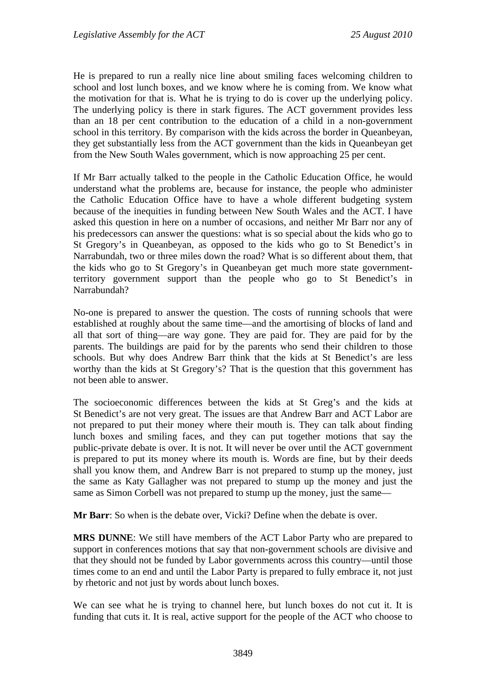He is prepared to run a really nice line about smiling faces welcoming children to school and lost lunch boxes, and we know where he is coming from. We know what the motivation for that is. What he is trying to do is cover up the underlying policy. The underlying policy is there in stark figures. The ACT government provides less than an 18 per cent contribution to the education of a child in a non-government school in this territory. By comparison with the kids across the border in Queanbeyan, they get substantially less from the ACT government than the kids in Queanbeyan get from the New South Wales government, which is now approaching 25 per cent.

If Mr Barr actually talked to the people in the Catholic Education Office, he would understand what the problems are, because for instance, the people who administer the Catholic Education Office have to have a whole different budgeting system because of the inequities in funding between New South Wales and the ACT. I have asked this question in here on a number of occasions, and neither Mr Barr nor any of his predecessors can answer the questions: what is so special about the kids who go to St Gregory's in Queanbeyan, as opposed to the kids who go to St Benedict's in Narrabundah, two or three miles down the road? What is so different about them, that the kids who go to St Gregory's in Queanbeyan get much more state governmentterritory government support than the people who go to St Benedict's in Narrabundah?

No-one is prepared to answer the question. The costs of running schools that were established at roughly about the same time—and the amortising of blocks of land and all that sort of thing—are way gone. They are paid for. They are paid for by the parents. The buildings are paid for by the parents who send their children to those schools. But why does Andrew Barr think that the kids at St Benedict's are less worthy than the kids at St Gregory's? That is the question that this government has not been able to answer.

The socioeconomic differences between the kids at St Greg's and the kids at St Benedict's are not very great. The issues are that Andrew Barr and ACT Labor are not prepared to put their money where their mouth is. They can talk about finding lunch boxes and smiling faces, and they can put together motions that say the public-private debate is over. It is not. It will never be over until the ACT government is prepared to put its money where its mouth is. Words are fine, but by their deeds shall you know them, and Andrew Barr is not prepared to stump up the money, just the same as Katy Gallagher was not prepared to stump up the money and just the same as Simon Corbell was not prepared to stump up the money, just the same—

**Mr Barr**: So when is the debate over, Vicki? Define when the debate is over.

**MRS DUNNE**: We still have members of the ACT Labor Party who are prepared to support in conferences motions that say that non-government schools are divisive and that they should not be funded by Labor governments across this country—until those times come to an end and until the Labor Party is prepared to fully embrace it, not just by rhetoric and not just by words about lunch boxes.

We can see what he is trying to channel here, but lunch boxes do not cut it. It is funding that cuts it. It is real, active support for the people of the ACT who choose to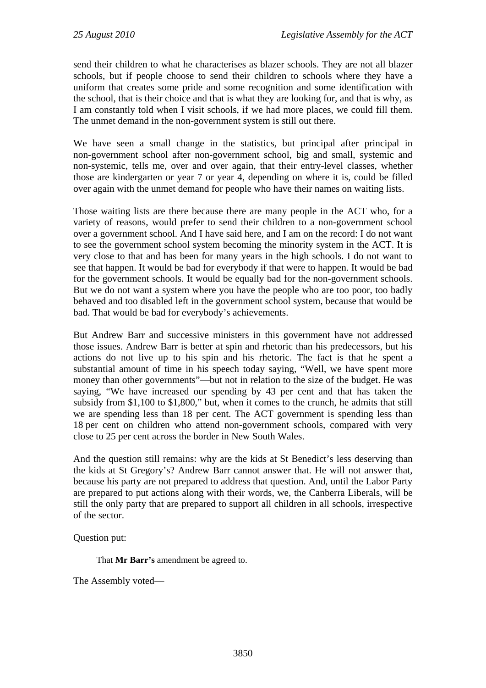send their children to what he characterises as blazer schools. They are not all blazer schools, but if people choose to send their children to schools where they have a uniform that creates some pride and some recognition and some identification with the school, that is their choice and that is what they are looking for, and that is why, as I am constantly told when I visit schools, if we had more places, we could fill them. The unmet demand in the non-government system is still out there.

We have seen a small change in the statistics, but principal after principal in non-government school after non-government school, big and small, systemic and non-systemic, tells me, over and over again, that their entry-level classes, whether those are kindergarten or year 7 or year 4, depending on where it is, could be filled over again with the unmet demand for people who have their names on waiting lists.

Those waiting lists are there because there are many people in the ACT who, for a variety of reasons, would prefer to send their children to a non-government school over a government school. And I have said here, and I am on the record: I do not want to see the government school system becoming the minority system in the ACT. It is very close to that and has been for many years in the high schools. I do not want to see that happen. It would be bad for everybody if that were to happen. It would be bad for the government schools. It would be equally bad for the non-government schools. But we do not want a system where you have the people who are too poor, too badly behaved and too disabled left in the government school system, because that would be bad. That would be bad for everybody's achievements.

But Andrew Barr and successive ministers in this government have not addressed those issues. Andrew Barr is better at spin and rhetoric than his predecessors, but his actions do not live up to his spin and his rhetoric. The fact is that he spent a substantial amount of time in his speech today saying, "Well, we have spent more money than other governments"—but not in relation to the size of the budget. He was saying, "We have increased our spending by 43 per cent and that has taken the subsidy from \$1,100 to \$1,800," but, when it comes to the crunch, he admits that still we are spending less than 18 per cent. The ACT government is spending less than 18 per cent on children who attend non-government schools, compared with very close to 25 per cent across the border in New South Wales.

And the question still remains: why are the kids at St Benedict's less deserving than the kids at St Gregory's? Andrew Barr cannot answer that. He will not answer that, because his party are not prepared to address that question. And, until the Labor Party are prepared to put actions along with their words, we, the Canberra Liberals, will be still the only party that are prepared to support all children in all schools, irrespective of the sector.

Question put:

That **Mr Barr's** amendment be agreed to.

The Assembly voted—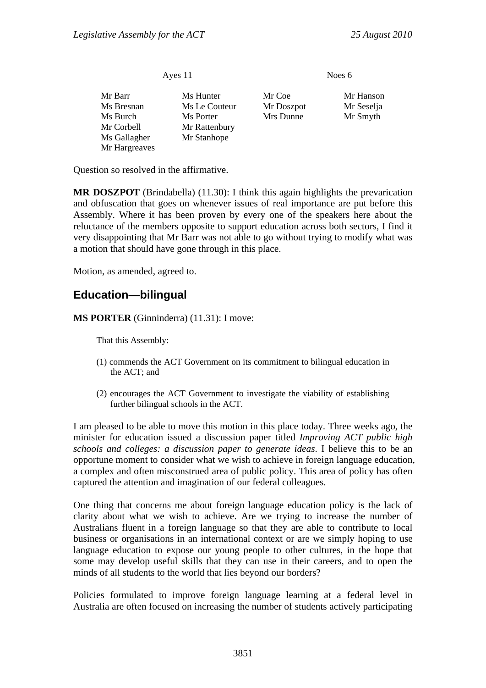| Ayes 11       |               | Noes 6     |            |  |
|---------------|---------------|------------|------------|--|
| Mr Barr       | Ms Hunter     | Mr Coe     | Mr Hanson  |  |
| Ms Bresnan    | Ms Le Couteur | Mr Doszpot | Mr Seselja |  |
| Ms Burch      | Ms Porter     | Mrs Dunne  | Mr Smyth   |  |
| Mr Corbell    | Mr Rattenbury |            |            |  |
| Ms Gallagher  | Mr Stanhope   |            |            |  |
| Mr Hargreaves |               |            |            |  |

Question so resolved in the affirmative.

**MR DOSZPOT** (Brindabella) (11.30): I think this again highlights the prevarication and obfuscation that goes on whenever issues of real importance are put before this Assembly. Where it has been proven by every one of the speakers here about the reluctance of the members opposite to support education across both sectors, I find it very disappointing that Mr Barr was not able to go without trying to modify what was a motion that should have gone through in this place.

Motion, as amended, agreed to.

### <span id="page-28-0"></span>**Education—bilingual**

**MS PORTER** (Ginninderra) (11.31): I move:

That this Assembly:

- (1) commends the ACT Government on its commitment to bilingual education in the ACT; and
- (2) encourages the ACT Government to investigate the viability of establishing further bilingual schools in the ACT.

I am pleased to be able to move this motion in this place today. Three weeks ago, the minister for education issued a discussion paper titled *Improving ACT public high schools and colleges: a discussion paper to generate ideas*. I believe this to be an opportune moment to consider what we wish to achieve in foreign language education, a complex and often misconstrued area of public policy. This area of policy has often captured the attention and imagination of our federal colleagues.

One thing that concerns me about foreign language education policy is the lack of clarity about what we wish to achieve. Are we trying to increase the number of Australians fluent in a foreign language so that they are able to contribute to local business or organisations in an international context or are we simply hoping to use language education to expose our young people to other cultures, in the hope that some may develop useful skills that they can use in their careers, and to open the minds of all students to the world that lies beyond our borders?

Policies formulated to improve foreign language learning at a federal level in Australia are often focused on increasing the number of students actively participating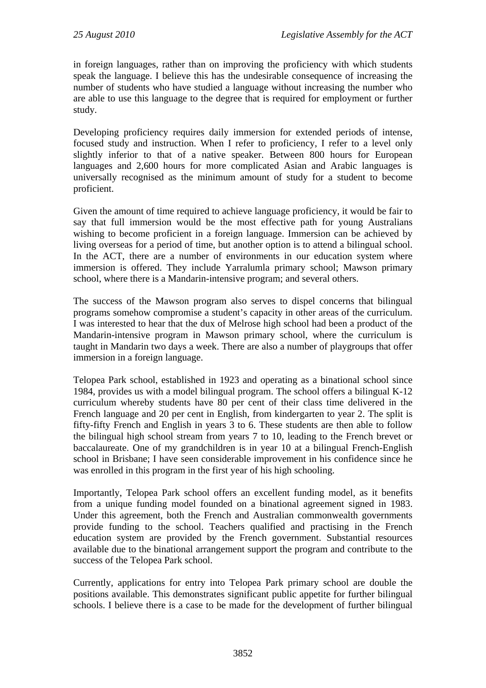in foreign languages, rather than on improving the proficiency with which students speak the language. I believe this has the undesirable consequence of increasing the number of students who have studied a language without increasing the number who are able to use this language to the degree that is required for employment or further study.

Developing proficiency requires daily immersion for extended periods of intense, focused study and instruction. When I refer to proficiency, I refer to a level only slightly inferior to that of a native speaker. Between 800 hours for European languages and 2,600 hours for more complicated Asian and Arabic languages is universally recognised as the minimum amount of study for a student to become proficient.

Given the amount of time required to achieve language proficiency, it would be fair to say that full immersion would be the most effective path for young Australians wishing to become proficient in a foreign language. Immersion can be achieved by living overseas for a period of time, but another option is to attend a bilingual school. In the ACT, there are a number of environments in our education system where immersion is offered. They include Yarralumla primary school; Mawson primary school, where there is a Mandarin-intensive program; and several others.

The success of the Mawson program also serves to dispel concerns that bilingual programs somehow compromise a student's capacity in other areas of the curriculum. I was interested to hear that the dux of Melrose high school had been a product of the Mandarin-intensive program in Mawson primary school, where the curriculum is taught in Mandarin two days a week. There are also a number of playgroups that offer immersion in a foreign language.

Telopea Park school, established in 1923 and operating as a binational school since 1984, provides us with a model bilingual program. The school offers a bilingual K-12 curriculum whereby students have 80 per cent of their class time delivered in the French language and 20 per cent in English, from kindergarten to year 2. The split is fifty-fifty French and English in years 3 to 6. These students are then able to follow the bilingual high school stream from years 7 to 10, leading to the French brevet or baccalaureate. One of my grandchildren is in year 10 at a bilingual French-English school in Brisbane; I have seen considerable improvement in his confidence since he was enrolled in this program in the first year of his high schooling.

Importantly, Telopea Park school offers an excellent funding model, as it benefits from a unique funding model founded on a binational agreement signed in 1983. Under this agreement, both the French and Australian commonwealth governments provide funding to the school. Teachers qualified and practising in the French education system are provided by the French government. Substantial resources available due to the binational arrangement support the program and contribute to the success of the Telopea Park school.

Currently, applications for entry into Telopea Park primary school are double the positions available. This demonstrates significant public appetite for further bilingual schools. I believe there is a case to be made for the development of further bilingual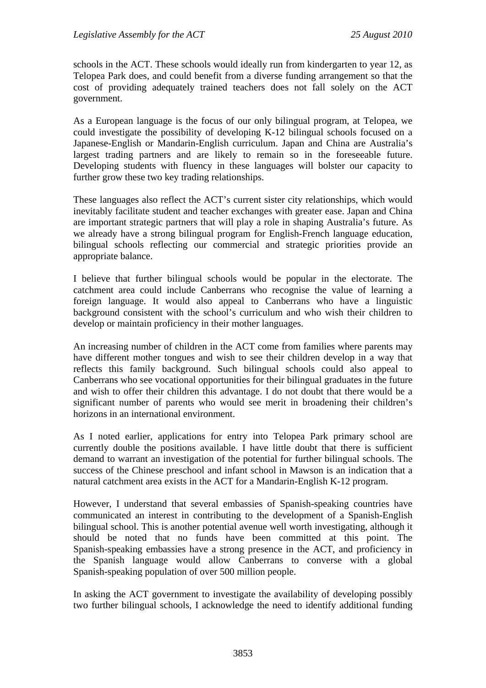schools in the ACT. These schools would ideally run from kindergarten to year 12, as Telopea Park does, and could benefit from a diverse funding arrangement so that the cost of providing adequately trained teachers does not fall solely on the ACT government.

As a European language is the focus of our only bilingual program, at Telopea, we could investigate the possibility of developing K-12 bilingual schools focused on a Japanese-English or Mandarin-English curriculum. Japan and China are Australia's largest trading partners and are likely to remain so in the foreseeable future. Developing students with fluency in these languages will bolster our capacity to further grow these two key trading relationships.

These languages also reflect the ACT's current sister city relationships, which would inevitably facilitate student and teacher exchanges with greater ease. Japan and China are important strategic partners that will play a role in shaping Australia's future. As we already have a strong bilingual program for English-French language education, bilingual schools reflecting our commercial and strategic priorities provide an appropriate balance.

I believe that further bilingual schools would be popular in the electorate. The catchment area could include Canberrans who recognise the value of learning a foreign language. It would also appeal to Canberrans who have a linguistic background consistent with the school's curriculum and who wish their children to develop or maintain proficiency in their mother languages.

An increasing number of children in the ACT come from families where parents may have different mother tongues and wish to see their children develop in a way that reflects this family background. Such bilingual schools could also appeal to Canberrans who see vocational opportunities for their bilingual graduates in the future and wish to offer their children this advantage. I do not doubt that there would be a significant number of parents who would see merit in broadening their children's horizons in an international environment.

As I noted earlier, applications for entry into Telopea Park primary school are currently double the positions available. I have little doubt that there is sufficient demand to warrant an investigation of the potential for further bilingual schools. The success of the Chinese preschool and infant school in Mawson is an indication that a natural catchment area exists in the ACT for a Mandarin-English K-12 program.

However, I understand that several embassies of Spanish-speaking countries have communicated an interest in contributing to the development of a Spanish-English bilingual school. This is another potential avenue well worth investigating, although it should be noted that no funds have been committed at this point. The Spanish-speaking embassies have a strong presence in the ACT, and proficiency in the Spanish language would allow Canberrans to converse with a global Spanish-speaking population of over 500 million people.

In asking the ACT government to investigate the availability of developing possibly two further bilingual schools, I acknowledge the need to identify additional funding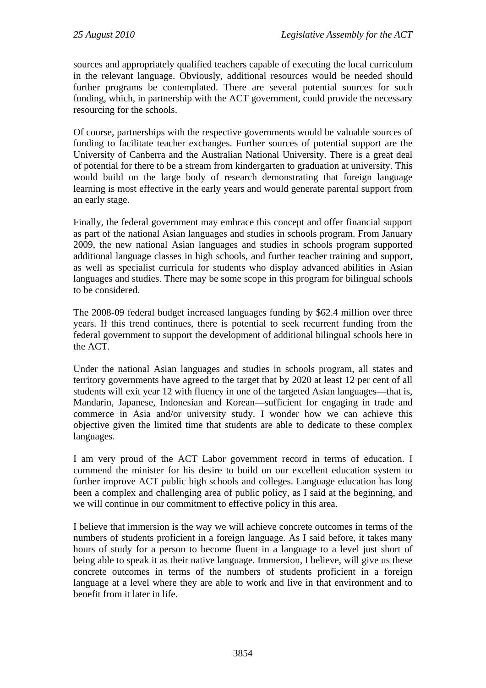sources and appropriately qualified teachers capable of executing the local curriculum in the relevant language. Obviously, additional resources would be needed should further programs be contemplated. There are several potential sources for such funding, which, in partnership with the ACT government, could provide the necessary resourcing for the schools.

Of course, partnerships with the respective governments would be valuable sources of funding to facilitate teacher exchanges. Further sources of potential support are the University of Canberra and the Australian National University. There is a great deal of potential for there to be a stream from kindergarten to graduation at university. This would build on the large body of research demonstrating that foreign language learning is most effective in the early years and would generate parental support from an early stage.

Finally, the federal government may embrace this concept and offer financial support as part of the national Asian languages and studies in schools program. From January 2009, the new national Asian languages and studies in schools program supported additional language classes in high schools, and further teacher training and support, as well as specialist curricula for students who display advanced abilities in Asian languages and studies. There may be some scope in this program for bilingual schools to be considered.

The 2008-09 federal budget increased languages funding by \$62.4 million over three years. If this trend continues, there is potential to seek recurrent funding from the federal government to support the development of additional bilingual schools here in the ACT.

Under the national Asian languages and studies in schools program, all states and territory governments have agreed to the target that by 2020 at least 12 per cent of all students will exit year 12 with fluency in one of the targeted Asian languages—that is, Mandarin, Japanese, Indonesian and Korean—sufficient for engaging in trade and commerce in Asia and/or university study. I wonder how we can achieve this objective given the limited time that students are able to dedicate to these complex languages.

I am very proud of the ACT Labor government record in terms of education. I commend the minister for his desire to build on our excellent education system to further improve ACT public high schools and colleges. Language education has long been a complex and challenging area of public policy, as I said at the beginning, and we will continue in our commitment to effective policy in this area.

I believe that immersion is the way we will achieve concrete outcomes in terms of the numbers of students proficient in a foreign language. As I said before, it takes many hours of study for a person to become fluent in a language to a level just short of being able to speak it as their native language. Immersion, I believe, will give us these concrete outcomes in terms of the numbers of students proficient in a foreign language at a level where they are able to work and live in that environment and to benefit from it later in life.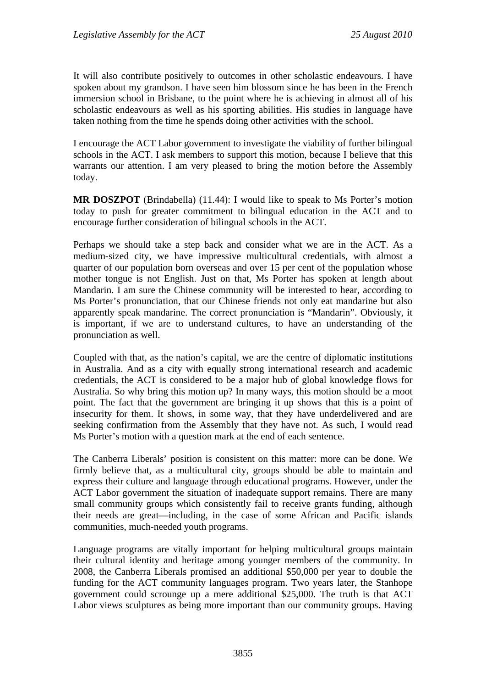It will also contribute positively to outcomes in other scholastic endeavours. I have spoken about my grandson. I have seen him blossom since he has been in the French immersion school in Brisbane, to the point where he is achieving in almost all of his scholastic endeavours as well as his sporting abilities. His studies in language have taken nothing from the time he spends doing other activities with the school.

I encourage the ACT Labor government to investigate the viability of further bilingual schools in the ACT. I ask members to support this motion, because I believe that this warrants our attention. I am very pleased to bring the motion before the Assembly today.

**MR DOSZPOT** (Brindabella) (11.44): I would like to speak to Ms Porter's motion today to push for greater commitment to bilingual education in the ACT and to encourage further consideration of bilingual schools in the ACT.

Perhaps we should take a step back and consider what we are in the ACT. As a medium-sized city, we have impressive multicultural credentials, with almost a quarter of our population born overseas and over 15 per cent of the population whose mother tongue is not English. Just on that, Ms Porter has spoken at length about Mandarin. I am sure the Chinese community will be interested to hear, according to Ms Porter's pronunciation, that our Chinese friends not only eat mandarine but also apparently speak mandarine. The correct pronunciation is "Mandarin". Obviously, it is important, if we are to understand cultures, to have an understanding of the pronunciation as well.

Coupled with that, as the nation's capital, we are the centre of diplomatic institutions in Australia. And as a city with equally strong international research and academic credentials, the ACT is considered to be a major hub of global knowledge flows for Australia. So why bring this motion up? In many ways, this motion should be a moot point. The fact that the government are bringing it up shows that this is a point of insecurity for them. It shows, in some way, that they have underdelivered and are seeking confirmation from the Assembly that they have not. As such, I would read Ms Porter's motion with a question mark at the end of each sentence.

The Canberra Liberals' position is consistent on this matter: more can be done. We firmly believe that, as a multicultural city, groups should be able to maintain and express their culture and language through educational programs. However, under the ACT Labor government the situation of inadequate support remains. There are many small community groups which consistently fail to receive grants funding, although their needs are great—including, in the case of some African and Pacific islands communities, much-needed youth programs.

Language programs are vitally important for helping multicultural groups maintain their cultural identity and heritage among younger members of the community. In 2008, the Canberra Liberals promised an additional \$50,000 per year to double the funding for the ACT community languages program. Two years later, the Stanhope government could scrounge up a mere additional \$25,000. The truth is that ACT Labor views sculptures as being more important than our community groups. Having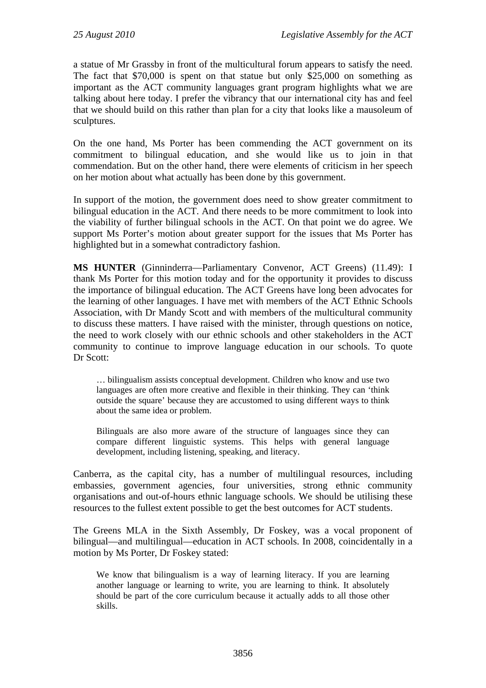a statue of Mr Grassby in front of the multicultural forum appears to satisfy the need. The fact that \$70,000 is spent on that statue but only \$25,000 on something as important as the ACT community languages grant program highlights what we are talking about here today. I prefer the vibrancy that our international city has and feel that we should build on this rather than plan for a city that looks like a mausoleum of sculptures.

On the one hand, Ms Porter has been commending the ACT government on its commitment to bilingual education, and she would like us to join in that commendation. But on the other hand, there were elements of criticism in her speech on her motion about what actually has been done by this government.

In support of the motion, the government does need to show greater commitment to bilingual education in the ACT. And there needs to be more commitment to look into the viability of further bilingual schools in the ACT. On that point we do agree. We support Ms Porter's motion about greater support for the issues that Ms Porter has highlighted but in a somewhat contradictory fashion.

**MS HUNTER** (Ginninderra—Parliamentary Convenor, ACT Greens) (11.49): I thank Ms Porter for this motion today and for the opportunity it provides to discuss the importance of bilingual education. The ACT Greens have long been advocates for the learning of other languages. I have met with members of the ACT Ethnic Schools Association, with Dr Mandy Scott and with members of the multicultural community to discuss these matters. I have raised with the minister, through questions on notice, the need to work closely with our ethnic schools and other stakeholders in the ACT community to continue to improve language education in our schools. To quote Dr Scott:

… bilingualism assists conceptual development. Children who know and use two languages are often more creative and flexible in their thinking. They can 'think outside the square' because they are accustomed to using different ways to think about the same idea or problem.

Bilinguals are also more aware of the structure of languages since they can compare different linguistic systems. This helps with general language development, including listening, speaking, and literacy.

Canberra, as the capital city, has a number of multilingual resources, including embassies, government agencies, four universities, strong ethnic community organisations and out-of-hours ethnic language schools. We should be utilising these resources to the fullest extent possible to get the best outcomes for ACT students.

The Greens MLA in the Sixth Assembly, Dr Foskey, was a vocal proponent of bilingual—and multilingual—education in ACT schools. In 2008, coincidentally in a motion by Ms Porter, Dr Foskey stated:

We know that bilingualism is a way of learning literacy. If you are learning another language or learning to write, you are learning to think. It absolutely should be part of the core curriculum because it actually adds to all those other skills.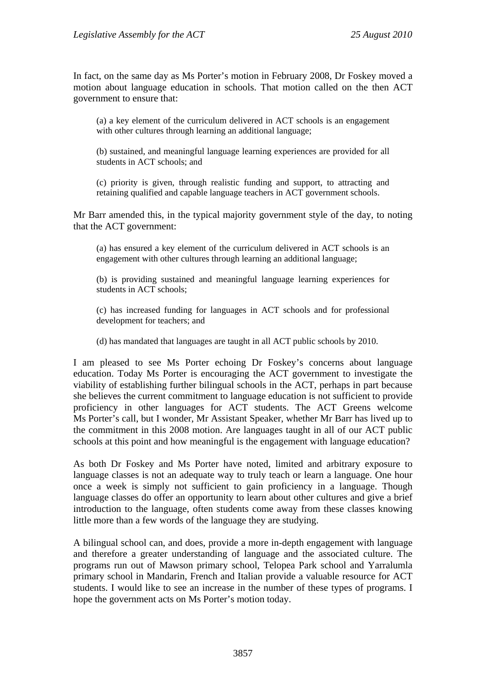In fact, on the same day as Ms Porter's motion in February 2008, Dr Foskey moved a motion about language education in schools. That motion called on the then ACT government to ensure that:

(a) a key element of the curriculum delivered in ACT schools is an engagement with other cultures through learning an additional language;

(b) sustained, and meaningful language learning experiences are provided for all students in ACT schools; and

(c) priority is given, through realistic funding and support, to attracting and retaining qualified and capable language teachers in ACT government schools.

Mr Barr amended this, in the typical majority government style of the day, to noting that the ACT government:

(a) has ensured a key element of the curriculum delivered in ACT schools is an engagement with other cultures through learning an additional language;

(b) is providing sustained and meaningful language learning experiences for students in ACT schools;

(c) has increased funding for languages in ACT schools and for professional development for teachers; and

(d) has mandated that languages are taught in all ACT public schools by 2010.

I am pleased to see Ms Porter echoing Dr Foskey's concerns about language education. Today Ms Porter is encouraging the ACT government to investigate the viability of establishing further bilingual schools in the ACT, perhaps in part because she believes the current commitment to language education is not sufficient to provide proficiency in other languages for ACT students. The ACT Greens welcome Ms Porter's call, but I wonder, Mr Assistant Speaker, whether Mr Barr has lived up to the commitment in this 2008 motion. Are languages taught in all of our ACT public schools at this point and how meaningful is the engagement with language education?

As both Dr Foskey and Ms Porter have noted, limited and arbitrary exposure to language classes is not an adequate way to truly teach or learn a language. One hour once a week is simply not sufficient to gain proficiency in a language. Though language classes do offer an opportunity to learn about other cultures and give a brief introduction to the language, often students come away from these classes knowing little more than a few words of the language they are studying.

A bilingual school can, and does, provide a more in-depth engagement with language and therefore a greater understanding of language and the associated culture. The programs run out of Mawson primary school, Telopea Park school and Yarralumla primary school in Mandarin, French and Italian provide a valuable resource for ACT students. I would like to see an increase in the number of these types of programs. I hope the government acts on Ms Porter's motion today.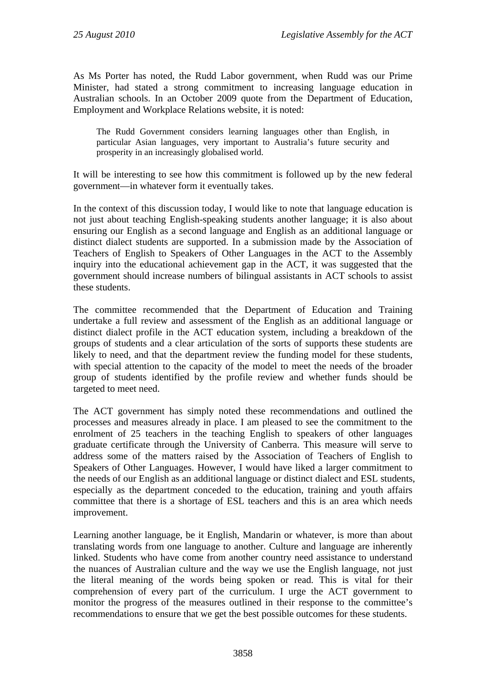As Ms Porter has noted, the Rudd Labor government, when Rudd was our Prime Minister, had stated a strong commitment to increasing language education in Australian schools. In an October 2009 quote from the Department of Education, Employment and Workplace Relations website, it is noted:

The Rudd Government considers learning languages other than English, in particular Asian languages, very important to Australia's future security and prosperity in an increasingly globalised world.

It will be interesting to see how this commitment is followed up by the new federal government—in whatever form it eventually takes.

In the context of this discussion today, I would like to note that language education is not just about teaching English-speaking students another language; it is also about ensuring our English as a second language and English as an additional language or distinct dialect students are supported. In a submission made by the Association of Teachers of English to Speakers of Other Languages in the ACT to the Assembly inquiry into the educational achievement gap in the ACT, it was suggested that the government should increase numbers of bilingual assistants in ACT schools to assist these students.

The committee recommended that the Department of Education and Training undertake a full review and assessment of the English as an additional language or distinct dialect profile in the ACT education system, including a breakdown of the groups of students and a clear articulation of the sorts of supports these students are likely to need, and that the department review the funding model for these students, with special attention to the capacity of the model to meet the needs of the broader group of students identified by the profile review and whether funds should be targeted to meet need.

The ACT government has simply noted these recommendations and outlined the processes and measures already in place. I am pleased to see the commitment to the enrolment of 25 teachers in the teaching English to speakers of other languages graduate certificate through the University of Canberra. This measure will serve to address some of the matters raised by the Association of Teachers of English to Speakers of Other Languages. However, I would have liked a larger commitment to the needs of our English as an additional language or distinct dialect and ESL students, especially as the department conceded to the education, training and youth affairs committee that there is a shortage of ESL teachers and this is an area which needs improvement.

Learning another language, be it English, Mandarin or whatever, is more than about translating words from one language to another. Culture and language are inherently linked. Students who have come from another country need assistance to understand the nuances of Australian culture and the way we use the English language, not just the literal meaning of the words being spoken or read. This is vital for their comprehension of every part of the curriculum. I urge the ACT government to monitor the progress of the measures outlined in their response to the committee's recommendations to ensure that we get the best possible outcomes for these students.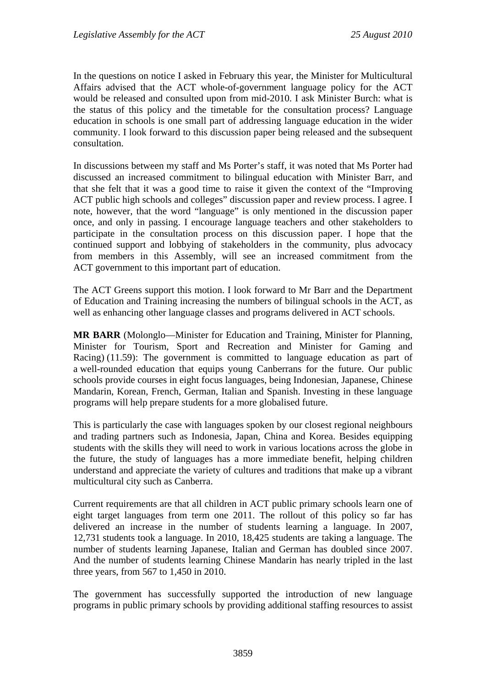In the questions on notice I asked in February this year, the Minister for Multicultural Affairs advised that the ACT whole-of-government language policy for the ACT would be released and consulted upon from mid-2010. I ask Minister Burch: what is the status of this policy and the timetable for the consultation process? Language education in schools is one small part of addressing language education in the wider community. I look forward to this discussion paper being released and the subsequent consultation.

In discussions between my staff and Ms Porter's staff, it was noted that Ms Porter had discussed an increased commitment to bilingual education with Minister Barr, and that she felt that it was a good time to raise it given the context of the "Improving ACT public high schools and colleges" discussion paper and review process. I agree. I note, however, that the word "language" is only mentioned in the discussion paper once, and only in passing. I encourage language teachers and other stakeholders to participate in the consultation process on this discussion paper. I hope that the continued support and lobbying of stakeholders in the community, plus advocacy from members in this Assembly, will see an increased commitment from the ACT government to this important part of education.

The ACT Greens support this motion. I look forward to Mr Barr and the Department of Education and Training increasing the numbers of bilingual schools in the ACT, as well as enhancing other language classes and programs delivered in ACT schools.

**MR BARR** (Molonglo—Minister for Education and Training, Minister for Planning, Minister for Tourism, Sport and Recreation and Minister for Gaming and Racing) (11.59): The government is committed to language education as part of a well-rounded education that equips young Canberrans for the future. Our public schools provide courses in eight focus languages, being Indonesian, Japanese, Chinese Mandarin, Korean, French, German, Italian and Spanish. Investing in these language programs will help prepare students for a more globalised future.

This is particularly the case with languages spoken by our closest regional neighbours and trading partners such as Indonesia, Japan, China and Korea. Besides equipping students with the skills they will need to work in various locations across the globe in the future, the study of languages has a more immediate benefit, helping children understand and appreciate the variety of cultures and traditions that make up a vibrant multicultural city such as Canberra.

Current requirements are that all children in ACT public primary schools learn one of eight target languages from term one 2011. The rollout of this policy so far has delivered an increase in the number of students learning a language. In 2007, 12,731 students took a language. In 2010, 18,425 students are taking a language. The number of students learning Japanese, Italian and German has doubled since 2007. And the number of students learning Chinese Mandarin has nearly tripled in the last three years, from 567 to 1,450 in 2010.

The government has successfully supported the introduction of new language programs in public primary schools by providing additional staffing resources to assist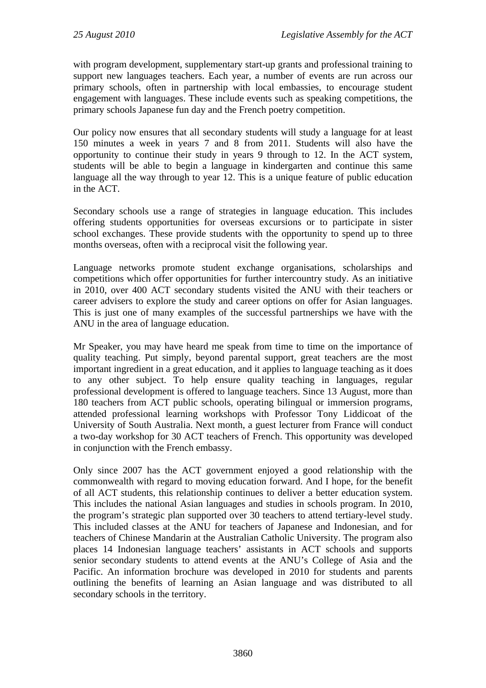with program development, supplementary start-up grants and professional training to support new languages teachers. Each year, a number of events are run across our primary schools, often in partnership with local embassies, to encourage student engagement with languages. These include events such as speaking competitions, the primary schools Japanese fun day and the French poetry competition.

Our policy now ensures that all secondary students will study a language for at least 150 minutes a week in years 7 and 8 from 2011. Students will also have the opportunity to continue their study in years 9 through to 12. In the ACT system, students will be able to begin a language in kindergarten and continue this same language all the way through to year 12. This is a unique feature of public education in the ACT.

Secondary schools use a range of strategies in language education. This includes offering students opportunities for overseas excursions or to participate in sister school exchanges. These provide students with the opportunity to spend up to three months overseas, often with a reciprocal visit the following year.

Language networks promote student exchange organisations, scholarships and competitions which offer opportunities for further intercountry study. As an initiative in 2010, over 400 ACT secondary students visited the ANU with their teachers or career advisers to explore the study and career options on offer for Asian languages. This is just one of many examples of the successful partnerships we have with the ANU in the area of language education.

Mr Speaker, you may have heard me speak from time to time on the importance of quality teaching. Put simply, beyond parental support, great teachers are the most important ingredient in a great education, and it applies to language teaching as it does to any other subject. To help ensure quality teaching in languages, regular professional development is offered to language teachers. Since 13 August, more than 180 teachers from ACT public schools, operating bilingual or immersion programs, attended professional learning workshops with Professor Tony Liddicoat of the University of South Australia. Next month, a guest lecturer from France will conduct a two-day workshop for 30 ACT teachers of French. This opportunity was developed in conjunction with the French embassy.

Only since 2007 has the ACT government enjoyed a good relationship with the commonwealth with regard to moving education forward. And I hope, for the benefit of all ACT students, this relationship continues to deliver a better education system. This includes the national Asian languages and studies in schools program. In 2010, the program's strategic plan supported over 30 teachers to attend tertiary-level study. This included classes at the ANU for teachers of Japanese and Indonesian, and for teachers of Chinese Mandarin at the Australian Catholic University. The program also places 14 Indonesian language teachers' assistants in ACT schools and supports senior secondary students to attend events at the ANU's College of Asia and the Pacific. An information brochure was developed in 2010 for students and parents outlining the benefits of learning an Asian language and was distributed to all secondary schools in the territory.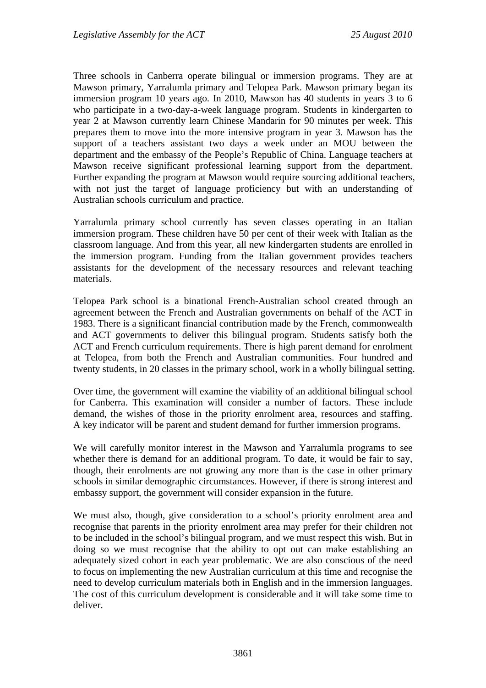Three schools in Canberra operate bilingual or immersion programs. They are at Mawson primary, Yarralumla primary and Telopea Park. Mawson primary began its immersion program 10 years ago. In 2010, Mawson has 40 students in years 3 to 6 who participate in a two-day-a-week language program. Students in kindergarten to year 2 at Mawson currently learn Chinese Mandarin for 90 minutes per week. This prepares them to move into the more intensive program in year 3. Mawson has the support of a teachers assistant two days a week under an MOU between the department and the embassy of the People's Republic of China. Language teachers at Mawson receive significant professional learning support from the department. Further expanding the program at Mawson would require sourcing additional teachers, with not just the target of language proficiency but with an understanding of Australian schools curriculum and practice.

Yarralumla primary school currently has seven classes operating in an Italian immersion program. These children have 50 per cent of their week with Italian as the classroom language. And from this year, all new kindergarten students are enrolled in the immersion program. Funding from the Italian government provides teachers assistants for the development of the necessary resources and relevant teaching materials.

Telopea Park school is a binational French-Australian school created through an agreement between the French and Australian governments on behalf of the ACT in 1983. There is a significant financial contribution made by the French, commonwealth and ACT governments to deliver this bilingual program. Students satisfy both the ACT and French curriculum requirements. There is high parent demand for enrolment at Telopea, from both the French and Australian communities. Four hundred and twenty students, in 20 classes in the primary school, work in a wholly bilingual setting.

Over time, the government will examine the viability of an additional bilingual school for Canberra. This examination will consider a number of factors. These include demand, the wishes of those in the priority enrolment area, resources and staffing. A key indicator will be parent and student demand for further immersion programs.

We will carefully monitor interest in the Mawson and Yarralumla programs to see whether there is demand for an additional program. To date, it would be fair to say, though, their enrolments are not growing any more than is the case in other primary schools in similar demographic circumstances. However, if there is strong interest and embassy support, the government will consider expansion in the future.

We must also, though, give consideration to a school's priority enrolment area and recognise that parents in the priority enrolment area may prefer for their children not to be included in the school's bilingual program, and we must respect this wish. But in doing so we must recognise that the ability to opt out can make establishing an adequately sized cohort in each year problematic. We are also conscious of the need to focus on implementing the new Australian curriculum at this time and recognise the need to develop curriculum materials both in English and in the immersion languages. The cost of this curriculum development is considerable and it will take some time to deliver.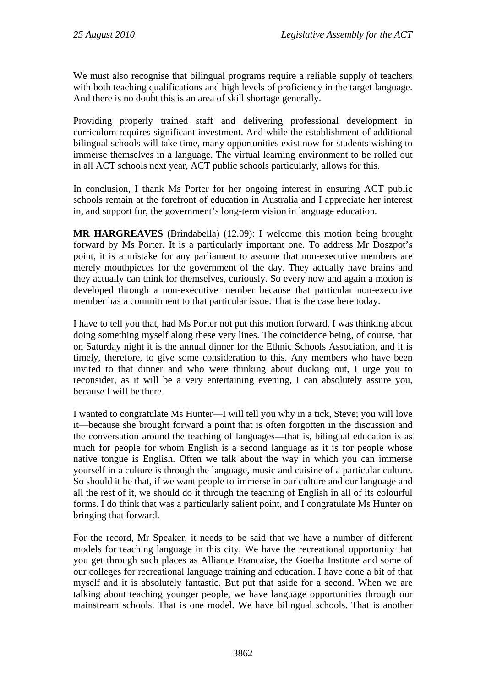We must also recognise that bilingual programs require a reliable supply of teachers with both teaching qualifications and high levels of proficiency in the target language. And there is no doubt this is an area of skill shortage generally.

Providing properly trained staff and delivering professional development in curriculum requires significant investment. And while the establishment of additional bilingual schools will take time, many opportunities exist now for students wishing to immerse themselves in a language. The virtual learning environment to be rolled out in all ACT schools next year, ACT public schools particularly, allows for this.

In conclusion, I thank Ms Porter for her ongoing interest in ensuring ACT public schools remain at the forefront of education in Australia and I appreciate her interest in, and support for, the government's long-term vision in language education.

**MR HARGREAVES** (Brindabella) (12.09): I welcome this motion being brought forward by Ms Porter. It is a particularly important one. To address Mr Doszpot's point, it is a mistake for any parliament to assume that non-executive members are merely mouthpieces for the government of the day. They actually have brains and they actually can think for themselves, curiously. So every now and again a motion is developed through a non-executive member because that particular non-executive member has a commitment to that particular issue. That is the case here today.

I have to tell you that, had Ms Porter not put this motion forward, I was thinking about doing something myself along these very lines. The coincidence being, of course, that on Saturday night it is the annual dinner for the Ethnic Schools Association, and it is timely, therefore, to give some consideration to this. Any members who have been invited to that dinner and who were thinking about ducking out, I urge you to reconsider, as it will be a very entertaining evening, I can absolutely assure you, because I will be there.

I wanted to congratulate Ms Hunter—I will tell you why in a tick, Steve; you will love it—because she brought forward a point that is often forgotten in the discussion and the conversation around the teaching of languages—that is, bilingual education is as much for people for whom English is a second language as it is for people whose native tongue is English. Often we talk about the way in which you can immerse yourself in a culture is through the language, music and cuisine of a particular culture. So should it be that, if we want people to immerse in our culture and our language and all the rest of it, we should do it through the teaching of English in all of its colourful forms. I do think that was a particularly salient point, and I congratulate Ms Hunter on bringing that forward.

For the record, Mr Speaker, it needs to be said that we have a number of different models for teaching language in this city. We have the recreational opportunity that you get through such places as Alliance Francaise, the Goetha Institute and some of our colleges for recreational language training and education. I have done a bit of that myself and it is absolutely fantastic. But put that aside for a second. When we are talking about teaching younger people, we have language opportunities through our mainstream schools. That is one model. We have bilingual schools. That is another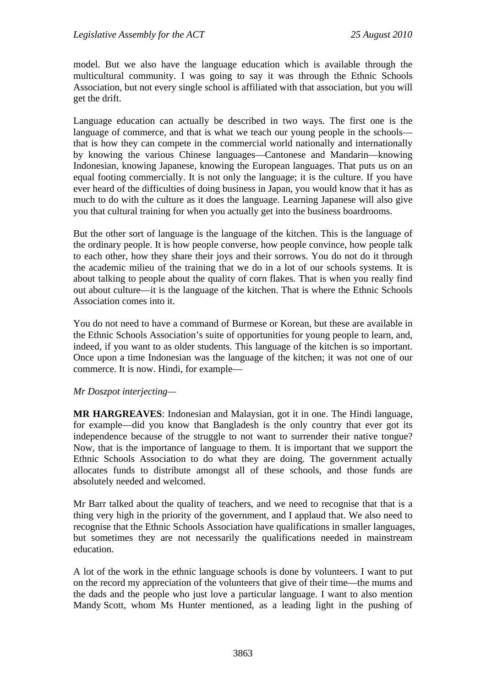model. But we also have the language education which is available through the multicultural community. I was going to say it was through the Ethnic Schools Association, but not every single school is affiliated with that association, but you will get the drift.

Language education can actually be described in two ways. The first one is the language of commerce, and that is what we teach our young people in the schools that is how they can compete in the commercial world nationally and internationally by knowing the various Chinese languages—Cantonese and Mandarin—knowing Indonesian, knowing Japanese, knowing the European languages. That puts us on an equal footing commercially. It is not only the language; it is the culture. If you have ever heard of the difficulties of doing business in Japan, you would know that it has as much to do with the culture as it does the language. Learning Japanese will also give you that cultural training for when you actually get into the business boardrooms.

But the other sort of language is the language of the kitchen. This is the language of the ordinary people. It is how people converse, how people convince, how people talk to each other, how they share their joys and their sorrows. You do not do it through the academic milieu of the training that we do in a lot of our schools systems. It is about talking to people about the quality of corn flakes. That is when you really find out about culture—it is the language of the kitchen. That is where the Ethnic Schools Association comes into it.

You do not need to have a command of Burmese or Korean, but these are available in the Ethnic Schools Association's suite of opportunities for young people to learn, and, indeed, if you want to as older students. This language of the kitchen is so important. Once upon a time Indonesian was the language of the kitchen; it was not one of our commerce. It is now. Hindi, for example—

#### *Mr Doszpot interjecting—*

**MR HARGREAVES**: Indonesian and Malaysian, got it in one. The Hindi language, for example—did you know that Bangladesh is the only country that ever got its independence because of the struggle to not want to surrender their native tongue? Now, that is the importance of language to them. It is important that we support the Ethnic Schools Association to do what they are doing. The government actually allocates funds to distribute amongst all of these schools, and those funds are absolutely needed and welcomed.

Mr Barr talked about the quality of teachers, and we need to recognise that that is a thing very high in the priority of the government, and I applaud that. We also need to recognise that the Ethnic Schools Association have qualifications in smaller languages, but sometimes they are not necessarily the qualifications needed in mainstream education.

A lot of the work in the ethnic language schools is done by volunteers. I want to put on the record my appreciation of the volunteers that give of their time—the mums and the dads and the people who just love a particular language. I want to also mention Mandy Scott, whom Ms Hunter mentioned, as a leading light in the pushing of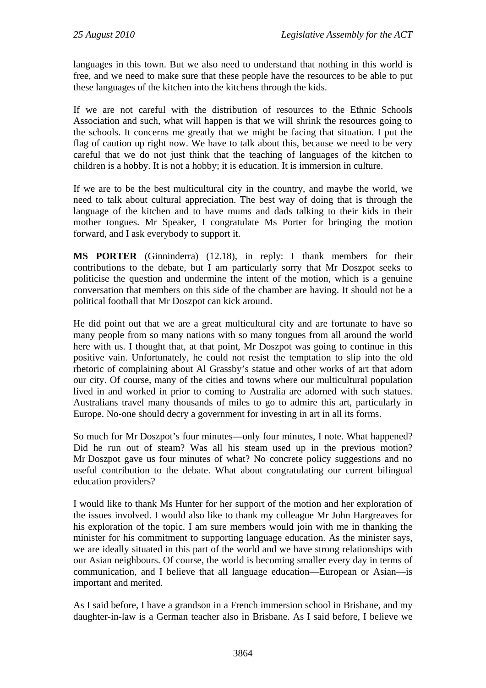languages in this town. But we also need to understand that nothing in this world is free, and we need to make sure that these people have the resources to be able to put these languages of the kitchen into the kitchens through the kids.

If we are not careful with the distribution of resources to the Ethnic Schools Association and such, what will happen is that we will shrink the resources going to the schools. It concerns me greatly that we might be facing that situation. I put the flag of caution up right now. We have to talk about this, because we need to be very careful that we do not just think that the teaching of languages of the kitchen to children is a hobby. It is not a hobby; it is education. It is immersion in culture.

If we are to be the best multicultural city in the country, and maybe the world, we need to talk about cultural appreciation. The best way of doing that is through the language of the kitchen and to have mums and dads talking to their kids in their mother tongues. Mr Speaker, I congratulate Ms Porter for bringing the motion forward, and I ask everybody to support it.

**MS PORTER** (Ginninderra) (12.18), in reply: I thank members for their contributions to the debate, but I am particularly sorry that Mr Doszpot seeks to politicise the question and undermine the intent of the motion, which is a genuine conversation that members on this side of the chamber are having. It should not be a political football that Mr Doszpot can kick around.

He did point out that we are a great multicultural city and are fortunate to have so many people from so many nations with so many tongues from all around the world here with us. I thought that, at that point, Mr Doszpot was going to continue in this positive vain. Unfortunately, he could not resist the temptation to slip into the old rhetoric of complaining about Al Grassby's statue and other works of art that adorn our city. Of course, many of the cities and towns where our multicultural population lived in and worked in prior to coming to Australia are adorned with such statues. Australians travel many thousands of miles to go to admire this art, particularly in Europe. No-one should decry a government for investing in art in all its forms.

So much for Mr Doszpot's four minutes—only four minutes, I note. What happened? Did he run out of steam? Was all his steam used up in the previous motion? Mr Doszpot gave us four minutes of what? No concrete policy suggestions and no useful contribution to the debate. What about congratulating our current bilingual education providers?

I would like to thank Ms Hunter for her support of the motion and her exploration of the issues involved. I would also like to thank my colleague Mr John Hargreaves for his exploration of the topic. I am sure members would join with me in thanking the minister for his commitment to supporting language education. As the minister says, we are ideally situated in this part of the world and we have strong relationships with our Asian neighbours. Of course, the world is becoming smaller every day in terms of communication, and I believe that all language education—European or Asian—is important and merited.

As I said before, I have a grandson in a French immersion school in Brisbane, and my daughter-in-law is a German teacher also in Brisbane. As I said before, I believe we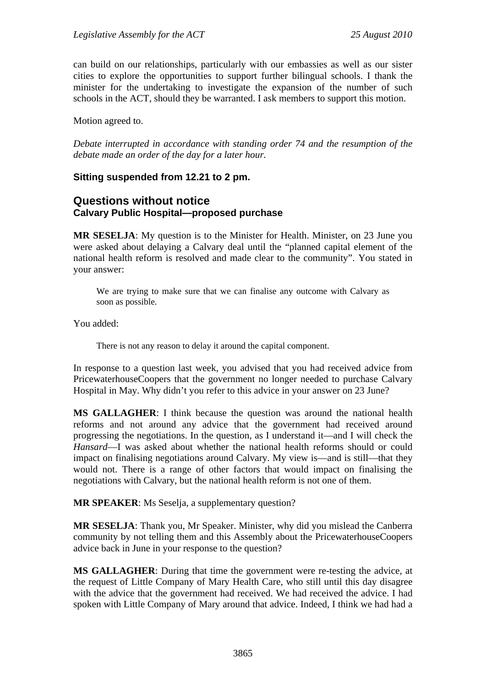can build on our relationships, particularly with our embassies as well as our sister cities to explore the opportunities to support further bilingual schools. I thank the minister for the undertaking to investigate the expansion of the number of such schools in the ACT, should they be warranted. I ask members to support this motion.

Motion agreed to.

*Debate interrupted in accordance with standing order 74 and the resumption of the debate made an order of the day for a later hour.* 

## **Sitting suspended from 12.21 to 2 pm.**

## **Questions without notice Calvary Public Hospital—proposed purchase**

**MR SESELJA**: My question is to the Minister for Health. Minister, on 23 June you were asked about delaying a Calvary deal until the "planned capital element of the national health reform is resolved and made clear to the community". You stated in your answer:

We are trying to make sure that we can finalise any outcome with Calvary as soon as possible*.* 

You added:

There is not any reason to delay it around the capital component.

In response to a question last week, you advised that you had received advice from PricewaterhouseCoopers that the government no longer needed to purchase Calvary Hospital in May. Why didn't you refer to this advice in your answer on 23 June?

**MS GALLAGHER**: I think because the question was around the national health reforms and not around any advice that the government had received around progressing the negotiations. In the question, as I understand it—and I will check the *Hansard*—I was asked about whether the national health reforms should or could impact on finalising negotiations around Calvary. My view is—and is still—that they would not. There is a range of other factors that would impact on finalising the negotiations with Calvary, but the national health reform is not one of them.

**MR SPEAKER**: Ms Seselja, a supplementary question?

**MR SESELJA**: Thank you, Mr Speaker. Minister, why did you mislead the Canberra community by not telling them and this Assembly about the PricewaterhouseCoopers advice back in June in your response to the question?

**MS GALLAGHER**: During that time the government were re-testing the advice, at the request of Little Company of Mary Health Care, who still until this day disagree with the advice that the government had received. We had received the advice. I had spoken with Little Company of Mary around that advice. Indeed, I think we had had a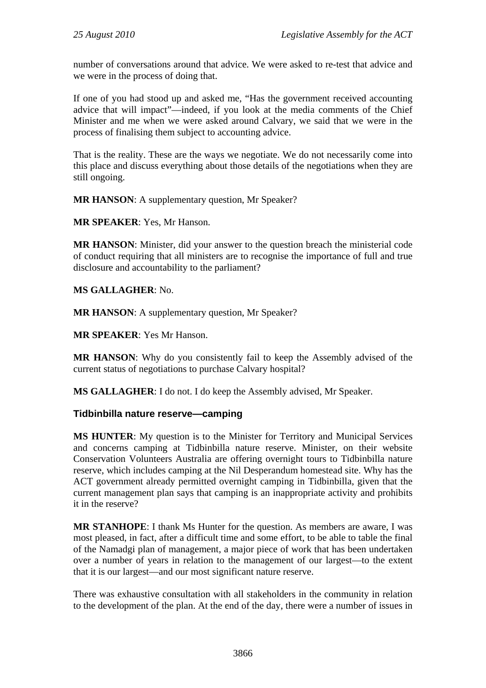number of conversations around that advice. We were asked to re-test that advice and we were in the process of doing that.

If one of you had stood up and asked me, "Has the government received accounting advice that will impact"—indeed, if you look at the media comments of the Chief Minister and me when we were asked around Calvary, we said that we were in the process of finalising them subject to accounting advice.

That is the reality. These are the ways we negotiate. We do not necessarily come into this place and discuss everything about those details of the negotiations when they are still ongoing.

**MR HANSON**: A supplementary question, Mr Speaker?

**MR SPEAKER**: Yes, Mr Hanson.

**MR HANSON**: Minister, did your answer to the question breach the ministerial code of conduct requiring that all ministers are to recognise the importance of full and true disclosure and accountability to the parliament?

**MS GALLAGHER**: No.

**MR HANSON**: A supplementary question, Mr Speaker?

**MR SPEAKER**: Yes Mr Hanson.

**MR HANSON**: Why do you consistently fail to keep the Assembly advised of the current status of negotiations to purchase Calvary hospital?

**MS GALLAGHER**: I do not. I do keep the Assembly advised, Mr Speaker.

## **Tidbinbilla nature reserve—camping**

**MS HUNTER**: My question is to the Minister for Territory and Municipal Services and concerns camping at Tidbinbilla nature reserve. Minister, on their website Conservation Volunteers Australia are offering overnight tours to Tidbinbilla nature reserve, which includes camping at the Nil Desperandum homestead site. Why has the ACT government already permitted overnight camping in Tidbinbilla, given that the current management plan says that camping is an inappropriate activity and prohibits it in the reserve?

**MR STANHOPE**: I thank Ms Hunter for the question. As members are aware, I was most pleased, in fact, after a difficult time and some effort, to be able to table the final of the Namadgi plan of management, a major piece of work that has been undertaken over a number of years in relation to the management of our largest—to the extent that it is our largest—and our most significant nature reserve.

There was exhaustive consultation with all stakeholders in the community in relation to the development of the plan. At the end of the day, there were a number of issues in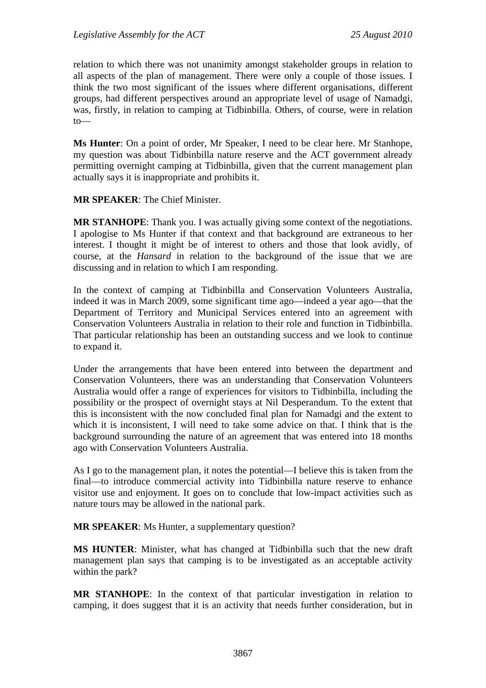relation to which there was not unanimity amongst stakeholder groups in relation to all aspects of the plan of management. There were only a couple of those issues. I think the two most significant of the issues where different organisations, different groups, had different perspectives around an appropriate level of usage of Namadgi, was, firstly, in relation to camping at Tidbinbilla. Others, of course, were in relation to—

**Ms Hunter**: On a point of order, Mr Speaker, I need to be clear here. Mr Stanhope, my question was about Tidbinbilla nature reserve and the ACT government already permitting overnight camping at Tidbinbilla, given that the current management plan actually says it is inappropriate and prohibits it.

**MR SPEAKER**: The Chief Minister.

**MR STANHOPE**: Thank you. I was actually giving some context of the negotiations. I apologise to Ms Hunter if that context and that background are extraneous to her interest. I thought it might be of interest to others and those that look avidly, of course, at the *Hansard* in relation to the background of the issue that we are discussing and in relation to which I am responding.

In the context of camping at Tidbinbilla and Conservation Volunteers Australia, indeed it was in March 2009, some significant time ago—indeed a year ago—that the Department of Territory and Municipal Services entered into an agreement with Conservation Volunteers Australia in relation to their role and function in Tidbinbilla. That particular relationship has been an outstanding success and we look to continue to expand it.

Under the arrangements that have been entered into between the department and Conservation Volunteers, there was an understanding that Conservation Volunteers Australia would offer a range of experiences for visitors to Tidbinbilla, including the possibility or the prospect of overnight stays at Nil Desperandum. To the extent that this is inconsistent with the now concluded final plan for Namadgi and the extent to which it is inconsistent, I will need to take some advice on that. I think that is the background surrounding the nature of an agreement that was entered into 18 months ago with Conservation Volunteers Australia.

As I go to the management plan, it notes the potential—I believe this is taken from the final—to introduce commercial activity into Tidbinbilla nature reserve to enhance visitor use and enjoyment. It goes on to conclude that low-impact activities such as nature tours may be allowed in the national park.

**MR SPEAKER**: Ms Hunter, a supplementary question?

**MS HUNTER**: Minister, what has changed at Tidbinbilla such that the new draft management plan says that camping is to be investigated as an acceptable activity within the park?

**MR STANHOPE**: In the context of that particular investigation in relation to camping, it does suggest that it is an activity that needs further consideration, but in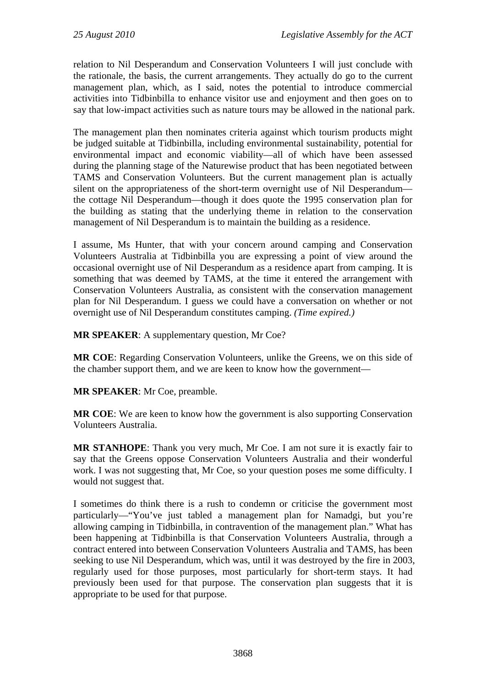relation to Nil Desperandum and Conservation Volunteers I will just conclude with the rationale, the basis, the current arrangements. They actually do go to the current management plan, which, as I said, notes the potential to introduce commercial activities into Tidbinbilla to enhance visitor use and enjoyment and then goes on to say that low-impact activities such as nature tours may be allowed in the national park.

The management plan then nominates criteria against which tourism products might be judged suitable at Tidbinbilla, including environmental sustainability, potential for environmental impact and economic viability—all of which have been assessed during the planning stage of the Naturewise product that has been negotiated between TAMS and Conservation Volunteers. But the current management plan is actually silent on the appropriateness of the short-term overnight use of Nil Desperandum the cottage Nil Desperandum—though it does quote the 1995 conservation plan for the building as stating that the underlying theme in relation to the conservation management of Nil Desperandum is to maintain the building as a residence.

I assume, Ms Hunter, that with your concern around camping and Conservation Volunteers Australia at Tidbinbilla you are expressing a point of view around the occasional overnight use of Nil Desperandum as a residence apart from camping. It is something that was deemed by TAMS, at the time it entered the arrangement with Conservation Volunteers Australia, as consistent with the conservation management plan for Nil Desperandum. I guess we could have a conversation on whether or not overnight use of Nil Desperandum constitutes camping. *(Time expired.)*

**MR SPEAKER**: A supplementary question, Mr Coe?

**MR COE**: Regarding Conservation Volunteers, unlike the Greens, we on this side of the chamber support them, and we are keen to know how the government—

**MR SPEAKER**: Mr Coe, preamble.

**MR COE**: We are keen to know how the government is also supporting Conservation Volunteers Australia.

**MR STANHOPE**: Thank you very much, Mr Coe. I am not sure it is exactly fair to say that the Greens oppose Conservation Volunteers Australia and their wonderful work. I was not suggesting that, Mr Coe, so your question poses me some difficulty. I would not suggest that.

I sometimes do think there is a rush to condemn or criticise the government most particularly—"You've just tabled a management plan for Namadgi, but you're allowing camping in Tidbinbilla, in contravention of the management plan." What has been happening at Tidbinbilla is that Conservation Volunteers Australia, through a contract entered into between Conservation Volunteers Australia and TAMS, has been seeking to use Nil Desperandum, which was, until it was destroyed by the fire in 2003, regularly used for those purposes, most particularly for short-term stays. It had previously been used for that purpose. The conservation plan suggests that it is appropriate to be used for that purpose.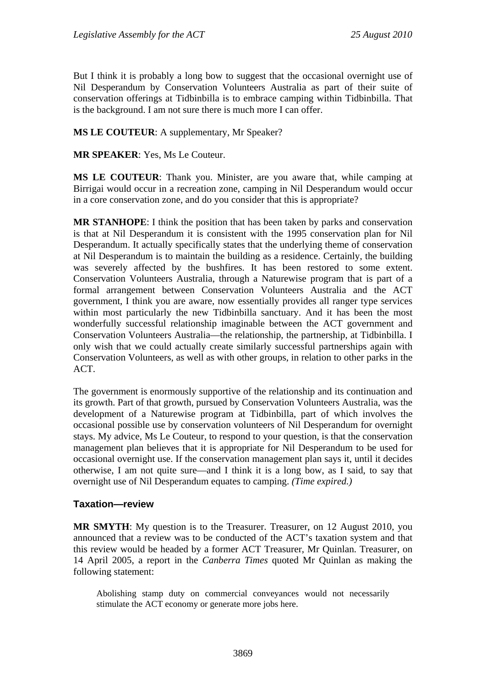But I think it is probably a long bow to suggest that the occasional overnight use of Nil Desperandum by Conservation Volunteers Australia as part of their suite of conservation offerings at Tidbinbilla is to embrace camping within Tidbinbilla. That is the background. I am not sure there is much more I can offer.

## **MS LE COUTEUR**: A supplementary, Mr Speaker?

**MR SPEAKER**: Yes, Ms Le Couteur.

**MS LE COUTEUR**: Thank you. Minister, are you aware that, while camping at Birrigai would occur in a recreation zone, camping in Nil Desperandum would occur in a core conservation zone, and do you consider that this is appropriate?

**MR STANHOPE**: I think the position that has been taken by parks and conservation is that at Nil Desperandum it is consistent with the 1995 conservation plan for Nil Desperandum. It actually specifically states that the underlying theme of conservation at Nil Desperandum is to maintain the building as a residence. Certainly, the building was severely affected by the bushfires. It has been restored to some extent. Conservation Volunteers Australia, through a Naturewise program that is part of a formal arrangement between Conservation Volunteers Australia and the ACT government, I think you are aware, now essentially provides all ranger type services within most particularly the new Tidbinbilla sanctuary. And it has been the most wonderfully successful relationship imaginable between the ACT government and Conservation Volunteers Australia—the relationship, the partnership, at Tidbinbilla. I only wish that we could actually create similarly successful partnerships again with Conservation Volunteers, as well as with other groups, in relation to other parks in the ACT.

The government is enormously supportive of the relationship and its continuation and its growth. Part of that growth, pursued by Conservation Volunteers Australia, was the development of a Naturewise program at Tidbinbilla, part of which involves the occasional possible use by conservation volunteers of Nil Desperandum for overnight stays. My advice, Ms Le Couteur, to respond to your question, is that the conservation management plan believes that it is appropriate for Nil Desperandum to be used for occasional overnight use. If the conservation management plan says it, until it decides otherwise, I am not quite sure—and I think it is a long bow, as I said, to say that overnight use of Nil Desperandum equates to camping. *(Time expired.)*

## **Taxation—review**

**MR SMYTH**: My question is to the Treasurer. Treasurer, on 12 August 2010, you announced that a review was to be conducted of the ACT's taxation system and that this review would be headed by a former ACT Treasurer, Mr Quinlan. Treasurer, on 14 April 2005, a report in the *Canberra Times* quoted Mr Quinlan as making the following statement:

Abolishing stamp duty on commercial conveyances would not necessarily stimulate the ACT economy or generate more jobs here.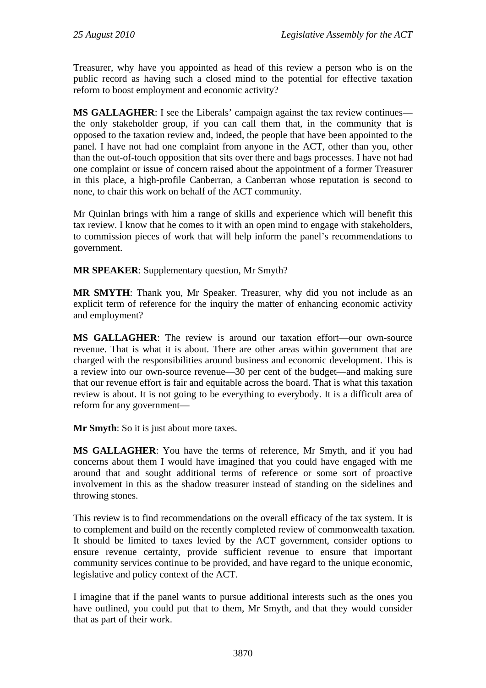Treasurer, why have you appointed as head of this review a person who is on the public record as having such a closed mind to the potential for effective taxation reform to boost employment and economic activity?

**MS GALLAGHER**: I see the Liberals' campaign against the tax review continues the only stakeholder group, if you can call them that, in the community that is opposed to the taxation review and, indeed, the people that have been appointed to the panel. I have not had one complaint from anyone in the ACT, other than you, other than the out-of-touch opposition that sits over there and bags processes. I have not had one complaint or issue of concern raised about the appointment of a former Treasurer in this place, a high-profile Canberran, a Canberran whose reputation is second to none, to chair this work on behalf of the ACT community.

Mr Quinlan brings with him a range of skills and experience which will benefit this tax review. I know that he comes to it with an open mind to engage with stakeholders, to commission pieces of work that will help inform the panel's recommendations to government.

**MR SPEAKER**: Supplementary question, Mr Smyth?

**MR SMYTH**: Thank you, Mr Speaker. Treasurer, why did you not include as an explicit term of reference for the inquiry the matter of enhancing economic activity and employment?

**MS GALLAGHER**: The review is around our taxation effort—our own-source revenue. That is what it is about. There are other areas within government that are charged with the responsibilities around business and economic development. This is a review into our own-source revenue—30 per cent of the budget—and making sure that our revenue effort is fair and equitable across the board. That is what this taxation review is about. It is not going to be everything to everybody. It is a difficult area of reform for any government—

**Mr Smyth:** So it is just about more taxes.

**MS GALLAGHER**: You have the terms of reference, Mr Smyth, and if you had concerns about them I would have imagined that you could have engaged with me around that and sought additional terms of reference or some sort of proactive involvement in this as the shadow treasurer instead of standing on the sidelines and throwing stones.

This review is to find recommendations on the overall efficacy of the tax system. It is to complement and build on the recently completed review of commonwealth taxation. It should be limited to taxes levied by the ACT government, consider options to ensure revenue certainty, provide sufficient revenue to ensure that important community services continue to be provided, and have regard to the unique economic, legislative and policy context of the ACT.

I imagine that if the panel wants to pursue additional interests such as the ones you have outlined, you could put that to them, Mr Smyth, and that they would consider that as part of their work.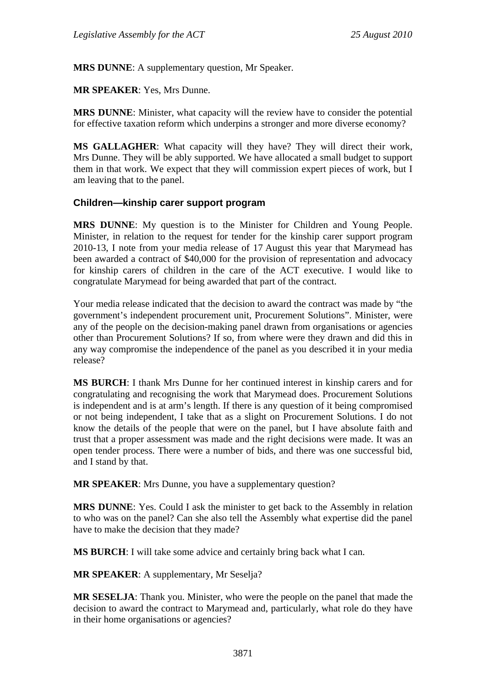**MRS DUNNE:** A supplementary question, Mr Speaker.

**MR SPEAKER**: Yes, Mrs Dunne.

**MRS DUNNE**: Minister, what capacity will the review have to consider the potential for effective taxation reform which underpins a stronger and more diverse economy?

**MS GALLAGHER**: What capacity will they have? They will direct their work, Mrs Dunne. They will be ably supported. We have allocated a small budget to support them in that work. We expect that they will commission expert pieces of work, but I am leaving that to the panel.

## **Children—kinship carer support program**

**MRS DUNNE**: My question is to the Minister for Children and Young People. Minister, in relation to the request for tender for the kinship carer support program 2010-13, I note from your media release of 17 August this year that Marymead has been awarded a contract of \$40,000 for the provision of representation and advocacy for kinship carers of children in the care of the ACT executive. I would like to congratulate Marymead for being awarded that part of the contract.

Your media release indicated that the decision to award the contract was made by "the government's independent procurement unit, Procurement Solutions". Minister, were any of the people on the decision-making panel drawn from organisations or agencies other than Procurement Solutions? If so, from where were they drawn and did this in any way compromise the independence of the panel as you described it in your media release?

**MS BURCH**: I thank Mrs Dunne for her continued interest in kinship carers and for congratulating and recognising the work that Marymead does. Procurement Solutions is independent and is at arm's length. If there is any question of it being compromised or not being independent, I take that as a slight on Procurement Solutions. I do not know the details of the people that were on the panel, but I have absolute faith and trust that a proper assessment was made and the right decisions were made. It was an open tender process. There were a number of bids, and there was one successful bid, and I stand by that.

**MR SPEAKER**: Mrs Dunne, you have a supplementary question?

**MRS DUNNE**: Yes. Could I ask the minister to get back to the Assembly in relation to who was on the panel? Can she also tell the Assembly what expertise did the panel have to make the decision that they made?

**MS BURCH**: I will take some advice and certainly bring back what I can.

**MR SPEAKER**: A supplementary, Mr Seselja?

**MR SESELJA**: Thank you. Minister, who were the people on the panel that made the decision to award the contract to Marymead and, particularly, what role do they have in their home organisations or agencies?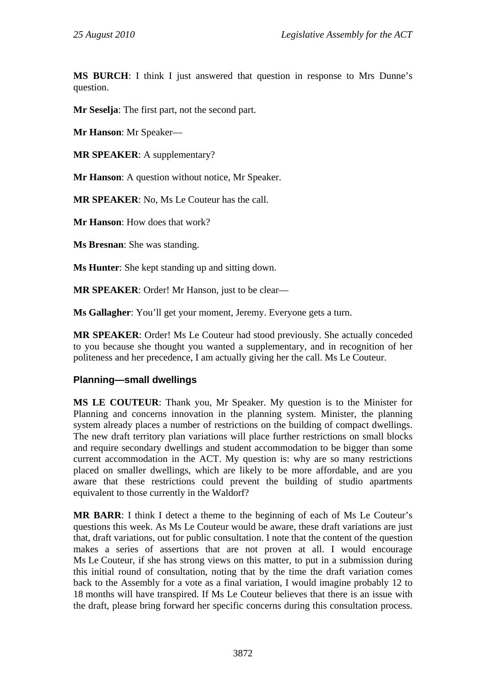**MS BURCH**: I think I just answered that question in response to Mrs Dunne's question.

**Mr Seselja**: The first part, not the second part.

**Mr Hanson**: Mr Speaker—

**MR SPEAKER**: A supplementary?

**Mr Hanson**: A question without notice, Mr Speaker.

**MR SPEAKER**: No, Ms Le Couteur has the call.

**Mr Hanson**: How does that work?

**Ms Bresnan**: She was standing.

**Ms Hunter**: She kept standing up and sitting down.

**MR SPEAKER**: Order! Mr Hanson, just to be clear—

**Ms Gallagher**: You'll get your moment, Jeremy. Everyone gets a turn.

**MR SPEAKER**: Order! Ms Le Couteur had stood previously. She actually conceded to you because she thought you wanted a supplementary, and in recognition of her politeness and her precedence, I am actually giving her the call. Ms Le Couteur.

## **Planning—small dwellings**

**MS LE COUTEUR**: Thank you, Mr Speaker. My question is to the Minister for Planning and concerns innovation in the planning system. Minister, the planning system already places a number of restrictions on the building of compact dwellings. The new draft territory plan variations will place further restrictions on small blocks and require secondary dwellings and student accommodation to be bigger than some current accommodation in the ACT. My question is: why are so many restrictions placed on smaller dwellings, which are likely to be more affordable, and are you aware that these restrictions could prevent the building of studio apartments equivalent to those currently in the Waldorf?

**MR BARR**: I think I detect a theme to the beginning of each of Ms Le Couteur's questions this week. As Ms Le Couteur would be aware, these draft variations are just that, draft variations, out for public consultation. I note that the content of the question makes a series of assertions that are not proven at all. I would encourage Ms Le Couteur, if she has strong views on this matter, to put in a submission during this initial round of consultation, noting that by the time the draft variation comes back to the Assembly for a vote as a final variation, I would imagine probably 12 to 18 months will have transpired. If Ms Le Couteur believes that there is an issue with the draft, please bring forward her specific concerns during this consultation process.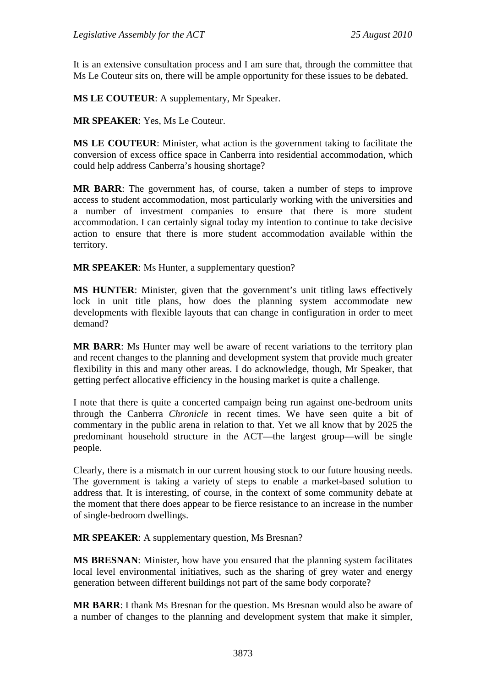It is an extensive consultation process and I am sure that, through the committee that Ms Le Couteur sits on, there will be ample opportunity for these issues to be debated.

**MS LE COUTEUR**: A supplementary, Mr Speaker.

**MR SPEAKER**: Yes, Ms Le Couteur.

**MS LE COUTEUR**: Minister, what action is the government taking to facilitate the conversion of excess office space in Canberra into residential accommodation, which could help address Canberra's housing shortage?

**MR BARR**: The government has, of course, taken a number of steps to improve access to student accommodation, most particularly working with the universities and a number of investment companies to ensure that there is more student accommodation. I can certainly signal today my intention to continue to take decisive action to ensure that there is more student accommodation available within the territory.

**MR SPEAKER**: Ms Hunter, a supplementary question?

**MS HUNTER**: Minister, given that the government's unit titling laws effectively lock in unit title plans, how does the planning system accommodate new developments with flexible layouts that can change in configuration in order to meet demand?

**MR BARR**: Ms Hunter may well be aware of recent variations to the territory plan and recent changes to the planning and development system that provide much greater flexibility in this and many other areas. I do acknowledge, though, Mr Speaker, that getting perfect allocative efficiency in the housing market is quite a challenge.

I note that there is quite a concerted campaign being run against one-bedroom units through the Canberra *Chronicle* in recent times. We have seen quite a bit of commentary in the public arena in relation to that. Yet we all know that by 2025 the predominant household structure in the ACT—the largest group—will be single people.

Clearly, there is a mismatch in our current housing stock to our future housing needs. The government is taking a variety of steps to enable a market-based solution to address that. It is interesting, of course, in the context of some community debate at the moment that there does appear to be fierce resistance to an increase in the number of single-bedroom dwellings.

**MR SPEAKER**: A supplementary question, Ms Bresnan?

**MS BRESNAN**: Minister, how have you ensured that the planning system facilitates local level environmental initiatives, such as the sharing of grey water and energy generation between different buildings not part of the same body corporate?

**MR BARR**: I thank Ms Bresnan for the question. Ms Bresnan would also be aware of a number of changes to the planning and development system that make it simpler,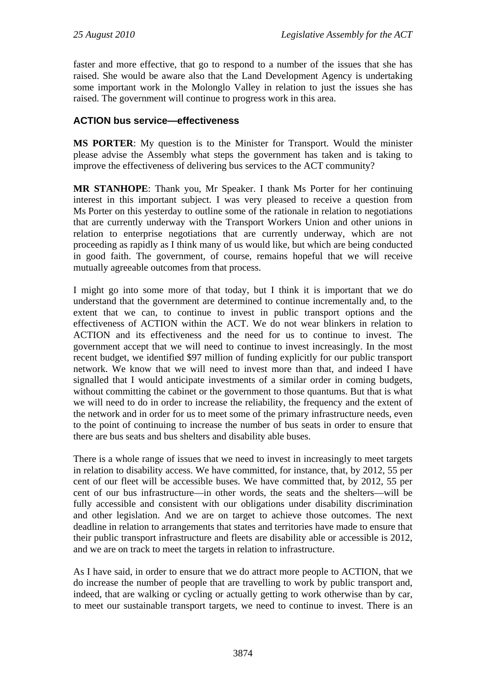faster and more effective, that go to respond to a number of the issues that she has raised. She would be aware also that the Land Development Agency is undertaking some important work in the Molonglo Valley in relation to just the issues she has raised. The government will continue to progress work in this area.

## **ACTION bus service—effectiveness**

**MS PORTER**: My question is to the Minister for Transport. Would the minister please advise the Assembly what steps the government has taken and is taking to improve the effectiveness of delivering bus services to the ACT community?

**MR STANHOPE**: Thank you, Mr Speaker. I thank Ms Porter for her continuing interest in this important subject. I was very pleased to receive a question from Ms Porter on this yesterday to outline some of the rationale in relation to negotiations that are currently underway with the Transport Workers Union and other unions in relation to enterprise negotiations that are currently underway, which are not proceeding as rapidly as I think many of us would like, but which are being conducted in good faith. The government, of course, remains hopeful that we will receive mutually agreeable outcomes from that process.

I might go into some more of that today, but I think it is important that we do understand that the government are determined to continue incrementally and, to the extent that we can, to continue to invest in public transport options and the effectiveness of ACTION within the ACT. We do not wear blinkers in relation to ACTION and its effectiveness and the need for us to continue to invest. The government accept that we will need to continue to invest increasingly. In the most recent budget, we identified \$97 million of funding explicitly for our public transport network. We know that we will need to invest more than that, and indeed I have signalled that I would anticipate investments of a similar order in coming budgets, without committing the cabinet or the government to those quantums. But that is what we will need to do in order to increase the reliability, the frequency and the extent of the network and in order for us to meet some of the primary infrastructure needs, even to the point of continuing to increase the number of bus seats in order to ensure that there are bus seats and bus shelters and disability able buses.

There is a whole range of issues that we need to invest in increasingly to meet targets in relation to disability access. We have committed, for instance, that, by 2012, 55 per cent of our fleet will be accessible buses. We have committed that, by 2012, 55 per cent of our bus infrastructure—in other words, the seats and the shelters—will be fully accessible and consistent with our obligations under disability discrimination and other legislation. And we are on target to achieve those outcomes. The next deadline in relation to arrangements that states and territories have made to ensure that their public transport infrastructure and fleets are disability able or accessible is 2012, and we are on track to meet the targets in relation to infrastructure.

As I have said, in order to ensure that we do attract more people to ACTION, that we do increase the number of people that are travelling to work by public transport and, indeed, that are walking or cycling or actually getting to work otherwise than by car, to meet our sustainable transport targets, we need to continue to invest. There is an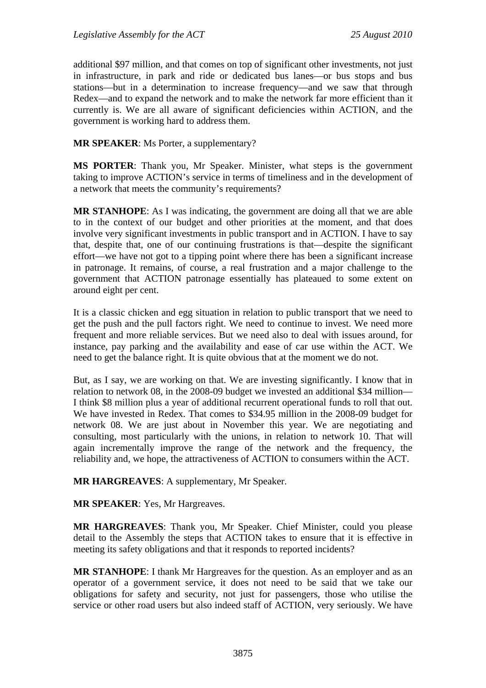additional \$97 million, and that comes on top of significant other investments, not just in infrastructure, in park and ride or dedicated bus lanes—or bus stops and bus stations—but in a determination to increase frequency—and we saw that through Redex—and to expand the network and to make the network far more efficient than it currently is. We are all aware of significant deficiencies within ACTION, and the government is working hard to address them.

**MR SPEAKER**: Ms Porter, a supplementary?

**MS PORTER**: Thank you, Mr Speaker. Minister, what steps is the government taking to improve ACTION's service in terms of timeliness and in the development of a network that meets the community's requirements?

**MR STANHOPE**: As I was indicating, the government are doing all that we are able to in the context of our budget and other priorities at the moment, and that does involve very significant investments in public transport and in ACTION. I have to say that, despite that, one of our continuing frustrations is that—despite the significant effort—we have not got to a tipping point where there has been a significant increase in patronage. It remains, of course, a real frustration and a major challenge to the government that ACTION patronage essentially has plateaued to some extent on around eight per cent.

It is a classic chicken and egg situation in relation to public transport that we need to get the push and the pull factors right. We need to continue to invest. We need more frequent and more reliable services. But we need also to deal with issues around, for instance, pay parking and the availability and ease of car use within the ACT. We need to get the balance right. It is quite obvious that at the moment we do not.

But, as I say, we are working on that. We are investing significantly. I know that in relation to network 08, in the 2008-09 budget we invested an additional \$34 million— I think \$8 million plus a year of additional recurrent operational funds to roll that out. We have invested in Redex. That comes to \$34.95 million in the 2008-09 budget for network 08. We are just about in November this year. We are negotiating and consulting, most particularly with the unions, in relation to network 10. That will again incrementally improve the range of the network and the frequency, the reliability and, we hope, the attractiveness of ACTION to consumers within the ACT.

**MR HARGREAVES**: A supplementary, Mr Speaker.

**MR SPEAKER**: Yes, Mr Hargreaves.

**MR HARGREAVES**: Thank you, Mr Speaker. Chief Minister, could you please detail to the Assembly the steps that ACTION takes to ensure that it is effective in meeting its safety obligations and that it responds to reported incidents?

**MR STANHOPE**: I thank Mr Hargreaves for the question. As an employer and as an operator of a government service, it does not need to be said that we take our obligations for safety and security, not just for passengers, those who utilise the service or other road users but also indeed staff of ACTION, very seriously. We have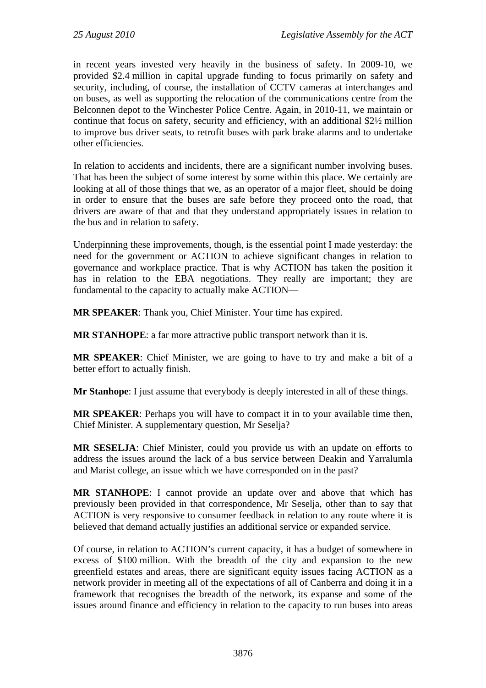in recent years invested very heavily in the business of safety. In 2009-10, we provided \$2.4 million in capital upgrade funding to focus primarily on safety and security, including, of course, the installation of CCTV cameras at interchanges and on buses, as well as supporting the relocation of the communications centre from the Belconnen depot to the Winchester Police Centre. Again, in 2010-11, we maintain or continue that focus on safety, security and efficiency, with an additional \$2½ million to improve bus driver seats, to retrofit buses with park brake alarms and to undertake other efficiencies.

In relation to accidents and incidents, there are a significant number involving buses. That has been the subject of some interest by some within this place. We certainly are looking at all of those things that we, as an operator of a major fleet, should be doing in order to ensure that the buses are safe before they proceed onto the road, that drivers are aware of that and that they understand appropriately issues in relation to the bus and in relation to safety.

Underpinning these improvements, though, is the essential point I made yesterday: the need for the government or ACTION to achieve significant changes in relation to governance and workplace practice. That is why ACTION has taken the position it has in relation to the EBA negotiations. They really are important; they are fundamental to the capacity to actually make ACTION—

**MR SPEAKER**: Thank you, Chief Minister. Your time has expired.

**MR STANHOPE**: a far more attractive public transport network than it is.

**MR SPEAKER**: Chief Minister, we are going to have to try and make a bit of a better effort to actually finish.

**Mr Stanhope**: I just assume that everybody is deeply interested in all of these things.

**MR SPEAKER**: Perhaps you will have to compact it in to your available time then, Chief Minister. A supplementary question, Mr Seselja?

**MR SESELJA**: Chief Minister, could you provide us with an update on efforts to address the issues around the lack of a bus service between Deakin and Yarralumla and Marist college, an issue which we have corresponded on in the past?

**MR STANHOPE**: I cannot provide an update over and above that which has previously been provided in that correspondence, Mr Seselja, other than to say that ACTION is very responsive to consumer feedback in relation to any route where it is believed that demand actually justifies an additional service or expanded service.

Of course, in relation to ACTION's current capacity, it has a budget of somewhere in excess of \$100 million. With the breadth of the city and expansion to the new greenfield estates and areas, there are significant equity issues facing ACTION as a network provider in meeting all of the expectations of all of Canberra and doing it in a framework that recognises the breadth of the network, its expanse and some of the issues around finance and efficiency in relation to the capacity to run buses into areas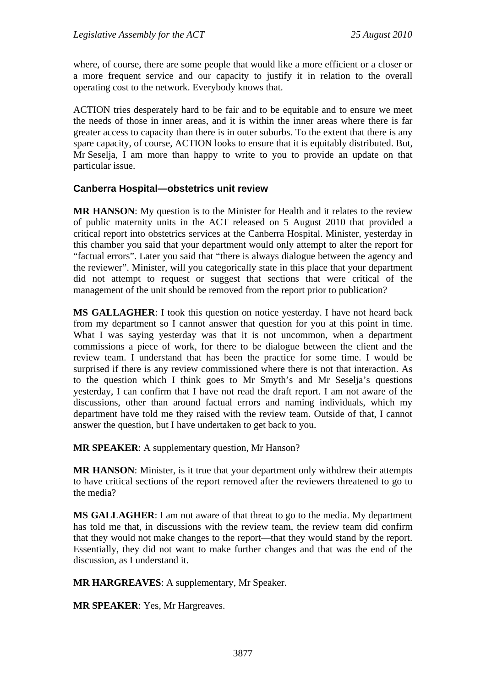where, of course, there are some people that would like a more efficient or a closer or a more frequent service and our capacity to justify it in relation to the overall operating cost to the network. Everybody knows that.

ACTION tries desperately hard to be fair and to be equitable and to ensure we meet the needs of those in inner areas, and it is within the inner areas where there is far greater access to capacity than there is in outer suburbs. To the extent that there is any spare capacity, of course, ACTION looks to ensure that it is equitably distributed. But, Mr Seselja, I am more than happy to write to you to provide an update on that particular issue.

## **Canberra Hospital—obstetrics unit review**

**MR HANSON**: My question is to the Minister for Health and it relates to the review of public maternity units in the ACT released on 5 August 2010 that provided a critical report into obstetrics services at the Canberra Hospital. Minister, yesterday in this chamber you said that your department would only attempt to alter the report for "factual errors". Later you said that "there is always dialogue between the agency and the reviewer". Minister, will you categorically state in this place that your department did not attempt to request or suggest that sections that were critical of the management of the unit should be removed from the report prior to publication?

**MS GALLAGHER**: I took this question on notice yesterday. I have not heard back from my department so I cannot answer that question for you at this point in time. What I was saying yesterday was that it is not uncommon, when a department commissions a piece of work, for there to be dialogue between the client and the review team. I understand that has been the practice for some time. I would be surprised if there is any review commissioned where there is not that interaction. As to the question which I think goes to Mr Smyth's and Mr Seselja's questions yesterday, I can confirm that I have not read the draft report. I am not aware of the discussions, other than around factual errors and naming individuals, which my department have told me they raised with the review team. Outside of that, I cannot answer the question, but I have undertaken to get back to you.

**MR SPEAKER**: A supplementary question, Mr Hanson?

**MR HANSON**: Minister, is it true that your department only withdrew their attempts to have critical sections of the report removed after the reviewers threatened to go to the media?

**MS GALLAGHER**: I am not aware of that threat to go to the media. My department has told me that, in discussions with the review team, the review team did confirm that they would not make changes to the report—that they would stand by the report. Essentially, they did not want to make further changes and that was the end of the discussion, as I understand it.

**MR HARGREAVES**: A supplementary, Mr Speaker.

**MR SPEAKER**: Yes, Mr Hargreaves.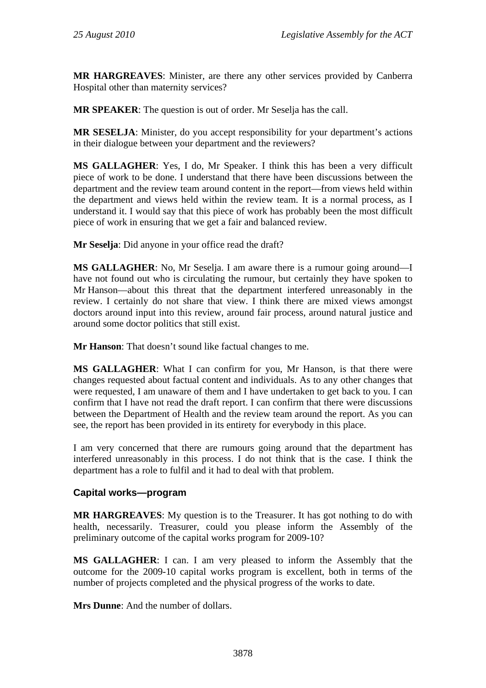**MR HARGREAVES**: Minister, are there any other services provided by Canberra Hospital other than maternity services?

**MR SPEAKER**: The question is out of order. Mr Seselja has the call.

**MR SESELJA**: Minister, do you accept responsibility for your department's actions in their dialogue between your department and the reviewers?

**MS GALLAGHER**: Yes, I do, Mr Speaker. I think this has been a very difficult piece of work to be done. I understand that there have been discussions between the department and the review team around content in the report—from views held within the department and views held within the review team. It is a normal process, as I understand it. I would say that this piece of work has probably been the most difficult piece of work in ensuring that we get a fair and balanced review.

**Mr Seselja**: Did anyone in your office read the draft?

**MS GALLAGHER**: No, Mr Seselja. I am aware there is a rumour going around—I have not found out who is circulating the rumour, but certainly they have spoken to Mr Hanson—about this threat that the department interfered unreasonably in the review. I certainly do not share that view. I think there are mixed views amongst doctors around input into this review, around fair process, around natural justice and around some doctor politics that still exist.

**Mr Hanson**: That doesn't sound like factual changes to me.

**MS GALLAGHER**: What I can confirm for you, Mr Hanson, is that there were changes requested about factual content and individuals. As to any other changes that were requested, I am unaware of them and I have undertaken to get back to you. I can confirm that I have not read the draft report. I can confirm that there were discussions between the Department of Health and the review team around the report. As you can see, the report has been provided in its entirety for everybody in this place.

I am very concerned that there are rumours going around that the department has interfered unreasonably in this process. I do not think that is the case. I think the department has a role to fulfil and it had to deal with that problem.

## **Capital works—program**

**MR HARGREAVES**: My question is to the Treasurer. It has got nothing to do with health, necessarily. Treasurer, could you please inform the Assembly of the preliminary outcome of the capital works program for 2009-10?

**MS GALLAGHER**: I can. I am very pleased to inform the Assembly that the outcome for the 2009-10 capital works program is excellent, both in terms of the number of projects completed and the physical progress of the works to date.

**Mrs Dunne**: And the number of dollars.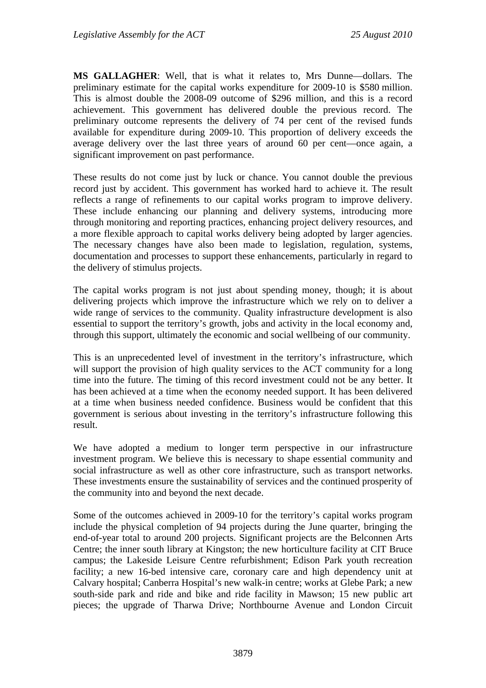**MS GALLAGHER**: Well, that is what it relates to, Mrs Dunne—dollars. The preliminary estimate for the capital works expenditure for 2009-10 is \$580 million. This is almost double the 2008-09 outcome of \$296 million, and this is a record achievement. This government has delivered double the previous record. The preliminary outcome represents the delivery of 74 per cent of the revised funds available for expenditure during 2009-10. This proportion of delivery exceeds the average delivery over the last three years of around 60 per cent—once again, a significant improvement on past performance.

These results do not come just by luck or chance. You cannot double the previous record just by accident. This government has worked hard to achieve it. The result reflects a range of refinements to our capital works program to improve delivery. These include enhancing our planning and delivery systems, introducing more through monitoring and reporting practices, enhancing project delivery resources, and a more flexible approach to capital works delivery being adopted by larger agencies. The necessary changes have also been made to legislation, regulation, systems, documentation and processes to support these enhancements, particularly in regard to the delivery of stimulus projects.

The capital works program is not just about spending money, though; it is about delivering projects which improve the infrastructure which we rely on to deliver a wide range of services to the community. Quality infrastructure development is also essential to support the territory's growth, jobs and activity in the local economy and, through this support, ultimately the economic and social wellbeing of our community.

This is an unprecedented level of investment in the territory's infrastructure, which will support the provision of high quality services to the ACT community for a long time into the future. The timing of this record investment could not be any better. It has been achieved at a time when the economy needed support. It has been delivered at a time when business needed confidence. Business would be confident that this government is serious about investing in the territory's infrastructure following this result.

We have adopted a medium to longer term perspective in our infrastructure investment program. We believe this is necessary to shape essential community and social infrastructure as well as other core infrastructure, such as transport networks. These investments ensure the sustainability of services and the continued prosperity of the community into and beyond the next decade.

Some of the outcomes achieved in 2009-10 for the territory's capital works program include the physical completion of 94 projects during the June quarter, bringing the end-of-year total to around 200 projects. Significant projects are the Belconnen Arts Centre; the inner south library at Kingston; the new horticulture facility at CIT Bruce campus; the Lakeside Leisure Centre refurbishment; Edison Park youth recreation facility; a new 16-bed intensive care, coronary care and high dependency unit at Calvary hospital; Canberra Hospital's new walk-in centre; works at Glebe Park; a new south-side park and ride and bike and ride facility in Mawson; 15 new public art pieces; the upgrade of Tharwa Drive; Northbourne Avenue and London Circuit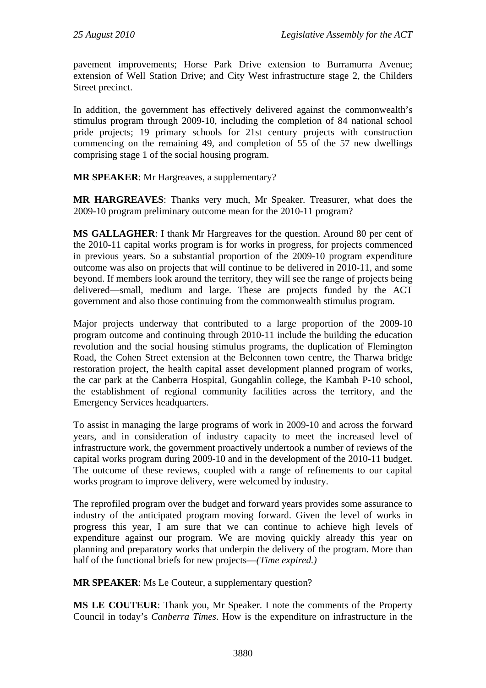pavement improvements; Horse Park Drive extension to Burramurra Avenue; extension of Well Station Drive; and City West infrastructure stage 2, the Childers Street precinct.

In addition, the government has effectively delivered against the commonwealth's stimulus program through 2009-10, including the completion of 84 national school pride projects; 19 primary schools for 21st century projects with construction commencing on the remaining 49, and completion of 55 of the 57 new dwellings comprising stage 1 of the social housing program.

## **MR SPEAKER**: Mr Hargreaves, a supplementary?

**MR HARGREAVES**: Thanks very much, Mr Speaker. Treasurer, what does the 2009-10 program preliminary outcome mean for the 2010-11 program?

**MS GALLAGHER**: I thank Mr Hargreaves for the question. Around 80 per cent of the 2010-11 capital works program is for works in progress, for projects commenced in previous years. So a substantial proportion of the 2009-10 program expenditure outcome was also on projects that will continue to be delivered in 2010-11, and some beyond. If members look around the territory, they will see the range of projects being delivered—small, medium and large. These are projects funded by the ACT government and also those continuing from the commonwealth stimulus program.

Major projects underway that contributed to a large proportion of the 2009-10 program outcome and continuing through 2010-11 include the building the education revolution and the social housing stimulus programs, the duplication of Flemington Road, the Cohen Street extension at the Belconnen town centre, the Tharwa bridge restoration project, the health capital asset development planned program of works, the car park at the Canberra Hospital, Gungahlin college, the Kambah P-10 school, the establishment of regional community facilities across the territory, and the Emergency Services headquarters.

To assist in managing the large programs of work in 2009-10 and across the forward years, and in consideration of industry capacity to meet the increased level of infrastructure work, the government proactively undertook a number of reviews of the capital works program during 2009-10 and in the development of the 2010-11 budget. The outcome of these reviews, coupled with a range of refinements to our capital works program to improve delivery, were welcomed by industry.

The reprofiled program over the budget and forward years provides some assurance to industry of the anticipated program moving forward. Given the level of works in progress this year, I am sure that we can continue to achieve high levels of expenditure against our program. We are moving quickly already this year on planning and preparatory works that underpin the delivery of the program. More than half of the functional briefs for new projects—*(Time expired.)*

**MR SPEAKER**: Ms Le Couteur, a supplementary question?

**MS LE COUTEUR**: Thank you, Mr Speaker. I note the comments of the Property Council in today's *Canberra Times*. How is the expenditure on infrastructure in the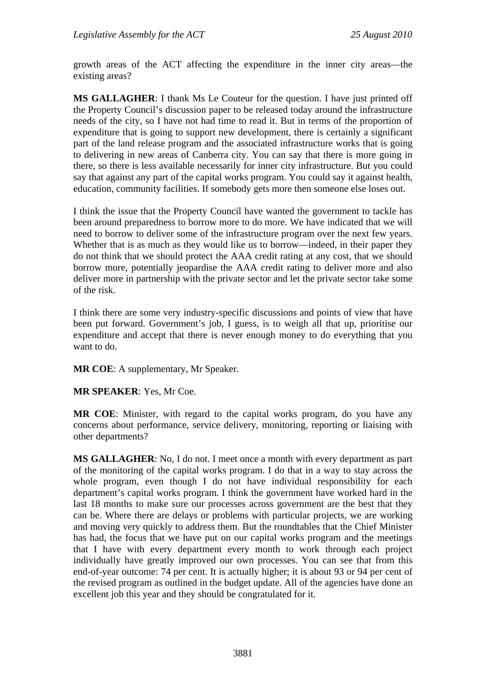growth areas of the ACT affecting the expenditure in the inner city areas—the existing areas?

**MS GALLAGHER**: I thank Ms Le Couteur for the question. I have just printed off the Property Council's discussion paper to be released today around the infrastructure needs of the city, so I have not had time to read it. But in terms of the proportion of expenditure that is going to support new development, there is certainly a significant part of the land release program and the associated infrastructure works that is going to delivering in new areas of Canberra city. You can say that there is more going in there, so there is less available necessarily for inner city infrastructure. But you could say that against any part of the capital works program. You could say it against health, education, community facilities. If somebody gets more then someone else loses out.

I think the issue that the Property Council have wanted the government to tackle has been around preparedness to borrow more to do more. We have indicated that we will need to borrow to deliver some of the infrastructure program over the next few years. Whether that is as much as they would like us to borrow—indeed, in their paper they do not think that we should protect the AAA credit rating at any cost, that we should borrow more, potentially jeopardise the AAA credit rating to deliver more and also deliver more in partnership with the private sector and let the private sector take some of the risk.

I think there are some very industry-specific discussions and points of view that have been put forward. Government's job, I guess, is to weigh all that up, prioritise our expenditure and accept that there is never enough money to do everything that you want to do.

**MR COE**: A supplementary, Mr Speaker.

**MR SPEAKER**: Yes, Mr Coe.

**MR COE**: Minister, with regard to the capital works program, do you have any concerns about performance, service delivery, monitoring, reporting or liaising with other departments?

**MS GALLAGHER**: No, I do not. I meet once a month with every department as part of the monitoring of the capital works program. I do that in a way to stay across the whole program, even though I do not have individual responsibility for each department's capital works program. I think the government have worked hard in the last 18 months to make sure our processes across government are the best that they can be. Where there are delays or problems with particular projects, we are working and moving very quickly to address them. But the roundtables that the Chief Minister has had, the focus that we have put on our capital works program and the meetings that I have with every department every month to work through each project individually have greatly improved our own processes. You can see that from this end-of-year outcome: 74 per cent. It is actually higher; it is about 93 or 94 per cent of the revised program as outlined in the budget update. All of the agencies have done an excellent job this year and they should be congratulated for it.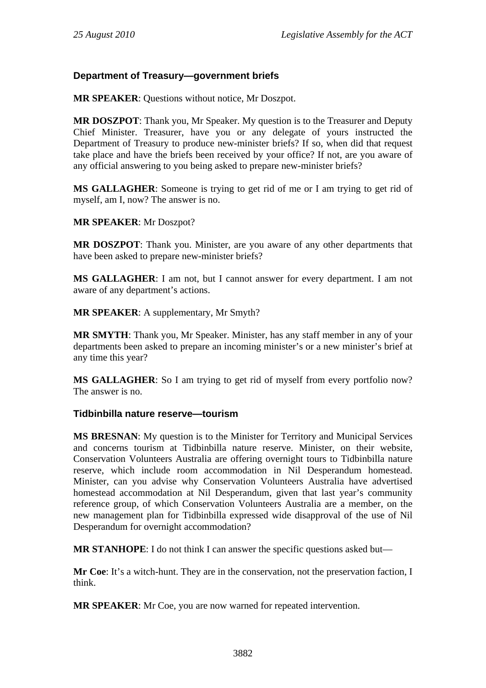# **Department of Treasury—government briefs**

**MR SPEAKER**: Questions without notice, Mr Doszpot.

**MR DOSZPOT**: Thank you, Mr Speaker. My question is to the Treasurer and Deputy Chief Minister. Treasurer, have you or any delegate of yours instructed the Department of Treasury to produce new-minister briefs? If so, when did that request take place and have the briefs been received by your office? If not, are you aware of any official answering to you being asked to prepare new-minister briefs?

**MS GALLAGHER**: Someone is trying to get rid of me or I am trying to get rid of myself, am I, now? The answer is no.

**MR SPEAKER**: Mr Doszpot?

**MR DOSZPOT**: Thank you. Minister, are you aware of any other departments that have been asked to prepare new-minister briefs?

**MS GALLAGHER**: I am not, but I cannot answer for every department. I am not aware of any department's actions.

**MR SPEAKER**: A supplementary, Mr Smyth?

**MR SMYTH**: Thank you, Mr Speaker. Minister, has any staff member in any of your departments been asked to prepare an incoming minister's or a new minister's brief at any time this year?

**MS GALLAGHER**: So I am trying to get rid of myself from every portfolio now? The answer is no.

## **Tidbinbilla nature reserve—tourism**

**MS BRESNAN**: My question is to the Minister for Territory and Municipal Services and concerns tourism at Tidbinbilla nature reserve. Minister, on their website, Conservation Volunteers Australia are offering overnight tours to Tidbinbilla nature reserve, which include room accommodation in Nil Desperandum homestead. Minister, can you advise why Conservation Volunteers Australia have advertised homestead accommodation at Nil Desperandum, given that last year's community reference group, of which Conservation Volunteers Australia are a member, on the new management plan for Tidbinbilla expressed wide disapproval of the use of Nil Desperandum for overnight accommodation?

**MR STANHOPE**: I do not think I can answer the specific questions asked but—

**Mr Coe**: It's a witch-hunt. They are in the conservation, not the preservation faction, I think.

**MR SPEAKER**: Mr Coe, you are now warned for repeated intervention.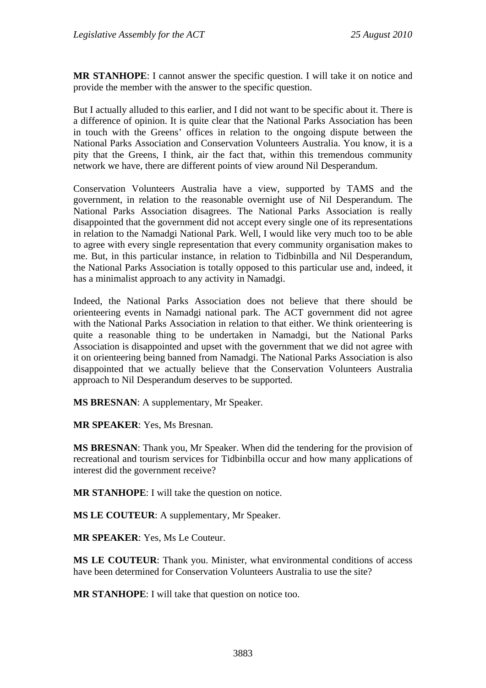**MR STANHOPE**: I cannot answer the specific question. I will take it on notice and provide the member with the answer to the specific question.

But I actually alluded to this earlier, and I did not want to be specific about it. There is a difference of opinion. It is quite clear that the National Parks Association has been in touch with the Greens' offices in relation to the ongoing dispute between the National Parks Association and Conservation Volunteers Australia. You know, it is a pity that the Greens, I think, air the fact that, within this tremendous community network we have, there are different points of view around Nil Desperandum.

Conservation Volunteers Australia have a view, supported by TAMS and the government, in relation to the reasonable overnight use of Nil Desperandum. The National Parks Association disagrees. The National Parks Association is really disappointed that the government did not accept every single one of its representations in relation to the Namadgi National Park. Well, I would like very much too to be able to agree with every single representation that every community organisation makes to me. But, in this particular instance, in relation to Tidbinbilla and Nil Desperandum, the National Parks Association is totally opposed to this particular use and, indeed, it has a minimalist approach to any activity in Namadgi.

Indeed, the National Parks Association does not believe that there should be orienteering events in Namadgi national park. The ACT government did not agree with the National Parks Association in relation to that either. We think orienteering is quite a reasonable thing to be undertaken in Namadgi, but the National Parks Association is disappointed and upset with the government that we did not agree with it on orienteering being banned from Namadgi. The National Parks Association is also disappointed that we actually believe that the Conservation Volunteers Australia approach to Nil Desperandum deserves to be supported.

**MS BRESNAN**: A supplementary, Mr Speaker.

**MR SPEAKER**: Yes, Ms Bresnan.

**MS BRESNAN**: Thank you, Mr Speaker. When did the tendering for the provision of recreational and tourism services for Tidbinbilla occur and how many applications of interest did the government receive?

**MR STANHOPE**: I will take the question on notice.

**MS LE COUTEUR**: A supplementary, Mr Speaker.

**MR SPEAKER**: Yes, Ms Le Couteur.

**MS LE COUTEUR**: Thank you. Minister, what environmental conditions of access have been determined for Conservation Volunteers Australia to use the site?

**MR STANHOPE**: I will take that question on notice too.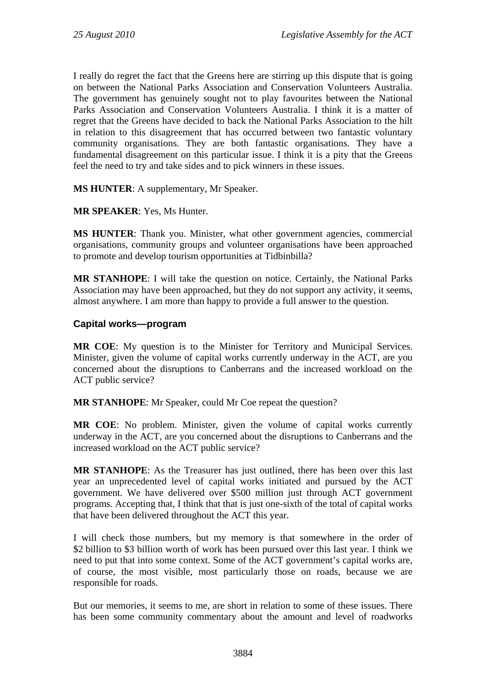I really do regret the fact that the Greens here are stirring up this dispute that is going on between the National Parks Association and Conservation Volunteers Australia. The government has genuinely sought not to play favourites between the National Parks Association and Conservation Volunteers Australia. I think it is a matter of regret that the Greens have decided to back the National Parks Association to the hilt in relation to this disagreement that has occurred between two fantastic voluntary community organisations. They are both fantastic organisations. They have a fundamental disagreement on this particular issue. I think it is a pity that the Greens feel the need to try and take sides and to pick winners in these issues.

**MS HUNTER**: A supplementary, Mr Speaker.

## **MR SPEAKER**: Yes, Ms Hunter.

**MS HUNTER**: Thank you. Minister, what other government agencies, commercial organisations, community groups and volunteer organisations have been approached to promote and develop tourism opportunities at Tidbinbilla?

**MR STANHOPE**: I will take the question on notice. Certainly, the National Parks Association may have been approached, but they do not support any activity, it seems, almost anywhere. I am more than happy to provide a full answer to the question.

## **Capital works—program**

**MR COE**: My question is to the Minister for Territory and Municipal Services. Minister, given the volume of capital works currently underway in the ACT, are you concerned about the disruptions to Canberrans and the increased workload on the ACT public service?

**MR STANHOPE**: Mr Speaker, could Mr Coe repeat the question?

**MR COE**: No problem. Minister, given the volume of capital works currently underway in the ACT, are you concerned about the disruptions to Canberrans and the increased workload on the ACT public service?

**MR STANHOPE**: As the Treasurer has just outlined, there has been over this last year an unprecedented level of capital works initiated and pursued by the ACT government. We have delivered over \$500 million just through ACT government programs. Accepting that, I think that that is just one-sixth of the total of capital works that have been delivered throughout the ACT this year.

I will check those numbers, but my memory is that somewhere in the order of \$2 billion to \$3 billion worth of work has been pursued over this last year. I think we need to put that into some context. Some of the ACT government's capital works are, of course, the most visible, most particularly those on roads, because we are responsible for roads.

But our memories, it seems to me, are short in relation to some of these issues. There has been some community commentary about the amount and level of roadworks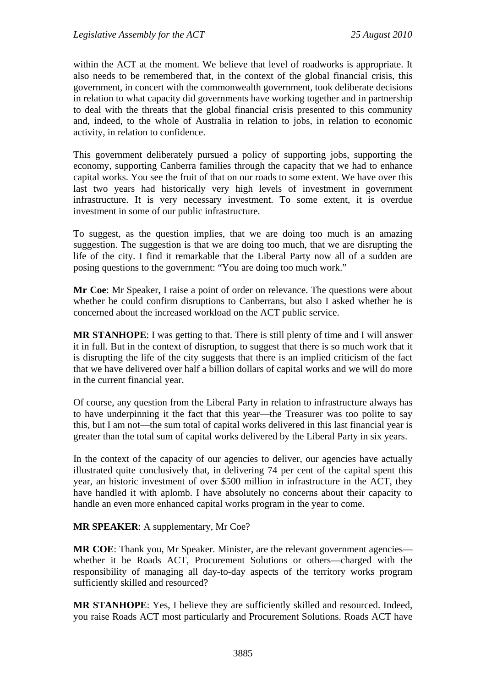within the ACT at the moment. We believe that level of roadworks is appropriate. It also needs to be remembered that, in the context of the global financial crisis, this government, in concert with the commonwealth government, took deliberate decisions in relation to what capacity did governments have working together and in partnership to deal with the threats that the global financial crisis presented to this community and, indeed, to the whole of Australia in relation to jobs, in relation to economic activity, in relation to confidence.

This government deliberately pursued a policy of supporting jobs, supporting the economy, supporting Canberra families through the capacity that we had to enhance capital works. You see the fruit of that on our roads to some extent. We have over this last two years had historically very high levels of investment in government infrastructure. It is very necessary investment. To some extent, it is overdue investment in some of our public infrastructure.

To suggest, as the question implies, that we are doing too much is an amazing suggestion. The suggestion is that we are doing too much, that we are disrupting the life of the city. I find it remarkable that the Liberal Party now all of a sudden are posing questions to the government: "You are doing too much work."

**Mr Coe**: Mr Speaker, I raise a point of order on relevance. The questions were about whether he could confirm disruptions to Canberrans, but also I asked whether he is concerned about the increased workload on the ACT public service.

**MR STANHOPE**: I was getting to that. There is still plenty of time and I will answer it in full. But in the context of disruption, to suggest that there is so much work that it is disrupting the life of the city suggests that there is an implied criticism of the fact that we have delivered over half a billion dollars of capital works and we will do more in the current financial year.

Of course, any question from the Liberal Party in relation to infrastructure always has to have underpinning it the fact that this year—the Treasurer was too polite to say this, but I am not—the sum total of capital works delivered in this last financial year is greater than the total sum of capital works delivered by the Liberal Party in six years.

In the context of the capacity of our agencies to deliver, our agencies have actually illustrated quite conclusively that, in delivering 74 per cent of the capital spent this year, an historic investment of over \$500 million in infrastructure in the ACT, they have handled it with aplomb. I have absolutely no concerns about their capacity to handle an even more enhanced capital works program in the year to come.

#### **MR SPEAKER**: A supplementary, Mr Coe?

**MR COE:** Thank you, Mr Speaker. Minister, are the relevant government agencies whether it be Roads ACT, Procurement Solutions or others—charged with the responsibility of managing all day-to-day aspects of the territory works program sufficiently skilled and resourced?

**MR STANHOPE**: Yes, I believe they are sufficiently skilled and resourced. Indeed, you raise Roads ACT most particularly and Procurement Solutions. Roads ACT have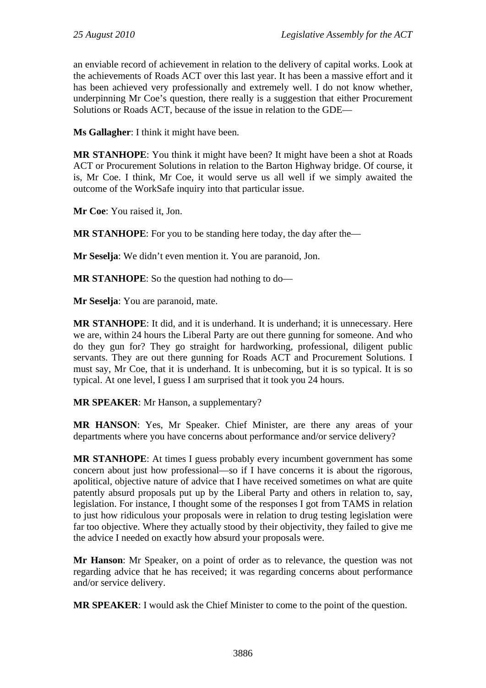an enviable record of achievement in relation to the delivery of capital works. Look at the achievements of Roads ACT over this last year. It has been a massive effort and it has been achieved very professionally and extremely well. I do not know whether, underpinning Mr Coe's question, there really is a suggestion that either Procurement Solutions or Roads ACT, because of the issue in relation to the GDE—

**Ms Gallagher**: I think it might have been.

**MR STANHOPE**: You think it might have been? It might have been a shot at Roads ACT or Procurement Solutions in relation to the Barton Highway bridge. Of course, it is, Mr Coe. I think, Mr Coe, it would serve us all well if we simply awaited the outcome of the WorkSafe inquiry into that particular issue.

**Mr Coe**: You raised it, Jon.

**MR STANHOPE**: For you to be standing here today, the day after the—

**Mr Seselja**: We didn't even mention it. You are paranoid, Jon.

**MR STANHOPE**: So the question had nothing to do—

**Mr Seselja**: You are paranoid, mate.

**MR STANHOPE**: It did, and it is underhand. It is underhand; it is unnecessary. Here we are, within 24 hours the Liberal Party are out there gunning for someone. And who do they gun for? They go straight for hardworking, professional, diligent public servants. They are out there gunning for Roads ACT and Procurement Solutions. I must say, Mr Coe, that it is underhand. It is unbecoming, but it is so typical. It is so typical. At one level, I guess I am surprised that it took you 24 hours.

**MR SPEAKER**: Mr Hanson, a supplementary?

**MR HANSON**: Yes, Mr Speaker. Chief Minister, are there any areas of your departments where you have concerns about performance and/or service delivery?

**MR STANHOPE**: At times I guess probably every incumbent government has some concern about just how professional—so if I have concerns it is about the rigorous, apolitical, objective nature of advice that I have received sometimes on what are quite patently absurd proposals put up by the Liberal Party and others in relation to, say, legislation. For instance, I thought some of the responses I got from TAMS in relation to just how ridiculous your proposals were in relation to drug testing legislation were far too objective. Where they actually stood by their objectivity, they failed to give me the advice I needed on exactly how absurd your proposals were.

**Mr Hanson**: Mr Speaker, on a point of order as to relevance, the question was not regarding advice that he has received; it was regarding concerns about performance and/or service delivery.

**MR SPEAKER**: I would ask the Chief Minister to come to the point of the question.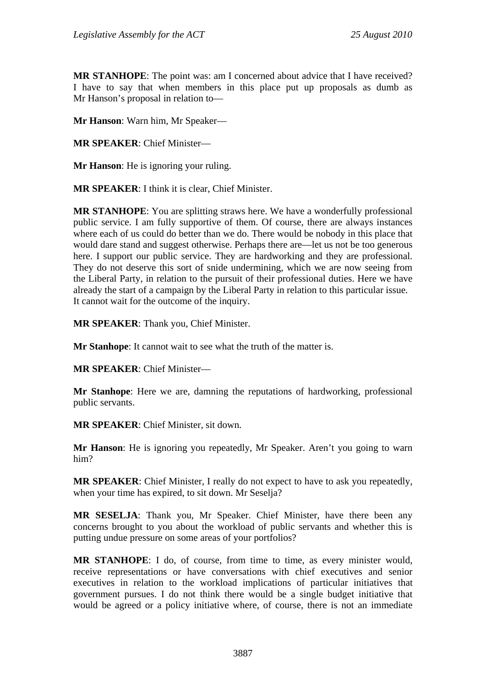**MR STANHOPE**: The point was: am I concerned about advice that I have received? I have to say that when members in this place put up proposals as dumb as Mr Hanson's proposal in relation to—

**Mr Hanson**: Warn him, Mr Speaker—

**MR SPEAKER**: Chief Minister—

**Mr Hanson**: He is ignoring your ruling.

**MR SPEAKER**: I think it is clear, Chief Minister.

**MR STANHOPE**: You are splitting straws here. We have a wonderfully professional public service. I am fully supportive of them. Of course, there are always instances where each of us could do better than we do. There would be nobody in this place that would dare stand and suggest otherwise. Perhaps there are—let us not be too generous here. I support our public service. They are hardworking and they are professional. They do not deserve this sort of snide undermining, which we are now seeing from the Liberal Party, in relation to the pursuit of their professional duties. Here we have already the start of a campaign by the Liberal Party in relation to this particular issue. It cannot wait for the outcome of the inquiry.

**MR SPEAKER**: Thank you, Chief Minister.

**Mr Stanhope**: It cannot wait to see what the truth of the matter is.

**MR SPEAKER**: Chief Minister—

**Mr Stanhope**: Here we are, damning the reputations of hardworking, professional public servants.

**MR SPEAKER**: Chief Minister, sit down.

**Mr Hanson**: He is ignoring you repeatedly, Mr Speaker. Aren't you going to warn him?

**MR SPEAKER**: Chief Minister, I really do not expect to have to ask you repeatedly, when your time has expired, to sit down. Mr Seselja?

**MR SESELJA**: Thank you, Mr Speaker. Chief Minister, have there been any concerns brought to you about the workload of public servants and whether this is putting undue pressure on some areas of your portfolios?

**MR STANHOPE**: I do, of course, from time to time, as every minister would, receive representations or have conversations with chief executives and senior executives in relation to the workload implications of particular initiatives that government pursues. I do not think there would be a single budget initiative that would be agreed or a policy initiative where, of course, there is not an immediate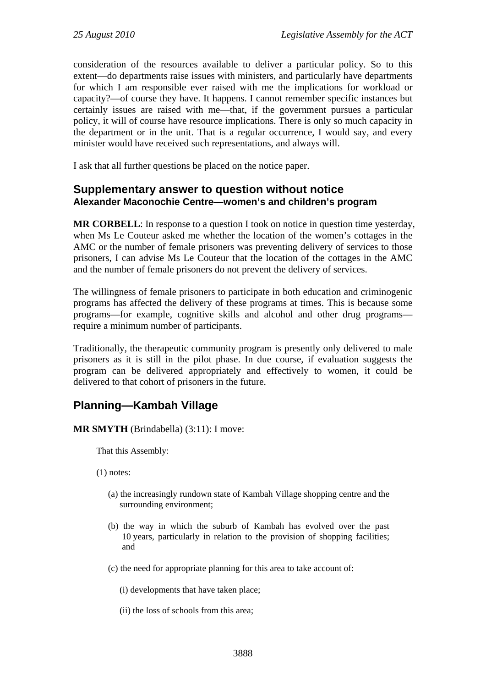consideration of the resources available to deliver a particular policy. So to this extent—do departments raise issues with ministers, and particularly have departments for which I am responsible ever raised with me the implications for workload or capacity?—of course they have. It happens. I cannot remember specific instances but certainly issues are raised with me—that, if the government pursues a particular policy, it will of course have resource implications. There is only so much capacity in the department or in the unit. That is a regular occurrence, I would say, and every minister would have received such representations, and always will.

I ask that all further questions be placed on the notice paper.

## **Supplementary answer to question without notice Alexander Maconochie Centre—women's and children's program**

**MR CORBELL**: In response to a question I took on notice in question time yesterday, when Ms Le Couteur asked me whether the location of the women's cottages in the AMC or the number of female prisoners was preventing delivery of services to those prisoners, I can advise Ms Le Couteur that the location of the cottages in the AMC and the number of female prisoners do not prevent the delivery of services.

The willingness of female prisoners to participate in both education and criminogenic programs has affected the delivery of these programs at times. This is because some programs—for example, cognitive skills and alcohol and other drug programs require a minimum number of participants.

Traditionally, the therapeutic community program is presently only delivered to male prisoners as it is still in the pilot phase. In due course, if evaluation suggests the program can be delivered appropriately and effectively to women, it could be delivered to that cohort of prisoners in the future.

# **Planning—Kambah Village**

**MR SMYTH** (Brindabella) (3:11): I move:

That this Assembly:

(1) notes:

- (a) the increasingly rundown state of Kambah Village shopping centre and the surrounding environment;
- (b) the way in which the suburb of Kambah has evolved over the past 10 years, particularly in relation to the provision of shopping facilities; and
- (c) the need for appropriate planning for this area to take account of:

(i) developments that have taken place;

(ii) the loss of schools from this area;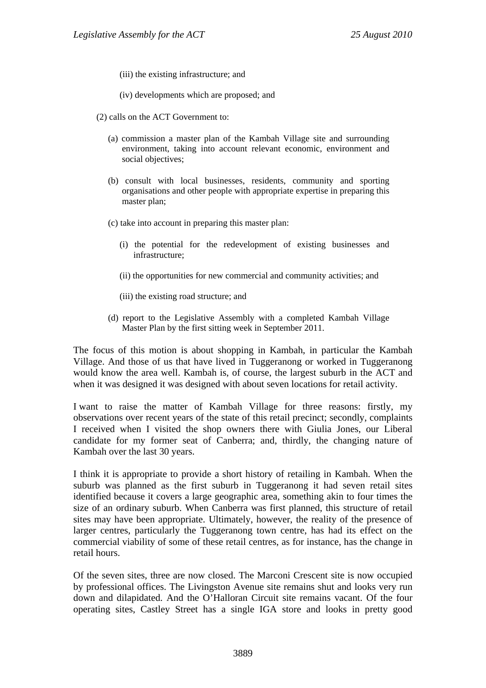- (iii) the existing infrastructure; and
- (iv) developments which are proposed; and
- (2) calls on the ACT Government to:
	- (a) commission a master plan of the Kambah Village site and surrounding environment, taking into account relevant economic, environment and social objectives;
	- (b) consult with local businesses, residents, community and sporting organisations and other people with appropriate expertise in preparing this master plan;
	- (c) take into account in preparing this master plan:
		- (i) the potential for the redevelopment of existing businesses and infrastructure;
		- (ii) the opportunities for new commercial and community activities; and
		- (iii) the existing road structure; and
	- (d) report to the Legislative Assembly with a completed Kambah Village Master Plan by the first sitting week in September 2011.

The focus of this motion is about shopping in Kambah, in particular the Kambah Village. And those of us that have lived in Tuggeranong or worked in Tuggeranong would know the area well. Kambah is, of course, the largest suburb in the ACT and when it was designed it was designed with about seven locations for retail activity.

I want to raise the matter of Kambah Village for three reasons: firstly, my observations over recent years of the state of this retail precinct; secondly, complaints I received when I visited the shop owners there with Giulia Jones, our Liberal candidate for my former seat of Canberra; and, thirdly, the changing nature of Kambah over the last 30 years.

I think it is appropriate to provide a short history of retailing in Kambah. When the suburb was planned as the first suburb in Tuggeranong it had seven retail sites identified because it covers a large geographic area, something akin to four times the size of an ordinary suburb. When Canberra was first planned, this structure of retail sites may have been appropriate. Ultimately, however, the reality of the presence of larger centres, particularly the Tuggeranong town centre, has had its effect on the commercial viability of some of these retail centres, as for instance, has the change in retail hours.

Of the seven sites, three are now closed. The Marconi Crescent site is now occupied by professional offices. The Livingston Avenue site remains shut and looks very run down and dilapidated. And the O'Halloran Circuit site remains vacant. Of the four operating sites, Castley Street has a single IGA store and looks in pretty good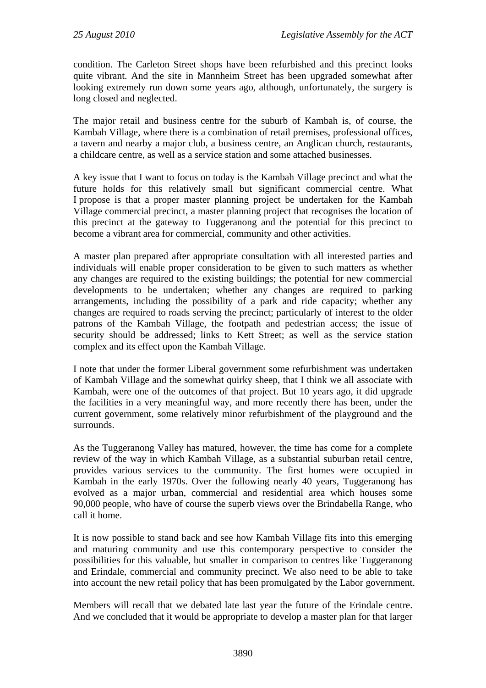condition. The Carleton Street shops have been refurbished and this precinct looks quite vibrant. And the site in Mannheim Street has been upgraded somewhat after looking extremely run down some years ago, although, unfortunately, the surgery is long closed and neglected.

The major retail and business centre for the suburb of Kambah is, of course, the Kambah Village, where there is a combination of retail premises, professional offices, a tavern and nearby a major club, a business centre, an Anglican church, restaurants, a childcare centre, as well as a service station and some attached businesses.

A key issue that I want to focus on today is the Kambah Village precinct and what the future holds for this relatively small but significant commercial centre. What I propose is that a proper master planning project be undertaken for the Kambah Village commercial precinct, a master planning project that recognises the location of this precinct at the gateway to Tuggeranong and the potential for this precinct to become a vibrant area for commercial, community and other activities.

A master plan prepared after appropriate consultation with all interested parties and individuals will enable proper consideration to be given to such matters as whether any changes are required to the existing buildings; the potential for new commercial developments to be undertaken; whether any changes are required to parking arrangements, including the possibility of a park and ride capacity; whether any changes are required to roads serving the precinct; particularly of interest to the older patrons of the Kambah Village, the footpath and pedestrian access; the issue of security should be addressed; links to Kett Street; as well as the service station complex and its effect upon the Kambah Village.

I note that under the former Liberal government some refurbishment was undertaken of Kambah Village and the somewhat quirky sheep, that I think we all associate with Kambah, were one of the outcomes of that project. But 10 years ago, it did upgrade the facilities in a very meaningful way, and more recently there has been, under the current government, some relatively minor refurbishment of the playground and the surrounds.

As the Tuggeranong Valley has matured, however, the time has come for a complete review of the way in which Kambah Village, as a substantial suburban retail centre, provides various services to the community. The first homes were occupied in Kambah in the early 1970s. Over the following nearly 40 years, Tuggeranong has evolved as a major urban, commercial and residential area which houses some 90,000 people, who have of course the superb views over the Brindabella Range, who call it home.

It is now possible to stand back and see how Kambah Village fits into this emerging and maturing community and use this contemporary perspective to consider the possibilities for this valuable, but smaller in comparison to centres like Tuggeranong and Erindale, commercial and community precinct. We also need to be able to take into account the new retail policy that has been promulgated by the Labor government.

Members will recall that we debated late last year the future of the Erindale centre. And we concluded that it would be appropriate to develop a master plan for that larger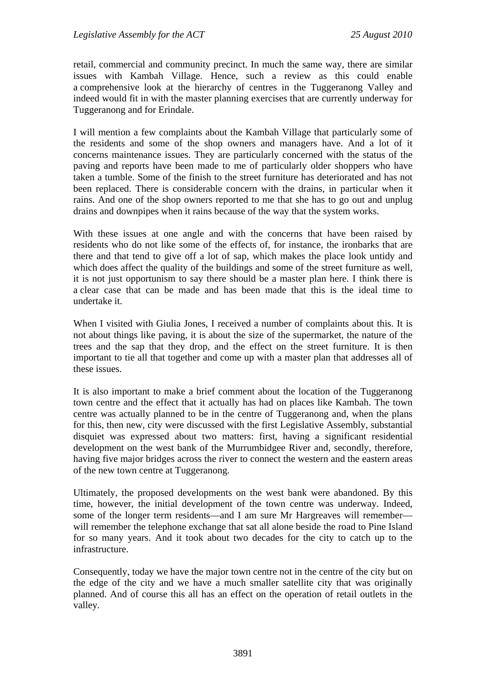retail, commercial and community precinct. In much the same way, there are similar issues with Kambah Village. Hence, such a review as this could enable a comprehensive look at the hierarchy of centres in the Tuggeranong Valley and indeed would fit in with the master planning exercises that are currently underway for Tuggeranong and for Erindale.

I will mention a few complaints about the Kambah Village that particularly some of the residents and some of the shop owners and managers have. And a lot of it concerns maintenance issues. They are particularly concerned with the status of the paving and reports have been made to me of particularly older shoppers who have taken a tumble. Some of the finish to the street furniture has deteriorated and has not been replaced. There is considerable concern with the drains, in particular when it rains. And one of the shop owners reported to me that she has to go out and unplug drains and downpipes when it rains because of the way that the system works.

With these issues at one angle and with the concerns that have been raised by residents who do not like some of the effects of, for instance, the ironbarks that are there and that tend to give off a lot of sap, which makes the place look untidy and which does affect the quality of the buildings and some of the street furniture as well, it is not just opportunism to say there should be a master plan here. I think there is a clear case that can be made and has been made that this is the ideal time to undertake it.

When I visited with Giulia Jones, I received a number of complaints about this. It is not about things like paving, it is about the size of the supermarket, the nature of the trees and the sap that they drop, and the effect on the street furniture. It is then important to tie all that together and come up with a master plan that addresses all of these issues.

It is also important to make a brief comment about the location of the Tuggeranong town centre and the effect that it actually has had on places like Kambah. The town centre was actually planned to be in the centre of Tuggeranong and, when the plans for this, then new, city were discussed with the first Legislative Assembly, substantial disquiet was expressed about two matters: first, having a significant residential development on the west bank of the Murrumbidgee River and, secondly, therefore, having five major bridges across the river to connect the western and the eastern areas of the new town centre at Tuggeranong.

Ultimately, the proposed developments on the west bank were abandoned. By this time, however, the initial development of the town centre was underway. Indeed, some of the longer term residents—and I am sure Mr Hargreaves will remember will remember the telephone exchange that sat all alone beside the road to Pine Island for so many years. And it took about two decades for the city to catch up to the infrastructure.

Consequently, today we have the major town centre not in the centre of the city but on the edge of the city and we have a much smaller satellite city that was originally planned. And of course this all has an effect on the operation of retail outlets in the valley.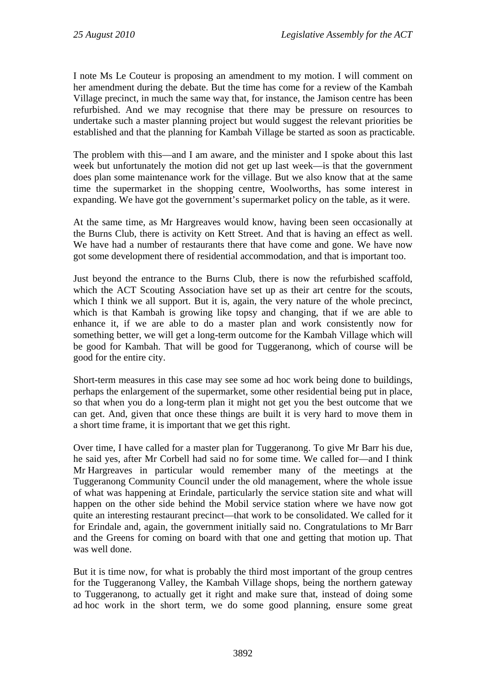I note Ms Le Couteur is proposing an amendment to my motion. I will comment on her amendment during the debate. But the time has come for a review of the Kambah Village precinct, in much the same way that, for instance, the Jamison centre has been refurbished. And we may recognise that there may be pressure on resources to undertake such a master planning project but would suggest the relevant priorities be established and that the planning for Kambah Village be started as soon as practicable.

The problem with this—and I am aware, and the minister and I spoke about this last week but unfortunately the motion did not get up last week—is that the government does plan some maintenance work for the village. But we also know that at the same time the supermarket in the shopping centre, Woolworths, has some interest in expanding. We have got the government's supermarket policy on the table, as it were.

At the same time, as Mr Hargreaves would know, having been seen occasionally at the Burns Club, there is activity on Kett Street. And that is having an effect as well. We have had a number of restaurants there that have come and gone. We have now got some development there of residential accommodation, and that is important too.

Just beyond the entrance to the Burns Club, there is now the refurbished scaffold, which the ACT Scouting Association have set up as their art centre for the scouts, which I think we all support. But it is, again, the very nature of the whole precinct, which is that Kambah is growing like topsy and changing, that if we are able to enhance it, if we are able to do a master plan and work consistently now for something better, we will get a long-term outcome for the Kambah Village which will be good for Kambah. That will be good for Tuggeranong, which of course will be good for the entire city.

Short-term measures in this case may see some ad hoc work being done to buildings, perhaps the enlargement of the supermarket, some other residential being put in place, so that when you do a long-term plan it might not get you the best outcome that we can get. And, given that once these things are built it is very hard to move them in a short time frame, it is important that we get this right.

Over time, I have called for a master plan for Tuggeranong. To give Mr Barr his due, he said yes, after Mr Corbell had said no for some time. We called for—and I think Mr Hargreaves in particular would remember many of the meetings at the Tuggeranong Community Council under the old management, where the whole issue of what was happening at Erindale, particularly the service station site and what will happen on the other side behind the Mobil service station where we have now got quite an interesting restaurant precinct—that work to be consolidated. We called for it for Erindale and, again, the government initially said no. Congratulations to Mr Barr and the Greens for coming on board with that one and getting that motion up. That was well done.

But it is time now, for what is probably the third most important of the group centres for the Tuggeranong Valley, the Kambah Village shops, being the northern gateway to Tuggeranong, to actually get it right and make sure that, instead of doing some ad hoc work in the short term, we do some good planning, ensure some great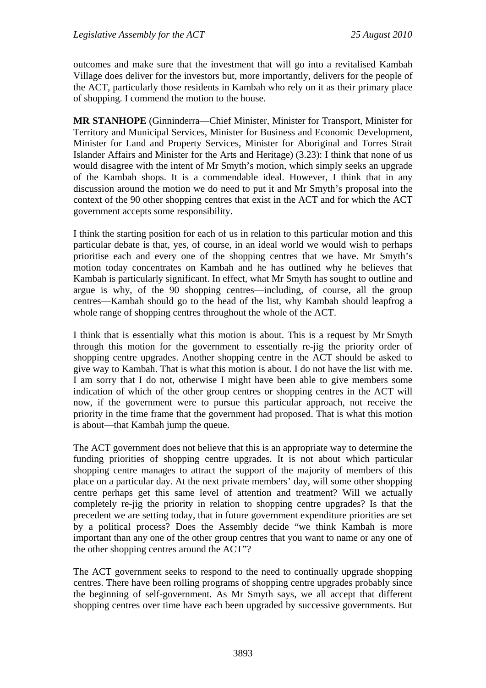outcomes and make sure that the investment that will go into a revitalised Kambah Village does deliver for the investors but, more importantly, delivers for the people of the ACT, particularly those residents in Kambah who rely on it as their primary place of shopping. I commend the motion to the house.

**MR STANHOPE** (Ginninderra—Chief Minister, Minister for Transport, Minister for Territory and Municipal Services, Minister for Business and Economic Development, Minister for Land and Property Services, Minister for Aboriginal and Torres Strait Islander Affairs and Minister for the Arts and Heritage) (3.23): I think that none of us would disagree with the intent of Mr Smyth's motion, which simply seeks an upgrade of the Kambah shops. It is a commendable ideal. However, I think that in any discussion around the motion we do need to put it and Mr Smyth's proposal into the context of the 90 other shopping centres that exist in the ACT and for which the ACT government accepts some responsibility.

I think the starting position for each of us in relation to this particular motion and this particular debate is that, yes, of course, in an ideal world we would wish to perhaps prioritise each and every one of the shopping centres that we have. Mr Smyth's motion today concentrates on Kambah and he has outlined why he believes that Kambah is particularly significant. In effect, what Mr Smyth has sought to outline and argue is why, of the 90 shopping centres—including, of course, all the group centres—Kambah should go to the head of the list, why Kambah should leapfrog a whole range of shopping centres throughout the whole of the ACT.

I think that is essentially what this motion is about. This is a request by Mr Smyth through this motion for the government to essentially re-jig the priority order of shopping centre upgrades. Another shopping centre in the ACT should be asked to give way to Kambah. That is what this motion is about. I do not have the list with me. I am sorry that I do not, otherwise I might have been able to give members some indication of which of the other group centres or shopping centres in the ACT will now, if the government were to pursue this particular approach, not receive the priority in the time frame that the government had proposed. That is what this motion is about—that Kambah jump the queue.

The ACT government does not believe that this is an appropriate way to determine the funding priorities of shopping centre upgrades. It is not about which particular shopping centre manages to attract the support of the majority of members of this place on a particular day. At the next private members' day, will some other shopping centre perhaps get this same level of attention and treatment? Will we actually completely re-jig the priority in relation to shopping centre upgrades? Is that the precedent we are setting today, that in future government expenditure priorities are set by a political process? Does the Assembly decide "we think Kambah is more important than any one of the other group centres that you want to name or any one of the other shopping centres around the ACT"?

The ACT government seeks to respond to the need to continually upgrade shopping centres. There have been rolling programs of shopping centre upgrades probably since the beginning of self-government. As Mr Smyth says, we all accept that different shopping centres over time have each been upgraded by successive governments. But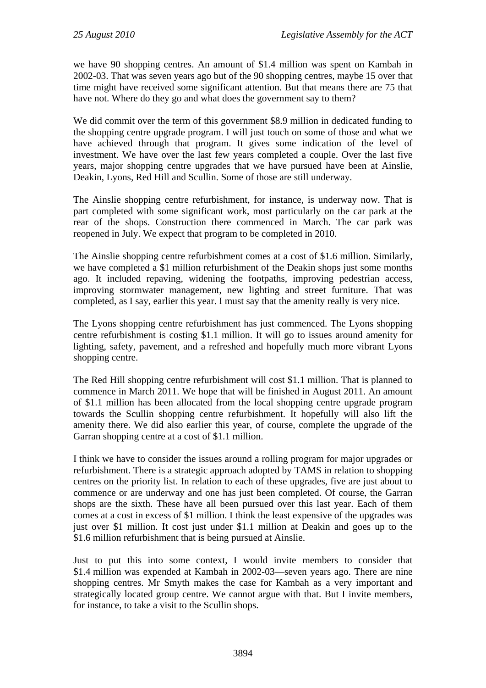we have 90 shopping centres. An amount of \$1.4 million was spent on Kambah in 2002-03. That was seven years ago but of the 90 shopping centres, maybe 15 over that time might have received some significant attention. But that means there are 75 that have not. Where do they go and what does the government say to them?

We did commit over the term of this government \$8.9 million in dedicated funding to the shopping centre upgrade program. I will just touch on some of those and what we have achieved through that program. It gives some indication of the level of investment. We have over the last few years completed a couple. Over the last five years, major shopping centre upgrades that we have pursued have been at Ainslie, Deakin, Lyons, Red Hill and Scullin. Some of those are still underway.

The Ainslie shopping centre refurbishment, for instance, is underway now. That is part completed with some significant work, most particularly on the car park at the rear of the shops. Construction there commenced in March. The car park was reopened in July. We expect that program to be completed in 2010.

The Ainslie shopping centre refurbishment comes at a cost of \$1.6 million. Similarly, we have completed a \$1 million refurbishment of the Deakin shops just some months ago. It included repaving, widening the footpaths, improving pedestrian access, improving stormwater management, new lighting and street furniture. That was completed, as I say, earlier this year. I must say that the amenity really is very nice.

The Lyons shopping centre refurbishment has just commenced. The Lyons shopping centre refurbishment is costing \$1.1 million. It will go to issues around amenity for lighting, safety, pavement, and a refreshed and hopefully much more vibrant Lyons shopping centre.

The Red Hill shopping centre refurbishment will cost \$1.1 million. That is planned to commence in March 2011. We hope that will be finished in August 2011. An amount of \$1.1 million has been allocated from the local shopping centre upgrade program towards the Scullin shopping centre refurbishment. It hopefully will also lift the amenity there. We did also earlier this year, of course, complete the upgrade of the Garran shopping centre at a cost of \$1.1 million.

I think we have to consider the issues around a rolling program for major upgrades or refurbishment. There is a strategic approach adopted by TAMS in relation to shopping centres on the priority list. In relation to each of these upgrades, five are just about to commence or are underway and one has just been completed. Of course, the Garran shops are the sixth. These have all been pursued over this last year. Each of them comes at a cost in excess of \$1 million. I think the least expensive of the upgrades was just over \$1 million. It cost just under \$1.1 million at Deakin and goes up to the \$1.6 million refurbishment that is being pursued at Ainslie.

Just to put this into some context, I would invite members to consider that \$1.4 million was expended at Kambah in 2002-03—seven years ago. There are nine shopping centres. Mr Smyth makes the case for Kambah as a very important and strategically located group centre. We cannot argue with that. But I invite members, for instance, to take a visit to the Scullin shops.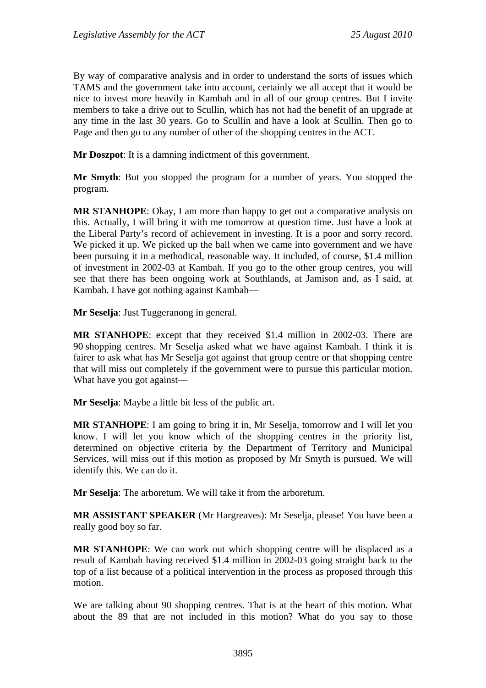By way of comparative analysis and in order to understand the sorts of issues which TAMS and the government take into account, certainly we all accept that it would be nice to invest more heavily in Kambah and in all of our group centres. But I invite members to take a drive out to Scullin, which has not had the benefit of an upgrade at any time in the last 30 years. Go to Scullin and have a look at Scullin. Then go to Page and then go to any number of other of the shopping centres in the ACT.

**Mr Doszpot**: It is a damning indictment of this government.

**Mr Smyth**: But you stopped the program for a number of years. You stopped the program.

**MR STANHOPE**: Okay, I am more than happy to get out a comparative analysis on this. Actually, I will bring it with me tomorrow at question time. Just have a look at the Liberal Party's record of achievement in investing. It is a poor and sorry record. We picked it up. We picked up the ball when we came into government and we have been pursuing it in a methodical, reasonable way. It included, of course, \$1.4 million of investment in 2002-03 at Kambah. If you go to the other group centres, you will see that there has been ongoing work at Southlands, at Jamison and, as I said, at Kambah. I have got nothing against Kambah—

**Mr Seselja**: Just Tuggeranong in general.

**MR STANHOPE**: except that they received \$1.4 million in 2002-03. There are 90 shopping centres. Mr Seselja asked what we have against Kambah. I think it is fairer to ask what has Mr Seselja got against that group centre or that shopping centre that will miss out completely if the government were to pursue this particular motion. What have you got against—

**Mr Seselja**: Maybe a little bit less of the public art.

**MR STANHOPE**: I am going to bring it in, Mr Seselja, tomorrow and I will let you know. I will let you know which of the shopping centres in the priority list, determined on objective criteria by the Department of Territory and Municipal Services, will miss out if this motion as proposed by Mr Smyth is pursued. We will identify this. We can do it.

**Mr Seselja**: The arboretum. We will take it from the arboretum.

**MR ASSISTANT SPEAKER** (Mr Hargreaves): Mr Seselja, please! You have been a really good boy so far.

**MR STANHOPE**: We can work out which shopping centre will be displaced as a result of Kambah having received \$1.4 million in 2002-03 going straight back to the top of a list because of a political intervention in the process as proposed through this motion.

We are talking about 90 shopping centres. That is at the heart of this motion. What about the 89 that are not included in this motion? What do you say to those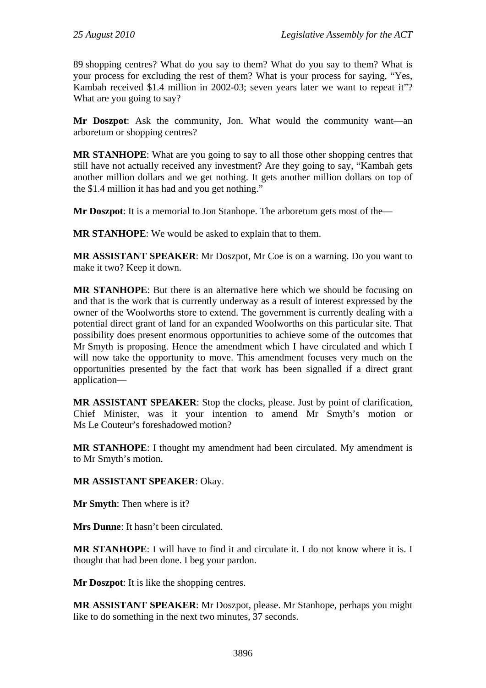89 shopping centres? What do you say to them? What do you say to them? What is your process for excluding the rest of them? What is your process for saying, "Yes, Kambah received \$1.4 million in 2002-03; seven years later we want to repeat it"? What are you going to say?

**Mr Doszpot**: Ask the community, Jon. What would the community want—an arboretum or shopping centres?

**MR STANHOPE**: What are you going to say to all those other shopping centres that still have not actually received any investment? Are they going to say, "Kambah gets another million dollars and we get nothing. It gets another million dollars on top of the \$1.4 million it has had and you get nothing."

**Mr Doszpot**: It is a memorial to Jon Stanhope. The arboretum gets most of the—

**MR STANHOPE**: We would be asked to explain that to them.

**MR ASSISTANT SPEAKER**: Mr Doszpot, Mr Coe is on a warning. Do you want to make it two? Keep it down.

**MR STANHOPE**: But there is an alternative here which we should be focusing on and that is the work that is currently underway as a result of interest expressed by the owner of the Woolworths store to extend. The government is currently dealing with a potential direct grant of land for an expanded Woolworths on this particular site. That possibility does present enormous opportunities to achieve some of the outcomes that Mr Smyth is proposing. Hence the amendment which I have circulated and which I will now take the opportunity to move. This amendment focuses very much on the opportunities presented by the fact that work has been signalled if a direct grant application—

**MR ASSISTANT SPEAKER**: Stop the clocks, please. Just by point of clarification, Chief Minister, was it your intention to amend Mr Smyth's motion or Ms Le Couteur's foreshadowed motion?

**MR STANHOPE**: I thought my amendment had been circulated. My amendment is to Mr Smyth's motion.

### **MR ASSISTANT SPEAKER**: Okay.

**Mr Smyth**: Then where is it?

**Mrs Dunne**: It hasn't been circulated.

**MR STANHOPE**: I will have to find it and circulate it. I do not know where it is. I thought that had been done. I beg your pardon.

**Mr Doszpot**: It is like the shopping centres.

**MR ASSISTANT SPEAKER**: Mr Doszpot, please. Mr Stanhope, perhaps you might like to do something in the next two minutes, 37 seconds.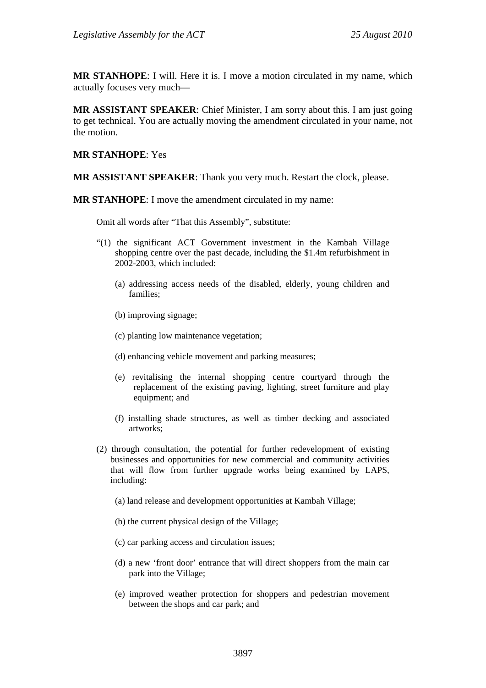**MR STANHOPE**: I will. Here it is. I move a motion circulated in my name, which actually focuses very much—

**MR ASSISTANT SPEAKER**: Chief Minister, I am sorry about this. I am just going to get technical. You are actually moving the amendment circulated in your name, not the motion.

#### **MR STANHOPE**: Yes

**MR ASSISTANT SPEAKER**: Thank you very much. Restart the clock, please.

**MR STANHOPE**: I move the amendment circulated in my name:

Omit all words after "That this Assembly", substitute:

- "(1) the significant ACT Government investment in the Kambah Village shopping centre over the past decade, including the \$1.4m refurbishment in 2002-2003, which included:
	- (a) addressing access needs of the disabled, elderly, young children and families;
	- (b) improving signage;
	- (c) planting low maintenance vegetation;
	- (d) enhancing vehicle movement and parking measures;
	- (e) revitalising the internal shopping centre courtyard through the replacement of the existing paving, lighting, street furniture and play equipment; and
	- (f) installing shade structures, as well as timber decking and associated artworks;
- (2) through consultation, the potential for further redevelopment of existing businesses and opportunities for new commercial and community activities that will flow from further upgrade works being examined by LAPS, including:
	- (a) land release and development opportunities at Kambah Village;
	- (b) the current physical design of the Village;
	- (c) car parking access and circulation issues;
	- (d) a new 'front door' entrance that will direct shoppers from the main car park into the Village;
	- (e) improved weather protection for shoppers and pedestrian movement between the shops and car park; and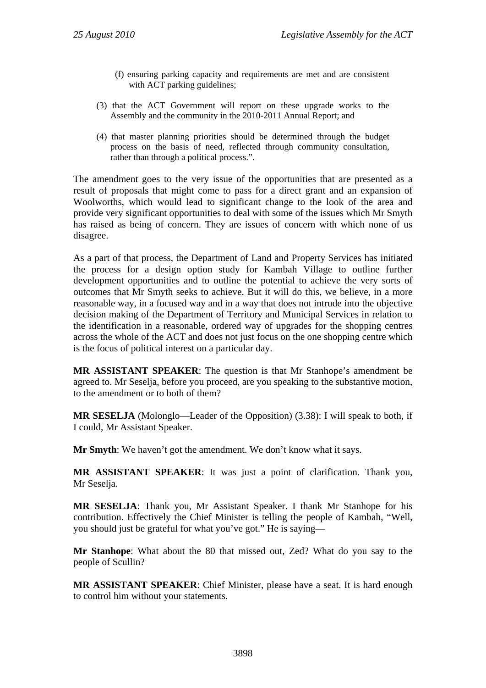- (f) ensuring parking capacity and requirements are met and are consistent with ACT parking guidelines;
- (3) that the ACT Government will report on these upgrade works to the Assembly and the community in the 2010-2011 Annual Report; and
- (4) that master planning priorities should be determined through the budget process on the basis of need, reflected through community consultation, rather than through a political process.".

The amendment goes to the very issue of the opportunities that are presented as a result of proposals that might come to pass for a direct grant and an expansion of Woolworths, which would lead to significant change to the look of the area and provide very significant opportunities to deal with some of the issues which Mr Smyth has raised as being of concern. They are issues of concern with which none of us disagree.

As a part of that process, the Department of Land and Property Services has initiated the process for a design option study for Kambah Village to outline further development opportunities and to outline the potential to achieve the very sorts of outcomes that Mr Smyth seeks to achieve. But it will do this, we believe, in a more reasonable way, in a focused way and in a way that does not intrude into the objective decision making of the Department of Territory and Municipal Services in relation to the identification in a reasonable, ordered way of upgrades for the shopping centres across the whole of the ACT and does not just focus on the one shopping centre which is the focus of political interest on a particular day.

**MR ASSISTANT SPEAKER**: The question is that Mr Stanhope's amendment be agreed to. Mr Seselja, before you proceed, are you speaking to the substantive motion, to the amendment or to both of them?

**MR SESELJA** (Molonglo—Leader of the Opposition) (3.38): I will speak to both, if I could, Mr Assistant Speaker.

**Mr Smyth**: We haven't got the amendment. We don't know what it says.

**MR ASSISTANT SPEAKER**: It was just a point of clarification. Thank you, Mr Seselia.

**MR SESELJA**: Thank you, Mr Assistant Speaker. I thank Mr Stanhope for his contribution. Effectively the Chief Minister is telling the people of Kambah, "Well, you should just be grateful for what you've got." He is saying—

**Mr Stanhope**: What about the 80 that missed out, Zed? What do you say to the people of Scullin?

**MR ASSISTANT SPEAKER**: Chief Minister, please have a seat. It is hard enough to control him without your statements.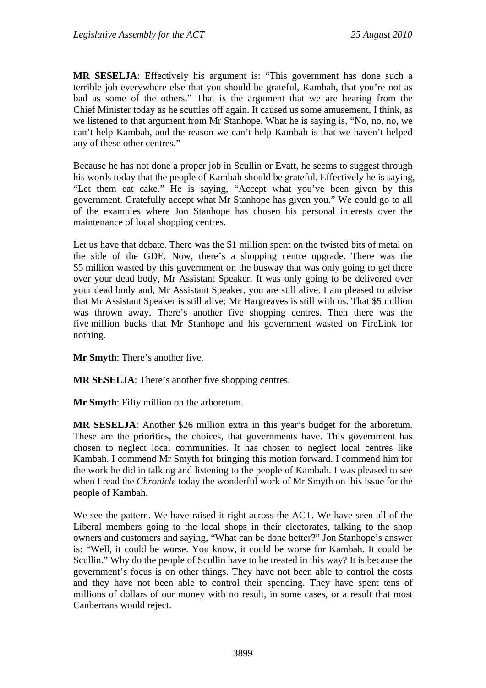**MR SESELJA**: Effectively his argument is: "This government has done such a terrible job everywhere else that you should be grateful, Kambah, that you're not as bad as some of the others." That is the argument that we are hearing from the Chief Minister today as he scuttles off again. It caused us some amusement, I think, as we listened to that argument from Mr Stanhope. What he is saying is, "No, no, no, we can't help Kambah, and the reason we can't help Kambah is that we haven't helped any of these other centres."

Because he has not done a proper job in Scullin or Evatt, he seems to suggest through his words today that the people of Kambah should be grateful. Effectively he is saying, "Let them eat cake." He is saying, "Accept what you've been given by this government. Gratefully accept what Mr Stanhope has given you." We could go to all of the examples where Jon Stanhope has chosen his personal interests over the maintenance of local shopping centres.

Let us have that debate. There was the \$1 million spent on the twisted bits of metal on the side of the GDE. Now, there's a shopping centre upgrade. There was the \$5 million wasted by this government on the busway that was only going to get there over your dead body, Mr Assistant Speaker. It was only going to be delivered over your dead body and, Mr Assistant Speaker, you are still alive. I am pleased to advise that Mr Assistant Speaker is still alive; Mr Hargreaves is still with us. That \$5 million was thrown away. There's another five shopping centres. Then there was the five million bucks that Mr Stanhope and his government wasted on FireLink for nothing.

**Mr Smyth**: There's another five.

**MR SESELJA**: There's another five shopping centres.

**Mr Smyth**: Fifty million on the arboretum.

**MR SESELJA**: Another \$26 million extra in this year's budget for the arboretum. These are the priorities, the choices, that governments have. This government has chosen to neglect local communities. It has chosen to neglect local centres like Kambah. I commend Mr Smyth for bringing this motion forward. I commend him for the work he did in talking and listening to the people of Kambah. I was pleased to see when I read the *Chronicle* today the wonderful work of Mr Smyth on this issue for the people of Kambah.

We see the pattern. We have raised it right across the ACT. We have seen all of the Liberal members going to the local shops in their electorates, talking to the shop owners and customers and saying, "What can be done better?" Jon Stanhope's answer is: "Well, it could be worse. You know, it could be worse for Kambah. It could be Scullin." Why do the people of Scullin have to be treated in this way? It is because the government's focus is on other things. They have not been able to control the costs and they have not been able to control their spending. They have spent tens of millions of dollars of our money with no result, in some cases, or a result that most Canberrans would reject.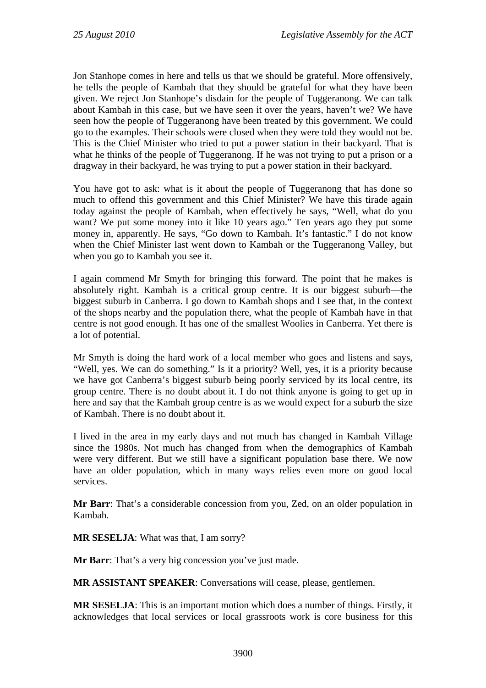Jon Stanhope comes in here and tells us that we should be grateful. More offensively, he tells the people of Kambah that they should be grateful for what they have been given. We reject Jon Stanhope's disdain for the people of Tuggeranong. We can talk about Kambah in this case, but we have seen it over the years, haven't we? We have seen how the people of Tuggeranong have been treated by this government. We could go to the examples. Their schools were closed when they were told they would not be. This is the Chief Minister who tried to put a power station in their backyard. That is what he thinks of the people of Tuggeranong. If he was not trying to put a prison or a dragway in their backyard, he was trying to put a power station in their backyard.

You have got to ask: what is it about the people of Tuggeranong that has done so much to offend this government and this Chief Minister? We have this tirade again today against the people of Kambah, when effectively he says, "Well, what do you want? We put some money into it like 10 years ago." Ten years ago they put some money in, apparently. He says, "Go down to Kambah. It's fantastic." I do not know when the Chief Minister last went down to Kambah or the Tuggeranong Valley, but when you go to Kambah you see it.

I again commend Mr Smyth for bringing this forward. The point that he makes is absolutely right. Kambah is a critical group centre. It is our biggest suburb—the biggest suburb in Canberra. I go down to Kambah shops and I see that, in the context of the shops nearby and the population there, what the people of Kambah have in that centre is not good enough. It has one of the smallest Woolies in Canberra. Yet there is a lot of potential.

Mr Smyth is doing the hard work of a local member who goes and listens and says, "Well, yes. We can do something." Is it a priority? Well, yes, it is a priority because we have got Canberra's biggest suburb being poorly serviced by its local centre, its group centre. There is no doubt about it. I do not think anyone is going to get up in here and say that the Kambah group centre is as we would expect for a suburb the size of Kambah. There is no doubt about it.

I lived in the area in my early days and not much has changed in Kambah Village since the 1980s. Not much has changed from when the demographics of Kambah were very different. But we still have a significant population base there. We now have an older population, which in many ways relies even more on good local services.

**Mr Barr**: That's a considerable concession from you, Zed, on an older population in Kambah.

**MR SESELJA**: What was that, I am sorry?

**Mr Barr**: That's a very big concession you've just made.

**MR ASSISTANT SPEAKER**: Conversations will cease, please, gentlemen.

**MR SESELJA**: This is an important motion which does a number of things. Firstly, it acknowledges that local services or local grassroots work is core business for this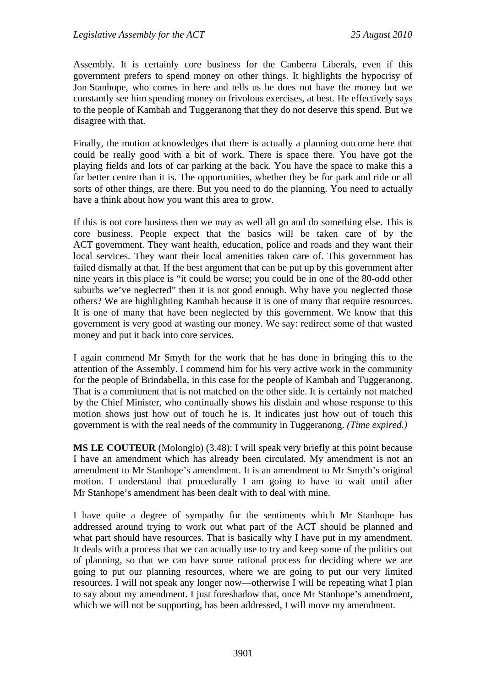Assembly. It is certainly core business for the Canberra Liberals, even if this government prefers to spend money on other things. It highlights the hypocrisy of Jon Stanhope, who comes in here and tells us he does not have the money but we constantly see him spending money on frivolous exercises, at best. He effectively says to the people of Kambah and Tuggeranong that they do not deserve this spend. But we disagree with that.

Finally, the motion acknowledges that there is actually a planning outcome here that could be really good with a bit of work. There is space there. You have got the playing fields and lots of car parking at the back. You have the space to make this a far better centre than it is. The opportunities, whether they be for park and ride or all sorts of other things, are there. But you need to do the planning. You need to actually have a think about how you want this area to grow.

If this is not core business then we may as well all go and do something else. This is core business. People expect that the basics will be taken care of by the ACT government. They want health, education, police and roads and they want their local services. They want their local amenities taken care of. This government has failed dismally at that. If the best argument that can be put up by this government after nine years in this place is "it could be worse; you could be in one of the 80-odd other suburbs we've neglected" then it is not good enough. Why have you neglected those others? We are highlighting Kambah because it is one of many that require resources. It is one of many that have been neglected by this government. We know that this government is very good at wasting our money. We say: redirect some of that wasted money and put it back into core services.

I again commend Mr Smyth for the work that he has done in bringing this to the attention of the Assembly. I commend him for his very active work in the community for the people of Brindabella, in this case for the people of Kambah and Tuggeranong. That is a commitment that is not matched on the other side. It is certainly not matched by the Chief Minister, who continually shows his disdain and whose response to this motion shows just how out of touch he is. It indicates just how out of touch this government is with the real needs of the community in Tuggeranong. *(Time expired.)*

**MS LE COUTEUR** (Molonglo) (3.48): I will speak very briefly at this point because I have an amendment which has already been circulated. My amendment is not an amendment to Mr Stanhope's amendment. It is an amendment to Mr Smyth's original motion. I understand that procedurally I am going to have to wait until after Mr Stanhope's amendment has been dealt with to deal with mine.

I have quite a degree of sympathy for the sentiments which Mr Stanhope has addressed around trying to work out what part of the ACT should be planned and what part should have resources. That is basically why I have put in my amendment. It deals with a process that we can actually use to try and keep some of the politics out of planning, so that we can have some rational process for deciding where we are going to put our planning resources, where we are going to put our very limited resources. I will not speak any longer now—otherwise I will be repeating what I plan to say about my amendment. I just foreshadow that, once Mr Stanhope's amendment, which we will not be supporting, has been addressed. I will move my amendment.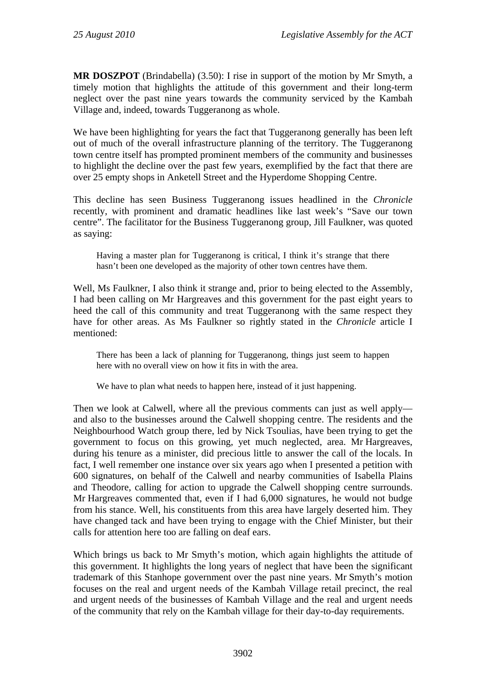**MR DOSZPOT** (Brindabella) (3.50): I rise in support of the motion by Mr Smyth, a timely motion that highlights the attitude of this government and their long-term neglect over the past nine years towards the community serviced by the Kambah Village and, indeed, towards Tuggeranong as whole.

We have been highlighting for years the fact that Tuggeranong generally has been left out of much of the overall infrastructure planning of the territory. The Tuggeranong town centre itself has prompted prominent members of the community and businesses to highlight the decline over the past few years, exemplified by the fact that there are over 25 empty shops in Anketell Street and the Hyperdome Shopping Centre.

This decline has seen Business Tuggeranong issues headlined in the *Chronicle* recently, with prominent and dramatic headlines like last week's "Save our town centre". The facilitator for the Business Tuggeranong group, Jill Faulkner, was quoted as saying:

Having a master plan for Tuggeranong is critical, I think it's strange that there hasn't been one developed as the majority of other town centres have them.

Well, Ms Faulkner, I also think it strange and, prior to being elected to the Assembly, I had been calling on Mr Hargreaves and this government for the past eight years to heed the call of this community and treat Tuggeranong with the same respect they have for other areas. As Ms Faulkner so rightly stated in th*e Chronicle* article I mentioned:

There has been a lack of planning for Tuggeranong, things just seem to happen here with no overall view on how it fits in with the area.

We have to plan what needs to happen here, instead of it just happening.

Then we look at Calwell, where all the previous comments can just as well apply and also to the businesses around the Calwell shopping centre. The residents and the Neighbourhood Watch group there, led by Nick Tsoulias, have been trying to get the government to focus on this growing, yet much neglected, area. Mr Hargreaves, during his tenure as a minister, did precious little to answer the call of the locals. In fact, I well remember one instance over six years ago when I presented a petition with 600 signatures, on behalf of the Calwell and nearby communities of Isabella Plains and Theodore, calling for action to upgrade the Calwell shopping centre surrounds. Mr Hargreaves commented that, even if I had 6,000 signatures, he would not budge from his stance. Well, his constituents from this area have largely deserted him. They have changed tack and have been trying to engage with the Chief Minister, but their calls for attention here too are falling on deaf ears.

Which brings us back to Mr Smyth's motion, which again highlights the attitude of this government. It highlights the long years of neglect that have been the significant trademark of this Stanhope government over the past nine years. Mr Smyth's motion focuses on the real and urgent needs of the Kambah Village retail precinct, the real and urgent needs of the businesses of Kambah Village and the real and urgent needs of the community that rely on the Kambah village for their day-to-day requirements.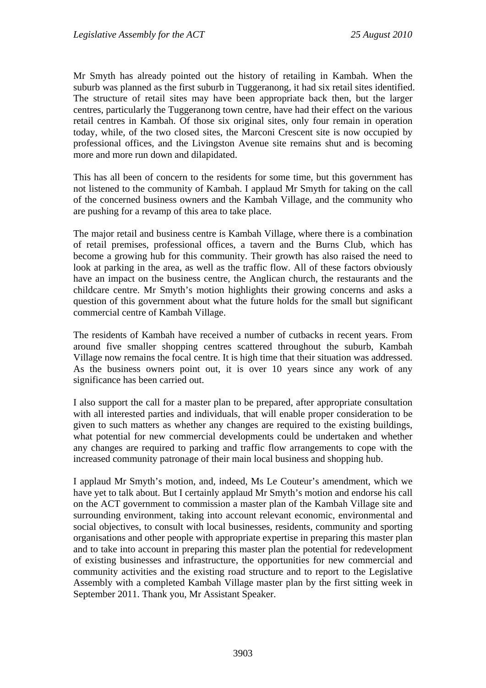Mr Smyth has already pointed out the history of retailing in Kambah. When the suburb was planned as the first suburb in Tuggeranong, it had six retail sites identified. The structure of retail sites may have been appropriate back then, but the larger centres, particularly the Tuggeranong town centre, have had their effect on the various retail centres in Kambah. Of those six original sites, only four remain in operation today, while, of the two closed sites, the Marconi Crescent site is now occupied by professional offices, and the Livingston Avenue site remains shut and is becoming more and more run down and dilapidated.

This has all been of concern to the residents for some time, but this government has not listened to the community of Kambah. I applaud Mr Smyth for taking on the call of the concerned business owners and the Kambah Village, and the community who are pushing for a revamp of this area to take place.

The major retail and business centre is Kambah Village, where there is a combination of retail premises, professional offices, a tavern and the Burns Club, which has become a growing hub for this community. Their growth has also raised the need to look at parking in the area, as well as the traffic flow. All of these factors obviously have an impact on the business centre, the Anglican church, the restaurants and the childcare centre. Mr Smyth's motion highlights their growing concerns and asks a question of this government about what the future holds for the small but significant commercial centre of Kambah Village.

The residents of Kambah have received a number of cutbacks in recent years. From around five smaller shopping centres scattered throughout the suburb, Kambah Village now remains the focal centre. It is high time that their situation was addressed. As the business owners point out, it is over 10 years since any work of any significance has been carried out.

I also support the call for a master plan to be prepared, after appropriate consultation with all interested parties and individuals, that will enable proper consideration to be given to such matters as whether any changes are required to the existing buildings, what potential for new commercial developments could be undertaken and whether any changes are required to parking and traffic flow arrangements to cope with the increased community patronage of their main local business and shopping hub.

I applaud Mr Smyth's motion, and, indeed, Ms Le Couteur's amendment, which we have yet to talk about. But I certainly applaud Mr Smyth's motion and endorse his call on the ACT government to commission a master plan of the Kambah Village site and surrounding environment, taking into account relevant economic, environmental and social objectives, to consult with local businesses, residents, community and sporting organisations and other people with appropriate expertise in preparing this master plan and to take into account in preparing this master plan the potential for redevelopment of existing businesses and infrastructure, the opportunities for new commercial and community activities and the existing road structure and to report to the Legislative Assembly with a completed Kambah Village master plan by the first sitting week in September 2011. Thank you, Mr Assistant Speaker.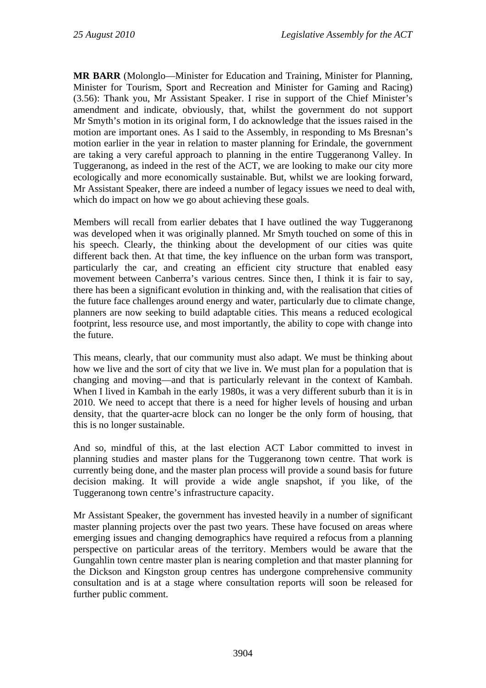**MR BARR** (Molonglo—Minister for Education and Training, Minister for Planning, Minister for Tourism, Sport and Recreation and Minister for Gaming and Racing) (3.56): Thank you, Mr Assistant Speaker. I rise in support of the Chief Minister's amendment and indicate, obviously, that, whilst the government do not support Mr Smyth's motion in its original form, I do acknowledge that the issues raised in the motion are important ones. As I said to the Assembly, in responding to Ms Bresnan's motion earlier in the year in relation to master planning for Erindale, the government are taking a very careful approach to planning in the entire Tuggeranong Valley. In Tuggeranong, as indeed in the rest of the ACT, we are looking to make our city more ecologically and more economically sustainable. But, whilst we are looking forward, Mr Assistant Speaker, there are indeed a number of legacy issues we need to deal with, which do impact on how we go about achieving these goals.

Members will recall from earlier debates that I have outlined the way Tuggeranong was developed when it was originally planned. Mr Smyth touched on some of this in his speech. Clearly, the thinking about the development of our cities was quite different back then. At that time, the key influence on the urban form was transport, particularly the car, and creating an efficient city structure that enabled easy movement between Canberra's various centres. Since then, I think it is fair to say, there has been a significant evolution in thinking and, with the realisation that cities of the future face challenges around energy and water, particularly due to climate change, planners are now seeking to build adaptable cities. This means a reduced ecological footprint, less resource use, and most importantly, the ability to cope with change into the future.

This means, clearly, that our community must also adapt. We must be thinking about how we live and the sort of city that we live in. We must plan for a population that is changing and moving—and that is particularly relevant in the context of Kambah. When I lived in Kambah in the early 1980s, it was a very different suburb than it is in 2010. We need to accept that there is a need for higher levels of housing and urban density, that the quarter-acre block can no longer be the only form of housing, that this is no longer sustainable.

And so, mindful of this, at the last election ACT Labor committed to invest in planning studies and master plans for the Tuggeranong town centre. That work is currently being done, and the master plan process will provide a sound basis for future decision making. It will provide a wide angle snapshot, if you like, of the Tuggeranong town centre's infrastructure capacity.

Mr Assistant Speaker, the government has invested heavily in a number of significant master planning projects over the past two years. These have focused on areas where emerging issues and changing demographics have required a refocus from a planning perspective on particular areas of the territory. Members would be aware that the Gungahlin town centre master plan is nearing completion and that master planning for the Dickson and Kingston group centres has undergone comprehensive community consultation and is at a stage where consultation reports will soon be released for further public comment.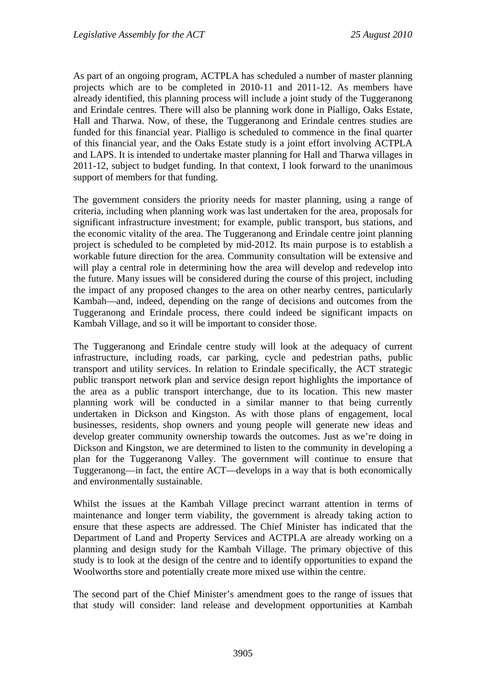As part of an ongoing program, ACTPLA has scheduled a number of master planning projects which are to be completed in 2010-11 and 2011-12. As members have already identified, this planning process will include a joint study of the Tuggeranong and Erindale centres. There will also be planning work done in Pialligo, Oaks Estate, Hall and Tharwa. Now, of these, the Tuggeranong and Erindale centres studies are funded for this financial year. Pialligo is scheduled to commence in the final quarter of this financial year, and the Oaks Estate study is a joint effort involving ACTPLA and LAPS. It is intended to undertake master planning for Hall and Tharwa villages in 2011-12, subject to budget funding. In that context, I look forward to the unanimous support of members for that funding.

The government considers the priority needs for master planning, using a range of criteria, including when planning work was last undertaken for the area, proposals for significant infrastructure investment; for example, public transport, bus stations, and the economic vitality of the area. The Tuggeranong and Erindale centre joint planning project is scheduled to be completed by mid-2012. Its main purpose is to establish a workable future direction for the area. Community consultation will be extensive and will play a central role in determining how the area will develop and redevelop into the future. Many issues will be considered during the course of this project, including the impact of any proposed changes to the area on other nearby centres, particularly Kambah—and, indeed, depending on the range of decisions and outcomes from the Tuggeranong and Erindale process, there could indeed be significant impacts on Kambah Village, and so it will be important to consider those.

The Tuggeranong and Erindale centre study will look at the adequacy of current infrastructure, including roads, car parking, cycle and pedestrian paths, public transport and utility services. In relation to Erindale specifically, the ACT strategic public transport network plan and service design report highlights the importance of the area as a public transport interchange, due to its location. This new master planning work will be conducted in a similar manner to that being currently undertaken in Dickson and Kingston. As with those plans of engagement, local businesses, residents, shop owners and young people will generate new ideas and develop greater community ownership towards the outcomes. Just as we're doing in Dickson and Kingston, we are determined to listen to the community in developing a plan for the Tuggeranong Valley. The government will continue to ensure that Tuggeranong—in fact, the entire ACT—develops in a way that is both economically and environmentally sustainable.

Whilst the issues at the Kambah Village precinct warrant attention in terms of maintenance and longer term viability, the government is already taking action to ensure that these aspects are addressed. The Chief Minister has indicated that the Department of Land and Property Services and ACTPLA are already working on a planning and design study for the Kambah Village. The primary objective of this study is to look at the design of the centre and to identify opportunities to expand the Woolworths store and potentially create more mixed use within the centre.

The second part of the Chief Minister's amendment goes to the range of issues that that study will consider: land release and development opportunities at Kambah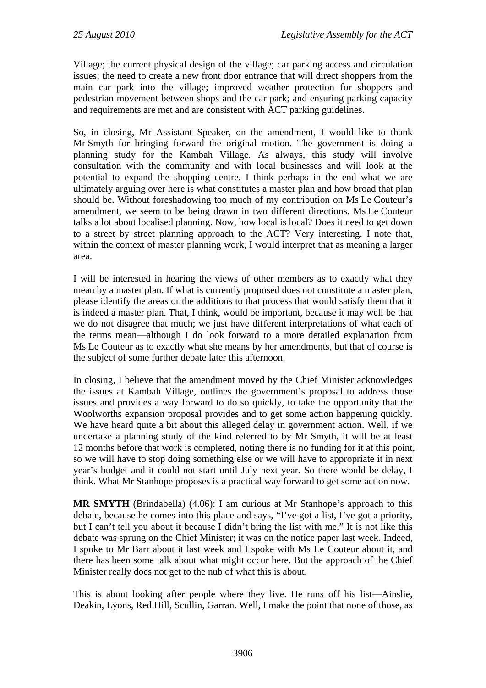Village; the current physical design of the village; car parking access and circulation issues; the need to create a new front door entrance that will direct shoppers from the main car park into the village; improved weather protection for shoppers and pedestrian movement between shops and the car park; and ensuring parking capacity and requirements are met and are consistent with ACT parking guidelines.

So, in closing, Mr Assistant Speaker, on the amendment, I would like to thank Mr Smyth for bringing forward the original motion. The government is doing a planning study for the Kambah Village. As always, this study will involve consultation with the community and with local businesses and will look at the potential to expand the shopping centre. I think perhaps in the end what we are ultimately arguing over here is what constitutes a master plan and how broad that plan should be. Without foreshadowing too much of my contribution on Ms Le Couteur's amendment, we seem to be being drawn in two different directions. Ms Le Couteur talks a lot about localised planning. Now, how local is local? Does it need to get down to a street by street planning approach to the ACT? Very interesting. I note that, within the context of master planning work, I would interpret that as meaning a larger area.

I will be interested in hearing the views of other members as to exactly what they mean by a master plan. If what is currently proposed does not constitute a master plan, please identify the areas or the additions to that process that would satisfy them that it is indeed a master plan. That, I think, would be important, because it may well be that we do not disagree that much; we just have different interpretations of what each of the terms mean—although I do look forward to a more detailed explanation from Ms Le Couteur as to exactly what she means by her amendments, but that of course is the subject of some further debate later this afternoon.

In closing, I believe that the amendment moved by the Chief Minister acknowledges the issues at Kambah Village, outlines the government's proposal to address those issues and provides a way forward to do so quickly, to take the opportunity that the Woolworths expansion proposal provides and to get some action happening quickly. We have heard quite a bit about this alleged delay in government action. Well, if we undertake a planning study of the kind referred to by Mr Smyth, it will be at least 12 months before that work is completed, noting there is no funding for it at this point, so we will have to stop doing something else or we will have to appropriate it in next year's budget and it could not start until July next year. So there would be delay, I think. What Mr Stanhope proposes is a practical way forward to get some action now.

**MR SMYTH** (Brindabella) (4.06): I am curious at Mr Stanhope's approach to this debate, because he comes into this place and says, "I've got a list, I've got a priority, but I can't tell you about it because I didn't bring the list with me." It is not like this debate was sprung on the Chief Minister; it was on the notice paper last week. Indeed, I spoke to Mr Barr about it last week and I spoke with Ms Le Couteur about it, and there has been some talk about what might occur here. But the approach of the Chief Minister really does not get to the nub of what this is about.

This is about looking after people where they live. He runs off his list—Ainslie, Deakin, Lyons, Red Hill, Scullin, Garran. Well, I make the point that none of those, as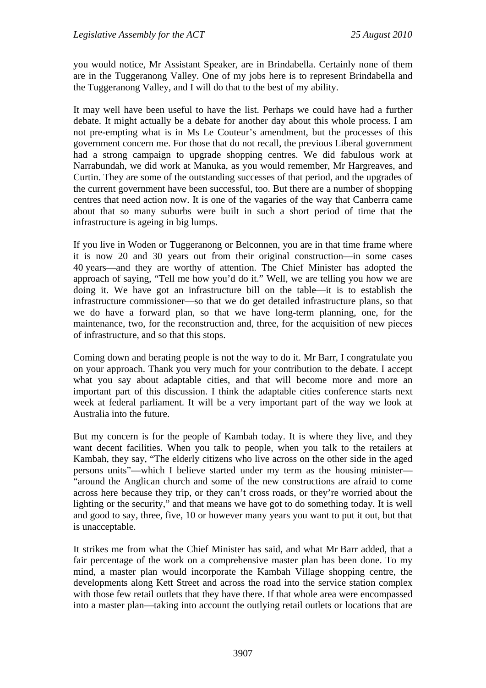you would notice, Mr Assistant Speaker, are in Brindabella. Certainly none of them are in the Tuggeranong Valley. One of my jobs here is to represent Brindabella and the Tuggeranong Valley, and I will do that to the best of my ability.

It may well have been useful to have the list. Perhaps we could have had a further debate. It might actually be a debate for another day about this whole process. I am not pre-empting what is in Ms Le Couteur's amendment, but the processes of this government concern me. For those that do not recall, the previous Liberal government had a strong campaign to upgrade shopping centres. We did fabulous work at Narrabundah, we did work at Manuka, as you would remember, Mr Hargreaves, and Curtin. They are some of the outstanding successes of that period, and the upgrades of the current government have been successful, too. But there are a number of shopping centres that need action now. It is one of the vagaries of the way that Canberra came about that so many suburbs were built in such a short period of time that the infrastructure is ageing in big lumps.

If you live in Woden or Tuggeranong or Belconnen, you are in that time frame where it is now 20 and 30 years out from their original construction—in some cases 40 years—and they are worthy of attention. The Chief Minister has adopted the approach of saying, "Tell me how you'd do it." Well, we are telling you how we are doing it. We have got an infrastructure bill on the table—it is to establish the infrastructure commissioner—so that we do get detailed infrastructure plans, so that we do have a forward plan, so that we have long-term planning, one, for the maintenance, two, for the reconstruction and, three, for the acquisition of new pieces of infrastructure, and so that this stops.

Coming down and berating people is not the way to do it. Mr Barr, I congratulate you on your approach. Thank you very much for your contribution to the debate. I accept what you say about adaptable cities, and that will become more and more an important part of this discussion. I think the adaptable cities conference starts next week at federal parliament. It will be a very important part of the way we look at Australia into the future.

But my concern is for the people of Kambah today. It is where they live, and they want decent facilities. When you talk to people, when you talk to the retailers at Kambah, they say, "The elderly citizens who live across on the other side in the aged persons units"—which I believe started under my term as the housing minister— "around the Anglican church and some of the new constructions are afraid to come across here because they trip, or they can't cross roads, or they're worried about the lighting or the security," and that means we have got to do something today. It is well and good to say, three, five, 10 or however many years you want to put it out, but that is unacceptable.

It strikes me from what the Chief Minister has said, and what Mr Barr added, that a fair percentage of the work on a comprehensive master plan has been done. To my mind, a master plan would incorporate the Kambah Village shopping centre, the developments along Kett Street and across the road into the service station complex with those few retail outlets that they have there. If that whole area were encompassed into a master plan—taking into account the outlying retail outlets or locations that are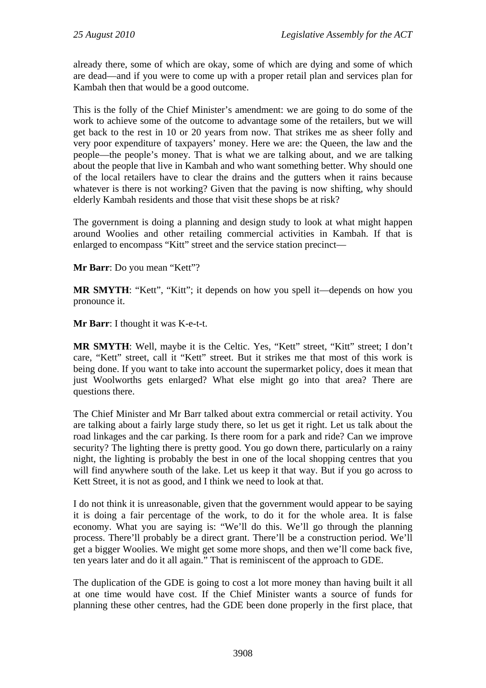already there, some of which are okay, some of which are dying and some of which are dead—and if you were to come up with a proper retail plan and services plan for Kambah then that would be a good outcome.

This is the folly of the Chief Minister's amendment: we are going to do some of the work to achieve some of the outcome to advantage some of the retailers, but we will get back to the rest in 10 or 20 years from now. That strikes me as sheer folly and very poor expenditure of taxpayers' money. Here we are: the Queen, the law and the people—the people's money. That is what we are talking about, and we are talking about the people that live in Kambah and who want something better. Why should one of the local retailers have to clear the drains and the gutters when it rains because whatever is there is not working? Given that the paving is now shifting, why should elderly Kambah residents and those that visit these shops be at risk?

The government is doing a planning and design study to look at what might happen around Woolies and other retailing commercial activities in Kambah. If that is enlarged to encompass "Kitt" street and the service station precinct—

**Mr Barr**: Do you mean "Kett"?

**MR SMYTH**: "Kett", "Kitt"; it depends on how you spell it—depends on how you pronounce it.

**Mr Barr**: I thought it was K-e-t-t.

**MR SMYTH**: Well, maybe it is the Celtic. Yes, "Kett" street, "Kitt" street; I don't care, "Kett" street, call it "Kett" street. But it strikes me that most of this work is being done. If you want to take into account the supermarket policy, does it mean that just Woolworths gets enlarged? What else might go into that area? There are questions there.

The Chief Minister and Mr Barr talked about extra commercial or retail activity. You are talking about a fairly large study there, so let us get it right. Let us talk about the road linkages and the car parking. Is there room for a park and ride? Can we improve security? The lighting there is pretty good. You go down there, particularly on a rainy night, the lighting is probably the best in one of the local shopping centres that you will find anywhere south of the lake. Let us keep it that way. But if you go across to Kett Street, it is not as good, and I think we need to look at that.

I do not think it is unreasonable, given that the government would appear to be saying it is doing a fair percentage of the work, to do it for the whole area. It is false economy. What you are saying is: "We'll do this. We'll go through the planning process. There'll probably be a direct grant. There'll be a construction period. We'll get a bigger Woolies. We might get some more shops, and then we'll come back five, ten years later and do it all again." That is reminiscent of the approach to GDE.

The duplication of the GDE is going to cost a lot more money than having built it all at one time would have cost. If the Chief Minister wants a source of funds for planning these other centres, had the GDE been done properly in the first place, that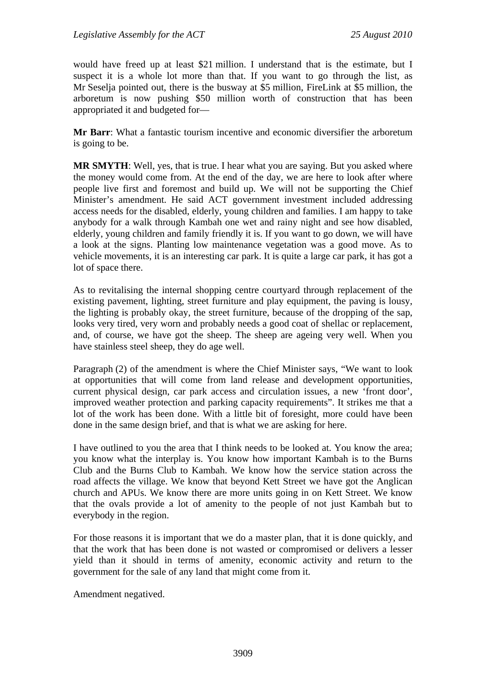would have freed up at least \$21 million. I understand that is the estimate, but I suspect it is a whole lot more than that. If you want to go through the list, as Mr Seselja pointed out, there is the busway at \$5 million, FireLink at \$5 million, the arboretum is now pushing \$50 million worth of construction that has been appropriated it and budgeted for—

**Mr Barr**: What a fantastic tourism incentive and economic diversifier the arboretum is going to be.

**MR SMYTH**: Well, yes, that is true. I hear what you are saying. But you asked where the money would come from. At the end of the day, we are here to look after where people live first and foremost and build up. We will not be supporting the Chief Minister's amendment. He said ACT government investment included addressing access needs for the disabled, elderly, young children and families. I am happy to take anybody for a walk through Kambah one wet and rainy night and see how disabled, elderly, young children and family friendly it is. If you want to go down, we will have a look at the signs. Planting low maintenance vegetation was a good move. As to vehicle movements, it is an interesting car park. It is quite a large car park, it has got a lot of space there.

As to revitalising the internal shopping centre courtyard through replacement of the existing pavement, lighting, street furniture and play equipment, the paving is lousy, the lighting is probably okay, the street furniture, because of the dropping of the sap, looks very tired, very worn and probably needs a good coat of shellac or replacement, and, of course, we have got the sheep. The sheep are ageing very well. When you have stainless steel sheep, they do age well.

Paragraph (2) of the amendment is where the Chief Minister says, "We want to look at opportunities that will come from land release and development opportunities, current physical design, car park access and circulation issues, a new 'front door', improved weather protection and parking capacity requirements". It strikes me that a lot of the work has been done. With a little bit of foresight, more could have been done in the same design brief, and that is what we are asking for here.

I have outlined to you the area that I think needs to be looked at. You know the area; you know what the interplay is. You know how important Kambah is to the Burns Club and the Burns Club to Kambah. We know how the service station across the road affects the village. We know that beyond Kett Street we have got the Anglican church and APUs. We know there are more units going in on Kett Street. We know that the ovals provide a lot of amenity to the people of not just Kambah but to everybody in the region.

For those reasons it is important that we do a master plan, that it is done quickly, and that the work that has been done is not wasted or compromised or delivers a lesser yield than it should in terms of amenity, economic activity and return to the government for the sale of any land that might come from it.

Amendment negatived.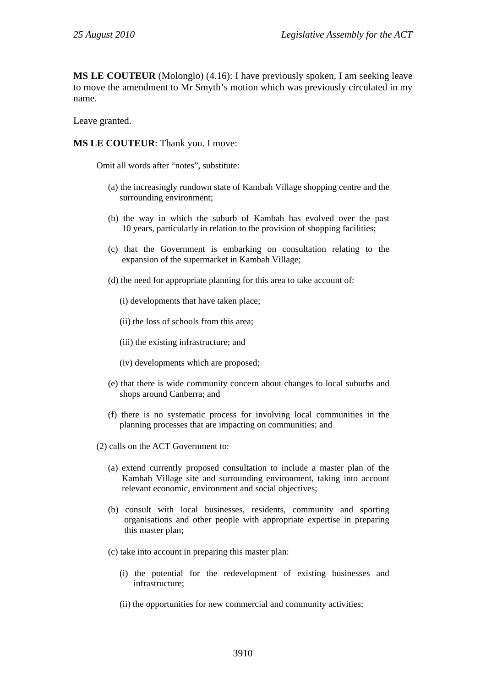**MS LE COUTEUR** (Molonglo) (4.16): I have previously spoken. I am seeking leave to move the amendment to Mr Smyth's motion which was previously circulated in my name.

Leave granted.

**MS LE COUTEUR**: Thank you. I move:

Omit all words after "notes", substitute:

- (a) the increasingly rundown state of Kambah Village shopping centre and the surrounding environment;
- (b) the way in which the suburb of Kambah has evolved over the past 10 years, particularly in relation to the provision of shopping facilities;
- (c) that the Government is embarking on consultation relating to the expansion of the supermarket in Kambah Village;
- (d) the need for appropriate planning for this area to take account of:
	- (i) developments that have taken place;
	- (ii) the loss of schools from this area;
	- (iii) the existing infrastructure; and
	- (iv) developments which are proposed;
- (e) that there is wide community concern about changes to local suburbs and shops around Canberra; and
- (f) there is no systematic process for involving local communities in the planning processes that are impacting on communities; and
- (2) calls on the ACT Government to:
	- (a) extend currently proposed consultation to include a master plan of the Kambah Village site and surrounding environment, taking into account relevant economic, environment and social objectives;
	- (b) consult with local businesses, residents, community and sporting organisations and other people with appropriate expertise in preparing this master plan;
	- (c) take into account in preparing this master plan:
		- (i) the potential for the redevelopment of existing businesses and infrastructure;
		- (ii) the opportunities for new commercial and community activities;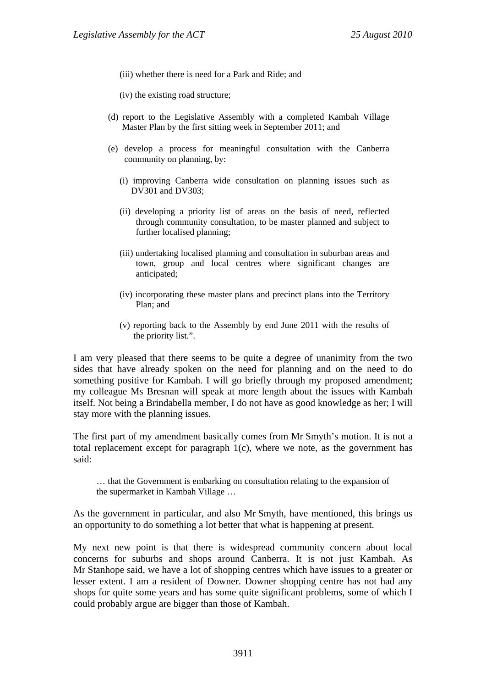(iii) whether there is need for a Park and Ride; and

(iv) the existing road structure;

- (d) report to the Legislative Assembly with a completed Kambah Village Master Plan by the first sitting week in September 2011; and
- (e) develop a process for meaningful consultation with the Canberra community on planning, by:
	- (i) improving Canberra wide consultation on planning issues such as DV301 and DV303;
	- (ii) developing a priority list of areas on the basis of need, reflected through community consultation, to be master planned and subject to further localised planning;
	- (iii) undertaking localised planning and consultation in suburban areas and town, group and local centres where significant changes are anticipated;
	- (iv) incorporating these master plans and precinct plans into the Territory Plan; and
	- (v) reporting back to the Assembly by end June 2011 with the results of the priority list.".

I am very pleased that there seems to be quite a degree of unanimity from the two sides that have already spoken on the need for planning and on the need to do something positive for Kambah. I will go briefly through my proposed amendment; my colleague Ms Bresnan will speak at more length about the issues with Kambah itself. Not being a Brindabella member, I do not have as good knowledge as her; I will stay more with the planning issues.

The first part of my amendment basically comes from Mr Smyth's motion. It is not a total replacement except for paragraph 1(c), where we note, as the government has said:

… that the Government is embarking on consultation relating to the expansion of the supermarket in Kambah Village …

As the government in particular, and also Mr Smyth, have mentioned, this brings us an opportunity to do something a lot better that what is happening at present.

My next new point is that there is widespread community concern about local concerns for suburbs and shops around Canberra. It is not just Kambah. As Mr Stanhope said, we have a lot of shopping centres which have issues to a greater or lesser extent. I am a resident of Downer. Downer shopping centre has not had any shops for quite some years and has some quite significant problems, some of which I could probably argue are bigger than those of Kambah.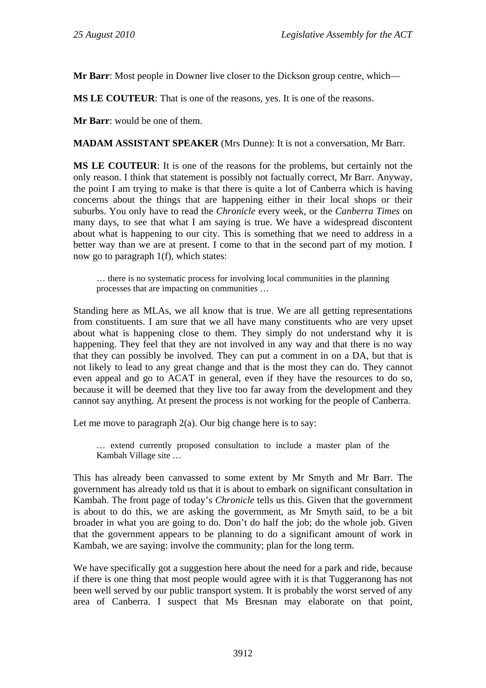**Mr Barr**: Most people in Downer live closer to the Dickson group centre, which—

**MS LE COUTEUR**: That is one of the reasons, yes. It is one of the reasons.

**Mr Barr**: would be one of them.

**MADAM ASSISTANT SPEAKER** (Mrs Dunne): It is not a conversation, Mr Barr.

**MS LE COUTEUR**: It is one of the reasons for the problems, but certainly not the only reason. I think that statement is possibly not factually correct, Mr Barr. Anyway, the point I am trying to make is that there is quite a lot of Canberra which is having concerns about the things that are happening either in their local shops or their suburbs. You only have to read the *Chronicle* every week, or the *Canberra Times* on many days, to see that what I am saying is true. We have a widespread discontent about what is happening to our city. This is something that we need to address in a better way than we are at present. I come to that in the second part of my motion. I now go to paragraph 1(f), which states:

… there is no systematic process for involving local communities in the planning processes that are impacting on communities …

Standing here as MLAs, we all know that is true. We are all getting representations from constituents. I am sure that we all have many constituents who are very upset about what is happening close to them. They simply do not understand why it is happening. They feel that they are not involved in any way and that there is no way that they can possibly be involved. They can put a comment in on a DA, but that is not likely to lead to any great change and that is the most they can do. They cannot even appeal and go to ACAT in general, even if they have the resources to do so, because it will be deemed that they live too far away from the development and they cannot say anything. At present the process is not working for the people of Canberra.

Let me move to paragraph  $2(a)$ . Our big change here is to say:

… extend currently proposed consultation to include a master plan of the Kambah Village site …

This has already been canvassed to some extent by Mr Smyth and Mr Barr. The government has already told us that it is about to embark on significant consultation in Kambah. The front page of today's *Chronicle* tells us this. Given that the government is about to do this, we are asking the government, as Mr Smyth said, to be a bit broader in what you are going to do. Don't do half the job; do the whole job. Given that the government appears to be planning to do a significant amount of work in Kambah, we are saying: involve the community; plan for the long term.

We have specifically got a suggestion here about the need for a park and ride, because if there is one thing that most people would agree with it is that Tuggeranong has not been well served by our public transport system. It is probably the worst served of any area of Canberra. I suspect that Ms Bresnan may elaborate on that point,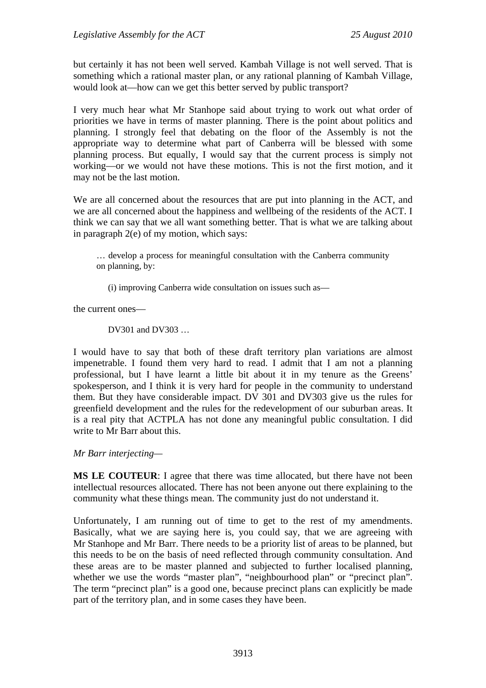but certainly it has not been well served. Kambah Village is not well served. That is something which a rational master plan, or any rational planning of Kambah Village, would look at—how can we get this better served by public transport?

I very much hear what Mr Stanhope said about trying to work out what order of priorities we have in terms of master planning. There is the point about politics and planning. I strongly feel that debating on the floor of the Assembly is not the appropriate way to determine what part of Canberra will be blessed with some planning process. But equally, I would say that the current process is simply not working—or we would not have these motions. This is not the first motion, and it may not be the last motion.

We are all concerned about the resources that are put into planning in the ACT, and we are all concerned about the happiness and wellbeing of the residents of the ACT. I think we can say that we all want something better. That is what we are talking about in paragraph 2(e) of my motion, which says:

… develop a process for meaningful consultation with the Canberra community on planning, by:

(i) improving Canberra wide consultation on issues such as—

the current ones—

DV301 and DV303 …

I would have to say that both of these draft territory plan variations are almost impenetrable. I found them very hard to read. I admit that I am not a planning professional, but I have learnt a little bit about it in my tenure as the Greens' spokesperson, and I think it is very hard for people in the community to understand them. But they have considerable impact. DV 301 and DV303 give us the rules for greenfield development and the rules for the redevelopment of our suburban areas. It is a real pity that ACTPLA has not done any meaningful public consultation. I did write to Mr Barr about this.

### *Mr Barr interjecting—*

**MS LE COUTEUR**: I agree that there was time allocated, but there have not been intellectual resources allocated. There has not been anyone out there explaining to the community what these things mean. The community just do not understand it.

Unfortunately, I am running out of time to get to the rest of my amendments. Basically, what we are saying here is, you could say, that we are agreeing with Mr Stanhope and Mr Barr. There needs to be a priority list of areas to be planned, but this needs to be on the basis of need reflected through community consultation. And these areas are to be master planned and subjected to further localised planning, whether we use the words "master plan", "neighbourhood plan" or "precinct plan". The term "precinct plan" is a good one, because precinct plans can explicitly be made part of the territory plan, and in some cases they have been.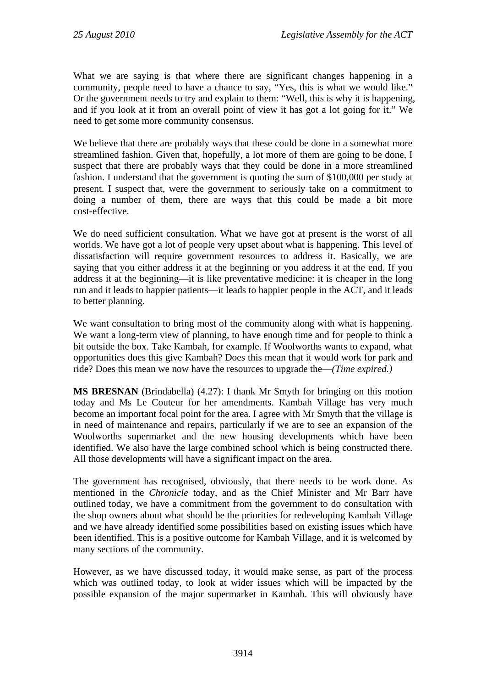What we are saying is that where there are significant changes happening in a community, people need to have a chance to say, "Yes, this is what we would like." Or the government needs to try and explain to them: "Well, this is why it is happening, and if you look at it from an overall point of view it has got a lot going for it." We need to get some more community consensus.

We believe that there are probably ways that these could be done in a somewhat more streamlined fashion. Given that, hopefully, a lot more of them are going to be done, I suspect that there are probably ways that they could be done in a more streamlined fashion. I understand that the government is quoting the sum of \$100,000 per study at present. I suspect that, were the government to seriously take on a commitment to doing a number of them, there are ways that this could be made a bit more cost-effective.

We do need sufficient consultation. What we have got at present is the worst of all worlds. We have got a lot of people very upset about what is happening. This level of dissatisfaction will require government resources to address it. Basically, we are saying that you either address it at the beginning or you address it at the end. If you address it at the beginning—it is like preventative medicine: it is cheaper in the long run and it leads to happier patients—it leads to happier people in the ACT, and it leads to better planning.

We want consultation to bring most of the community along with what is happening. We want a long-term view of planning, to have enough time and for people to think a bit outside the box. Take Kambah, for example. If Woolworths wants to expand, what opportunities does this give Kambah? Does this mean that it would work for park and ride? Does this mean we now have the resources to upgrade the—*(Time expired.)* 

**MS BRESNAN** (Brindabella) (4.27): I thank Mr Smyth for bringing on this motion today and Ms Le Couteur for her amendments. Kambah Village has very much become an important focal point for the area. I agree with Mr Smyth that the village is in need of maintenance and repairs, particularly if we are to see an expansion of the Woolworths supermarket and the new housing developments which have been identified. We also have the large combined school which is being constructed there. All those developments will have a significant impact on the area.

The government has recognised, obviously, that there needs to be work done. As mentioned in the *Chronicle* today, and as the Chief Minister and Mr Barr have outlined today, we have a commitment from the government to do consultation with the shop owners about what should be the priorities for redeveloping Kambah Village and we have already identified some possibilities based on existing issues which have been identified. This is a positive outcome for Kambah Village, and it is welcomed by many sections of the community.

However, as we have discussed today, it would make sense, as part of the process which was outlined today, to look at wider issues which will be impacted by the possible expansion of the major supermarket in Kambah. This will obviously have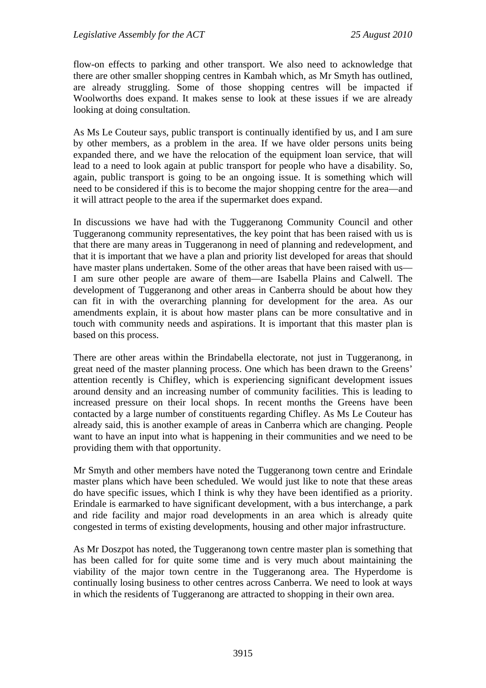flow-on effects to parking and other transport. We also need to acknowledge that there are other smaller shopping centres in Kambah which, as Mr Smyth has outlined, are already struggling. Some of those shopping centres will be impacted if Woolworths does expand. It makes sense to look at these issues if we are already looking at doing consultation.

As Ms Le Couteur says, public transport is continually identified by us, and I am sure by other members, as a problem in the area. If we have older persons units being expanded there, and we have the relocation of the equipment loan service, that will lead to a need to look again at public transport for people who have a disability. So, again, public transport is going to be an ongoing issue. It is something which will need to be considered if this is to become the major shopping centre for the area—and it will attract people to the area if the supermarket does expand.

In discussions we have had with the Tuggeranong Community Council and other Tuggeranong community representatives, the key point that has been raised with us is that there are many areas in Tuggeranong in need of planning and redevelopment, and that it is important that we have a plan and priority list developed for areas that should have master plans undertaken. Some of the other areas that have been raised with us— I am sure other people are aware of them—are Isabella Plains and Calwell. The development of Tuggeranong and other areas in Canberra should be about how they can fit in with the overarching planning for development for the area. As our amendments explain, it is about how master plans can be more consultative and in touch with community needs and aspirations. It is important that this master plan is based on this process.

There are other areas within the Brindabella electorate, not just in Tuggeranong, in great need of the master planning process. One which has been drawn to the Greens' attention recently is Chifley, which is experiencing significant development issues around density and an increasing number of community facilities. This is leading to increased pressure on their local shops. In recent months the Greens have been contacted by a large number of constituents regarding Chifley. As Ms Le Couteur has already said, this is another example of areas in Canberra which are changing. People want to have an input into what is happening in their communities and we need to be providing them with that opportunity.

Mr Smyth and other members have noted the Tuggeranong town centre and Erindale master plans which have been scheduled. We would just like to note that these areas do have specific issues, which I think is why they have been identified as a priority. Erindale is earmarked to have significant development, with a bus interchange, a park and ride facility and major road developments in an area which is already quite congested in terms of existing developments, housing and other major infrastructure.

As Mr Doszpot has noted, the Tuggeranong town centre master plan is something that has been called for for quite some time and is very much about maintaining the viability of the major town centre in the Tuggeranong area. The Hyperdome is continually losing business to other centres across Canberra. We need to look at ways in which the residents of Tuggeranong are attracted to shopping in their own area.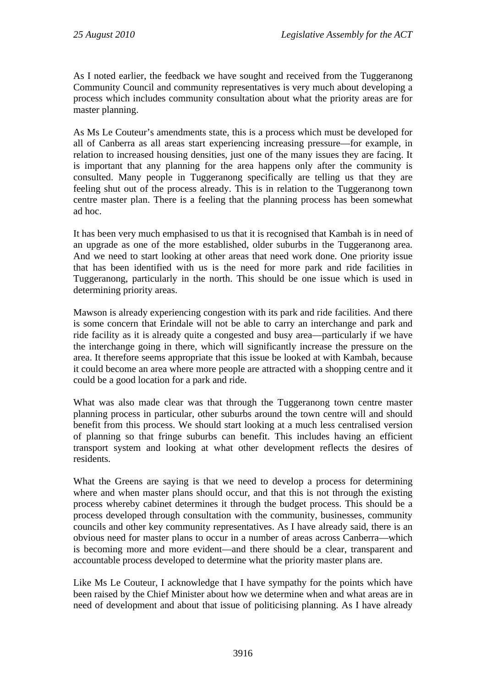As I noted earlier, the feedback we have sought and received from the Tuggeranong Community Council and community representatives is very much about developing a process which includes community consultation about what the priority areas are for master planning.

As Ms Le Couteur's amendments state, this is a process which must be developed for all of Canberra as all areas start experiencing increasing pressure—for example, in relation to increased housing densities, just one of the many issues they are facing. It is important that any planning for the area happens only after the community is consulted. Many people in Tuggeranong specifically are telling us that they are feeling shut out of the process already. This is in relation to the Tuggeranong town centre master plan. There is a feeling that the planning process has been somewhat ad hoc.

It has been very much emphasised to us that it is recognised that Kambah is in need of an upgrade as one of the more established, older suburbs in the Tuggeranong area. And we need to start looking at other areas that need work done. One priority issue that has been identified with us is the need for more park and ride facilities in Tuggeranong, particularly in the north. This should be one issue which is used in determining priority areas.

Mawson is already experiencing congestion with its park and ride facilities. And there is some concern that Erindale will not be able to carry an interchange and park and ride facility as it is already quite a congested and busy area—particularly if we have the interchange going in there, which will significantly increase the pressure on the area. It therefore seems appropriate that this issue be looked at with Kambah, because it could become an area where more people are attracted with a shopping centre and it could be a good location for a park and ride.

What was also made clear was that through the Tuggeranong town centre master planning process in particular, other suburbs around the town centre will and should benefit from this process. We should start looking at a much less centralised version of planning so that fringe suburbs can benefit. This includes having an efficient transport system and looking at what other development reflects the desires of residents.

What the Greens are saying is that we need to develop a process for determining where and when master plans should occur, and that this is not through the existing process whereby cabinet determines it through the budget process. This should be a process developed through consultation with the community, businesses, community councils and other key community representatives. As I have already said, there is an obvious need for master plans to occur in a number of areas across Canberra—which is becoming more and more evident—and there should be a clear, transparent and accountable process developed to determine what the priority master plans are.

Like Ms Le Couteur, I acknowledge that I have sympathy for the points which have been raised by the Chief Minister about how we determine when and what areas are in need of development and about that issue of politicising planning. As I have already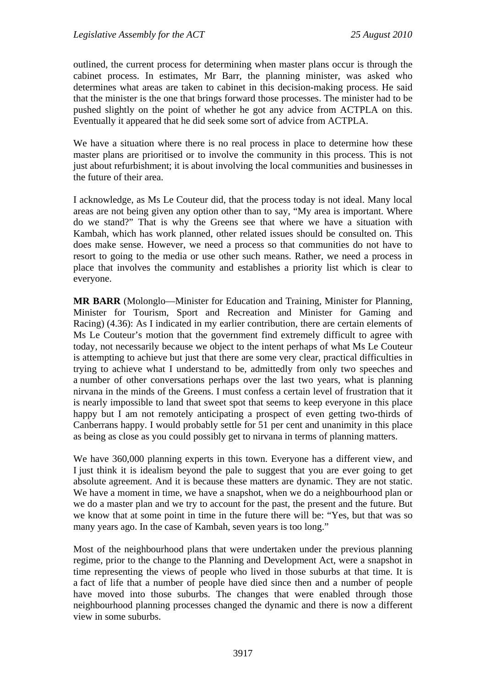outlined, the current process for determining when master plans occur is through the cabinet process. In estimates, Mr Barr, the planning minister, was asked who determines what areas are taken to cabinet in this decision-making process. He said that the minister is the one that brings forward those processes. The minister had to be pushed slightly on the point of whether he got any advice from ACTPLA on this. Eventually it appeared that he did seek some sort of advice from ACTPLA.

We have a situation where there is no real process in place to determine how these master plans are prioritised or to involve the community in this process. This is not just about refurbishment; it is about involving the local communities and businesses in the future of their area.

I acknowledge, as Ms Le Couteur did, that the process today is not ideal. Many local areas are not being given any option other than to say, "My area is important. Where do we stand?" That is why the Greens see that where we have a situation with Kambah, which has work planned, other related issues should be consulted on. This does make sense. However, we need a process so that communities do not have to resort to going to the media or use other such means. Rather, we need a process in place that involves the community and establishes a priority list which is clear to everyone.

**MR BARR** (Molonglo—Minister for Education and Training, Minister for Planning, Minister for Tourism, Sport and Recreation and Minister for Gaming and Racing) (4.36): As I indicated in my earlier contribution, there are certain elements of Ms Le Couteur's motion that the government find extremely difficult to agree with today, not necessarily because we object to the intent perhaps of what Ms Le Couteur is attempting to achieve but just that there are some very clear, practical difficulties in trying to achieve what I understand to be, admittedly from only two speeches and a number of other conversations perhaps over the last two years, what is planning nirvana in the minds of the Greens. I must confess a certain level of frustration that it is nearly impossible to land that sweet spot that seems to keep everyone in this place happy but I am not remotely anticipating a prospect of even getting two-thirds of Canberrans happy. I would probably settle for 51 per cent and unanimity in this place as being as close as you could possibly get to nirvana in terms of planning matters.

We have 360,000 planning experts in this town. Everyone has a different view, and I just think it is idealism beyond the pale to suggest that you are ever going to get absolute agreement. And it is because these matters are dynamic. They are not static. We have a moment in time, we have a snapshot, when we do a neighbourhood plan or we do a master plan and we try to account for the past, the present and the future. But we know that at some point in time in the future there will be: "Yes, but that was so many years ago. In the case of Kambah, seven years is too long."

Most of the neighbourhood plans that were undertaken under the previous planning regime, prior to the change to the Planning and Development Act, were a snapshot in time representing the views of people who lived in those suburbs at that time. It is a fact of life that a number of people have died since then and a number of people have moved into those suburbs. The changes that were enabled through those neighbourhood planning processes changed the dynamic and there is now a different view in some suburbs.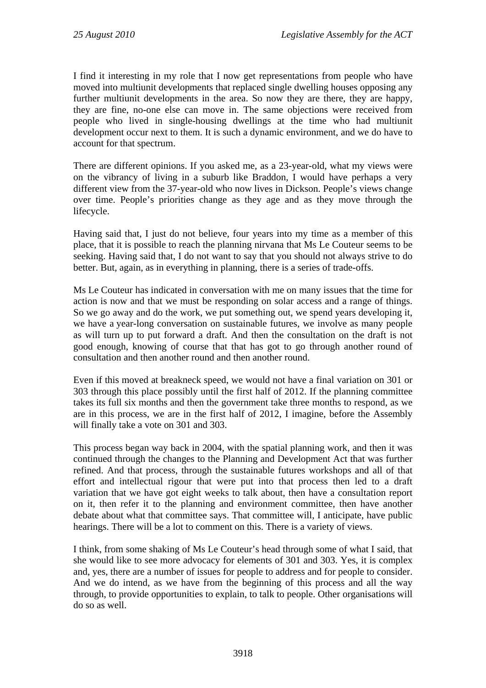I find it interesting in my role that I now get representations from people who have moved into multiunit developments that replaced single dwelling houses opposing any further multiunit developments in the area. So now they are there, they are happy, they are fine, no-one else can move in. The same objections were received from people who lived in single-housing dwellings at the time who had multiunit development occur next to them. It is such a dynamic environment, and we do have to account for that spectrum.

There are different opinions. If you asked me, as a 23-year-old, what my views were on the vibrancy of living in a suburb like Braddon, I would have perhaps a very different view from the 37-year-old who now lives in Dickson. People's views change over time. People's priorities change as they age and as they move through the lifecycle.

Having said that, I just do not believe, four years into my time as a member of this place, that it is possible to reach the planning nirvana that Ms Le Couteur seems to be seeking. Having said that, I do not want to say that you should not always strive to do better. But, again, as in everything in planning, there is a series of trade-offs.

Ms Le Couteur has indicated in conversation with me on many issues that the time for action is now and that we must be responding on solar access and a range of things. So we go away and do the work, we put something out, we spend years developing it, we have a year-long conversation on sustainable futures, we involve as many people as will turn up to put forward a draft. And then the consultation on the draft is not good enough, knowing of course that that has got to go through another round of consultation and then another round and then another round.

Even if this moved at breakneck speed, we would not have a final variation on 301 or 303 through this place possibly until the first half of 2012. If the planning committee takes its full six months and then the government take three months to respond, as we are in this process, we are in the first half of 2012, I imagine, before the Assembly will finally take a vote on 301 and 303.

This process began way back in 2004, with the spatial planning work, and then it was continued through the changes to the Planning and Development Act that was further refined. And that process, through the sustainable futures workshops and all of that effort and intellectual rigour that were put into that process then led to a draft variation that we have got eight weeks to talk about, then have a consultation report on it, then refer it to the planning and environment committee, then have another debate about what that committee says. That committee will, I anticipate, have public hearings. There will be a lot to comment on this. There is a variety of views.

I think, from some shaking of Ms Le Couteur's head through some of what I said, that she would like to see more advocacy for elements of 301 and 303. Yes, it is complex and, yes, there are a number of issues for people to address and for people to consider. And we do intend, as we have from the beginning of this process and all the way through, to provide opportunities to explain, to talk to people. Other organisations will do so as well.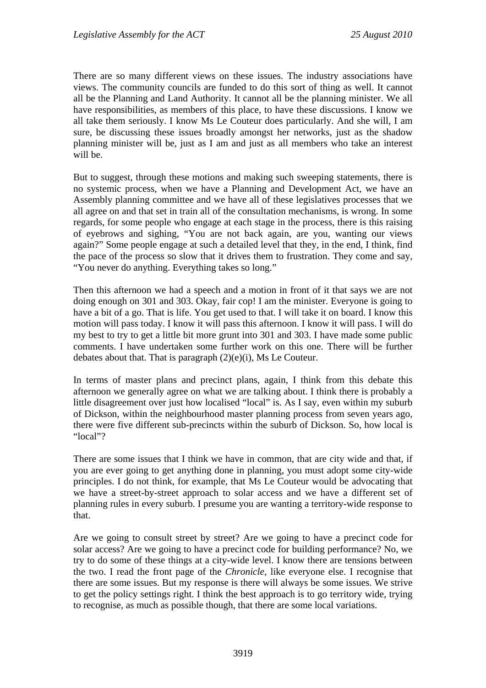There are so many different views on these issues. The industry associations have views. The community councils are funded to do this sort of thing as well. It cannot all be the Planning and Land Authority. It cannot all be the planning minister. We all have responsibilities, as members of this place, to have these discussions. I know we all take them seriously. I know Ms Le Couteur does particularly. And she will, I am sure, be discussing these issues broadly amongst her networks, just as the shadow planning minister will be, just as I am and just as all members who take an interest will be.

But to suggest, through these motions and making such sweeping statements, there is no systemic process, when we have a Planning and Development Act, we have an Assembly planning committee and we have all of these legislatives processes that we all agree on and that set in train all of the consultation mechanisms, is wrong. In some regards, for some people who engage at each stage in the process, there is this raising of eyebrows and sighing, "You are not back again, are you, wanting our views again?" Some people engage at such a detailed level that they, in the end, I think, find the pace of the process so slow that it drives them to frustration. They come and say, "You never do anything. Everything takes so long."

Then this afternoon we had a speech and a motion in front of it that says we are not doing enough on 301 and 303. Okay, fair cop! I am the minister. Everyone is going to have a bit of a go. That is life. You get used to that. I will take it on board. I know this motion will pass today. I know it will pass this afternoon. I know it will pass. I will do my best to try to get a little bit more grunt into 301 and 303. I have made some public comments. I have undertaken some further work on this one. There will be further debates about that. That is paragraph (2)(e)(i), Ms Le Couteur.

In terms of master plans and precinct plans, again, I think from this debate this afternoon we generally agree on what we are talking about. I think there is probably a little disagreement over just how localised "local" is. As I say, even within my suburb of Dickson, within the neighbourhood master planning process from seven years ago, there were five different sub-precincts within the suburb of Dickson. So, how local is "local"?

There are some issues that I think we have in common, that are city wide and that, if you are ever going to get anything done in planning, you must adopt some city-wide principles. I do not think, for example, that Ms Le Couteur would be advocating that we have a street-by-street approach to solar access and we have a different set of planning rules in every suburb. I presume you are wanting a territory-wide response to that.

Are we going to consult street by street? Are we going to have a precinct code for solar access? Are we going to have a precinct code for building performance? No, we try to do some of these things at a city-wide level. I know there are tensions between the two. I read the front page of the *Chronicle*, like everyone else. I recognise that there are some issues. But my response is there will always be some issues. We strive to get the policy settings right. I think the best approach is to go territory wide, trying to recognise, as much as possible though, that there are some local variations.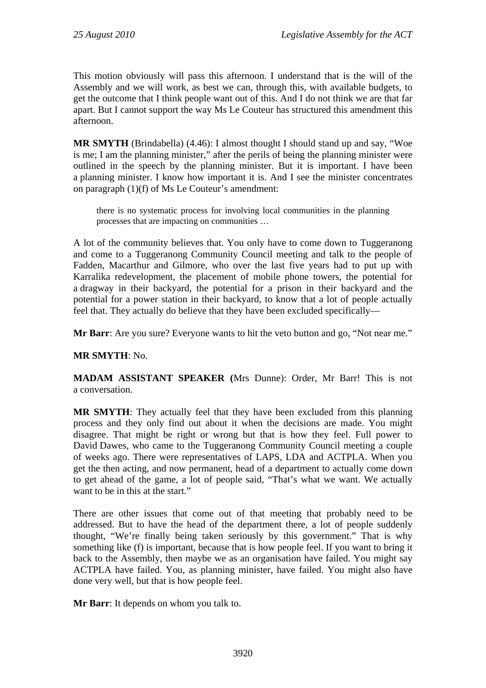This motion obviously will pass this afternoon. I understand that is the will of the Assembly and we will work, as best we can, through this, with available budgets, to get the outcome that I think people want out of this. And I do not think we are that far apart. But I cannot support the way Ms Le Couteur has structured this amendment this afternoon.

**MR SMYTH** (Brindabella) (4.46): I almost thought I should stand up and say, "Woe is me; I am the planning minister," after the perils of being the planning minister were outlined in the speech by the planning minister. But it is important. I have been a planning minister. I know how important it is. And I see the minister concentrates on paragraph (1)(f) of Ms Le Couteur's amendment:

there is no systematic process for involving local communities in the planning processes that are impacting on communities …

A lot of the community believes that. You only have to come down to Tuggeranong and come to a Tuggeranong Community Council meeting and talk to the people of Fadden, Macarthur and Gilmore, who over the last five years had to put up with Karralika redevelopment, the placement of mobile phone towers, the potential for a dragway in their backyard, the potential for a prison in their backyard and the potential for a power station in their backyard, to know that a lot of people actually feel that. They actually do believe that they have been excluded specifically—

**Mr Barr**: Are you sure? Everyone wants to hit the veto button and go, "Not near me."

# **MR SMYTH**: No.

**MADAM ASSISTANT SPEAKER (**Mrs Dunne): Order, Mr Barr! This is not a conversation.

**MR SMYTH**: They actually feel that they have been excluded from this planning process and they only find out about it when the decisions are made. You might disagree. That might be right or wrong but that is how they feel. Full power to David Dawes, who came to the Tuggeranong Community Council meeting a couple of weeks ago. There were representatives of LAPS, LDA and ACTPLA. When you get the then acting, and now permanent, head of a department to actually come down to get ahead of the game, a lot of people said, "That's what we want. We actually want to be in this at the start."

There are other issues that come out of that meeting that probably need to be addressed. But to have the head of the department there, a lot of people suddenly thought, "We're finally being taken seriously by this government." That is why something like (f) is important, because that is how people feel. If you want to bring it back to the Assembly, then maybe we as an organisation have failed. You might say ACTPLA have failed. You, as planning minister, have failed. You might also have done very well, but that is how people feel.

**Mr Barr**: It depends on whom you talk to.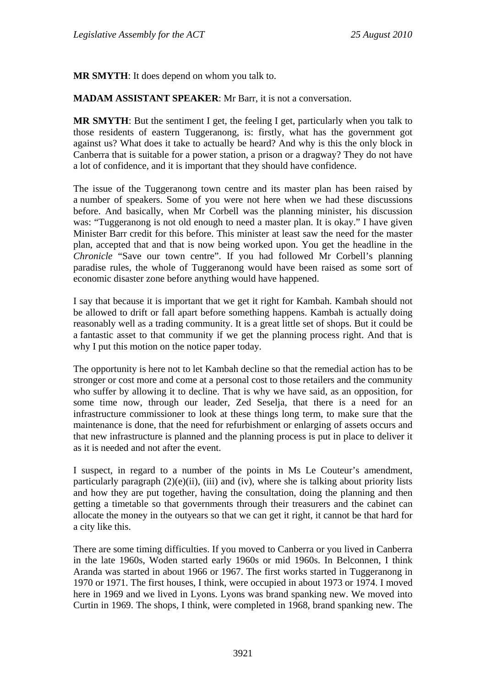**MR SMYTH**: It does depend on whom you talk to.

**MADAM ASSISTANT SPEAKER**: Mr Barr, it is not a conversation.

**MR SMYTH:** But the sentiment I get, the feeling I get, particularly when you talk to those residents of eastern Tuggeranong, is: firstly, what has the government got against us? What does it take to actually be heard? And why is this the only block in Canberra that is suitable for a power station, a prison or a dragway? They do not have a lot of confidence, and it is important that they should have confidence.

The issue of the Tuggeranong town centre and its master plan has been raised by a number of speakers. Some of you were not here when we had these discussions before. And basically, when Mr Corbell was the planning minister, his discussion was: "Tuggeranong is not old enough to need a master plan. It is okay." I have given Minister Barr credit for this before. This minister at least saw the need for the master plan, accepted that and that is now being worked upon. You get the headline in the *Chronicle* "Save our town centre". If you had followed Mr Corbell's planning paradise rules, the whole of Tuggeranong would have been raised as some sort of economic disaster zone before anything would have happened.

I say that because it is important that we get it right for Kambah. Kambah should not be allowed to drift or fall apart before something happens. Kambah is actually doing reasonably well as a trading community. It is a great little set of shops. But it could be a fantastic asset to that community if we get the planning process right. And that is why I put this motion on the notice paper today.

The opportunity is here not to let Kambah decline so that the remedial action has to be stronger or cost more and come at a personal cost to those retailers and the community who suffer by allowing it to decline. That is why we have said, as an opposition, for some time now, through our leader, Zed Seselja, that there is a need for an infrastructure commissioner to look at these things long term, to make sure that the maintenance is done, that the need for refurbishment or enlarging of assets occurs and that new infrastructure is planned and the planning process is put in place to deliver it as it is needed and not after the event.

I suspect, in regard to a number of the points in Ms Le Couteur's amendment, particularly paragraph  $(2)(e)(ii)$ ,  $(iii)$  and  $(iv)$ , where she is talking about priority lists and how they are put together, having the consultation, doing the planning and then getting a timetable so that governments through their treasurers and the cabinet can allocate the money in the outyears so that we can get it right, it cannot be that hard for a city like this.

There are some timing difficulties. If you moved to Canberra or you lived in Canberra in the late 1960s, Woden started early 1960s or mid 1960s. In Belconnen, I think Aranda was started in about 1966 or 1967. The first works started in Tuggeranong in 1970 or 1971. The first houses, I think, were occupied in about 1973 or 1974. I moved here in 1969 and we lived in Lyons. Lyons was brand spanking new. We moved into Curtin in 1969. The shops, I think, were completed in 1968, brand spanking new. The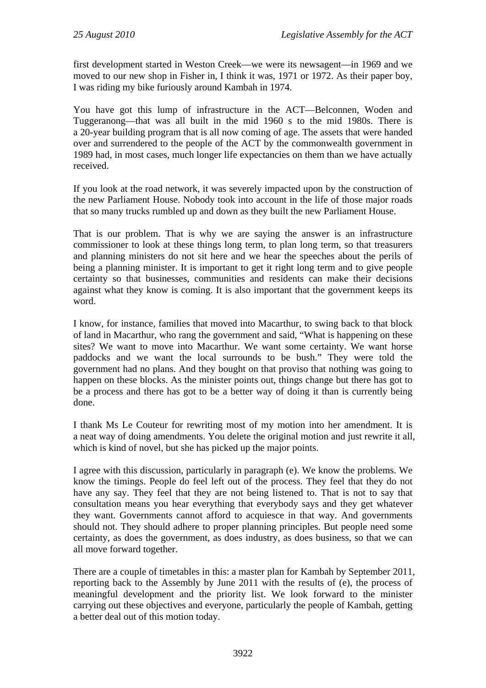first development started in Weston Creek—we were its newsagent—in 1969 and we moved to our new shop in Fisher in, I think it was, 1971 or 1972. As their paper boy, I was riding my bike furiously around Kambah in 1974.

You have got this lump of infrastructure in the ACT—Belconnen, Woden and Tuggeranong—that was all built in the mid 1960 s to the mid 1980s. There is a 20-year building program that is all now coming of age. The assets that were handed over and surrendered to the people of the ACT by the commonwealth government in 1989 had, in most cases, much longer life expectancies on them than we have actually received.

If you look at the road network, it was severely impacted upon by the construction of the new Parliament House. Nobody took into account in the life of those major roads that so many trucks rumbled up and down as they built the new Parliament House.

That is our problem. That is why we are saying the answer is an infrastructure commissioner to look at these things long term, to plan long term, so that treasurers and planning ministers do not sit here and we hear the speeches about the perils of being a planning minister. It is important to get it right long term and to give people certainty so that businesses, communities and residents can make their decisions against what they know is coming. It is also important that the government keeps its word.

I know, for instance, families that moved into Macarthur, to swing back to that block of land in Macarthur, who rang the government and said, "What is happening on these sites? We want to move into Macarthur. We want some certainty. We want horse paddocks and we want the local surrounds to be bush." They were told the government had no plans. And they bought on that proviso that nothing was going to happen on these blocks. As the minister points out, things change but there has got to be a process and there has got to be a better way of doing it than is currently being done.

I thank Ms Le Couteur for rewriting most of my motion into her amendment. It is a neat way of doing amendments. You delete the original motion and just rewrite it all, which is kind of novel, but she has picked up the major points.

I agree with this discussion, particularly in paragraph (e). We know the problems. We know the timings. People do feel left out of the process. They feel that they do not have any say. They feel that they are not being listened to. That is not to say that consultation means you hear everything that everybody says and they get whatever they want. Governments cannot afford to acquiesce in that way. And governments should not. They should adhere to proper planning principles. But people need some certainty, as does the government, as does industry, as does business, so that we can all move forward together.

There are a couple of timetables in this: a master plan for Kambah by September 2011, reporting back to the Assembly by June 2011 with the results of (e), the process of meaningful development and the priority list. We look forward to the minister carrying out these objectives and everyone, particularly the people of Kambah, getting a better deal out of this motion today.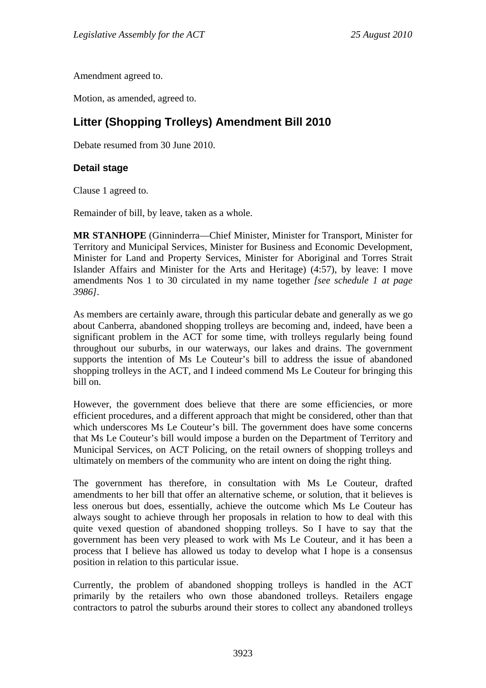Amendment agreed to.

Motion, as amended, agreed to.

# **Litter (Shopping Trolleys) Amendment Bill 2010**

Debate resumed from 30 June 2010.

## **Detail stage**

Clause 1 agreed to.

Remainder of bill, by leave, taken as a whole.

**MR STANHOPE** (Ginninderra—Chief Minister, Minister for Transport, Minister for Territory and Municipal Services, Minister for Business and Economic Development, Minister for Land and Property Services, Minister for Aboriginal and Torres Strait Islander Affairs and Minister for the Arts and Heritage) (4:57), by leave: I move amendments Nos 1 to 30 circulated in my name together *[see schedule 1 at page 3986]*.

As members are certainly aware, through this particular debate and generally as we go about Canberra, abandoned shopping trolleys are becoming and, indeed, have been a significant problem in the ACT for some time, with trolleys regularly being found throughout our suburbs, in our waterways, our lakes and drains. The government supports the intention of Ms Le Couteur's bill to address the issue of abandoned shopping trolleys in the ACT, and I indeed commend Ms Le Couteur for bringing this bill on.

However, the government does believe that there are some efficiencies, or more efficient procedures, and a different approach that might be considered, other than that which underscores Ms Le Couteur's bill. The government does have some concerns that Ms Le Couteur's bill would impose a burden on the Department of Territory and Municipal Services, on ACT Policing, on the retail owners of shopping trolleys and ultimately on members of the community who are intent on doing the right thing.

The government has therefore, in consultation with Ms Le Couteur, drafted amendments to her bill that offer an alternative scheme, or solution, that it believes is less onerous but does, essentially, achieve the outcome which Ms Le Couteur has always sought to achieve through her proposals in relation to how to deal with this quite vexed question of abandoned shopping trolleys. So I have to say that the government has been very pleased to work with Ms Le Couteur, and it has been a process that I believe has allowed us today to develop what I hope is a consensus position in relation to this particular issue.

Currently, the problem of abandoned shopping trolleys is handled in the ACT primarily by the retailers who own those abandoned trolleys. Retailers engage contractors to patrol the suburbs around their stores to collect any abandoned trolleys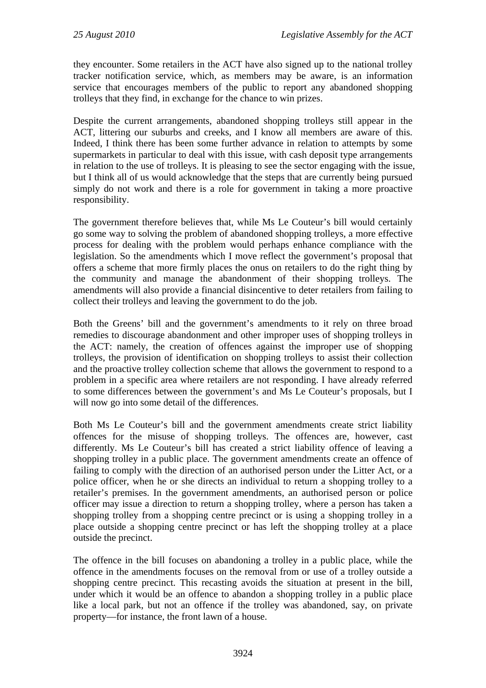they encounter. Some retailers in the ACT have also signed up to the national trolley tracker notification service, which, as members may be aware, is an information service that encourages members of the public to report any abandoned shopping trolleys that they find, in exchange for the chance to win prizes.

Despite the current arrangements, abandoned shopping trolleys still appear in the ACT, littering our suburbs and creeks, and I know all members are aware of this. Indeed, I think there has been some further advance in relation to attempts by some supermarkets in particular to deal with this issue, with cash deposit type arrangements in relation to the use of trolleys. It is pleasing to see the sector engaging with the issue, but I think all of us would acknowledge that the steps that are currently being pursued simply do not work and there is a role for government in taking a more proactive responsibility.

The government therefore believes that, while Ms Le Couteur's bill would certainly go some way to solving the problem of abandoned shopping trolleys, a more effective process for dealing with the problem would perhaps enhance compliance with the legislation. So the amendments which I move reflect the government's proposal that offers a scheme that more firmly places the onus on retailers to do the right thing by the community and manage the abandonment of their shopping trolleys. The amendments will also provide a financial disincentive to deter retailers from failing to collect their trolleys and leaving the government to do the job.

Both the Greens' bill and the government's amendments to it rely on three broad remedies to discourage abandonment and other improper uses of shopping trolleys in the ACT: namely, the creation of offences against the improper use of shopping trolleys, the provision of identification on shopping trolleys to assist their collection and the proactive trolley collection scheme that allows the government to respond to a problem in a specific area where retailers are not responding. I have already referred to some differences between the government's and Ms Le Couteur's proposals, but I will now go into some detail of the differences.

Both Ms Le Couteur's bill and the government amendments create strict liability offences for the misuse of shopping trolleys. The offences are, however, cast differently. Ms Le Couteur's bill has created a strict liability offence of leaving a shopping trolley in a public place. The government amendments create an offence of failing to comply with the direction of an authorised person under the Litter Act, or a police officer, when he or she directs an individual to return a shopping trolley to a retailer's premises. In the government amendments, an authorised person or police officer may issue a direction to return a shopping trolley, where a person has taken a shopping trolley from a shopping centre precinct or is using a shopping trolley in a place outside a shopping centre precinct or has left the shopping trolley at a place outside the precinct.

The offence in the bill focuses on abandoning a trolley in a public place, while the offence in the amendments focuses on the removal from or use of a trolley outside a shopping centre precinct. This recasting avoids the situation at present in the bill, under which it would be an offence to abandon a shopping trolley in a public place like a local park, but not an offence if the trolley was abandoned, say, on private property—for instance, the front lawn of a house.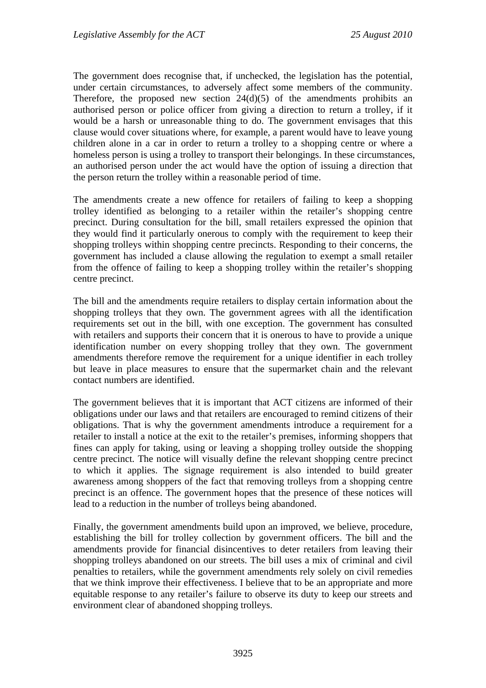The government does recognise that, if unchecked, the legislation has the potential, under certain circumstances, to adversely affect some members of the community. Therefore, the proposed new section  $24(d)(5)$  of the amendments prohibits an authorised person or police officer from giving a direction to return a trolley, if it would be a harsh or unreasonable thing to do. The government envisages that this clause would cover situations where, for example, a parent would have to leave young children alone in a car in order to return a trolley to a shopping centre or where a homeless person is using a trolley to transport their belongings. In these circumstances, an authorised person under the act would have the option of issuing a direction that the person return the trolley within a reasonable period of time.

The amendments create a new offence for retailers of failing to keep a shopping trolley identified as belonging to a retailer within the retailer's shopping centre precinct. During consultation for the bill, small retailers expressed the opinion that they would find it particularly onerous to comply with the requirement to keep their shopping trolleys within shopping centre precincts. Responding to their concerns, the government has included a clause allowing the regulation to exempt a small retailer from the offence of failing to keep a shopping trolley within the retailer's shopping centre precinct.

The bill and the amendments require retailers to display certain information about the shopping trolleys that they own. The government agrees with all the identification requirements set out in the bill, with one exception. The government has consulted with retailers and supports their concern that it is onerous to have to provide a unique identification number on every shopping trolley that they own. The government amendments therefore remove the requirement for a unique identifier in each trolley but leave in place measures to ensure that the supermarket chain and the relevant contact numbers are identified.

The government believes that it is important that ACT citizens are informed of their obligations under our laws and that retailers are encouraged to remind citizens of their obligations. That is why the government amendments introduce a requirement for a retailer to install a notice at the exit to the retailer's premises, informing shoppers that fines can apply for taking, using or leaving a shopping trolley outside the shopping centre precinct. The notice will visually define the relevant shopping centre precinct to which it applies. The signage requirement is also intended to build greater awareness among shoppers of the fact that removing trolleys from a shopping centre precinct is an offence. The government hopes that the presence of these notices will lead to a reduction in the number of trolleys being abandoned.

Finally, the government amendments build upon an improved, we believe, procedure, establishing the bill for trolley collection by government officers. The bill and the amendments provide for financial disincentives to deter retailers from leaving their shopping trolleys abandoned on our streets. The bill uses a mix of criminal and civil penalties to retailers, while the government amendments rely solely on civil remedies that we think improve their effectiveness. I believe that to be an appropriate and more equitable response to any retailer's failure to observe its duty to keep our streets and environment clear of abandoned shopping trolleys.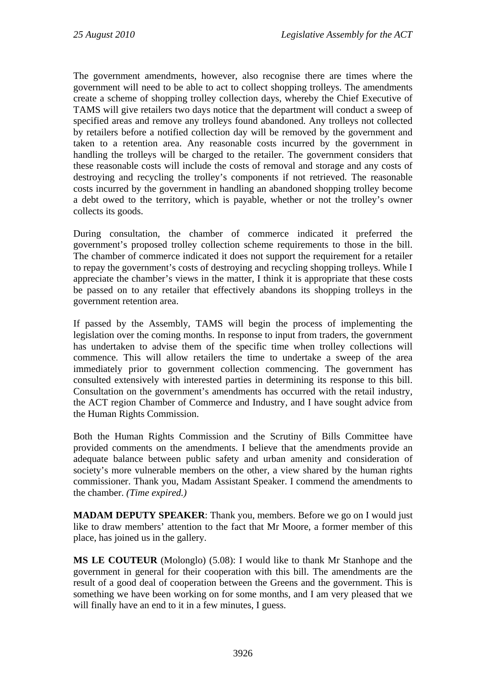The government amendments, however, also recognise there are times where the government will need to be able to act to collect shopping trolleys. The amendments create a scheme of shopping trolley collection days, whereby the Chief Executive of TAMS will give retailers two days notice that the department will conduct a sweep of specified areas and remove any trolleys found abandoned. Any trolleys not collected by retailers before a notified collection day will be removed by the government and taken to a retention area. Any reasonable costs incurred by the government in handling the trolleys will be charged to the retailer. The government considers that these reasonable costs will include the costs of removal and storage and any costs of destroying and recycling the trolley's components if not retrieved. The reasonable costs incurred by the government in handling an abandoned shopping trolley become a debt owed to the territory, which is payable, whether or not the trolley's owner collects its goods.

During consultation, the chamber of commerce indicated it preferred the government's proposed trolley collection scheme requirements to those in the bill. The chamber of commerce indicated it does not support the requirement for a retailer to repay the government's costs of destroying and recycling shopping trolleys. While I appreciate the chamber's views in the matter, I think it is appropriate that these costs be passed on to any retailer that effectively abandons its shopping trolleys in the government retention area.

If passed by the Assembly, TAMS will begin the process of implementing the legislation over the coming months. In response to input from traders, the government has undertaken to advise them of the specific time when trolley collections will commence. This will allow retailers the time to undertake a sweep of the area immediately prior to government collection commencing. The government has consulted extensively with interested parties in determining its response to this bill. Consultation on the government's amendments has occurred with the retail industry, the ACT region Chamber of Commerce and Industry, and I have sought advice from the Human Rights Commission.

Both the Human Rights Commission and the Scrutiny of Bills Committee have provided comments on the amendments. I believe that the amendments provide an adequate balance between public safety and urban amenity and consideration of society's more vulnerable members on the other, a view shared by the human rights commissioner. Thank you, Madam Assistant Speaker. I commend the amendments to the chamber. *(Time expired.)*

**MADAM DEPUTY SPEAKER:** Thank you, members. Before we go on I would just like to draw members' attention to the fact that Mr Moore, a former member of this place, has joined us in the gallery.

**MS LE COUTEUR** (Molonglo) (5.08): I would like to thank Mr Stanhope and the government in general for their cooperation with this bill. The amendments are the result of a good deal of cooperation between the Greens and the government. This is something we have been working on for some months, and I am very pleased that we will finally have an end to it in a few minutes. I guess.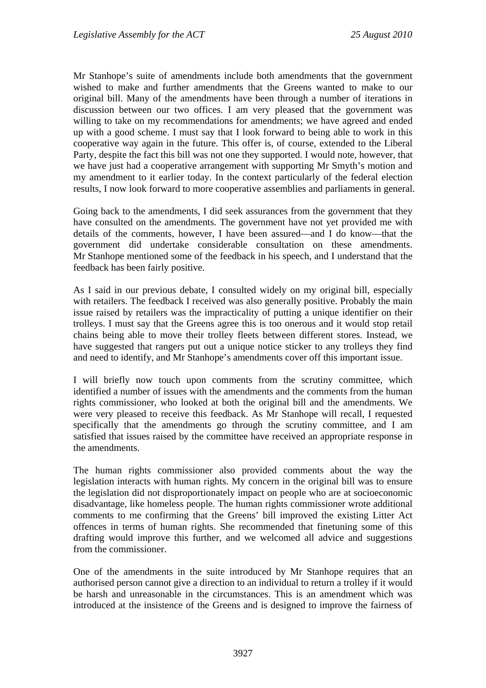Mr Stanhope's suite of amendments include both amendments that the government wished to make and further amendments that the Greens wanted to make to our original bill. Many of the amendments have been through a number of iterations in discussion between our two offices. I am very pleased that the government was willing to take on my recommendations for amendments; we have agreed and ended up with a good scheme. I must say that I look forward to being able to work in this cooperative way again in the future. This offer is, of course, extended to the Liberal Party, despite the fact this bill was not one they supported. I would note, however, that we have just had a cooperative arrangement with supporting Mr Smyth's motion and my amendment to it earlier today. In the context particularly of the federal election results, I now look forward to more cooperative assemblies and parliaments in general.

Going back to the amendments, I did seek assurances from the government that they have consulted on the amendments. The government have not yet provided me with details of the comments, however, I have been assured—and I do know—that the government did undertake considerable consultation on these amendments. Mr Stanhope mentioned some of the feedback in his speech, and I understand that the feedback has been fairly positive.

As I said in our previous debate, I consulted widely on my original bill, especially with retailers. The feedback I received was also generally positive. Probably the main issue raised by retailers was the impracticality of putting a unique identifier on their trolleys. I must say that the Greens agree this is too onerous and it would stop retail chains being able to move their trolley fleets between different stores. Instead, we have suggested that rangers put out a unique notice sticker to any trolleys they find and need to identify, and Mr Stanhope's amendments cover off this important issue.

I will briefly now touch upon comments from the scrutiny committee, which identified a number of issues with the amendments and the comments from the human rights commissioner, who looked at both the original bill and the amendments. We were very pleased to receive this feedback. As Mr Stanhope will recall, I requested specifically that the amendments go through the scrutiny committee, and I am satisfied that issues raised by the committee have received an appropriate response in the amendments.

The human rights commissioner also provided comments about the way the legislation interacts with human rights. My concern in the original bill was to ensure the legislation did not disproportionately impact on people who are at socioeconomic disadvantage, like homeless people. The human rights commissioner wrote additional comments to me confirming that the Greens' bill improved the existing Litter Act offences in terms of human rights. She recommended that finetuning some of this drafting would improve this further, and we welcomed all advice and suggestions from the commissioner.

One of the amendments in the suite introduced by Mr Stanhope requires that an authorised person cannot give a direction to an individual to return a trolley if it would be harsh and unreasonable in the circumstances. This is an amendment which was introduced at the insistence of the Greens and is designed to improve the fairness of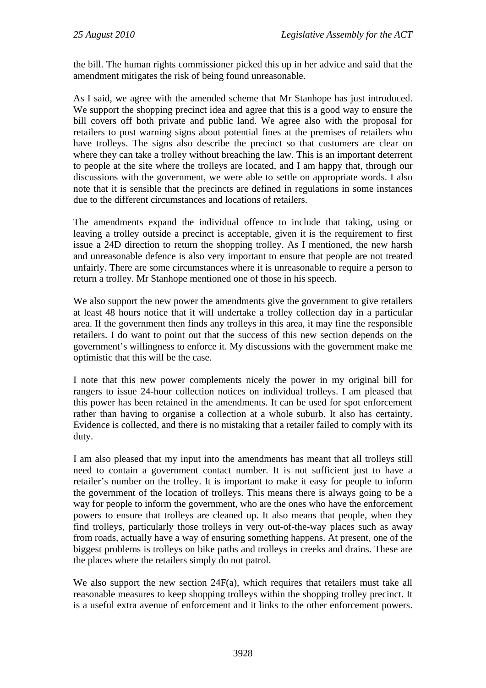the bill. The human rights commissioner picked this up in her advice and said that the amendment mitigates the risk of being found unreasonable.

As I said, we agree with the amended scheme that Mr Stanhope has just introduced. We support the shopping precinct idea and agree that this is a good way to ensure the bill covers off both private and public land. We agree also with the proposal for retailers to post warning signs about potential fines at the premises of retailers who have trolleys. The signs also describe the precinct so that customers are clear on where they can take a trolley without breaching the law. This is an important deterrent to people at the site where the trolleys are located, and I am happy that, through our discussions with the government, we were able to settle on appropriate words. I also note that it is sensible that the precincts are defined in regulations in some instances due to the different circumstances and locations of retailers.

The amendments expand the individual offence to include that taking, using or leaving a trolley outside a precinct is acceptable, given it is the requirement to first issue a 24D direction to return the shopping trolley. As I mentioned, the new harsh and unreasonable defence is also very important to ensure that people are not treated unfairly. There are some circumstances where it is unreasonable to require a person to return a trolley. Mr Stanhope mentioned one of those in his speech.

We also support the new power the amendments give the government to give retailers at least 48 hours notice that it will undertake a trolley collection day in a particular area. If the government then finds any trolleys in this area, it may fine the responsible retailers. I do want to point out that the success of this new section depends on the government's willingness to enforce it. My discussions with the government make me optimistic that this will be the case.

I note that this new power complements nicely the power in my original bill for rangers to issue 24-hour collection notices on individual trolleys. I am pleased that this power has been retained in the amendments. It can be used for spot enforcement rather than having to organise a collection at a whole suburb. It also has certainty. Evidence is collected, and there is no mistaking that a retailer failed to comply with its duty.

I am also pleased that my input into the amendments has meant that all trolleys still need to contain a government contact number. It is not sufficient just to have a retailer's number on the trolley. It is important to make it easy for people to inform the government of the location of trolleys. This means there is always going to be a way for people to inform the government, who are the ones who have the enforcement powers to ensure that trolleys are cleaned up. It also means that people, when they find trolleys, particularly those trolleys in very out-of-the-way places such as away from roads, actually have a way of ensuring something happens. At present, one of the biggest problems is trolleys on bike paths and trolleys in creeks and drains. These are the places where the retailers simply do not patrol.

We also support the new section 24F(a), which requires that retailers must take all reasonable measures to keep shopping trolleys within the shopping trolley precinct. It is a useful extra avenue of enforcement and it links to the other enforcement powers.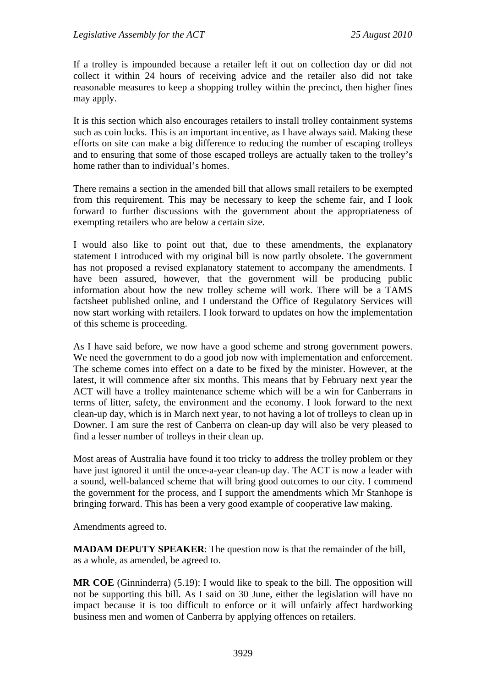If a trolley is impounded because a retailer left it out on collection day or did not collect it within 24 hours of receiving advice and the retailer also did not take reasonable measures to keep a shopping trolley within the precinct, then higher fines may apply.

It is this section which also encourages retailers to install trolley containment systems such as coin locks. This is an important incentive, as I have always said. Making these efforts on site can make a big difference to reducing the number of escaping trolleys and to ensuring that some of those escaped trolleys are actually taken to the trolley's home rather than to individual's homes.

There remains a section in the amended bill that allows small retailers to be exempted from this requirement. This may be necessary to keep the scheme fair, and I look forward to further discussions with the government about the appropriateness of exempting retailers who are below a certain size.

I would also like to point out that, due to these amendments, the explanatory statement I introduced with my original bill is now partly obsolete. The government has not proposed a revised explanatory statement to accompany the amendments. I have been assured, however, that the government will be producing public information about how the new trolley scheme will work. There will be a TAMS factsheet published online, and I understand the Office of Regulatory Services will now start working with retailers. I look forward to updates on how the implementation of this scheme is proceeding.

As I have said before, we now have a good scheme and strong government powers. We need the government to do a good job now with implementation and enforcement. The scheme comes into effect on a date to be fixed by the minister. However, at the latest, it will commence after six months. This means that by February next year the ACT will have a trolley maintenance scheme which will be a win for Canberrans in terms of litter, safety, the environment and the economy. I look forward to the next clean-up day, which is in March next year, to not having a lot of trolleys to clean up in Downer. I am sure the rest of Canberra on clean-up day will also be very pleased to find a lesser number of trolleys in their clean up.

Most areas of Australia have found it too tricky to address the trolley problem or they have just ignored it until the once-a-year clean-up day. The ACT is now a leader with a sound, well-balanced scheme that will bring good outcomes to our city. I commend the government for the process, and I support the amendments which Mr Stanhope is bringing forward. This has been a very good example of cooperative law making.

Amendments agreed to.

**MADAM DEPUTY SPEAKER**: The question now is that the remainder of the bill, as a whole, as amended, be agreed to.

**MR COE** (Ginninderra) (5.19): I would like to speak to the bill. The opposition will not be supporting this bill. As I said on 30 June, either the legislation will have no impact because it is too difficult to enforce or it will unfairly affect hardworking business men and women of Canberra by applying offences on retailers.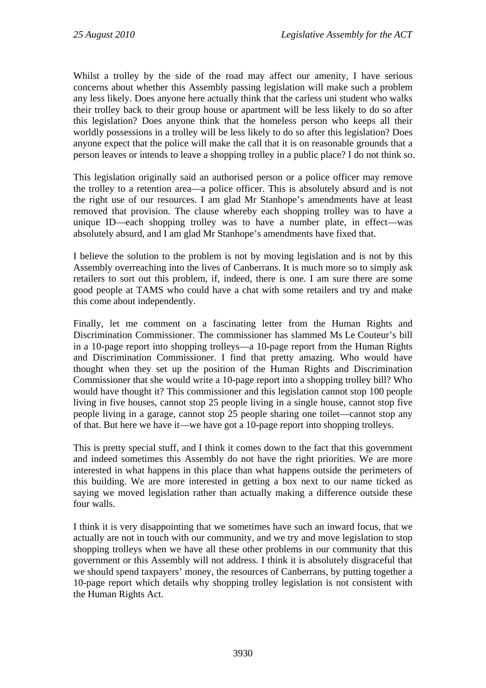Whilst a trolley by the side of the road may affect our amenity, I have serious concerns about whether this Assembly passing legislation will make such a problem any less likely. Does anyone here actually think that the carless uni student who walks their trolley back to their group house or apartment will be less likely to do so after this legislation? Does anyone think that the homeless person who keeps all their worldly possessions in a trolley will be less likely to do so after this legislation? Does anyone expect that the police will make the call that it is on reasonable grounds that a person leaves or intends to leave a shopping trolley in a public place? I do not think so.

This legislation originally said an authorised person or a police officer may remove the trolley to a retention area—a police officer. This is absolutely absurd and is not the right use of our resources. I am glad Mr Stanhope's amendments have at least removed that provision. The clause whereby each shopping trolley was to have a unique ID—each shopping trolley was to have a number plate, in effect—was absolutely absurd, and I am glad Mr Stanhope's amendments have fixed that.

I believe the solution to the problem is not by moving legislation and is not by this Assembly overreaching into the lives of Canberrans. It is much more so to simply ask retailers to sort out this problem, if, indeed, there is one. I am sure there are some good people at TAMS who could have a chat with some retailers and try and make this come about independently.

Finally, let me comment on a fascinating letter from the Human Rights and Discrimination Commissioner. The commissioner has slammed Ms Le Couteur's bill in a 10-page report into shopping trolleys—a 10-page report from the Human Rights and Discrimination Commissioner. I find that pretty amazing. Who would have thought when they set up the position of the Human Rights and Discrimination Commissioner that she would write a 10-page report into a shopping trolley bill? Who would have thought it? This commissioner and this legislation cannot stop 100 people living in five houses, cannot stop 25 people living in a single house, cannot stop five people living in a garage, cannot stop 25 people sharing one toilet—cannot stop any of that. But here we have it—we have got a 10-page report into shopping trolleys.

This is pretty special stuff, and I think it comes down to the fact that this government and indeed sometimes this Assembly do not have the right priorities. We are more interested in what happens in this place than what happens outside the perimeters of this building. We are more interested in getting a box next to our name ticked as saying we moved legislation rather than actually making a difference outside these four walls.

I think it is very disappointing that we sometimes have such an inward focus, that we actually are not in touch with our community, and we try and move legislation to stop shopping trolleys when we have all these other problems in our community that this government or this Assembly will not address. I think it is absolutely disgraceful that we should spend taxpayers' money, the resources of Canberrans, by putting together a 10-page report which details why shopping trolley legislation is not consistent with the Human Rights Act.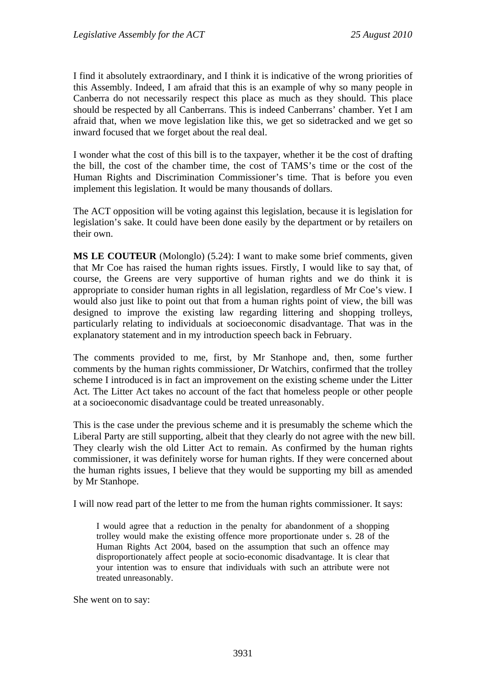I find it absolutely extraordinary, and I think it is indicative of the wrong priorities of this Assembly. Indeed, I am afraid that this is an example of why so many people in Canberra do not necessarily respect this place as much as they should. This place should be respected by all Canberrans. This is indeed Canberrans' chamber. Yet I am afraid that, when we move legislation like this, we get so sidetracked and we get so inward focused that we forget about the real deal.

I wonder what the cost of this bill is to the taxpayer, whether it be the cost of drafting the bill, the cost of the chamber time, the cost of TAMS's time or the cost of the Human Rights and Discrimination Commissioner's time. That is before you even implement this legislation. It would be many thousands of dollars.

The ACT opposition will be voting against this legislation, because it is legislation for legislation's sake. It could have been done easily by the department or by retailers on their own.

**MS LE COUTEUR** (Molonglo) (5.24): I want to make some brief comments, given that Mr Coe has raised the human rights issues. Firstly, I would like to say that, of course, the Greens are very supportive of human rights and we do think it is appropriate to consider human rights in all legislation, regardless of Mr Coe's view. I would also just like to point out that from a human rights point of view, the bill was designed to improve the existing law regarding littering and shopping trolleys, particularly relating to individuals at socioeconomic disadvantage. That was in the explanatory statement and in my introduction speech back in February.

The comments provided to me, first, by Mr Stanhope and, then, some further comments by the human rights commissioner, Dr Watchirs, confirmed that the trolley scheme I introduced is in fact an improvement on the existing scheme under the Litter Act. The Litter Act takes no account of the fact that homeless people or other people at a socioeconomic disadvantage could be treated unreasonably.

This is the case under the previous scheme and it is presumably the scheme which the Liberal Party are still supporting, albeit that they clearly do not agree with the new bill. They clearly wish the old Litter Act to remain. As confirmed by the human rights commissioner, it was definitely worse for human rights. If they were concerned about the human rights issues, I believe that they would be supporting my bill as amended by Mr Stanhope.

I will now read part of the letter to me from the human rights commissioner. It says:

I would agree that a reduction in the penalty for abandonment of a shopping trolley would make the existing offence more proportionate under s. 28 of the Human Rights Act 2004, based on the assumption that such an offence may disproportionately affect people at socio-economic disadvantage. It is clear that your intention was to ensure that individuals with such an attribute were not treated unreasonably.

She went on to say: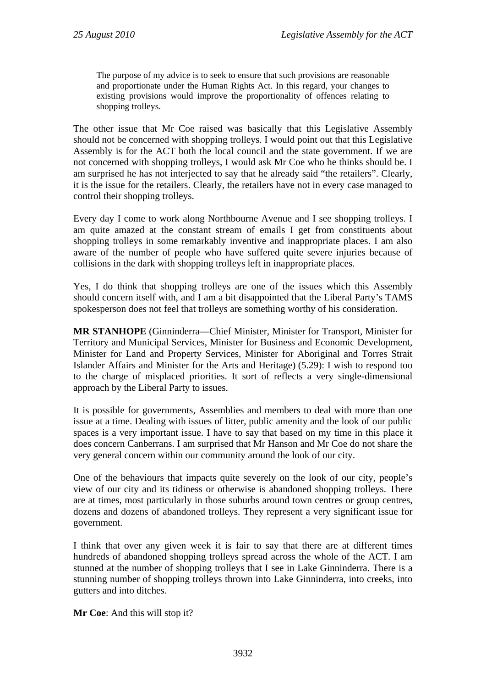The purpose of my advice is to seek to ensure that such provisions are reasonable and proportionate under the Human Rights Act. In this regard, your changes to existing provisions would improve the proportionality of offences relating to shopping trolleys.

The other issue that Mr Coe raised was basically that this Legislative Assembly should not be concerned with shopping trolleys. I would point out that this Legislative Assembly is for the ACT both the local council and the state government. If we are not concerned with shopping trolleys, I would ask Mr Coe who he thinks should be. I am surprised he has not interjected to say that he already said "the retailers". Clearly, it is the issue for the retailers. Clearly, the retailers have not in every case managed to control their shopping trolleys.

Every day I come to work along Northbourne Avenue and I see shopping trolleys. I am quite amazed at the constant stream of emails I get from constituents about shopping trolleys in some remarkably inventive and inappropriate places. I am also aware of the number of people who have suffered quite severe injuries because of collisions in the dark with shopping trolleys left in inappropriate places.

Yes, I do think that shopping trolleys are one of the issues which this Assembly should concern itself with, and I am a bit disappointed that the Liberal Party's TAMS spokesperson does not feel that trolleys are something worthy of his consideration.

**MR STANHOPE** (Ginninderra—Chief Minister, Minister for Transport, Minister for Territory and Municipal Services, Minister for Business and Economic Development, Minister for Land and Property Services, Minister for Aboriginal and Torres Strait Islander Affairs and Minister for the Arts and Heritage) (5.29): I wish to respond too to the charge of misplaced priorities. It sort of reflects a very single-dimensional approach by the Liberal Party to issues.

It is possible for governments, Assemblies and members to deal with more than one issue at a time. Dealing with issues of litter, public amenity and the look of our public spaces is a very important issue. I have to say that based on my time in this place it does concern Canberrans. I am surprised that Mr Hanson and Mr Coe do not share the very general concern within our community around the look of our city.

One of the behaviours that impacts quite severely on the look of our city, people's view of our city and its tidiness or otherwise is abandoned shopping trolleys. There are at times, most particularly in those suburbs around town centres or group centres, dozens and dozens of abandoned trolleys. They represent a very significant issue for government.

I think that over any given week it is fair to say that there are at different times hundreds of abandoned shopping trolleys spread across the whole of the ACT. I am stunned at the number of shopping trolleys that I see in Lake Ginninderra. There is a stunning number of shopping trolleys thrown into Lake Ginninderra, into creeks, into gutters and into ditches.

**Mr Coe**: And this will stop it?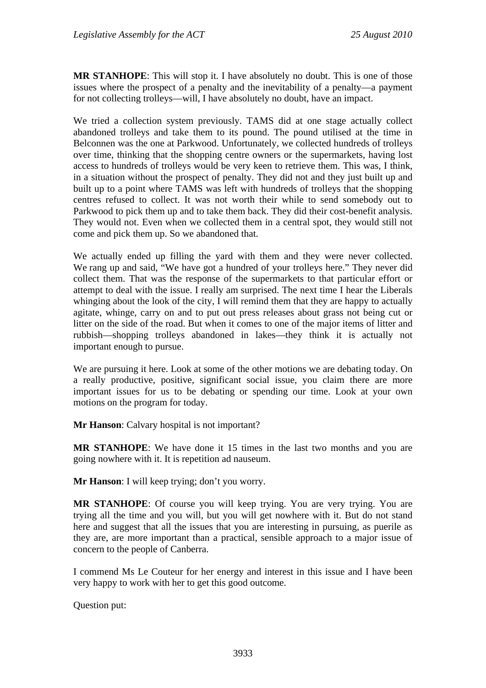**MR STANHOPE**: This will stop it. I have absolutely no doubt. This is one of those issues where the prospect of a penalty and the inevitability of a penalty—a payment for not collecting trolleys—will, I have absolutely no doubt, have an impact.

We tried a collection system previously. TAMS did at one stage actually collect abandoned trolleys and take them to its pound. The pound utilised at the time in Belconnen was the one at Parkwood. Unfortunately, we collected hundreds of trolleys over time, thinking that the shopping centre owners or the supermarkets, having lost access to hundreds of trolleys would be very keen to retrieve them. This was, I think, in a situation without the prospect of penalty. They did not and they just built up and built up to a point where TAMS was left with hundreds of trolleys that the shopping centres refused to collect. It was not worth their while to send somebody out to Parkwood to pick them up and to take them back. They did their cost-benefit analysis. They would not. Even when we collected them in a central spot, they would still not come and pick them up. So we abandoned that.

We actually ended up filling the yard with them and they were never collected. We rang up and said, "We have got a hundred of your trolleys here." They never did collect them. That was the response of the supermarkets to that particular effort or attempt to deal with the issue. I really am surprised. The next time I hear the Liberals whinging about the look of the city, I will remind them that they are happy to actually agitate, whinge, carry on and to put out press releases about grass not being cut or litter on the side of the road. But when it comes to one of the major items of litter and rubbish—shopping trolleys abandoned in lakes—they think it is actually not important enough to pursue.

We are pursuing it here. Look at some of the other motions we are debating today. On a really productive, positive, significant social issue, you claim there are more important issues for us to be debating or spending our time. Look at your own motions on the program for today.

**Mr Hanson**: Calvary hospital is not important?

**MR STANHOPE**: We have done it 15 times in the last two months and you are going nowhere with it. It is repetition ad nauseum.

**Mr Hanson**: I will keep trying; don't you worry.

**MR STANHOPE**: Of course you will keep trying. You are very trying. You are trying all the time and you will, but you will get nowhere with it. But do not stand here and suggest that all the issues that you are interesting in pursuing, as puerile as they are, are more important than a practical, sensible approach to a major issue of concern to the people of Canberra.

I commend Ms Le Couteur for her energy and interest in this issue and I have been very happy to work with her to get this good outcome.

Question put: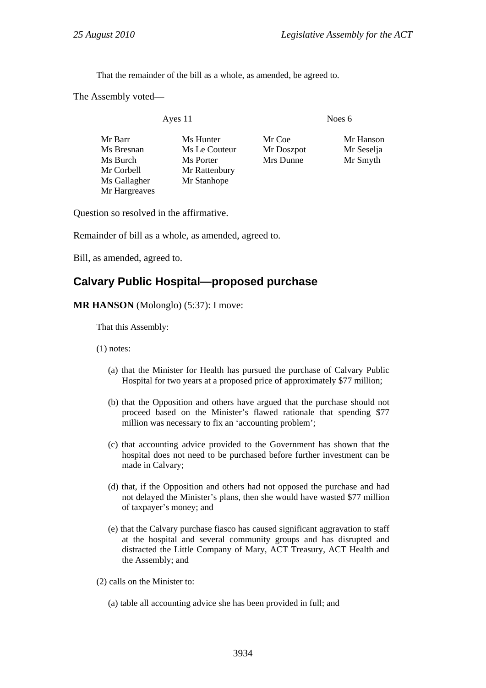That the remainder of the bill as a whole, as amended, be agreed to.

The Assembly voted—

Ayes 11 Noes 6

Mr Barr Ms Hunter Mr Coe Mr Hanson Ms Bresnan Ms Le Couteur Mr Doszpot Mr Seselja Ms Burch Ms Porter Mrs Dunne Mr Smyth Mr Corbell Mr Rattenbury Ms Gallagher Mr Stanhope Mr Hargreaves

Question so resolved in the affirmative.

Remainder of bill as a whole, as amended, agreed to.

Bill, as amended, agreed to.

# **Calvary Public Hospital—proposed purchase**

**MR HANSON** (Molonglo) (5:37): I move:

That this Assembly:

(1) notes:

- (a) that the Minister for Health has pursued the purchase of Calvary Public Hospital for two years at a proposed price of approximately \$77 million;
- (b) that the Opposition and others have argued that the purchase should not proceed based on the Minister's flawed rationale that spending \$77 million was necessary to fix an 'accounting problem';
- (c) that accounting advice provided to the Government has shown that the hospital does not need to be purchased before further investment can be made in Calvary;
- (d) that, if the Opposition and others had not opposed the purchase and had not delayed the Minister's plans, then she would have wasted \$77 million of taxpayer's money; and
- (e) that the Calvary purchase fiasco has caused significant aggravation to staff at the hospital and several community groups and has disrupted and distracted the Little Company of Mary, ACT Treasury, ACT Health and the Assembly; and

(2) calls on the Minister to:

(a) table all accounting advice she has been provided in full; and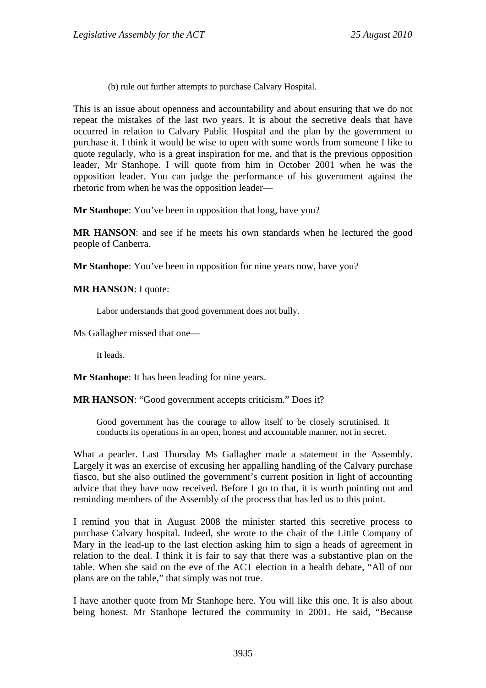(b) rule out further attempts to purchase Calvary Hospital.

This is an issue about openness and accountability and about ensuring that we do not repeat the mistakes of the last two years. It is about the secretive deals that have occurred in relation to Calvary Public Hospital and the plan by the government to purchase it. I think it would be wise to open with some words from someone I like to quote regularly, who is a great inspiration for me, and that is the previous opposition leader, Mr Stanhope. I will quote from him in October 2001 when he was the opposition leader. You can judge the performance of his government against the rhetoric from when he was the opposition leader—

**Mr Stanhope**: You've been in opposition that long, have you?

**MR HANSON**: and see if he meets his own standards when he lectured the good people of Canberra.

**Mr Stanhope**: You've been in opposition for nine years now, have you?

**MR HANSON**: I quote:

Labor understands that good government does not bully.

Ms Gallagher missed that one—

It leads.

**Mr Stanhope**: It has been leading for nine years.

**MR HANSON:** "Good government accepts criticism." Does it?

Good government has the courage to allow itself to be closely scrutinised. It conducts its operations in an open, honest and accountable manner, not in secret.

What a pearler. Last Thursday Ms Gallagher made a statement in the Assembly. Largely it was an exercise of excusing her appalling handling of the Calvary purchase fiasco, but she also outlined the government's current position in light of accounting advice that they have now received. Before I go to that, it is worth pointing out and reminding members of the Assembly of the process that has led us to this point.

I remind you that in August 2008 the minister started this secretive process to purchase Calvary hospital. Indeed, she wrote to the chair of the Little Company of Mary in the lead-up to the last election asking him to sign a heads of agreement in relation to the deal. I think it is fair to say that there was a substantive plan on the table. When she said on the eve of the ACT election in a health debate, "All of our plans are on the table," that simply was not true.

I have another quote from Mr Stanhope here. You will like this one. It is also about being honest. Mr Stanhope lectured the community in 2001. He said, "Because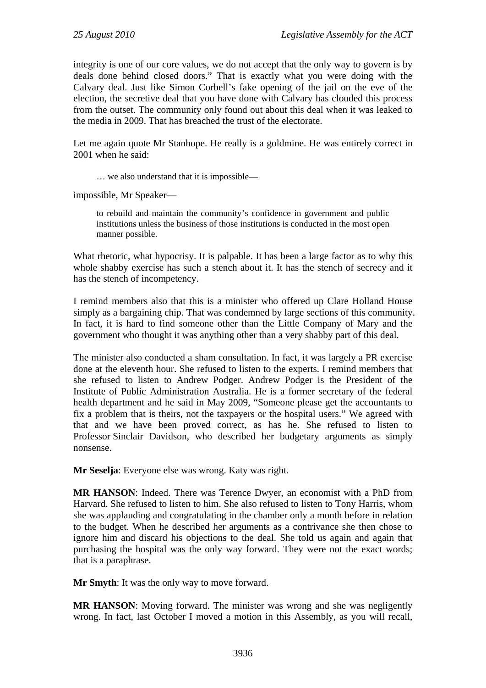integrity is one of our core values, we do not accept that the only way to govern is by deals done behind closed doors." That is exactly what you were doing with the Calvary deal. Just like Simon Corbell's fake opening of the jail on the eve of the election, the secretive deal that you have done with Calvary has clouded this process from the outset. The community only found out about this deal when it was leaked to the media in 2009. That has breached the trust of the electorate.

Let me again quote Mr Stanhope. He really is a goldmine. He was entirely correct in 2001 when he said:

… we also understand that it is impossible—

impossible, Mr Speaker—

to rebuild and maintain the community's confidence in government and public institutions unless the business of those institutions is conducted in the most open manner possible.

What rhetoric, what hypocrisy. It is palpable. It has been a large factor as to why this whole shabby exercise has such a stench about it. It has the stench of secrecy and it has the stench of incompetency.

I remind members also that this is a minister who offered up Clare Holland House simply as a bargaining chip. That was condemned by large sections of this community. In fact, it is hard to find someone other than the Little Company of Mary and the government who thought it was anything other than a very shabby part of this deal.

The minister also conducted a sham consultation. In fact, it was largely a PR exercise done at the eleventh hour. She refused to listen to the experts. I remind members that she refused to listen to Andrew Podger. Andrew Podger is the President of the Institute of Public Administration Australia. He is a former secretary of the federal health department and he said in May 2009, "Someone please get the accountants to fix a problem that is theirs, not the taxpayers or the hospital users." We agreed with that and we have been proved correct, as has he. She refused to listen to Professor Sinclair Davidson, who described her budgetary arguments as simply nonsense.

**Mr Seselja**: Everyone else was wrong. Katy was right.

**MR HANSON**: Indeed. There was Terence Dwyer, an economist with a PhD from Harvard. She refused to listen to him. She also refused to listen to Tony Harris, whom she was applauding and congratulating in the chamber only a month before in relation to the budget. When he described her arguments as a contrivance she then chose to ignore him and discard his objections to the deal. She told us again and again that purchasing the hospital was the only way forward. They were not the exact words; that is a paraphrase.

**Mr Smyth**: It was the only way to move forward.

**MR HANSON**: Moving forward. The minister was wrong and she was negligently wrong. In fact, last October I moved a motion in this Assembly, as you will recall,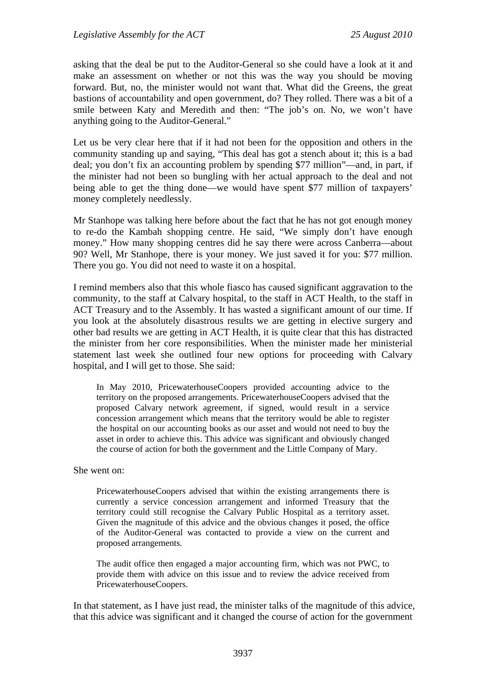asking that the deal be put to the Auditor-General so she could have a look at it and make an assessment on whether or not this was the way you should be moving forward. But, no, the minister would not want that. What did the Greens, the great bastions of accountability and open government, do? They rolled. There was a bit of a smile between Katy and Meredith and then: "The job's on. No, we won't have anything going to the Auditor-General."

Let us be very clear here that if it had not been for the opposition and others in the community standing up and saying, "This deal has got a stench about it; this is a bad deal; you don't fix an accounting problem by spending \$77 million"—and, in part, if the minister had not been so bungling with her actual approach to the deal and not being able to get the thing done—we would have spent \$77 million of taxpayers' money completely needlessly.

Mr Stanhope was talking here before about the fact that he has not got enough money to re-do the Kambah shopping centre. He said, "We simply don't have enough money." How many shopping centres did he say there were across Canberra—about 90? Well, Mr Stanhope, there is your money. We just saved it for you: \$77 million. There you go. You did not need to waste it on a hospital.

I remind members also that this whole fiasco has caused significant aggravation to the community, to the staff at Calvary hospital, to the staff in ACT Health, to the staff in ACT Treasury and to the Assembly. It has wasted a significant amount of our time. If you look at the absolutely disastrous results we are getting in elective surgery and other bad results we are getting in ACT Health, it is quite clear that this has distracted the minister from her core responsibilities. When the minister made her ministerial statement last week she outlined four new options for proceeding with Calvary hospital, and I will get to those. She said:

In May 2010, PricewaterhouseCoopers provided accounting advice to the territory on the proposed arrangements. PricewaterhouseCoopers advised that the proposed Calvary network agreement, if signed, would result in a service concession arrangement which means that the territory would be able to register the hospital on our accounting books as our asset and would not need to buy the asset in order to achieve this. This advice was significant and obviously changed the course of action for both the government and the Little Company of Mary.

She went on:

PricewaterhouseCoopers advised that within the existing arrangements there is currently a service concession arrangement and informed Treasury that the territory could still recognise the Calvary Public Hospital as a territory asset. Given the magnitude of this advice and the obvious changes it posed, the office of the Auditor-General was contacted to provide a view on the current and proposed arrangements.

The audit office then engaged a major accounting firm, which was not PWC, to provide them with advice on this issue and to review the advice received from PricewaterhouseCoopers.

In that statement, as I have just read, the minister talks of the magnitude of this advice, that this advice was significant and it changed the course of action for the government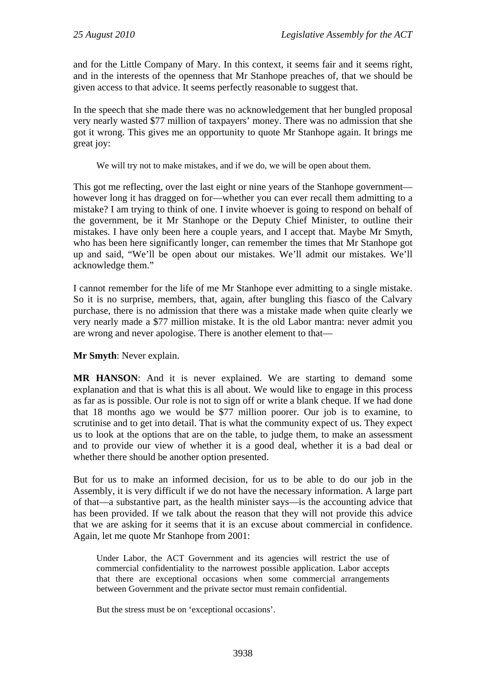and for the Little Company of Mary. In this context, it seems fair and it seems right, and in the interests of the openness that Mr Stanhope preaches of, that we should be given access to that advice. It seems perfectly reasonable to suggest that.

In the speech that she made there was no acknowledgement that her bungled proposal very nearly wasted \$77 million of taxpayers' money. There was no admission that she got it wrong. This gives me an opportunity to quote Mr Stanhope again. It brings me great joy:

We will try not to make mistakes, and if we do, we will be open about them.

This got me reflecting, over the last eight or nine years of the Stanhope government however long it has dragged on for—whether you can ever recall them admitting to a mistake? I am trying to think of one. I invite whoever is going to respond on behalf of the government, be it Mr Stanhope or the Deputy Chief Minister, to outline their mistakes. I have only been here a couple years, and I accept that. Maybe Mr Smyth, who has been here significantly longer, can remember the times that Mr Stanhope got up and said, "We'll be open about our mistakes. We'll admit our mistakes. We'll acknowledge them."

I cannot remember for the life of me Mr Stanhope ever admitting to a single mistake. So it is no surprise, members, that, again, after bungling this fiasco of the Calvary purchase, there is no admission that there was a mistake made when quite clearly we very nearly made a \$77 million mistake. It is the old Labor mantra: never admit you are wrong and never apologise. There is another element to that—

**Mr Smyth**: Never explain.

**MR HANSON**: And it is never explained. We are starting to demand some explanation and that is what this is all about. We would like to engage in this process as far as is possible. Our role is not to sign off or write a blank cheque. If we had done that 18 months ago we would be \$77 million poorer. Our job is to examine, to scrutinise and to get into detail. That is what the community expect of us. They expect us to look at the options that are on the table, to judge them, to make an assessment and to provide our view of whether it is a good deal, whether it is a bad deal or whether there should be another option presented.

But for us to make an informed decision, for us to be able to do our job in the Assembly, it is very difficult if we do not have the necessary information. A large part of that—a substantive part, as the health minister says—is the accounting advice that has been provided. If we talk about the reason that they will not provide this advice that we are asking for it seems that it is an excuse about commercial in confidence. Again, let me quote Mr Stanhope from 2001:

Under Labor, the ACT Government and its agencies will restrict the use of commercial confidentiality to the narrowest possible application. Labor accepts that there are exceptional occasions when some commercial arrangements between Government and the private sector must remain confidential.

But the stress must be on 'exceptional occasions'.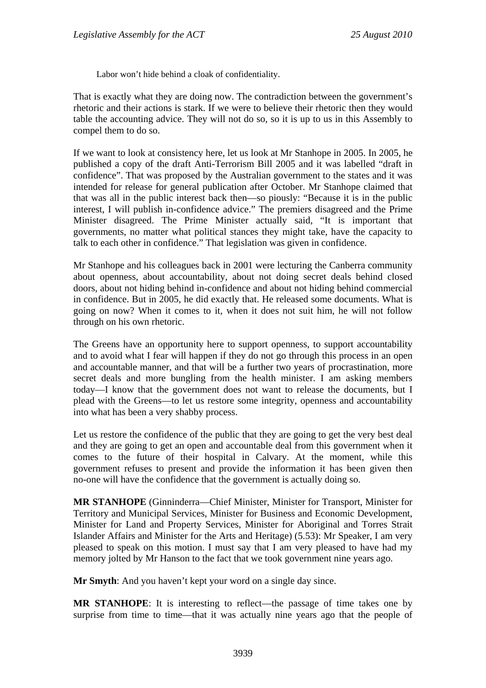Labor won't hide behind a cloak of confidentiality.

That is exactly what they are doing now. The contradiction between the government's rhetoric and their actions is stark. If we were to believe their rhetoric then they would table the accounting advice. They will not do so, so it is up to us in this Assembly to compel them to do so.

If we want to look at consistency here, let us look at Mr Stanhope in 2005. In 2005, he published a copy of the draft Anti-Terrorism Bill 2005 and it was labelled "draft in confidence". That was proposed by the Australian government to the states and it was intended for release for general publication after October. Mr Stanhope claimed that that was all in the public interest back then—so piously: "Because it is in the public interest, I will publish in-confidence advice." The premiers disagreed and the Prime Minister disagreed. The Prime Minister actually said, "It is important that governments, no matter what political stances they might take, have the capacity to talk to each other in confidence." That legislation was given in confidence.

Mr Stanhope and his colleagues back in 2001 were lecturing the Canberra community about openness, about accountability, about not doing secret deals behind closed doors, about not hiding behind in-confidence and about not hiding behind commercial in confidence. But in 2005, he did exactly that. He released some documents. What is going on now? When it comes to it, when it does not suit him, he will not follow through on his own rhetoric.

The Greens have an opportunity here to support openness, to support accountability and to avoid what I fear will happen if they do not go through this process in an open and accountable manner, and that will be a further two years of procrastination, more secret deals and more bungling from the health minister. I am asking members today—I know that the government does not want to release the documents, but I plead with the Greens—to let us restore some integrity, openness and accountability into what has been a very shabby process.

Let us restore the confidence of the public that they are going to get the very best deal and they are going to get an open and accountable deal from this government when it comes to the future of their hospital in Calvary. At the moment, while this government refuses to present and provide the information it has been given then no-one will have the confidence that the government is actually doing so.

**MR STANHOPE** (Ginninderra—Chief Minister, Minister for Transport, Minister for Territory and Municipal Services, Minister for Business and Economic Development, Minister for Land and Property Services, Minister for Aboriginal and Torres Strait Islander Affairs and Minister for the Arts and Heritage) (5.53): Mr Speaker, I am very pleased to speak on this motion. I must say that I am very pleased to have had my memory jolted by Mr Hanson to the fact that we took government nine years ago.

**Mr Smyth**: And you haven't kept your word on a single day since.

**MR STANHOPE**: It is interesting to reflect—the passage of time takes one by surprise from time to time—that it was actually nine years ago that the people of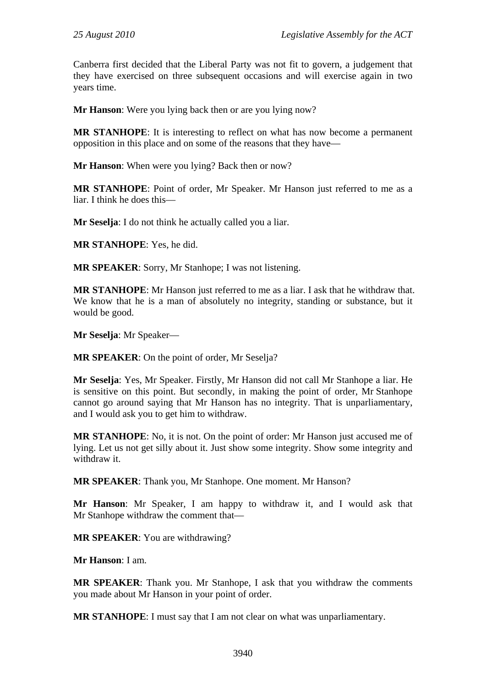Canberra first decided that the Liberal Party was not fit to govern, a judgement that they have exercised on three subsequent occasions and will exercise again in two years time.

**Mr Hanson**: Were you lying back then or are you lying now?

**MR STANHOPE**: It is interesting to reflect on what has now become a permanent opposition in this place and on some of the reasons that they have—

**Mr Hanson**: When were you lying? Back then or now?

**MR STANHOPE**: Point of order, Mr Speaker. Mr Hanson just referred to me as a liar. I think he does this—

**Mr Seselja**: I do not think he actually called you a liar.

**MR STANHOPE**: Yes, he did.

**MR SPEAKER**: Sorry, Mr Stanhope; I was not listening.

**MR STANHOPE**: Mr Hanson just referred to me as a liar. I ask that he withdraw that. We know that he is a man of absolutely no integrity, standing or substance, but it would be good.

**Mr Seselja**: Mr Speaker—

**MR SPEAKER**: On the point of order, Mr Seselja?

**Mr Seselja**: Yes, Mr Speaker. Firstly, Mr Hanson did not call Mr Stanhope a liar. He is sensitive on this point. But secondly, in making the point of order, Mr Stanhope cannot go around saying that Mr Hanson has no integrity. That is unparliamentary, and I would ask you to get him to withdraw.

**MR STANHOPE**: No, it is not. On the point of order: Mr Hanson just accused me of lying. Let us not get silly about it. Just show some integrity. Show some integrity and withdraw it.

**MR SPEAKER**: Thank you, Mr Stanhope. One moment. Mr Hanson?

**Mr Hanson**: Mr Speaker, I am happy to withdraw it, and I would ask that Mr Stanhope withdraw the comment that—

**MR SPEAKER**: You are withdrawing?

**Mr Hanson**: I am.

**MR SPEAKER**: Thank you. Mr Stanhope, I ask that you withdraw the comments you made about Mr Hanson in your point of order.

**MR STANHOPE**: I must say that I am not clear on what was unparliamentary.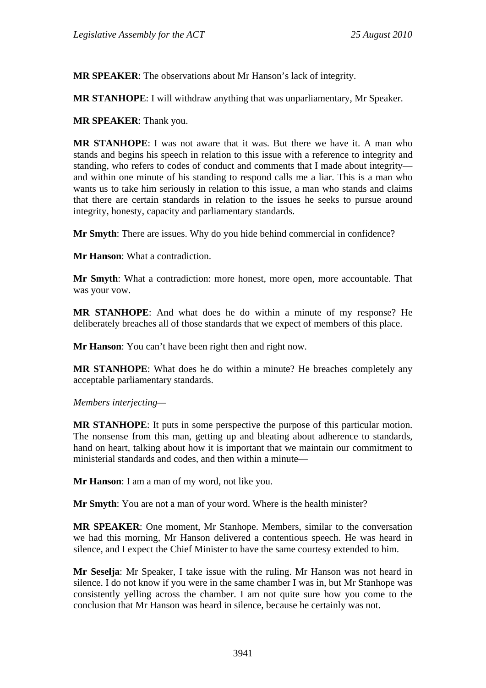**MR SPEAKER**: The observations about Mr Hanson's lack of integrity.

**MR STANHOPE**: I will withdraw anything that was unparliamentary, Mr Speaker.

**MR SPEAKER**: Thank you.

**MR STANHOPE**: I was not aware that it was. But there we have it. A man who stands and begins his speech in relation to this issue with a reference to integrity and standing, who refers to codes of conduct and comments that I made about integrity and within one minute of his standing to respond calls me a liar. This is a man who wants us to take him seriously in relation to this issue, a man who stands and claims that there are certain standards in relation to the issues he seeks to pursue around integrity, honesty, capacity and parliamentary standards.

**Mr Smyth**: There are issues. Why do you hide behind commercial in confidence?

**Mr Hanson**: What a contradiction.

**Mr Smyth**: What a contradiction: more honest, more open, more accountable. That was your vow.

**MR STANHOPE**: And what does he do within a minute of my response? He deliberately breaches all of those standards that we expect of members of this place.

**Mr Hanson**: You can't have been right then and right now.

**MR STANHOPE**: What does he do within a minute? He breaches completely any acceptable parliamentary standards.

*Members interjecting—* 

**MR STANHOPE**: It puts in some perspective the purpose of this particular motion. The nonsense from this man, getting up and bleating about adherence to standards, hand on heart, talking about how it is important that we maintain our commitment to ministerial standards and codes, and then within a minute—

**Mr Hanson**: I am a man of my word, not like you.

**Mr Smyth**: You are not a man of your word. Where is the health minister?

**MR SPEAKER**: One moment, Mr Stanhope. Members, similar to the conversation we had this morning, Mr Hanson delivered a contentious speech. He was heard in silence, and I expect the Chief Minister to have the same courtesy extended to him.

**Mr Seselja**: Mr Speaker, I take issue with the ruling. Mr Hanson was not heard in silence. I do not know if you were in the same chamber I was in, but Mr Stanhope was consistently yelling across the chamber. I am not quite sure how you come to the conclusion that Mr Hanson was heard in silence, because he certainly was not.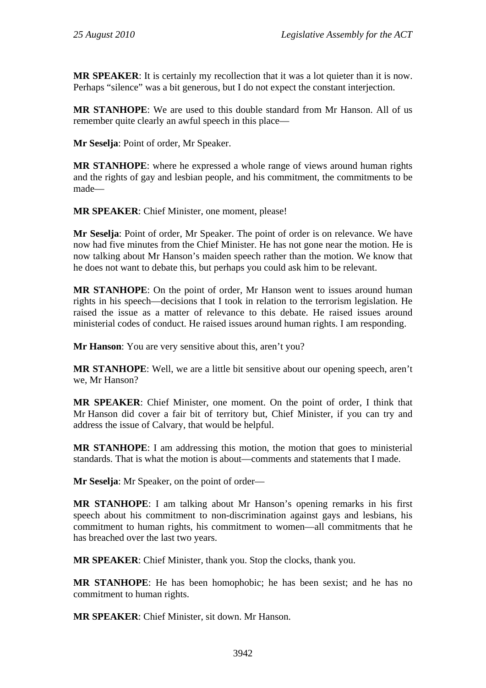**MR SPEAKER**: It is certainly my recollection that it was a lot quieter than it is now. Perhaps "silence" was a bit generous, but I do not expect the constant interjection.

**MR STANHOPE**: We are used to this double standard from Mr Hanson. All of us remember quite clearly an awful speech in this place—

**Mr Seselja**: Point of order, Mr Speaker.

**MR STANHOPE**: where he expressed a whole range of views around human rights and the rights of gay and lesbian people, and his commitment, the commitments to be made—

**MR SPEAKER**: Chief Minister, one moment, please!

**Mr Seselja**: Point of order, Mr Speaker. The point of order is on relevance. We have now had five minutes from the Chief Minister. He has not gone near the motion. He is now talking about Mr Hanson's maiden speech rather than the motion. We know that he does not want to debate this, but perhaps you could ask him to be relevant.

**MR STANHOPE**: On the point of order, Mr Hanson went to issues around human rights in his speech—decisions that I took in relation to the terrorism legislation. He raised the issue as a matter of relevance to this debate. He raised issues around ministerial codes of conduct. He raised issues around human rights. I am responding.

**Mr Hanson:** You are very sensitive about this, aren't you?

**MR STANHOPE**: Well, we are a little bit sensitive about our opening speech, aren't we, Mr Hanson?

**MR SPEAKER**: Chief Minister, one moment. On the point of order, I think that Mr Hanson did cover a fair bit of territory but, Chief Minister, if you can try and address the issue of Calvary, that would be helpful.

**MR STANHOPE**: I am addressing this motion, the motion that goes to ministerial standards. That is what the motion is about—comments and statements that I made.

**Mr Seselja**: Mr Speaker, on the point of order—

**MR STANHOPE**: I am talking about Mr Hanson's opening remarks in his first speech about his commitment to non-discrimination against gays and lesbians, his commitment to human rights, his commitment to women—all commitments that he has breached over the last two years.

**MR SPEAKER**: Chief Minister, thank you. Stop the clocks, thank you.

**MR STANHOPE**: He has been homophobic; he has been sexist; and he has no commitment to human rights.

**MR SPEAKER**: Chief Minister, sit down. Mr Hanson.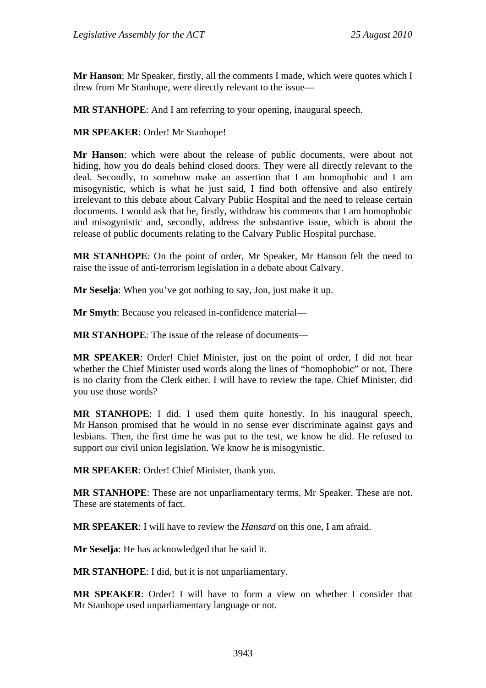**Mr Hanson**: Mr Speaker, firstly, all the comments I made, which were quotes which I drew from Mr Stanhope, were directly relevant to the issue—

**MR STANHOPE**: And I am referring to your opening, inaugural speech.

**MR SPEAKER**: Order! Mr Stanhope!

**Mr Hanson**: which were about the release of public documents, were about not hiding, how you do deals behind closed doors. They were all directly relevant to the deal. Secondly, to somehow make an assertion that I am homophobic and I am misogynistic, which is what he just said, I find both offensive and also entirely irrelevant to this debate about Calvary Public Hospital and the need to release certain documents. I would ask that he, firstly, withdraw his comments that I am homophobic and misogynistic and, secondly, address the substantive issue, which is about the release of public documents relating to the Calvary Public Hospital purchase.

**MR STANHOPE**: On the point of order, Mr Speaker, Mr Hanson felt the need to raise the issue of anti-terrorism legislation in a debate about Calvary.

**Mr Seselja**: When you've got nothing to say, Jon, just make it up.

**Mr Smyth**: Because you released in-confidence material—

**MR STANHOPE**: The issue of the release of documents—

**MR SPEAKER**: Order! Chief Minister, just on the point of order, I did not hear whether the Chief Minister used words along the lines of "homophobic" or not. There is no clarity from the Clerk either. I will have to review the tape. Chief Minister, did you use those words?

**MR STANHOPE**: I did. I used them quite honestly. In his inaugural speech, Mr Hanson promised that he would in no sense ever discriminate against gays and lesbians. Then, the first time he was put to the test, we know he did. He refused to support our civil union legislation. We know he is misogynistic.

**MR SPEAKER**: Order! Chief Minister, thank you.

**MR STANHOPE**: These are not unparliamentary terms, Mr Speaker. These are not. These are statements of fact.

**MR SPEAKER**: I will have to review the *Hansard* on this one, I am afraid.

**Mr Seselja**: He has acknowledged that he said it.

**MR STANHOPE**: I did, but it is not unparliamentary.

**MR SPEAKER**: Order! I will have to form a view on whether I consider that Mr Stanhope used unparliamentary language or not.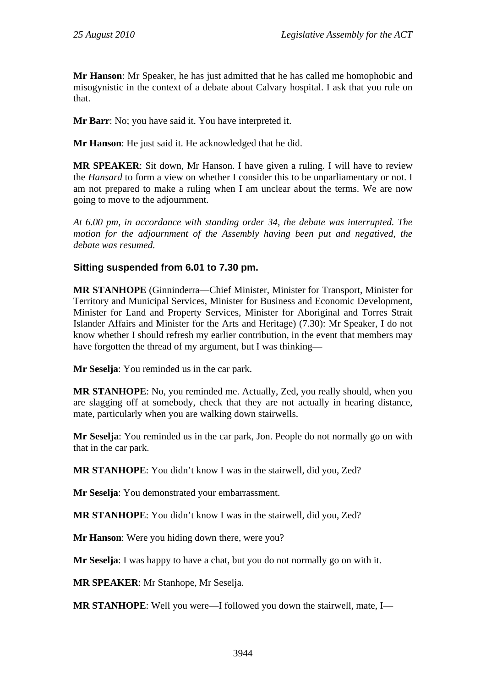**Mr Hanson**: Mr Speaker, he has just admitted that he has called me homophobic and misogynistic in the context of a debate about Calvary hospital. I ask that you rule on that.

**Mr Barr**: No; you have said it. You have interpreted it.

**Mr Hanson**: He just said it. He acknowledged that he did.

**MR SPEAKER**: Sit down, Mr Hanson. I have given a ruling. I will have to review the *Hansard* to form a view on whether I consider this to be unparliamentary or not. I am not prepared to make a ruling when I am unclear about the terms. We are now going to move to the adjournment.

*At 6.00 pm, in accordance with standing order 34, the debate was interrupted. The motion for the adjournment of the Assembly having been put and negatived, the debate was resumed.* 

## **Sitting suspended from 6.01 to 7.30 pm.**

**MR STANHOPE** (Ginninderra—Chief Minister, Minister for Transport, Minister for Territory and Municipal Services, Minister for Business and Economic Development, Minister for Land and Property Services, Minister for Aboriginal and Torres Strait Islander Affairs and Minister for the Arts and Heritage) (7.30): Mr Speaker, I do not know whether I should refresh my earlier contribution, in the event that members may have forgotten the thread of my argument, but I was thinking—

**Mr Seselja**: You reminded us in the car park.

**MR STANHOPE**: No, you reminded me. Actually, Zed, you really should, when you are slagging off at somebody, check that they are not actually in hearing distance, mate, particularly when you are walking down stairwells.

**Mr Seselja**: You reminded us in the car park, Jon. People do not normally go on with that in the car park.

**MR STANHOPE**: You didn't know I was in the stairwell, did you, Zed?

**Mr Seselja**: You demonstrated your embarrassment.

**MR STANHOPE**: You didn't know I was in the stairwell, did you, Zed?

**Mr Hanson**: Were you hiding down there, were you?

**Mr Seselja**: I was happy to have a chat, but you do not normally go on with it.

**MR SPEAKER**: Mr Stanhope, Mr Seselja.

**MR STANHOPE**: Well you were—I followed you down the stairwell, mate, I—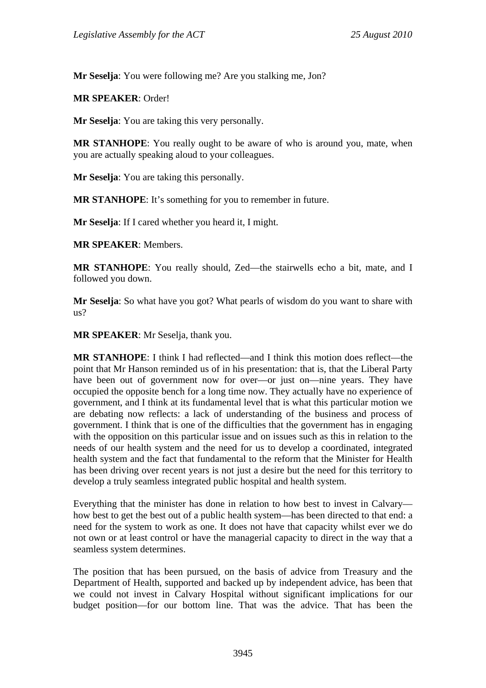**Mr Seselja**: You were following me? Are you stalking me, Jon?

**MR SPEAKER**: Order!

**Mr Seselja**: You are taking this very personally.

**MR STANHOPE**: You really ought to be aware of who is around you, mate, when you are actually speaking aloud to your colleagues.

**Mr Seselja**: You are taking this personally.

**MR STANHOPE**: It's something for you to remember in future.

**Mr Seselja**: If I cared whether you heard it, I might.

**MR SPEAKER**: Members.

**MR STANHOPE**: You really should, Zed—the stairwells echo a bit, mate, and I followed you down.

**Mr Seselja**: So what have you got? What pearls of wisdom do you want to share with  $_{\text{us}}$ ?

**MR SPEAKER**: Mr Seselja, thank you.

**MR STANHOPE**: I think I had reflected—and I think this motion does reflect—the point that Mr Hanson reminded us of in his presentation: that is, that the Liberal Party have been out of government now for over—or just on—nine years. They have occupied the opposite bench for a long time now. They actually have no experience of government, and I think at its fundamental level that is what this particular motion we are debating now reflects: a lack of understanding of the business and process of government. I think that is one of the difficulties that the government has in engaging with the opposition on this particular issue and on issues such as this in relation to the needs of our health system and the need for us to develop a coordinated, integrated health system and the fact that fundamental to the reform that the Minister for Health has been driving over recent years is not just a desire but the need for this territory to develop a truly seamless integrated public hospital and health system.

Everything that the minister has done in relation to how best to invest in Calvary how best to get the best out of a public health system—has been directed to that end: a need for the system to work as one. It does not have that capacity whilst ever we do not own or at least control or have the managerial capacity to direct in the way that a seamless system determines.

The position that has been pursued, on the basis of advice from Treasury and the Department of Health, supported and backed up by independent advice, has been that we could not invest in Calvary Hospital without significant implications for our budget position—for our bottom line. That was the advice. That has been the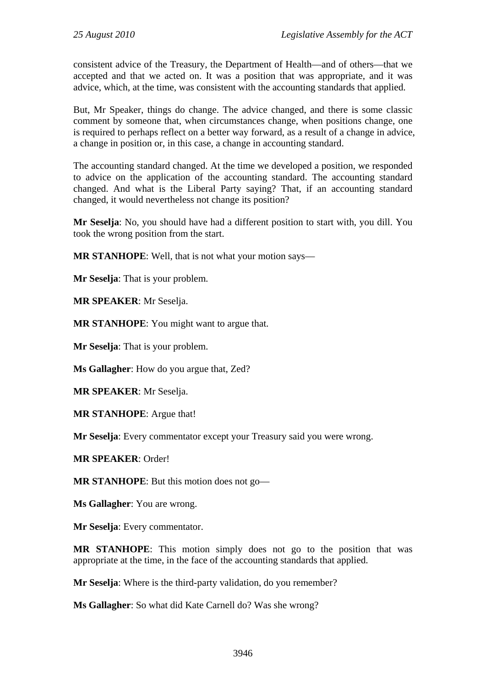consistent advice of the Treasury, the Department of Health—and of others—that we accepted and that we acted on. It was a position that was appropriate, and it was advice, which, at the time, was consistent with the accounting standards that applied.

But, Mr Speaker, things do change. The advice changed, and there is some classic comment by someone that, when circumstances change, when positions change, one is required to perhaps reflect on a better way forward, as a result of a change in advice, a change in position or, in this case, a change in accounting standard.

The accounting standard changed. At the time we developed a position, we responded to advice on the application of the accounting standard. The accounting standard changed. And what is the Liberal Party saying? That, if an accounting standard changed, it would nevertheless not change its position?

**Mr Seselja**: No, you should have had a different position to start with, you dill. You took the wrong position from the start.

**MR STANHOPE**: Well, that is not what your motion says—

**Mr Seselja**: That is your problem.

**MR SPEAKER**: Mr Seselja.

**MR STANHOPE**: You might want to argue that.

**Mr Seselja**: That is your problem.

**Ms Gallagher**: How do you argue that, Zed?

**MR SPEAKER**: Mr Seselja.

**MR STANHOPE**: Argue that!

**Mr Seselja**: Every commentator except your Treasury said you were wrong.

**MR SPEAKER**: Order!

**MR STANHOPE**: But this motion does not go—

**Ms Gallagher**: You are wrong.

**Mr Seselja**: Every commentator.

**MR STANHOPE**: This motion simply does not go to the position that was appropriate at the time, in the face of the accounting standards that applied.

**Mr Seselja**: Where is the third-party validation, do you remember?

**Ms Gallagher**: So what did Kate Carnell do? Was she wrong?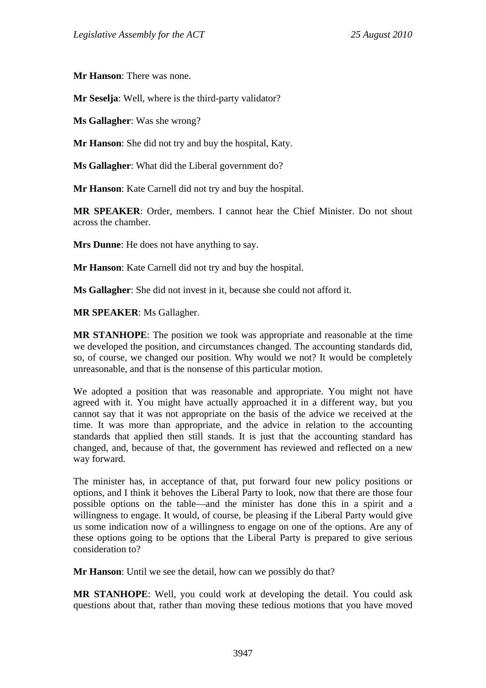**Mr Hanson**: There was none.

**Mr Seselja**: Well, where is the third-party validator?

**Ms Gallagher**: Was she wrong?

**Mr Hanson**: She did not try and buy the hospital, Katy.

**Ms Gallagher**: What did the Liberal government do?

**Mr Hanson**: Kate Carnell did not try and buy the hospital.

**MR SPEAKER**: Order, members. I cannot hear the Chief Minister. Do not shout across the chamber.

**Mrs Dunne**: He does not have anything to say.

**Mr Hanson**: Kate Carnell did not try and buy the hospital.

**Ms Gallagher**: She did not invest in it, because she could not afford it.

**MR SPEAKER**: Ms Gallagher.

**MR STANHOPE**: The position we took was appropriate and reasonable at the time we developed the position, and circumstances changed. The accounting standards did, so, of course, we changed our position. Why would we not? It would be completely unreasonable, and that is the nonsense of this particular motion.

We adopted a position that was reasonable and appropriate. You might not have agreed with it. You might have actually approached it in a different way, but you cannot say that it was not appropriate on the basis of the advice we received at the time. It was more than appropriate, and the advice in relation to the accounting standards that applied then still stands. It is just that the accounting standard has changed, and, because of that, the government has reviewed and reflected on a new way forward.

The minister has, in acceptance of that, put forward four new policy positions or options, and I think it behoves the Liberal Party to look, now that there are those four possible options on the table—and the minister has done this in a spirit and a willingness to engage. It would, of course, be pleasing if the Liberal Party would give us some indication now of a willingness to engage on one of the options. Are any of these options going to be options that the Liberal Party is prepared to give serious consideration to?

**Mr Hanson**: Until we see the detail, how can we possibly do that?

**MR STANHOPE**: Well, you could work at developing the detail. You could ask questions about that, rather than moving these tedious motions that you have moved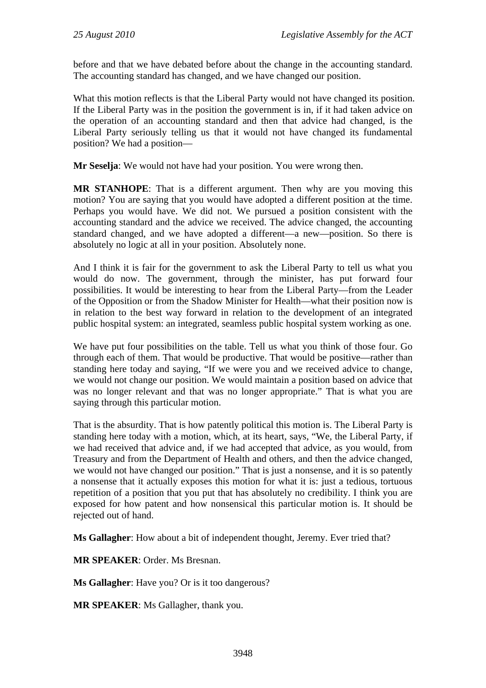before and that we have debated before about the change in the accounting standard. The accounting standard has changed, and we have changed our position.

What this motion reflects is that the Liberal Party would not have changed its position. If the Liberal Party was in the position the government is in, if it had taken advice on the operation of an accounting standard and then that advice had changed, is the Liberal Party seriously telling us that it would not have changed its fundamental position? We had a position—

**Mr Seselja**: We would not have had your position. You were wrong then.

**MR STANHOPE**: That is a different argument. Then why are you moving this motion? You are saying that you would have adopted a different position at the time. Perhaps you would have. We did not. We pursued a position consistent with the accounting standard and the advice we received. The advice changed, the accounting standard changed, and we have adopted a different—a new—position. So there is absolutely no logic at all in your position. Absolutely none.

And I think it is fair for the government to ask the Liberal Party to tell us what you would do now. The government, through the minister, has put forward four possibilities. It would be interesting to hear from the Liberal Party—from the Leader of the Opposition or from the Shadow Minister for Health—what their position now is in relation to the best way forward in relation to the development of an integrated public hospital system: an integrated, seamless public hospital system working as one.

We have put four possibilities on the table. Tell us what you think of those four. Go through each of them. That would be productive. That would be positive—rather than standing here today and saying, "If we were you and we received advice to change, we would not change our position. We would maintain a position based on advice that was no longer relevant and that was no longer appropriate." That is what you are saying through this particular motion.

That is the absurdity. That is how patently political this motion is. The Liberal Party is standing here today with a motion, which, at its heart, says, "We, the Liberal Party, if we had received that advice and, if we had accepted that advice, as you would, from Treasury and from the Department of Health and others, and then the advice changed, we would not have changed our position." That is just a nonsense, and it is so patently a nonsense that it actually exposes this motion for what it is: just a tedious, tortuous repetition of a position that you put that has absolutely no credibility. I think you are exposed for how patent and how nonsensical this particular motion is. It should be rejected out of hand.

**Ms Gallagher**: How about a bit of independent thought, Jeremy. Ever tried that?

**MR SPEAKER**: Order. Ms Bresnan.

**Ms Gallagher**: Have you? Or is it too dangerous?

**MR SPEAKER**: Ms Gallagher, thank you.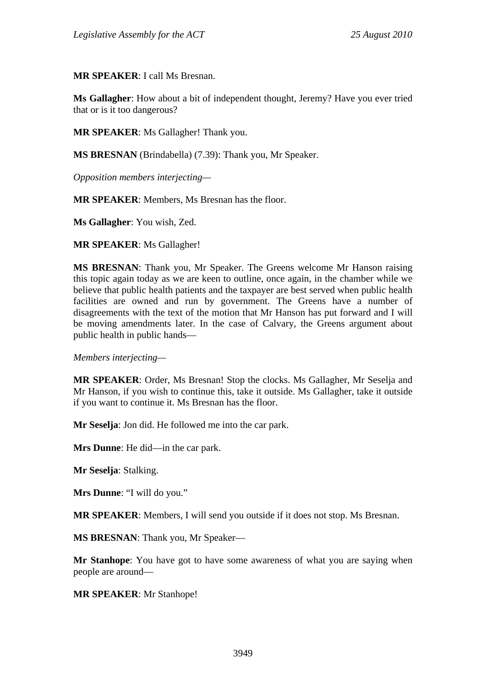**MR SPEAKER**: I call Ms Bresnan.

**Ms Gallagher**: How about a bit of independent thought, Jeremy? Have you ever tried that or is it too dangerous?

**MR SPEAKER**: Ms Gallagher! Thank you.

**MS BRESNAN** (Brindabella) (7.39): Thank you, Mr Speaker.

*Opposition members interjecting—* 

**MR SPEAKER**: Members, Ms Bresnan has the floor.

**Ms Gallagher**: You wish, Zed.

**MR SPEAKER**: Ms Gallagher!

**MS BRESNAN**: Thank you, Mr Speaker. The Greens welcome Mr Hanson raising this topic again today as we are keen to outline, once again, in the chamber while we believe that public health patients and the taxpayer are best served when public health facilities are owned and run by government. The Greens have a number of disagreements with the text of the motion that Mr Hanson has put forward and I will be moving amendments later. In the case of Calvary, the Greens argument about public health in public hands—

*Members interjecting—* 

**MR SPEAKER**: Order, Ms Bresnan! Stop the clocks. Ms Gallagher, Mr Seselja and Mr Hanson, if you wish to continue this, take it outside. Ms Gallagher, take it outside if you want to continue it. Ms Bresnan has the floor.

**Mr Seselja**: Jon did. He followed me into the car park.

**Mrs Dunne**: He did—in the car park.

**Mr Seselja**: Stalking.

**Mrs Dunne**: "I will do you."

**MR SPEAKER**: Members, I will send you outside if it does not stop. Ms Bresnan.

**MS BRESNAN**: Thank you, Mr Speaker—

**Mr Stanhope**: You have got to have some awareness of what you are saying when people are around—

**MR SPEAKER**: Mr Stanhope!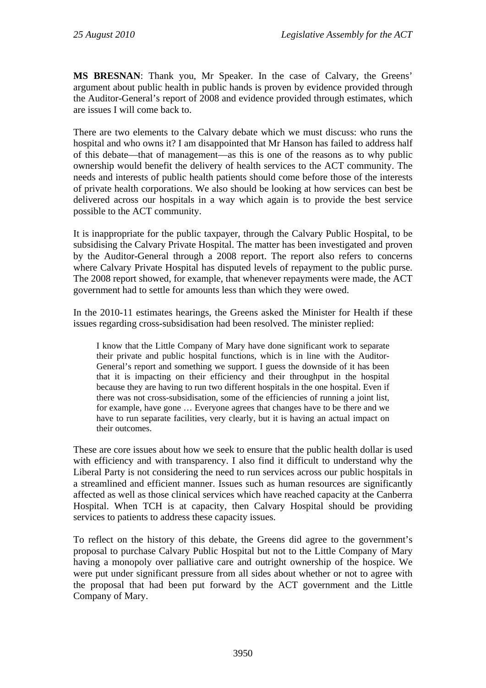**MS BRESNAN**: Thank you, Mr Speaker. In the case of Calvary, the Greens' argument about public health in public hands is proven by evidence provided through the Auditor-General's report of 2008 and evidence provided through estimates, which are issues I will come back to.

There are two elements to the Calvary debate which we must discuss: who runs the hospital and who owns it? I am disappointed that Mr Hanson has failed to address half of this debate—that of management—as this is one of the reasons as to why public ownership would benefit the delivery of health services to the ACT community. The needs and interests of public health patients should come before those of the interests of private health corporations. We also should be looking at how services can best be delivered across our hospitals in a way which again is to provide the best service possible to the ACT community.

It is inappropriate for the public taxpayer, through the Calvary Public Hospital, to be subsidising the Calvary Private Hospital. The matter has been investigated and proven by the Auditor-General through a 2008 report. The report also refers to concerns where Calvary Private Hospital has disputed levels of repayment to the public purse. The 2008 report showed, for example, that whenever repayments were made, the ACT government had to settle for amounts less than which they were owed.

In the 2010-11 estimates hearings, the Greens asked the Minister for Health if these issues regarding cross-subsidisation had been resolved. The minister replied:

I know that the Little Company of Mary have done significant work to separate their private and public hospital functions, which is in line with the Auditor-General's report and something we support. I guess the downside of it has been that it is impacting on their efficiency and their throughput in the hospital because they are having to run two different hospitals in the one hospital. Even if there was not cross-subsidisation, some of the efficiencies of running a joint list, for example, have gone … Everyone agrees that changes have to be there and we have to run separate facilities, very clearly, but it is having an actual impact on their outcomes.

These are core issues about how we seek to ensure that the public health dollar is used with efficiency and with transparency. I also find it difficult to understand why the Liberal Party is not considering the need to run services across our public hospitals in a streamlined and efficient manner. Issues such as human resources are significantly affected as well as those clinical services which have reached capacity at the Canberra Hospital. When TCH is at capacity, then Calvary Hospital should be providing services to patients to address these capacity issues.

To reflect on the history of this debate, the Greens did agree to the government's proposal to purchase Calvary Public Hospital but not to the Little Company of Mary having a monopoly over palliative care and outright ownership of the hospice. We were put under significant pressure from all sides about whether or not to agree with the proposal that had been put forward by the ACT government and the Little Company of Mary.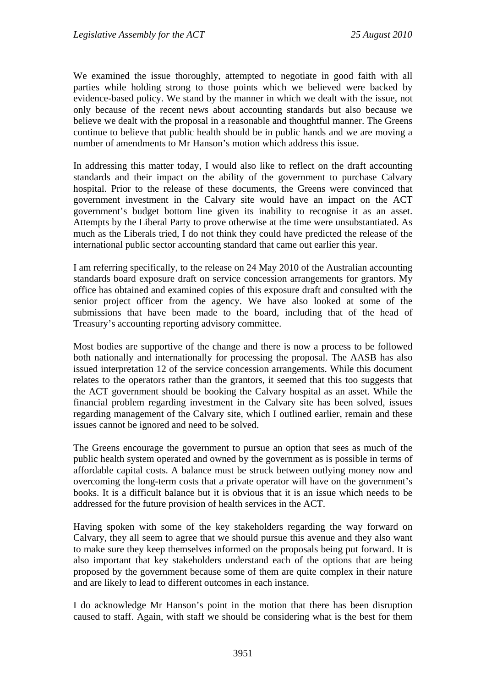We examined the issue thoroughly, attempted to negotiate in good faith with all parties while holding strong to those points which we believed were backed by evidence-based policy. We stand by the manner in which we dealt with the issue, not only because of the recent news about accounting standards but also because we believe we dealt with the proposal in a reasonable and thoughtful manner. The Greens continue to believe that public health should be in public hands and we are moving a number of amendments to Mr Hanson's motion which address this issue.

In addressing this matter today, I would also like to reflect on the draft accounting standards and their impact on the ability of the government to purchase Calvary hospital. Prior to the release of these documents, the Greens were convinced that government investment in the Calvary site would have an impact on the ACT government's budget bottom line given its inability to recognise it as an asset. Attempts by the Liberal Party to prove otherwise at the time were unsubstantiated. As much as the Liberals tried, I do not think they could have predicted the release of the international public sector accounting standard that came out earlier this year.

I am referring specifically, to the release on 24 May 2010 of the Australian accounting standards board exposure draft on service concession arrangements for grantors. My office has obtained and examined copies of this exposure draft and consulted with the senior project officer from the agency. We have also looked at some of the submissions that have been made to the board, including that of the head of Treasury's accounting reporting advisory committee.

Most bodies are supportive of the change and there is now a process to be followed both nationally and internationally for processing the proposal. The AASB has also issued interpretation 12 of the service concession arrangements. While this document relates to the operators rather than the grantors, it seemed that this too suggests that the ACT government should be booking the Calvary hospital as an asset. While the financial problem regarding investment in the Calvary site has been solved, issues regarding management of the Calvary site, which I outlined earlier, remain and these issues cannot be ignored and need to be solved.

The Greens encourage the government to pursue an option that sees as much of the public health system operated and owned by the government as is possible in terms of affordable capital costs. A balance must be struck between outlying money now and overcoming the long-term costs that a private operator will have on the government's books. It is a difficult balance but it is obvious that it is an issue which needs to be addressed for the future provision of health services in the ACT.

Having spoken with some of the key stakeholders regarding the way forward on Calvary, they all seem to agree that we should pursue this avenue and they also want to make sure they keep themselves informed on the proposals being put forward. It is also important that key stakeholders understand each of the options that are being proposed by the government because some of them are quite complex in their nature and are likely to lead to different outcomes in each instance.

I do acknowledge Mr Hanson's point in the motion that there has been disruption caused to staff. Again, with staff we should be considering what is the best for them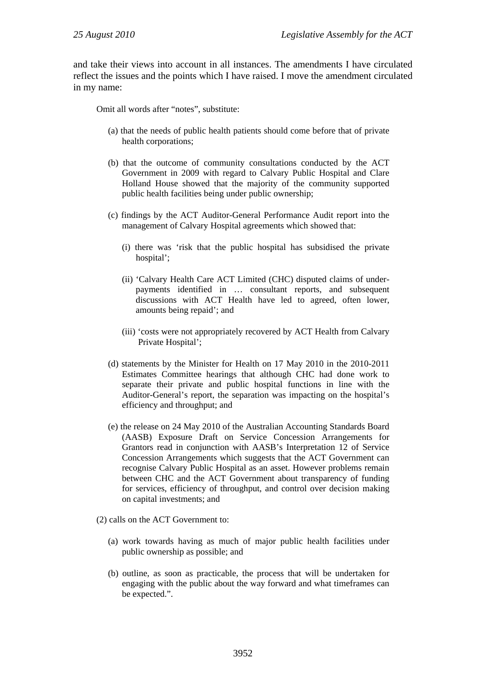and take their views into account in all instances. The amendments I have circulated reflect the issues and the points which I have raised. I move the amendment circulated in my name:

Omit all words after "notes", substitute:

- (a) that the needs of public health patients should come before that of private health corporations;
- (b) that the outcome of community consultations conducted by the ACT Government in 2009 with regard to Calvary Public Hospital and Clare Holland House showed that the majority of the community supported public health facilities being under public ownership;
- (c) findings by the ACT Auditor-General Performance Audit report into the management of Calvary Hospital agreements which showed that:
	- (i) there was 'risk that the public hospital has subsidised the private hospital':
	- (ii) 'Calvary Health Care ACT Limited (CHC) disputed claims of underpayments identified in … consultant reports, and subsequent discussions with ACT Health have led to agreed, often lower, amounts being repaid'; and
	- (iii) 'costs were not appropriately recovered by ACT Health from Calvary Private Hospital';
- (d) statements by the Minister for Health on 17 May 2010 in the 2010-2011 Estimates Committee hearings that although CHC had done work to separate their private and public hospital functions in line with the Auditor-General's report, the separation was impacting on the hospital's efficiency and throughput; and
- (e) the release on 24 May 2010 of the Australian Accounting Standards Board (AASB) Exposure Draft on Service Concession Arrangements for Grantors read in conjunction with AASB's Interpretation 12 of Service Concession Arrangements which suggests that the ACT Government can recognise Calvary Public Hospital as an asset. However problems remain between CHC and the ACT Government about transparency of funding for services, efficiency of throughput, and control over decision making on capital investments; and
- (2) calls on the ACT Government to:
	- (a) work towards having as much of major public health facilities under public ownership as possible; and
	- (b) outline, as soon as practicable, the process that will be undertaken for engaging with the public about the way forward and what timeframes can be expected.".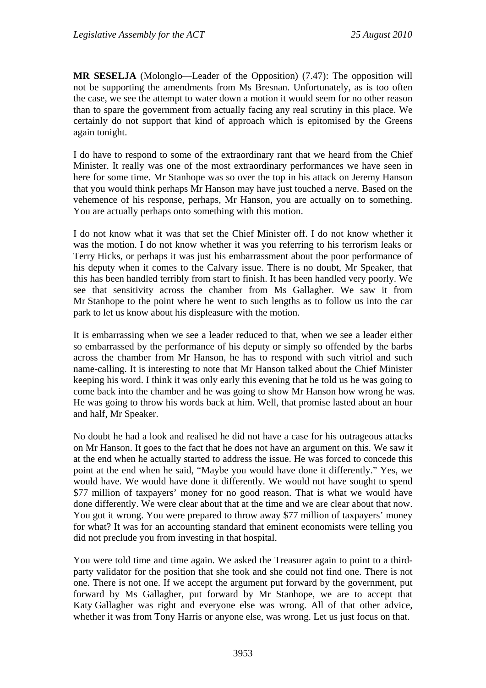**MR SESELJA** (Molonglo—Leader of the Opposition) (7.47): The opposition will not be supporting the amendments from Ms Bresnan. Unfortunately, as is too often the case, we see the attempt to water down a motion it would seem for no other reason than to spare the government from actually facing any real scrutiny in this place. We certainly do not support that kind of approach which is epitomised by the Greens again tonight.

I do have to respond to some of the extraordinary rant that we heard from the Chief Minister. It really was one of the most extraordinary performances we have seen in here for some time. Mr Stanhope was so over the top in his attack on Jeremy Hanson that you would think perhaps Mr Hanson may have just touched a nerve. Based on the vehemence of his response, perhaps, Mr Hanson, you are actually on to something. You are actually perhaps onto something with this motion.

I do not know what it was that set the Chief Minister off. I do not know whether it was the motion. I do not know whether it was you referring to his terrorism leaks or Terry Hicks, or perhaps it was just his embarrassment about the poor performance of his deputy when it comes to the Calvary issue. There is no doubt, Mr Speaker, that this has been handled terribly from start to finish. It has been handled very poorly. We see that sensitivity across the chamber from Ms Gallagher. We saw it from Mr Stanhope to the point where he went to such lengths as to follow us into the car park to let us know about his displeasure with the motion.

It is embarrassing when we see a leader reduced to that, when we see a leader either so embarrassed by the performance of his deputy or simply so offended by the barbs across the chamber from Mr Hanson, he has to respond with such vitriol and such name-calling. It is interesting to note that Mr Hanson talked about the Chief Minister keeping his word. I think it was only early this evening that he told us he was going to come back into the chamber and he was going to show Mr Hanson how wrong he was. He was going to throw his words back at him. Well, that promise lasted about an hour and half, Mr Speaker.

No doubt he had a look and realised he did not have a case for his outrageous attacks on Mr Hanson. It goes to the fact that he does not have an argument on this. We saw it at the end when he actually started to address the issue. He was forced to concede this point at the end when he said, "Maybe you would have done it differently." Yes, we would have. We would have done it differently. We would not have sought to spend \$77 million of taxpayers' money for no good reason. That is what we would have done differently. We were clear about that at the time and we are clear about that now. You got it wrong. You were prepared to throw away \$77 million of taxpayers' money for what? It was for an accounting standard that eminent economists were telling you did not preclude you from investing in that hospital.

You were told time and time again. We asked the Treasurer again to point to a thirdparty validator for the position that she took and she could not find one. There is not one. There is not one. If we accept the argument put forward by the government, put forward by Ms Gallagher, put forward by Mr Stanhope, we are to accept that Katy Gallagher was right and everyone else was wrong. All of that other advice, whether it was from Tony Harris or anyone else, was wrong. Let us just focus on that.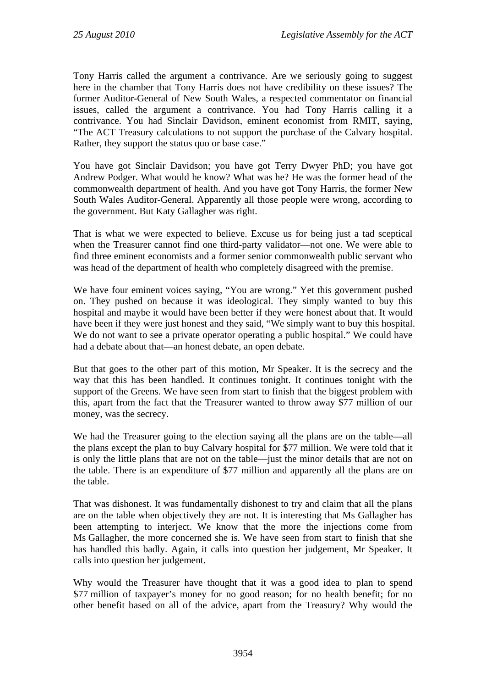Tony Harris called the argument a contrivance. Are we seriously going to suggest here in the chamber that Tony Harris does not have credibility on these issues? The former Auditor-General of New South Wales, a respected commentator on financial issues, called the argument a contrivance. You had Tony Harris calling it a contrivance. You had Sinclair Davidson, eminent economist from RMIT, saying, "The ACT Treasury calculations to not support the purchase of the Calvary hospital. Rather, they support the status quo or base case."

You have got Sinclair Davidson; you have got Terry Dwyer PhD; you have got Andrew Podger. What would he know? What was he? He was the former head of the commonwealth department of health. And you have got Tony Harris, the former New South Wales Auditor-General. Apparently all those people were wrong, according to the government. But Katy Gallagher was right.

That is what we were expected to believe. Excuse us for being just a tad sceptical when the Treasurer cannot find one third-party validator—not one. We were able to find three eminent economists and a former senior commonwealth public servant who was head of the department of health who completely disagreed with the premise.

We have four eminent voices saying, "You are wrong." Yet this government pushed on. They pushed on because it was ideological. They simply wanted to buy this hospital and maybe it would have been better if they were honest about that. It would have been if they were just honest and they said, "We simply want to buy this hospital. We do not want to see a private operator operating a public hospital." We could have had a debate about that—an honest debate, an open debate.

But that goes to the other part of this motion, Mr Speaker. It is the secrecy and the way that this has been handled. It continues tonight. It continues tonight with the support of the Greens. We have seen from start to finish that the biggest problem with this, apart from the fact that the Treasurer wanted to throw away \$77 million of our money, was the secrecy.

We had the Treasurer going to the election saying all the plans are on the table—all the plans except the plan to buy Calvary hospital for \$77 million. We were told that it is only the little plans that are not on the table—just the minor details that are not on the table. There is an expenditure of \$77 million and apparently all the plans are on the table.

That was dishonest. It was fundamentally dishonest to try and claim that all the plans are on the table when objectively they are not. It is interesting that Ms Gallagher has been attempting to interject. We know that the more the injections come from Ms Gallagher, the more concerned she is. We have seen from start to finish that she has handled this badly. Again, it calls into question her judgement, Mr Speaker. It calls into question her judgement.

Why would the Treasurer have thought that it was a good idea to plan to spend \$77 million of taxpayer's money for no good reason; for no health benefit; for no other benefit based on all of the advice, apart from the Treasury? Why would the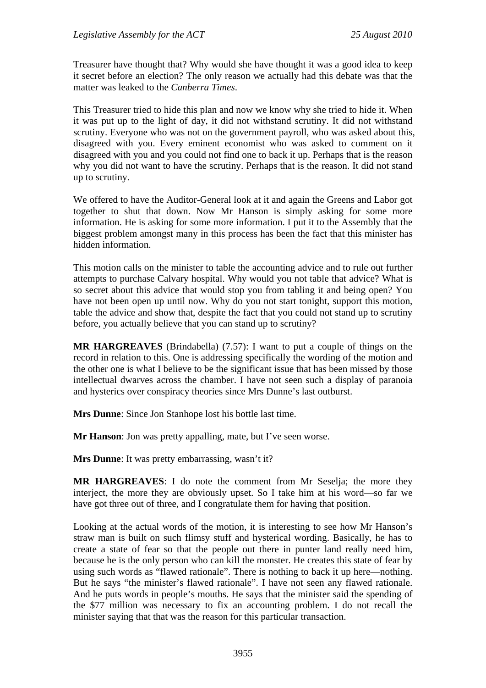Treasurer have thought that? Why would she have thought it was a good idea to keep it secret before an election? The only reason we actually had this debate was that the matter was leaked to the *Canberra Times*.

This Treasurer tried to hide this plan and now we know why she tried to hide it. When it was put up to the light of day, it did not withstand scrutiny. It did not withstand scrutiny. Everyone who was not on the government payroll, who was asked about this, disagreed with you. Every eminent economist who was asked to comment on it disagreed with you and you could not find one to back it up. Perhaps that is the reason why you did not want to have the scrutiny. Perhaps that is the reason. It did not stand up to scrutiny.

We offered to have the Auditor-General look at it and again the Greens and Labor got together to shut that down. Now Mr Hanson is simply asking for some more information. He is asking for some more information. I put it to the Assembly that the biggest problem amongst many in this process has been the fact that this minister has hidden information.

This motion calls on the minister to table the accounting advice and to rule out further attempts to purchase Calvary hospital. Why would you not table that advice? What is so secret about this advice that would stop you from tabling it and being open? You have not been open up until now. Why do you not start tonight, support this motion, table the advice and show that, despite the fact that you could not stand up to scrutiny before, you actually believe that you can stand up to scrutiny?

**MR HARGREAVES** (Brindabella) (7.57): I want to put a couple of things on the record in relation to this. One is addressing specifically the wording of the motion and the other one is what I believe to be the significant issue that has been missed by those intellectual dwarves across the chamber. I have not seen such a display of paranoia and hysterics over conspiracy theories since Mrs Dunne's last outburst.

**Mrs Dunne**: Since Jon Stanhope lost his bottle last time.

**Mr Hanson**: Jon was pretty appalling, mate, but I've seen worse.

**Mrs Dunne**: It was pretty embarrassing, wasn't it?

**MR HARGREAVES**: I do note the comment from Mr Seselja; the more they interject, the more they are obviously upset. So I take him at his word—so far we have got three out of three, and I congratulate them for having that position.

Looking at the actual words of the motion, it is interesting to see how Mr Hanson's straw man is built on such flimsy stuff and hysterical wording. Basically, he has to create a state of fear so that the people out there in punter land really need him, because he is the only person who can kill the monster. He creates this state of fear by using such words as "flawed rationale". There is nothing to back it up here—nothing. But he says "the minister's flawed rationale". I have not seen any flawed rationale. And he puts words in people's mouths. He says that the minister said the spending of the \$77 million was necessary to fix an accounting problem. I do not recall the minister saying that that was the reason for this particular transaction.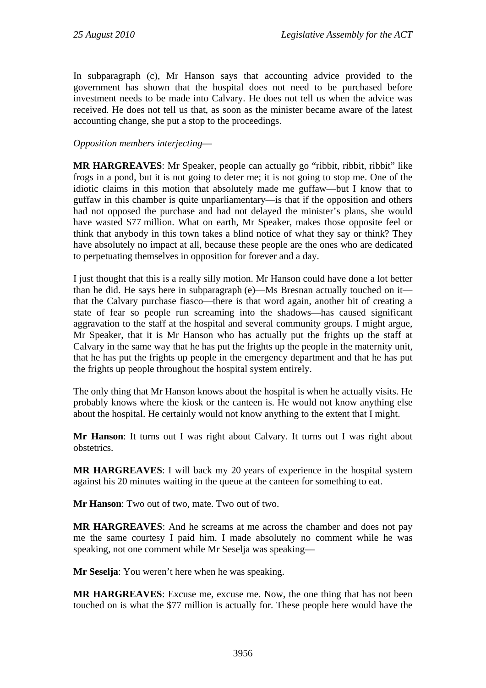In subparagraph (c), Mr Hanson says that accounting advice provided to the government has shown that the hospital does not need to be purchased before investment needs to be made into Calvary. He does not tell us when the advice was received. He does not tell us that, as soon as the minister became aware of the latest accounting change, she put a stop to the proceedings.

### *Opposition members interjecting*—

**MR HARGREAVES**: Mr Speaker, people can actually go "ribbit, ribbit, ribbit" like frogs in a pond, but it is not going to deter me; it is not going to stop me. One of the idiotic claims in this motion that absolutely made me guffaw—but I know that to guffaw in this chamber is quite unparliamentary—is that if the opposition and others had not opposed the purchase and had not delayed the minister's plans, she would have wasted \$77 million. What on earth, Mr Speaker, makes those opposite feel or think that anybody in this town takes a blind notice of what they say or think? They have absolutely no impact at all, because these people are the ones who are dedicated to perpetuating themselves in opposition for forever and a day.

I just thought that this is a really silly motion. Mr Hanson could have done a lot better than he did. He says here in subparagraph (e)—Ms Bresnan actually touched on it that the Calvary purchase fiasco—there is that word again, another bit of creating a state of fear so people run screaming into the shadows—has caused significant aggravation to the staff at the hospital and several community groups. I might argue, Mr Speaker, that it is Mr Hanson who has actually put the frights up the staff at Calvary in the same way that he has put the frights up the people in the maternity unit, that he has put the frights up people in the emergency department and that he has put the frights up people throughout the hospital system entirely.

The only thing that Mr Hanson knows about the hospital is when he actually visits. He probably knows where the kiosk or the canteen is. He would not know anything else about the hospital. He certainly would not know anything to the extent that I might.

**Mr Hanson**: It turns out I was right about Calvary. It turns out I was right about obstetrics.

**MR HARGREAVES**: I will back my 20 years of experience in the hospital system against his 20 minutes waiting in the queue at the canteen for something to eat.

**Mr Hanson**: Two out of two, mate. Two out of two.

**MR HARGREAVES**: And he screams at me across the chamber and does not pay me the same courtesy I paid him. I made absolutely no comment while he was speaking, not one comment while Mr Seselja was speaking—

**Mr Seselja**: You weren't here when he was speaking.

**MR HARGREAVES**: Excuse me, excuse me. Now, the one thing that has not been touched on is what the \$77 million is actually for. These people here would have the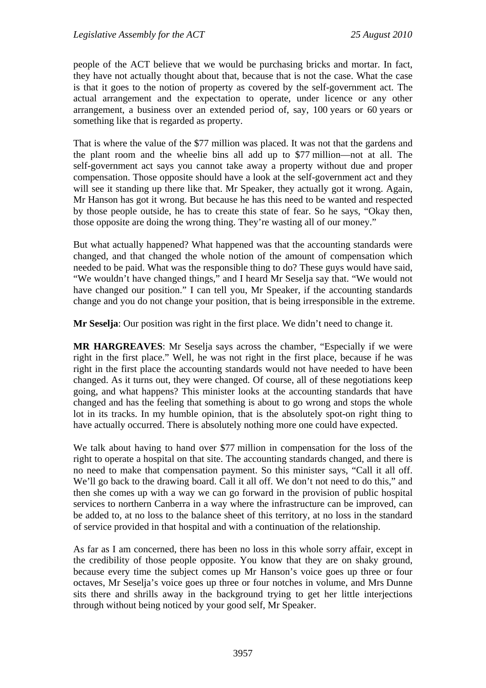people of the ACT believe that we would be purchasing bricks and mortar. In fact, they have not actually thought about that, because that is not the case. What the case is that it goes to the notion of property as covered by the self-government act. The actual arrangement and the expectation to operate, under licence or any other arrangement, a business over an extended period of, say, 100 years or 60 years or something like that is regarded as property.

That is where the value of the \$77 million was placed. It was not that the gardens and the plant room and the wheelie bins all add up to \$77 million—not at all. The self-government act says you cannot take away a property without due and proper compensation. Those opposite should have a look at the self-government act and they will see it standing up there like that. Mr Speaker, they actually got it wrong. Again, Mr Hanson has got it wrong. But because he has this need to be wanted and respected by those people outside, he has to create this state of fear. So he says, "Okay then, those opposite are doing the wrong thing. They're wasting all of our money."

But what actually happened? What happened was that the accounting standards were changed, and that changed the whole notion of the amount of compensation which needed to be paid. What was the responsible thing to do? These guys would have said, "We wouldn't have changed things," and I heard Mr Seselja say that. "We would not have changed our position." I can tell you, Mr Speaker, if the accounting standards change and you do not change your position, that is being irresponsible in the extreme.

**Mr Seselja**: Our position was right in the first place. We didn't need to change it.

**MR HARGREAVES**: Mr Seselja says across the chamber, "Especially if we were right in the first place." Well, he was not right in the first place, because if he was right in the first place the accounting standards would not have needed to have been changed. As it turns out, they were changed. Of course, all of these negotiations keep going, and what happens? This minister looks at the accounting standards that have changed and has the feeling that something is about to go wrong and stops the whole lot in its tracks. In my humble opinion, that is the absolutely spot-on right thing to have actually occurred. There is absolutely nothing more one could have expected.

We talk about having to hand over \$77 million in compensation for the loss of the right to operate a hospital on that site. The accounting standards changed, and there is no need to make that compensation payment. So this minister says, "Call it all off. We'll go back to the drawing board. Call it all off. We don't not need to do this," and then she comes up with a way we can go forward in the provision of public hospital services to northern Canberra in a way where the infrastructure can be improved, can be added to, at no loss to the balance sheet of this territory, at no loss in the standard of service provided in that hospital and with a continuation of the relationship.

As far as I am concerned, there has been no loss in this whole sorry affair, except in the credibility of those people opposite. You know that they are on shaky ground, because every time the subject comes up Mr Hanson's voice goes up three or four octaves, Mr Seselja's voice goes up three or four notches in volume, and Mrs Dunne sits there and shrills away in the background trying to get her little interjections through without being noticed by your good self, Mr Speaker.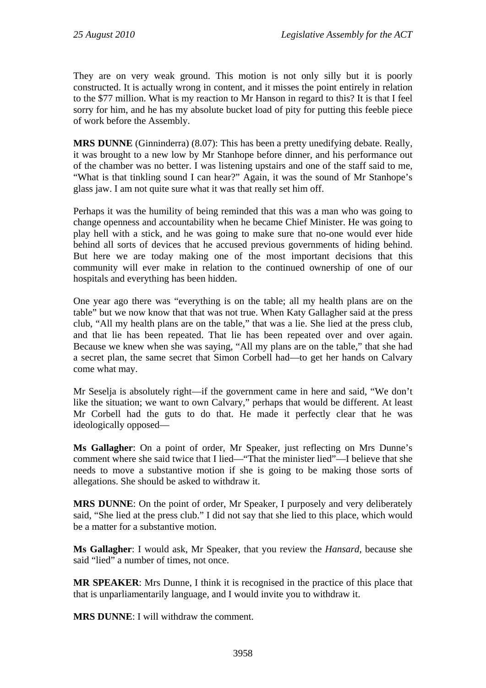They are on very weak ground. This motion is not only silly but it is poorly constructed. It is actually wrong in content, and it misses the point entirely in relation to the \$77 million. What is my reaction to Mr Hanson in regard to this? It is that I feel sorry for him, and he has my absolute bucket load of pity for putting this feeble piece of work before the Assembly.

**MRS DUNNE** (Ginninderra) (8.07): This has been a pretty unedifying debate. Really, it was brought to a new low by Mr Stanhope before dinner, and his performance out of the chamber was no better. I was listening upstairs and one of the staff said to me, "What is that tinkling sound I can hear?" Again, it was the sound of Mr Stanhope's glass jaw. I am not quite sure what it was that really set him off.

Perhaps it was the humility of being reminded that this was a man who was going to change openness and accountability when he became Chief Minister. He was going to play hell with a stick, and he was going to make sure that no-one would ever hide behind all sorts of devices that he accused previous governments of hiding behind. But here we are today making one of the most important decisions that this community will ever make in relation to the continued ownership of one of our hospitals and everything has been hidden.

One year ago there was "everything is on the table; all my health plans are on the table" but we now know that that was not true. When Katy Gallagher said at the press club, "All my health plans are on the table," that was a lie. She lied at the press club, and that lie has been repeated. That lie has been repeated over and over again. Because we knew when she was saying, "All my plans are on the table," that she had a secret plan, the same secret that Simon Corbell had—to get her hands on Calvary come what may.

Mr Seselja is absolutely right—if the government came in here and said, "We don't like the situation; we want to own Calvary," perhaps that would be different. At least Mr Corbell had the guts to do that. He made it perfectly clear that he was ideologically opposed—

**Ms Gallagher**: On a point of order, Mr Speaker, just reflecting on Mrs Dunne's comment where she said twice that I lied—"That the minister lied"—I believe that she needs to move a substantive motion if she is going to be making those sorts of allegations. She should be asked to withdraw it.

**MRS DUNNE**: On the point of order, Mr Speaker, I purposely and very deliberately said, "She lied at the press club." I did not say that she lied to this place, which would be a matter for a substantive motion.

**Ms Gallagher**: I would ask, Mr Speaker, that you review the *Hansard,* because she said "lied" a number of times, not once.

**MR SPEAKER**: Mrs Dunne, I think it is recognised in the practice of this place that that is unparliamentarily language, and I would invite you to withdraw it.

**MRS DUNNE**: I will withdraw the comment.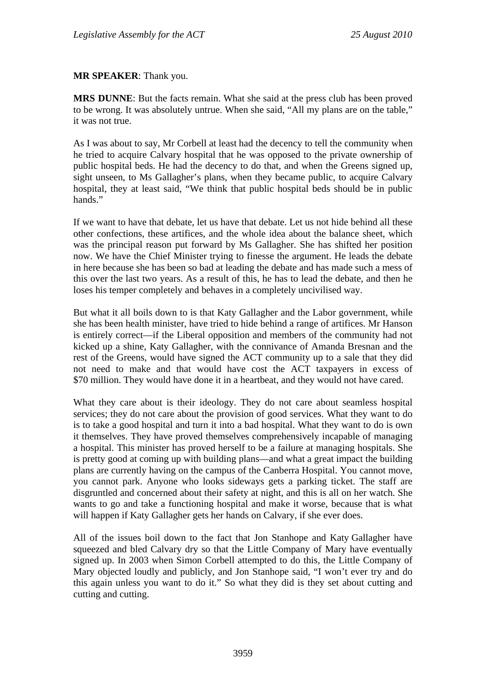#### **MR SPEAKER**: Thank you.

**MRS DUNNE**: But the facts remain. What she said at the press club has been proved to be wrong. It was absolutely untrue. When she said, "All my plans are on the table," it was not true.

As I was about to say, Mr Corbell at least had the decency to tell the community when he tried to acquire Calvary hospital that he was opposed to the private ownership of public hospital beds. He had the decency to do that, and when the Greens signed up, sight unseen, to Ms Gallagher's plans, when they became public, to acquire Calvary hospital, they at least said, "We think that public hospital beds should be in public hands."

If we want to have that debate, let us have that debate. Let us not hide behind all these other confections, these artifices, and the whole idea about the balance sheet, which was the principal reason put forward by Ms Gallagher. She has shifted her position now. We have the Chief Minister trying to finesse the argument. He leads the debate in here because she has been so bad at leading the debate and has made such a mess of this over the last two years. As a result of this, he has to lead the debate, and then he loses his temper completely and behaves in a completely uncivilised way.

But what it all boils down to is that Katy Gallagher and the Labor government, while she has been health minister, have tried to hide behind a range of artifices. Mr Hanson is entirely correct—if the Liberal opposition and members of the community had not kicked up a shine, Katy Gallagher, with the connivance of Amanda Bresnan and the rest of the Greens, would have signed the ACT community up to a sale that they did not need to make and that would have cost the ACT taxpayers in excess of \$70 million. They would have done it in a heartbeat, and they would not have cared.

What they care about is their ideology. They do not care about seamless hospital services; they do not care about the provision of good services. What they want to do is to take a good hospital and turn it into a bad hospital. What they want to do is own it themselves. They have proved themselves comprehensively incapable of managing a hospital. This minister has proved herself to be a failure at managing hospitals. She is pretty good at coming up with building plans—and what a great impact the building plans are currently having on the campus of the Canberra Hospital. You cannot move, you cannot park. Anyone who looks sideways gets a parking ticket. The staff are disgruntled and concerned about their safety at night, and this is all on her watch. She wants to go and take a functioning hospital and make it worse, because that is what will happen if Katy Gallagher gets her hands on Calvary, if she ever does.

All of the issues boil down to the fact that Jon Stanhope and Katy Gallagher have squeezed and bled Calvary dry so that the Little Company of Mary have eventually signed up. In 2003 when Simon Corbell attempted to do this, the Little Company of Mary objected loudly and publicly, and Jon Stanhope said, "I won't ever try and do this again unless you want to do it." So what they did is they set about cutting and cutting and cutting.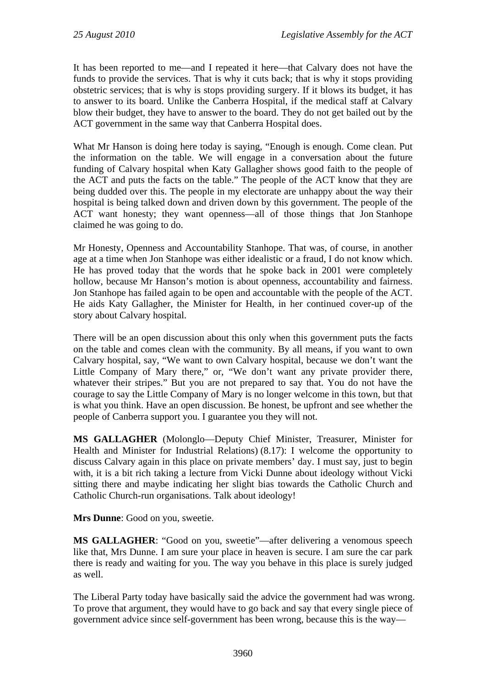It has been reported to me—and I repeated it here—that Calvary does not have the funds to provide the services. That is why it cuts back; that is why it stops providing obstetric services; that is why is stops providing surgery. If it blows its budget, it has to answer to its board. Unlike the Canberra Hospital, if the medical staff at Calvary blow their budget, they have to answer to the board. They do not get bailed out by the ACT government in the same way that Canberra Hospital does.

What Mr Hanson is doing here today is saying, "Enough is enough. Come clean. Put the information on the table. We will engage in a conversation about the future funding of Calvary hospital when Katy Gallagher shows good faith to the people of the ACT and puts the facts on the table." The people of the ACT know that they are being dudded over this. The people in my electorate are unhappy about the way their hospital is being talked down and driven down by this government. The people of the ACT want honesty; they want openness—all of those things that Jon Stanhope claimed he was going to do.

Mr Honesty, Openness and Accountability Stanhope. That was, of course, in another age at a time when Jon Stanhope was either idealistic or a fraud, I do not know which. He has proved today that the words that he spoke back in 2001 were completely hollow, because Mr Hanson's motion is about openness, accountability and fairness. Jon Stanhope has failed again to be open and accountable with the people of the ACT. He aids Katy Gallagher, the Minister for Health, in her continued cover-up of the story about Calvary hospital.

There will be an open discussion about this only when this government puts the facts on the table and comes clean with the community. By all means, if you want to own Calvary hospital, say, "We want to own Calvary hospital, because we don't want the Little Company of Mary there," or, "We don't want any private provider there, whatever their stripes." But you are not prepared to say that. You do not have the courage to say the Little Company of Mary is no longer welcome in this town, but that is what you think. Have an open discussion. Be honest, be upfront and see whether the people of Canberra support you. I guarantee you they will not.

**MS GALLAGHER** (Molonglo—Deputy Chief Minister, Treasurer, Minister for Health and Minister for Industrial Relations) (8.17): I welcome the opportunity to discuss Calvary again in this place on private members' day. I must say, just to begin with, it is a bit rich taking a lecture from Vicki Dunne about ideology without Vicki sitting there and maybe indicating her slight bias towards the Catholic Church and Catholic Church-run organisations. Talk about ideology!

**Mrs Dunne**: Good on you, sweetie.

**MS GALLAGHER**: "Good on you, sweetie"—after delivering a venomous speech like that, Mrs Dunne. I am sure your place in heaven is secure. I am sure the car park there is ready and waiting for you. The way you behave in this place is surely judged as well.

The Liberal Party today have basically said the advice the government had was wrong. To prove that argument, they would have to go back and say that every single piece of government advice since self-government has been wrong, because this is the way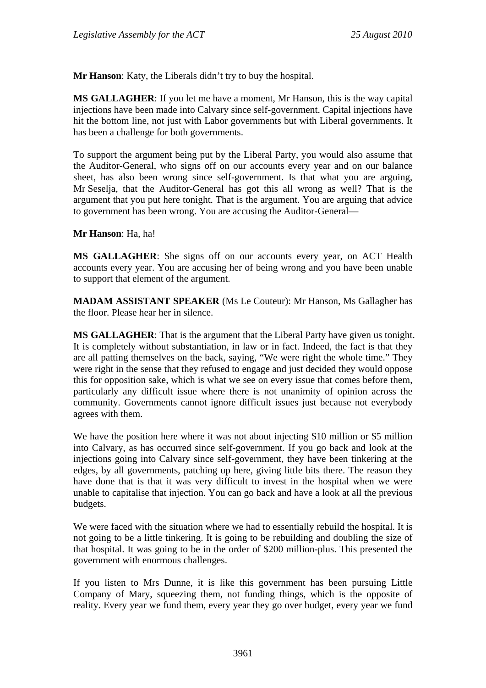**Mr Hanson**: Katy, the Liberals didn't try to buy the hospital.

**MS GALLAGHER**: If you let me have a moment, Mr Hanson, this is the way capital injections have been made into Calvary since self-government. Capital injections have hit the bottom line, not just with Labor governments but with Liberal governments. It has been a challenge for both governments.

To support the argument being put by the Liberal Party, you would also assume that the Auditor-General, who signs off on our accounts every year and on our balance sheet, has also been wrong since self-government. Is that what you are arguing, Mr Seselja, that the Auditor-General has got this all wrong as well? That is the argument that you put here tonight. That is the argument. You are arguing that advice to government has been wrong. You are accusing the Auditor-General—

**Mr Hanson**: Ha, ha!

**MS GALLAGHER**: She signs off on our accounts every year, on ACT Health accounts every year. You are accusing her of being wrong and you have been unable to support that element of the argument.

**MADAM ASSISTANT SPEAKER** (Ms Le Couteur): Mr Hanson, Ms Gallagher has the floor. Please hear her in silence.

**MS GALLAGHER**: That is the argument that the Liberal Party have given us tonight. It is completely without substantiation, in law or in fact. Indeed, the fact is that they are all patting themselves on the back, saying, "We were right the whole time." They were right in the sense that they refused to engage and just decided they would oppose this for opposition sake, which is what we see on every issue that comes before them, particularly any difficult issue where there is not unanimity of opinion across the community. Governments cannot ignore difficult issues just because not everybody agrees with them.

We have the position here where it was not about injecting \$10 million or \$5 million into Calvary, as has occurred since self-government. If you go back and look at the injections going into Calvary since self-government, they have been tinkering at the edges, by all governments, patching up here, giving little bits there. The reason they have done that is that it was very difficult to invest in the hospital when we were unable to capitalise that injection. You can go back and have a look at all the previous budgets.

We were faced with the situation where we had to essentially rebuild the hospital. It is not going to be a little tinkering. It is going to be rebuilding and doubling the size of that hospital. It was going to be in the order of \$200 million-plus. This presented the government with enormous challenges.

If you listen to Mrs Dunne, it is like this government has been pursuing Little Company of Mary, squeezing them, not funding things, which is the opposite of reality. Every year we fund them, every year they go over budget, every year we fund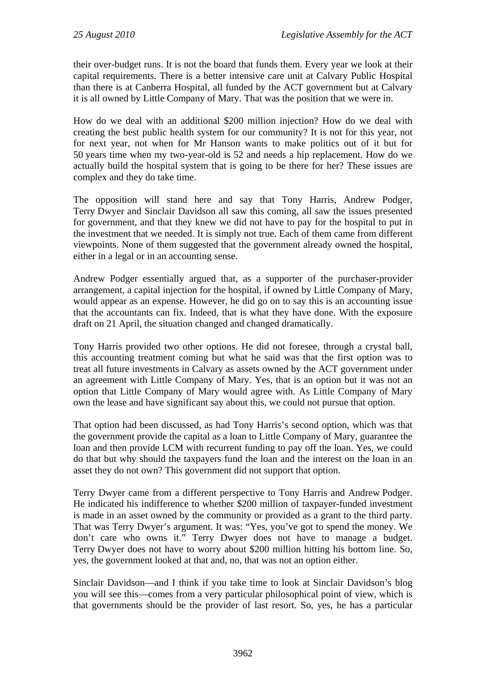their over-budget runs. It is not the board that funds them. Every year we look at their capital requirements. There is a better intensive care unit at Calvary Public Hospital than there is at Canberra Hospital, all funded by the ACT government but at Calvary it is all owned by Little Company of Mary. That was the position that we were in.

How do we deal with an additional \$200 million injection? How do we deal with creating the best public health system for our community? It is not for this year, not for next year, not when for Mr Hanson wants to make politics out of it but for 50 years time when my two-year-old is 52 and needs a hip replacement. How do we actually build the hospital system that is going to be there for her? These issues are complex and they do take time.

The opposition will stand here and say that Tony Harris, Andrew Podger, Terry Dwyer and Sinclair Davidson all saw this coming, all saw the issues presented for government, and that they knew we did not have to pay for the hospital to put in the investment that we needed. It is simply not true. Each of them came from different viewpoints. None of them suggested that the government already owned the hospital, either in a legal or in an accounting sense.

Andrew Podger essentially argued that, as a supporter of the purchaser-provider arrangement, a capital injection for the hospital, if owned by Little Company of Mary, would appear as an expense. However, he did go on to say this is an accounting issue that the accountants can fix. Indeed, that is what they have done. With the exposure draft on 21 April, the situation changed and changed dramatically.

Tony Harris provided two other options. He did not foresee, through a crystal ball, this accounting treatment coming but what he said was that the first option was to treat all future investments in Calvary as assets owned by the ACT government under an agreement with Little Company of Mary. Yes, that is an option but it was not an option that Little Company of Mary would agree with. As Little Company of Mary own the lease and have significant say about this, we could not pursue that option.

That option had been discussed, as had Tony Harris's second option, which was that the government provide the capital as a loan to Little Company of Mary, guarantee the loan and then provide LCM with recurrent funding to pay off the loan. Yes, we could do that but why should the taxpayers fund the loan and the interest on the loan in an asset they do not own? This government did not support that option.

Terry Dwyer came from a different perspective to Tony Harris and Andrew Podger. He indicated his indifference to whether \$200 million of taxpayer-funded investment is made in an asset owned by the community or provided as a grant to the third party. That was Terry Dwyer's argument. It was: "Yes, you've got to spend the money. We don't care who owns it." Terry Dwyer does not have to manage a budget. Terry Dwyer does not have to worry about \$200 million hitting his bottom line. So, yes, the government looked at that and, no, that was not an option either.

Sinclair Davidson—and I think if you take time to look at Sinclair Davidson's blog you will see this—comes from a very particular philosophical point of view, which is that governments should be the provider of last resort. So, yes, he has a particular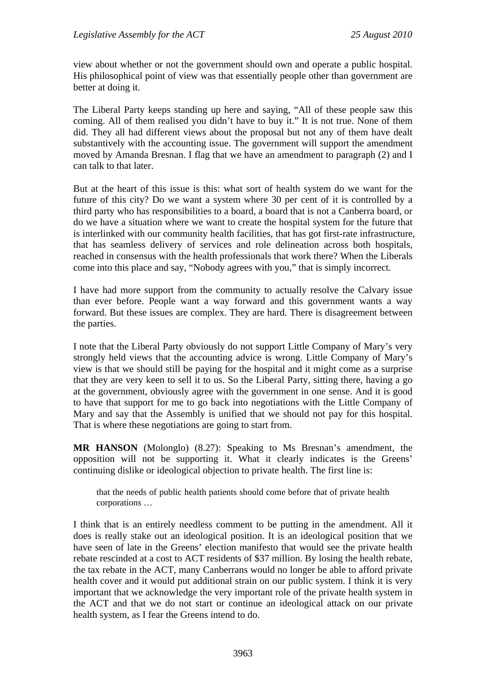view about whether or not the government should own and operate a public hospital. His philosophical point of view was that essentially people other than government are better at doing it.

The Liberal Party keeps standing up here and saying, "All of these people saw this coming. All of them realised you didn't have to buy it." It is not true. None of them did. They all had different views about the proposal but not any of them have dealt substantively with the accounting issue. The government will support the amendment moved by Amanda Bresnan. I flag that we have an amendment to paragraph (2) and I can talk to that later.

But at the heart of this issue is this: what sort of health system do we want for the future of this city? Do we want a system where 30 per cent of it is controlled by a third party who has responsibilities to a board, a board that is not a Canberra board, or do we have a situation where we want to create the hospital system for the future that is interlinked with our community health facilities, that has got first-rate infrastructure, that has seamless delivery of services and role delineation across both hospitals, reached in consensus with the health professionals that work there? When the Liberals come into this place and say, "Nobody agrees with you," that is simply incorrect.

I have had more support from the community to actually resolve the Calvary issue than ever before. People want a way forward and this government wants a way forward. But these issues are complex. They are hard. There is disagreement between the parties.

I note that the Liberal Party obviously do not support Little Company of Mary's very strongly held views that the accounting advice is wrong. Little Company of Mary's view is that we should still be paying for the hospital and it might come as a surprise that they are very keen to sell it to us. So the Liberal Party, sitting there, having a go at the government, obviously agree with the government in one sense. And it is good to have that support for me to go back into negotiations with the Little Company of Mary and say that the Assembly is unified that we should not pay for this hospital. That is where these negotiations are going to start from.

**MR HANSON** (Molonglo) (8.27): Speaking to Ms Bresnan's amendment, the opposition will not be supporting it. What it clearly indicates is the Greens' continuing dislike or ideological objection to private health. The first line is:

that the needs of public health patients should come before that of private health corporations …

I think that is an entirely needless comment to be putting in the amendment. All it does is really stake out an ideological position. It is an ideological position that we have seen of late in the Greens' election manifesto that would see the private health rebate rescinded at a cost to ACT residents of \$37 million. By losing the health rebate, the tax rebate in the ACT, many Canberrans would no longer be able to afford private health cover and it would put additional strain on our public system. I think it is very important that we acknowledge the very important role of the private health system in the ACT and that we do not start or continue an ideological attack on our private health system, as I fear the Greens intend to do.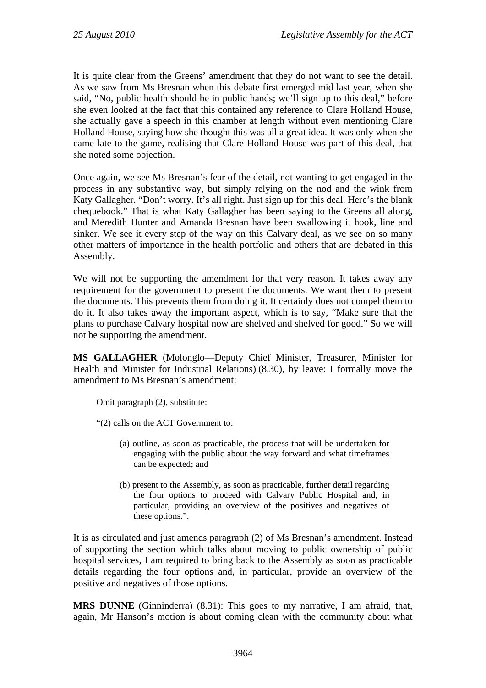It is quite clear from the Greens' amendment that they do not want to see the detail. As we saw from Ms Bresnan when this debate first emerged mid last year, when she said, "No, public health should be in public hands; we'll sign up to this deal," before she even looked at the fact that this contained any reference to Clare Holland House, she actually gave a speech in this chamber at length without even mentioning Clare Holland House, saying how she thought this was all a great idea. It was only when she came late to the game, realising that Clare Holland House was part of this deal, that she noted some objection.

Once again, we see Ms Bresnan's fear of the detail, not wanting to get engaged in the process in any substantive way, but simply relying on the nod and the wink from Katy Gallagher. "Don't worry. It's all right. Just sign up for this deal. Here's the blank chequebook." That is what Katy Gallagher has been saying to the Greens all along, and Meredith Hunter and Amanda Bresnan have been swallowing it hook, line and sinker. We see it every step of the way on this Calvary deal, as we see on so many other matters of importance in the health portfolio and others that are debated in this Assembly.

We will not be supporting the amendment for that very reason. It takes away any requirement for the government to present the documents. We want them to present the documents. This prevents them from doing it. It certainly does not compel them to do it. It also takes away the important aspect, which is to say, "Make sure that the plans to purchase Calvary hospital now are shelved and shelved for good." So we will not be supporting the amendment.

**MS GALLAGHER** (Molonglo—Deputy Chief Minister, Treasurer, Minister for Health and Minister for Industrial Relations) (8.30), by leave: I formally move the amendment to Ms Bresnan's amendment:

Omit paragraph (2), substitute:

"(2) calls on the ACT Government to:

- (a) outline, as soon as practicable, the process that will be undertaken for engaging with the public about the way forward and what timeframes can be expected; and
- (b) present to the Assembly, as soon as practicable, further detail regarding the four options to proceed with Calvary Public Hospital and, in particular, providing an overview of the positives and negatives of these options.".

It is as circulated and just amends paragraph (2) of Ms Bresnan's amendment. Instead of supporting the section which talks about moving to public ownership of public hospital services, I am required to bring back to the Assembly as soon as practicable details regarding the four options and, in particular, provide an overview of the positive and negatives of those options.

**MRS DUNNE** (Ginninderra) (8.31): This goes to my narrative, I am afraid, that, again, Mr Hanson's motion is about coming clean with the community about what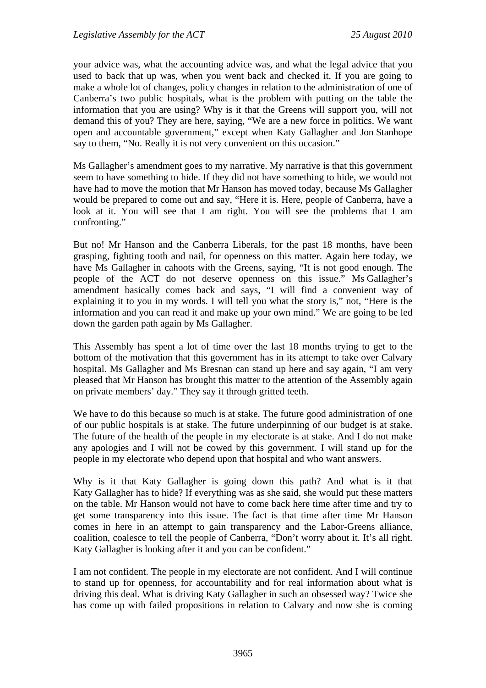your advice was, what the accounting advice was, and what the legal advice that you used to back that up was, when you went back and checked it. If you are going to make a whole lot of changes, policy changes in relation to the administration of one of Canberra's two public hospitals, what is the problem with putting on the table the information that you are using? Why is it that the Greens will support you, will not demand this of you? They are here, saying, "We are a new force in politics. We want open and accountable government," except when Katy Gallagher and Jon Stanhope say to them, "No. Really it is not very convenient on this occasion."

Ms Gallagher's amendment goes to my narrative. My narrative is that this government seem to have something to hide. If they did not have something to hide, we would not have had to move the motion that Mr Hanson has moved today, because Ms Gallagher would be prepared to come out and say, "Here it is. Here, people of Canberra, have a look at it. You will see that I am right. You will see the problems that I am confronting."

But no! Mr Hanson and the Canberra Liberals, for the past 18 months, have been grasping, fighting tooth and nail, for openness on this matter. Again here today, we have Ms Gallagher in cahoots with the Greens, saying, "It is not good enough. The people of the ACT do not deserve openness on this issue." Ms Gallagher's amendment basically comes back and says, "I will find a convenient way of explaining it to you in my words. I will tell you what the story is," not, "Here is the information and you can read it and make up your own mind." We are going to be led down the garden path again by Ms Gallagher.

This Assembly has spent a lot of time over the last 18 months trying to get to the bottom of the motivation that this government has in its attempt to take over Calvary hospital. Ms Gallagher and Ms Bresnan can stand up here and say again, "I am very pleased that Mr Hanson has brought this matter to the attention of the Assembly again on private members' day." They say it through gritted teeth.

We have to do this because so much is at stake. The future good administration of one of our public hospitals is at stake. The future underpinning of our budget is at stake. The future of the health of the people in my electorate is at stake. And I do not make any apologies and I will not be cowed by this government. I will stand up for the people in my electorate who depend upon that hospital and who want answers.

Why is it that Katy Gallagher is going down this path? And what is it that Katy Gallagher has to hide? If everything was as she said, she would put these matters on the table. Mr Hanson would not have to come back here time after time and try to get some transparency into this issue. The fact is that time after time Mr Hanson comes in here in an attempt to gain transparency and the Labor-Greens alliance, coalition, coalesce to tell the people of Canberra, "Don't worry about it. It's all right. Katy Gallagher is looking after it and you can be confident."

I am not confident. The people in my electorate are not confident. And I will continue to stand up for openness, for accountability and for real information about what is driving this deal. What is driving Katy Gallagher in such an obsessed way? Twice she has come up with failed propositions in relation to Calvary and now she is coming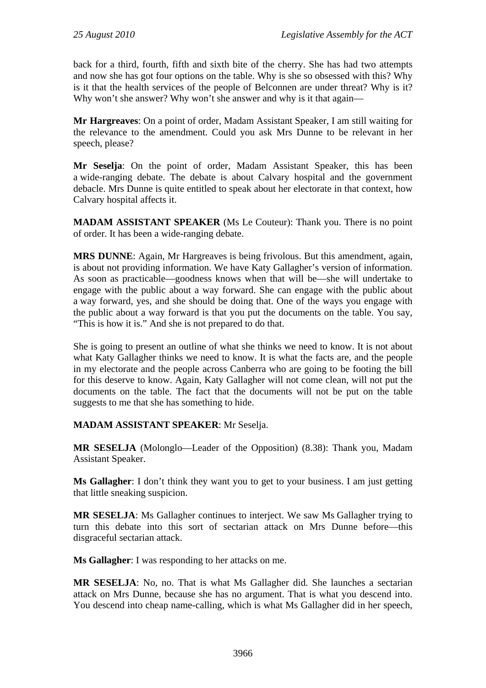back for a third, fourth, fifth and sixth bite of the cherry. She has had two attempts and now she has got four options on the table. Why is she so obsessed with this? Why is it that the health services of the people of Belconnen are under threat? Why is it? Why won't she answer? Why won't she answer and why is it that again—

**Mr Hargreaves**: On a point of order, Madam Assistant Speaker, I am still waiting for the relevance to the amendment. Could you ask Mrs Dunne to be relevant in her speech, please?

**Mr Seselja**: On the point of order, Madam Assistant Speaker, this has been a wide-ranging debate. The debate is about Calvary hospital and the government debacle. Mrs Dunne is quite entitled to speak about her electorate in that context, how Calvary hospital affects it.

**MADAM ASSISTANT SPEAKER** (Ms Le Couteur): Thank you. There is no point of order. It has been a wide-ranging debate.

**MRS DUNNE**: Again, Mr Hargreaves is being frivolous. But this amendment, again, is about not providing information. We have Katy Gallagher's version of information. As soon as practicable—goodness knows when that will be—she will undertake to engage with the public about a way forward. She can engage with the public about a way forward, yes, and she should be doing that. One of the ways you engage with the public about a way forward is that you put the documents on the table. You say, "This is how it is." And she is not prepared to do that.

She is going to present an outline of what she thinks we need to know. It is not about what Katy Gallagher thinks we need to know. It is what the facts are, and the people in my electorate and the people across Canberra who are going to be footing the bill for this deserve to know. Again, Katy Gallagher will not come clean, will not put the documents on the table. The fact that the documents will not be put on the table suggests to me that she has something to hide.

#### **MADAM ASSISTANT SPEAKER**: Mr Seselja.

**MR SESELJA** (Molonglo—Leader of the Opposition) (8.38): Thank you, Madam Assistant Speaker.

**Ms Gallagher**: I don't think they want you to get to your business. I am just getting that little sneaking suspicion.

**MR SESELJA**: Ms Gallagher continues to interject. We saw Ms Gallagher trying to turn this debate into this sort of sectarian attack on Mrs Dunne before—this disgraceful sectarian attack.

**Ms Gallagher**: I was responding to her attacks on me.

**MR SESELJA**: No, no. That is what Ms Gallagher did. She launches a sectarian attack on Mrs Dunne, because she has no argument. That is what you descend into. You descend into cheap name-calling, which is what Ms Gallagher did in her speech,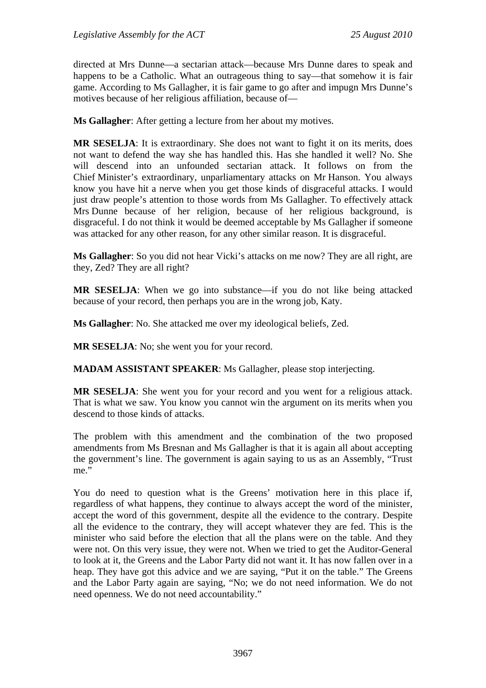directed at Mrs Dunne—a sectarian attack—because Mrs Dunne dares to speak and happens to be a Catholic. What an outrageous thing to say—that somehow it is fair game. According to Ms Gallagher, it is fair game to go after and impugn Mrs Dunne's motives because of her religious affiliation, because of—

**Ms Gallagher**: After getting a lecture from her about my motives.

**MR SESELJA**: It is extraordinary. She does not want to fight it on its merits, does not want to defend the way she has handled this. Has she handled it well? No. She will descend into an unfounded sectarian attack. It follows on from the Chief Minister's extraordinary, unparliamentary attacks on Mr Hanson. You always know you have hit a nerve when you get those kinds of disgraceful attacks. I would just draw people's attention to those words from Ms Gallagher. To effectively attack Mrs Dunne because of her religion, because of her religious background, is disgraceful. I do not think it would be deemed acceptable by Ms Gallagher if someone was attacked for any other reason, for any other similar reason. It is disgraceful.

**Ms Gallagher**: So you did not hear Vicki's attacks on me now? They are all right, are they, Zed? They are all right?

**MR SESELJA**: When we go into substance—if you do not like being attacked because of your record, then perhaps you are in the wrong job, Katy.

**Ms Gallagher**: No. She attacked me over my ideological beliefs, Zed.

**MR SESELJA**: No; she went you for your record.

**MADAM ASSISTANT SPEAKER**: Ms Gallagher, please stop interjecting.

**MR SESELJA**: She went you for your record and you went for a religious attack. That is what we saw. You know you cannot win the argument on its merits when you descend to those kinds of attacks.

The problem with this amendment and the combination of the two proposed amendments from Ms Bresnan and Ms Gallagher is that it is again all about accepting the government's line. The government is again saying to us as an Assembly, "Trust me."

You do need to question what is the Greens' motivation here in this place if, regardless of what happens, they continue to always accept the word of the minister, accept the word of this government, despite all the evidence to the contrary. Despite all the evidence to the contrary, they will accept whatever they are fed. This is the minister who said before the election that all the plans were on the table. And they were not. On this very issue, they were not. When we tried to get the Auditor-General to look at it, the Greens and the Labor Party did not want it. It has now fallen over in a heap. They have got this advice and we are saying, "Put it on the table." The Greens and the Labor Party again are saying, "No; we do not need information. We do not need openness. We do not need accountability."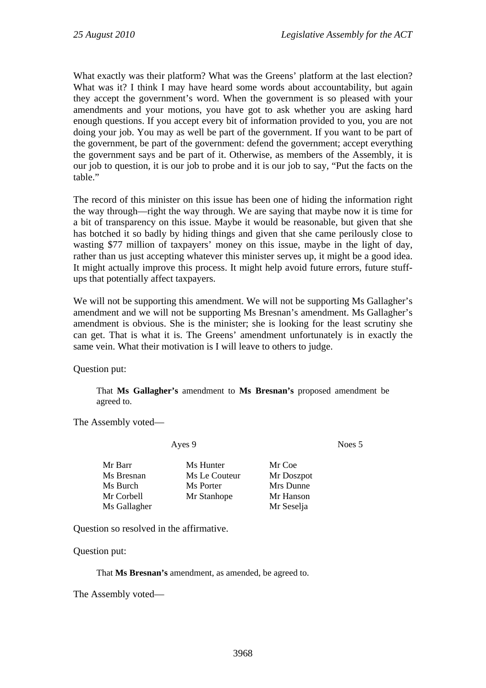What exactly was their platform? What was the Greens' platform at the last election? What was it? I think I may have heard some words about accountability, but again they accept the government's word. When the government is so pleased with your amendments and your motions, you have got to ask whether you are asking hard enough questions. If you accept every bit of information provided to you, you are not doing your job. You may as well be part of the government. If you want to be part of the government, be part of the government: defend the government; accept everything the government says and be part of it. Otherwise, as members of the Assembly, it is our job to question, it is our job to probe and it is our job to say, "Put the facts on the table."

The record of this minister on this issue has been one of hiding the information right the way through—right the way through. We are saying that maybe now it is time for a bit of transparency on this issue. Maybe it would be reasonable, but given that she has botched it so badly by hiding things and given that she came perilously close to wasting \$77 million of taxpayers' money on this issue, maybe in the light of day, rather than us just accepting whatever this minister serves up, it might be a good idea. It might actually improve this process. It might help avoid future errors, future stuffups that potentially affect taxpayers.

We will not be supporting this amendment. We will not be supporting Ms Gallagher's amendment and we will not be supporting Ms Bresnan's amendment. Ms Gallagher's amendment is obvious. She is the minister; she is looking for the least scrutiny she can get. That is what it is. The Greens' amendment unfortunately is in exactly the same vein. What their motivation is I will leave to others to judge.

Question put:

That **Ms Gallagher's** amendment to **Ms Bresnan's** proposed amendment be agreed to.

The Assembly voted—

Ayes 9 Noes 5

| Mr Barr      | Ms Hunter     | Mr Coe     |
|--------------|---------------|------------|
| Ms Bresnan   | Ms Le Couteur | Mr Doszpot |
| Ms Burch     | Ms Porter     | Mrs Dunne  |
| Mr Corbell   | Mr Stanhope   | Mr Hanson  |
| Ms Gallagher |               | Mr Seselja |
|              |               |            |

Question so resolved in the affirmative.

Question put:

That **Ms Bresnan's** amendment, as amended, be agreed to.

The Assembly voted—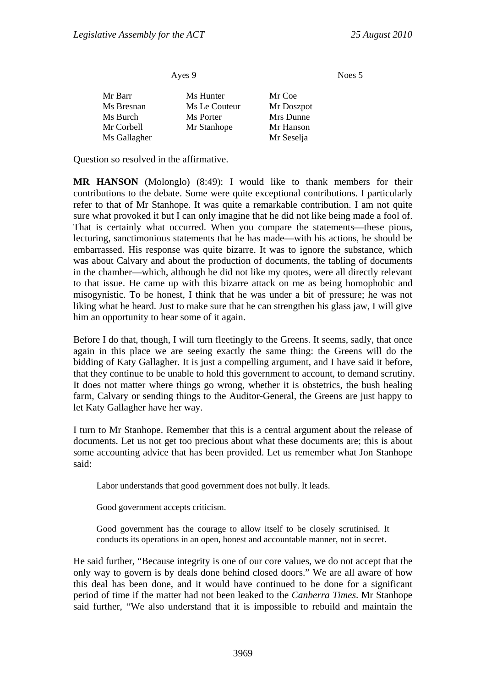Noes 5

| Ayes 9       |               |            |  |
|--------------|---------------|------------|--|
| Mr Barr      | Ms Hunter     | Mr Coe     |  |
| Ms Bresnan   | Ms Le Couteur | Mr Doszpot |  |
| Ms Burch     | Ms Porter     | Mrs Dunne  |  |
| Mr Corbell   | Mr Stanhope   | Mr Hanson  |  |
| Ms Gallagher |               | Mr Seselja |  |

Question so resolved in the affirmative.

**MR HANSON** (Molonglo) (8:49): I would like to thank members for their contributions to the debate. Some were quite exceptional contributions. I particularly refer to that of Mr Stanhope. It was quite a remarkable contribution. I am not quite sure what provoked it but I can only imagine that he did not like being made a fool of. That is certainly what occurred. When you compare the statements—these pious, lecturing, sanctimonious statements that he has made—with his actions, he should be embarrassed. His response was quite bizarre. It was to ignore the substance, which was about Calvary and about the production of documents, the tabling of documents in the chamber—which, although he did not like my quotes, were all directly relevant to that issue. He came up with this bizarre attack on me as being homophobic and misogynistic. To be honest, I think that he was under a bit of pressure; he was not liking what he heard. Just to make sure that he can strengthen his glass jaw, I will give him an opportunity to hear some of it again.

Before I do that, though, I will turn fleetingly to the Greens. It seems, sadly, that once again in this place we are seeing exactly the same thing: the Greens will do the bidding of Katy Gallagher. It is just a compelling argument, and I have said it before, that they continue to be unable to hold this government to account, to demand scrutiny. It does not matter where things go wrong, whether it is obstetrics, the bush healing farm, Calvary or sending things to the Auditor-General, the Greens are just happy to let Katy Gallagher have her way.

I turn to Mr Stanhope. Remember that this is a central argument about the release of documents. Let us not get too precious about what these documents are; this is about some accounting advice that has been provided. Let us remember what Jon Stanhope said:

Labor understands that good government does not bully. It leads.

Good government accepts criticism.

Good government has the courage to allow itself to be closely scrutinised. It conducts its operations in an open, honest and accountable manner, not in secret.

He said further, "Because integrity is one of our core values, we do not accept that the only way to govern is by deals done behind closed doors." We are all aware of how this deal has been done, and it would have continued to be done for a significant period of time if the matter had not been leaked to the *Canberra Times*. Mr Stanhope said further, "We also understand that it is impossible to rebuild and maintain the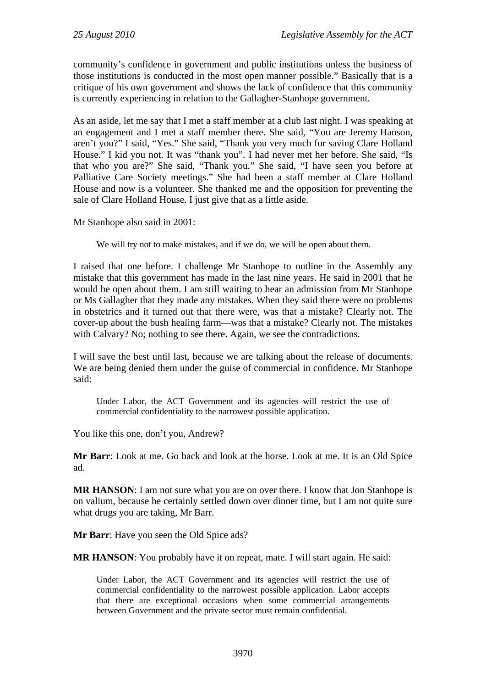community's confidence in government and public institutions unless the business of those institutions is conducted in the most open manner possible." Basically that is a critique of his own government and shows the lack of confidence that this community is currently experiencing in relation to the Gallagher-Stanhope government.

As an aside, let me say that I met a staff member at a club last night. I was speaking at an engagement and I met a staff member there. She said, "You are Jeremy Hanson, aren't you?" I said, "Yes." She said, "Thank you very much for saving Clare Holland House." I kid you not. It was "thank you". I had never met her before. She said, "Is that who you are?" She said, "Thank you." She said, "I have seen you before at Palliative Care Society meetings." She had been a staff member at Clare Holland House and now is a volunteer. She thanked me and the opposition for preventing the sale of Clare Holland House. I just give that as a little aside.

Mr Stanhope also said in 2001:

We will try not to make mistakes, and if we do, we will be open about them.

I raised that one before. I challenge Mr Stanhope to outline in the Assembly any mistake that this government has made in the last nine years. He said in 2001 that he would be open about them. I am still waiting to hear an admission from Mr Stanhope or Ms Gallagher that they made any mistakes. When they said there were no problems in obstetrics and it turned out that there were, was that a mistake? Clearly not. The cover-up about the bush healing farm—was that a mistake? Clearly not. The mistakes with Calvary? No; nothing to see there. Again, we see the contradictions.

I will save the best until last, because we are talking about the release of documents. We are being denied them under the guise of commercial in confidence. Mr Stanhope said:

Under Labor, the ACT Government and its agencies will restrict the use of commercial confidentiality to the narrowest possible application.

You like this one, don't you, Andrew?

**Mr Barr**: Look at me. Go back and look at the horse. Look at me. It is an Old Spice ad.

**MR HANSON**: I am not sure what you are on over there. I know that Jon Stanhope is on valium, because he certainly settled down over dinner time, but I am not quite sure what drugs you are taking, Mr Barr.

**Mr Barr**: Have you seen the Old Spice ads?

**MR HANSON**: You probably have it on repeat, mate. I will start again. He said:

Under Labor, the ACT Government and its agencies will restrict the use of commercial confidentiality to the narrowest possible application. Labor accepts that there are exceptional occasions when some commercial arrangements between Government and the private sector must remain confidential.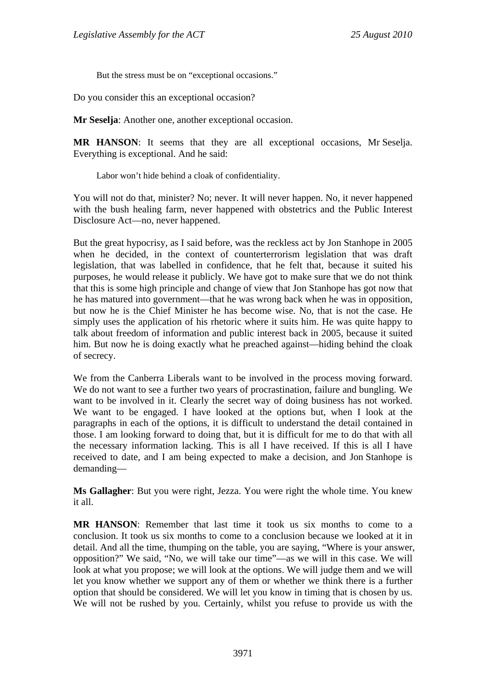But the stress must be on "exceptional occasions."

Do you consider this an exceptional occasion?

**Mr Seselja**: Another one, another exceptional occasion.

**MR HANSON**: It seems that they are all exceptional occasions, Mr Seselja. Everything is exceptional. And he said:

Labor won't hide behind a cloak of confidentiality.

You will not do that, minister? No; never. It will never happen. No, it never happened with the bush healing farm, never happened with obstetrics and the Public Interest Disclosure Act—no, never happened.

But the great hypocrisy, as I said before, was the reckless act by Jon Stanhope in 2005 when he decided, in the context of counterterrorism legislation that was draft legislation, that was labelled in confidence, that he felt that, because it suited his purposes, he would release it publicly. We have got to make sure that we do not think that this is some high principle and change of view that Jon Stanhope has got now that he has matured into government—that he was wrong back when he was in opposition, but now he is the Chief Minister he has become wise. No, that is not the case. He simply uses the application of his rhetoric where it suits him. He was quite happy to talk about freedom of information and public interest back in 2005, because it suited him. But now he is doing exactly what he preached against—hiding behind the cloak of secrecy.

We from the Canberra Liberals want to be involved in the process moving forward. We do not want to see a further two years of procrastination, failure and bungling. We want to be involved in it. Clearly the secret way of doing business has not worked. We want to be engaged. I have looked at the options but, when I look at the paragraphs in each of the options, it is difficult to understand the detail contained in those. I am looking forward to doing that, but it is difficult for me to do that with all the necessary information lacking. This is all I have received. If this is all I have received to date, and I am being expected to make a decision, and Jon Stanhope is demanding—

**Ms Gallagher**: But you were right, Jezza. You were right the whole time. You knew it all.

**MR HANSON**: Remember that last time it took us six months to come to a conclusion. It took us six months to come to a conclusion because we looked at it in detail. And all the time, thumping on the table, you are saying, "Where is your answer, opposition?" We said, "No, we will take our time"—as we will in this case. We will look at what you propose; we will look at the options. We will judge them and we will let you know whether we support any of them or whether we think there is a further option that should be considered. We will let you know in timing that is chosen by us. We will not be rushed by you. Certainly, whilst you refuse to provide us with the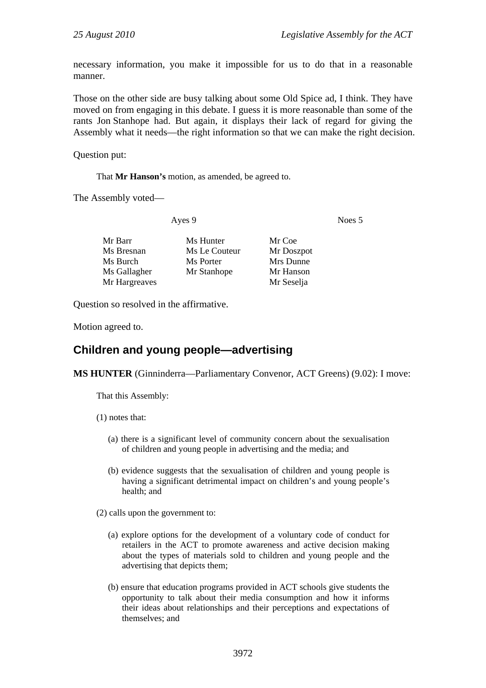necessary information, you make it impossible for us to do that in a reasonable manner.

Those on the other side are busy talking about some Old Spice ad, I think. They have moved on from engaging in this debate. I guess it is more reasonable than some of the rants Jon Stanhope had. But again, it displays their lack of regard for giving the Assembly what it needs—the right information so that we can make the right decision.

Question put:

That **Mr Hanson's** motion, as amended, be agreed to.

The Assembly voted—

Ayes 9 Noes 5

| Mr Barr       | Ms Hunter     | Mr Coe     |
|---------------|---------------|------------|
| Ms Bresnan    | Ms Le Couteur | Mr Doszpot |
| Ms Burch      | Ms Porter     | Mrs Dunne  |
| Ms Gallagher  | Mr Stanhope   | Mr Hanson  |
| Mr Hargreaves |               | Mr Seselja |
|               |               |            |

Question so resolved in the affirmative.

Motion agreed to.

# **Children and young people—advertising**

**MS HUNTER** (Ginninderra—Parliamentary Convenor, ACT Greens) (9.02): I move:

That this Assembly:

(1) notes that:

- (a) there is a significant level of community concern about the sexualisation of children and young people in advertising and the media; and
- (b) evidence suggests that the sexualisation of children and young people is having a significant detrimental impact on children's and young people's health; and

(2) calls upon the government to:

- (a) explore options for the development of a voluntary code of conduct for retailers in the ACT to promote awareness and active decision making about the types of materials sold to children and young people and the advertising that depicts them;
- (b) ensure that education programs provided in ACT schools give students the opportunity to talk about their media consumption and how it informs their ideas about relationships and their perceptions and expectations of themselves; and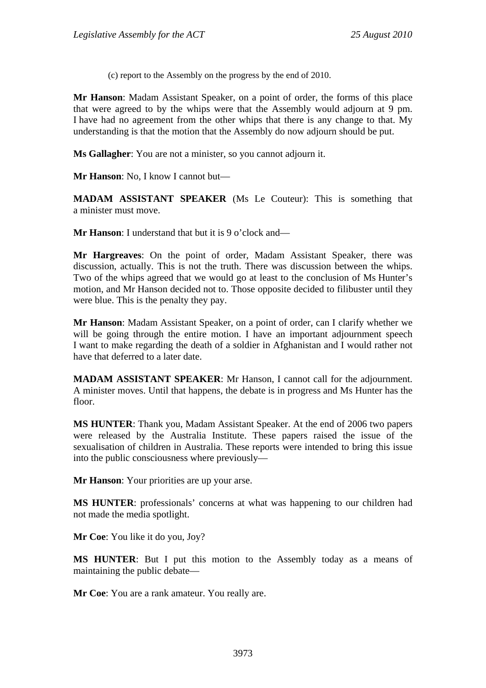(c) report to the Assembly on the progress by the end of 2010.

**Mr Hanson**: Madam Assistant Speaker, on a point of order, the forms of this place that were agreed to by the whips were that the Assembly would adjourn at 9 pm. I have had no agreement from the other whips that there is any change to that. My understanding is that the motion that the Assembly do now adjourn should be put.

**Ms Gallagher**: You are not a minister, so you cannot adjourn it.

**Mr Hanson**: No, I know I cannot but—

**MADAM ASSISTANT SPEAKER** (Ms Le Couteur): This is something that a minister must move.

**Mr Hanson**: I understand that but it is 9 o'clock and—

**Mr Hargreaves**: On the point of order, Madam Assistant Speaker, there was discussion, actually. This is not the truth. There was discussion between the whips. Two of the whips agreed that we would go at least to the conclusion of Ms Hunter's motion, and Mr Hanson decided not to. Those opposite decided to filibuster until they were blue. This is the penalty they pay.

**Mr Hanson**: Madam Assistant Speaker, on a point of order, can I clarify whether we will be going through the entire motion. I have an important adjournment speech I want to make regarding the death of a soldier in Afghanistan and I would rather not have that deferred to a later date.

**MADAM ASSISTANT SPEAKER**: Mr Hanson, I cannot call for the adjournment. A minister moves. Until that happens, the debate is in progress and Ms Hunter has the floor.

**MS HUNTER**: Thank you, Madam Assistant Speaker. At the end of 2006 two papers were released by the Australia Institute. These papers raised the issue of the sexualisation of children in Australia. These reports were intended to bring this issue into the public consciousness where previously—

**Mr Hanson**: Your priorities are up your arse.

**MS HUNTER**: professionals' concerns at what was happening to our children had not made the media spotlight.

**Mr Coe**: You like it do you, Joy?

**MS HUNTER**: But I put this motion to the Assembly today as a means of maintaining the public debate—

**Mr Coe**: You are a rank amateur. You really are.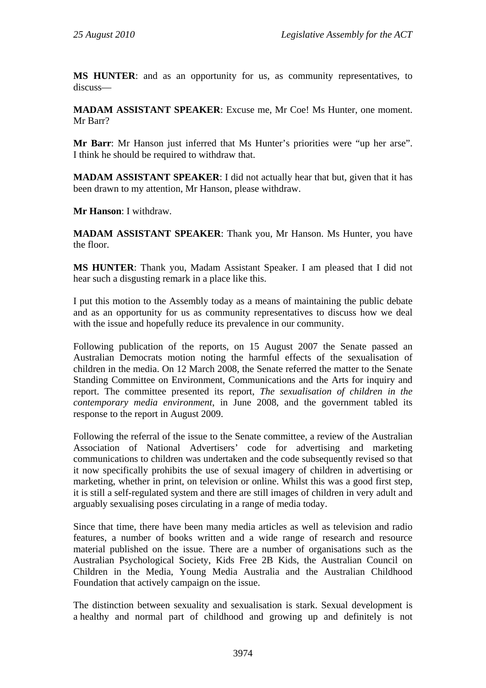**MS HUNTER**: and as an opportunity for us, as community representatives, to discuss—

**MADAM ASSISTANT SPEAKER**: Excuse me, Mr Coe! Ms Hunter, one moment. Mr Barr?

**Mr Barr**: Mr Hanson just inferred that Ms Hunter's priorities were "up her arse". I think he should be required to withdraw that.

**MADAM ASSISTANT SPEAKER**: I did not actually hear that but, given that it has been drawn to my attention, Mr Hanson, please withdraw.

**Mr Hanson**: I withdraw.

**MADAM ASSISTANT SPEAKER**: Thank you, Mr Hanson. Ms Hunter, you have the floor.

**MS HUNTER**: Thank you, Madam Assistant Speaker. I am pleased that I did not hear such a disgusting remark in a place like this.

I put this motion to the Assembly today as a means of maintaining the public debate and as an opportunity for us as community representatives to discuss how we deal with the issue and hopefully reduce its prevalence in our community.

Following publication of the reports, on 15 August 2007 the Senate passed an Australian Democrats motion noting the harmful effects of the sexualisation of children in the media. On 12 March 2008, the Senate referred the matter to the Senate Standing Committee on Environment, Communications and the Arts for inquiry and report. The committee presented its report, *The sexualisation of children in the contemporary media environment*, in June 2008, and the government tabled its response to the report in August 2009.

Following the referral of the issue to the Senate committee, a review of the Australian Association of National Advertisers' code for advertising and marketing communications to children was undertaken and the code subsequently revised so that it now specifically prohibits the use of sexual imagery of children in advertising or marketing, whether in print, on television or online. Whilst this was a good first step, it is still a self-regulated system and there are still images of children in very adult and arguably sexualising poses circulating in a range of media today.

Since that time, there have been many media articles as well as television and radio features, a number of books written and a wide range of research and resource material published on the issue. There are a number of organisations such as the Australian Psychological Society, Kids Free 2B Kids, the Australian Council on Children in the Media, Young Media Australia and the Australian Childhood Foundation that actively campaign on the issue.

The distinction between sexuality and sexualisation is stark. Sexual development is a healthy and normal part of childhood and growing up and definitely is not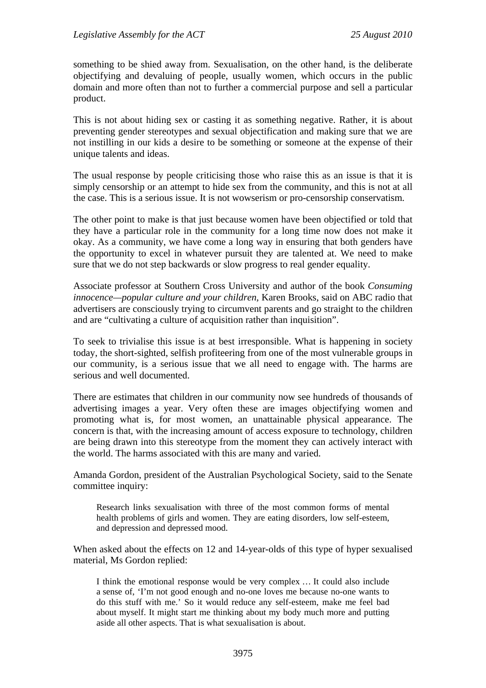something to be shied away from. Sexualisation, on the other hand, is the deliberate objectifying and devaluing of people, usually women, which occurs in the public domain and more often than not to further a commercial purpose and sell a particular product.

This is not about hiding sex or casting it as something negative. Rather, it is about preventing gender stereotypes and sexual objectification and making sure that we are not instilling in our kids a desire to be something or someone at the expense of their unique talents and ideas.

The usual response by people criticising those who raise this as an issue is that it is simply censorship or an attempt to hide sex from the community, and this is not at all the case. This is a serious issue. It is not wowserism or pro-censorship conservatism.

The other point to make is that just because women have been objectified or told that they have a particular role in the community for a long time now does not make it okay. As a community, we have come a long way in ensuring that both genders have the opportunity to excel in whatever pursuit they are talented at. We need to make sure that we do not step backwards or slow progress to real gender equality.

Associate professor at Southern Cross University and author of the book *Consuming innocence—popular culture and your children*, Karen Brooks, said on ABC radio that advertisers are consciously trying to circumvent parents and go straight to the children and are "cultivating a culture of acquisition rather than inquisition".

To seek to trivialise this issue is at best irresponsible. What is happening in society today, the short-sighted, selfish profiteering from one of the most vulnerable groups in our community, is a serious issue that we all need to engage with. The harms are serious and well documented.

There are estimates that children in our community now see hundreds of thousands of advertising images a year. Very often these are images objectifying women and promoting what is, for most women, an unattainable physical appearance. The concern is that, with the increasing amount of access exposure to technology, children are being drawn into this stereotype from the moment they can actively interact with the world. The harms associated with this are many and varied.

Amanda Gordon, president of the Australian Psychological Society, said to the Senate committee inquiry:

Research links sexualisation with three of the most common forms of mental health problems of girls and women. They are eating disorders, low self-esteem, and depression and depressed mood.

When asked about the effects on 12 and 14-year-olds of this type of hyper sexualised material, Ms Gordon replied:

I think the emotional response would be very complex … It could also include a sense of, 'I'm not good enough and no-one loves me because no-one wants to do this stuff with me.' So it would reduce any self-esteem, make me feel bad about myself. It might start me thinking about my body much more and putting aside all other aspects. That is what sexualisation is about.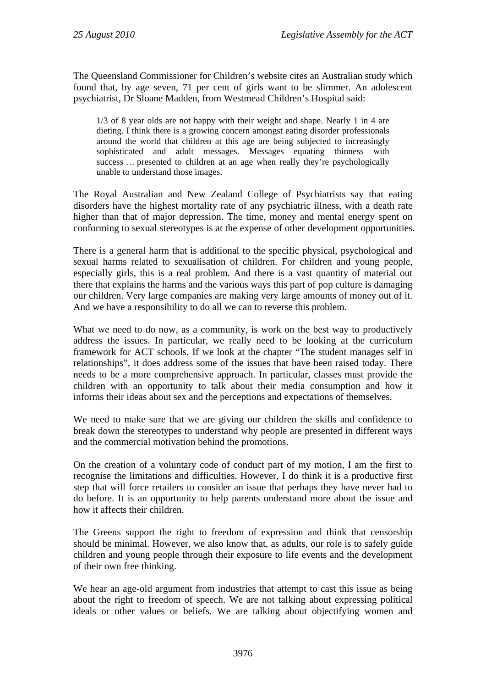The Queensland Commissioner for Children's website cites an Australian study which found that, by age seven, 71 per cent of girls want to be slimmer. An adolescent psychiatrist, Dr Sloane Madden, from Westmead Children's Hospital said:

1/3 of 8 year olds are not happy with their weight and shape. Nearly 1 in 4 are dieting. I think there is a growing concern amongst eating disorder professionals around the world that children at this age are being subjected to increasingly sophisticated and adult messages. Messages equating thinness with success ... presented to children at an age when really they're psychologically unable to understand those images.

The Royal Australian and New Zealand College of Psychiatrists say that eating disorders have the highest mortality rate of any psychiatric illness, with a death rate higher than that of major depression. The time, money and mental energy spent on conforming to sexual stereotypes is at the expense of other development opportunities.

There is a general harm that is additional to the specific physical, psychological and sexual harms related to sexualisation of children. For children and young people, especially girls, this is a real problem. And there is a vast quantity of material out there that explains the harms and the various ways this part of pop culture is damaging our children. Very large companies are making very large amounts of money out of it. And we have a responsibility to do all we can to reverse this problem.

What we need to do now, as a community, is work on the best way to productively address the issues. In particular, we really need to be looking at the curriculum framework for ACT schools. If we look at the chapter "The student manages self in relationships", it does address some of the issues that have been raised today. There needs to be a more comprehensive approach. In particular, classes must provide the children with an opportunity to talk about their media consumption and how it informs their ideas about sex and the perceptions and expectations of themselves.

We need to make sure that we are giving our children the skills and confidence to break down the stereotypes to understand why people are presented in different ways and the commercial motivation behind the promotions.

On the creation of a voluntary code of conduct part of my motion, I am the first to recognise the limitations and difficulties. However, I do think it is a productive first step that will force retailers to consider an issue that perhaps they have never had to do before. It is an opportunity to help parents understand more about the issue and how it affects their children.

The Greens support the right to freedom of expression and think that censorship should be minimal. However, we also know that, as adults, our role is to safely guide children and young people through their exposure to life events and the development of their own free thinking.

We hear an age-old argument from industries that attempt to cast this issue as being about the right to freedom of speech. We are not talking about expressing political ideals or other values or beliefs. We are talking about objectifying women and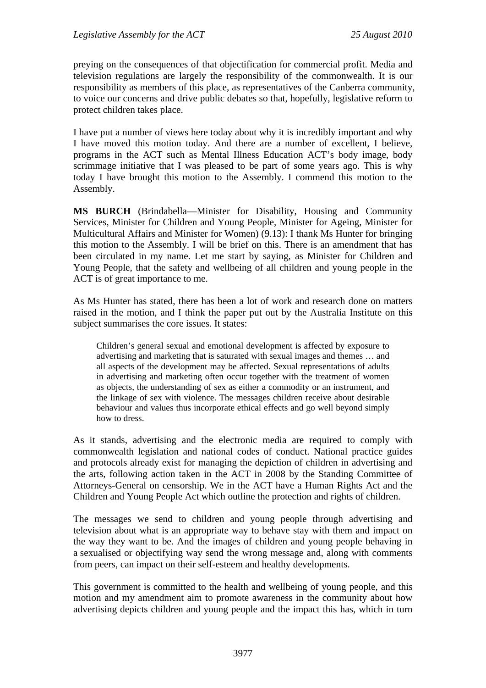preying on the consequences of that objectification for commercial profit. Media and television regulations are largely the responsibility of the commonwealth. It is our responsibility as members of this place, as representatives of the Canberra community, to voice our concerns and drive public debates so that, hopefully, legislative reform to protect children takes place.

I have put a number of views here today about why it is incredibly important and why I have moved this motion today. And there are a number of excellent, I believe, programs in the ACT such as Mental Illness Education ACT's body image, body scrimmage initiative that I was pleased to be part of some years ago. This is why today I have brought this motion to the Assembly. I commend this motion to the Assembly.

**MS BURCH** (Brindabella—Minister for Disability, Housing and Community Services, Minister for Children and Young People, Minister for Ageing, Minister for Multicultural Affairs and Minister for Women) (9.13): I thank Ms Hunter for bringing this motion to the Assembly. I will be brief on this. There is an amendment that has been circulated in my name. Let me start by saying, as Minister for Children and Young People, that the safety and wellbeing of all children and young people in the ACT is of great importance to me.

As Ms Hunter has stated, there has been a lot of work and research done on matters raised in the motion, and I think the paper put out by the Australia Institute on this subject summarises the core issues. It states:

Children's general sexual and emotional development is affected by exposure to advertising and marketing that is saturated with sexual images and themes … and all aspects of the development may be affected. Sexual representations of adults in advertising and marketing often occur together with the treatment of women as objects, the understanding of sex as either a commodity or an instrument, and the linkage of sex with violence. The messages children receive about desirable behaviour and values thus incorporate ethical effects and go well beyond simply how to dress.

As it stands, advertising and the electronic media are required to comply with commonwealth legislation and national codes of conduct. National practice guides and protocols already exist for managing the depiction of children in advertising and the arts, following action taken in the ACT in 2008 by the Standing Committee of Attorneys-General on censorship. We in the ACT have a Human Rights Act and the Children and Young People Act which outline the protection and rights of children.

The messages we send to children and young people through advertising and television about what is an appropriate way to behave stay with them and impact on the way they want to be. And the images of children and young people behaving in a sexualised or objectifying way send the wrong message and, along with comments from peers, can impact on their self-esteem and healthy developments.

This government is committed to the health and wellbeing of young people, and this motion and my amendment aim to promote awareness in the community about how advertising depicts children and young people and the impact this has, which in turn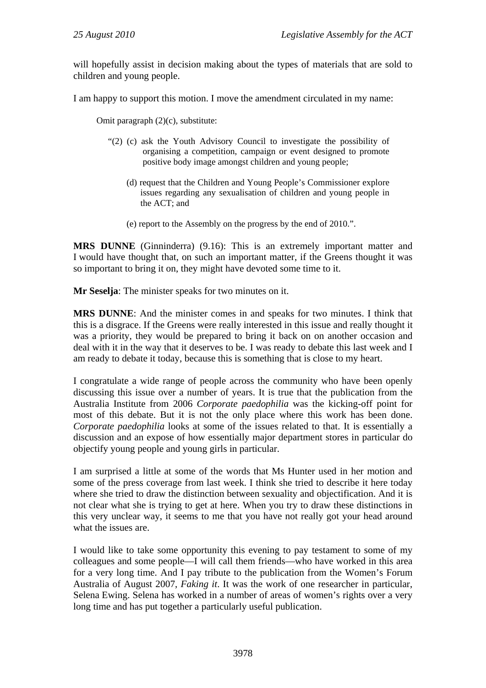will hopefully assist in decision making about the types of materials that are sold to children and young people.

I am happy to support this motion. I move the amendment circulated in my name:

Omit paragraph (2)(c), substitute:

- "(2) (c) ask the Youth Advisory Council to investigate the possibility of organising a competition, campaign or event designed to promote positive body image amongst children and young people;
	- (d) request that the Children and Young People's Commissioner explore issues regarding any sexualisation of children and young people in the ACT; and
	- (e) report to the Assembly on the progress by the end of 2010.".

**MRS DUNNE** (Ginninderra) (9.16): This is an extremely important matter and I would have thought that, on such an important matter, if the Greens thought it was so important to bring it on, they might have devoted some time to it.

**Mr Seselja**: The minister speaks for two minutes on it.

**MRS DUNNE**: And the minister comes in and speaks for two minutes. I think that this is a disgrace. If the Greens were really interested in this issue and really thought it was a priority, they would be prepared to bring it back on on another occasion and deal with it in the way that it deserves to be. I was ready to debate this last week and I am ready to debate it today, because this is something that is close to my heart.

I congratulate a wide range of people across the community who have been openly discussing this issue over a number of years. It is true that the publication from the Australia Institute from 2006 *Corporate paedophilia* was the kicking-off point for most of this debate. But it is not the only place where this work has been done. *Corporate paedophilia* looks at some of the issues related to that. It is essentially a discussion and an expose of how essentially major department stores in particular do objectify young people and young girls in particular.

I am surprised a little at some of the words that Ms Hunter used in her motion and some of the press coverage from last week. I think she tried to describe it here today where she tried to draw the distinction between sexuality and objectification. And it is not clear what she is trying to get at here. When you try to draw these distinctions in this very unclear way, it seems to me that you have not really got your head around what the issues are.

I would like to take some opportunity this evening to pay testament to some of my colleagues and some people—I will call them friends—who have worked in this area for a very long time. And I pay tribute to the publication from the Women's Forum Australia of August 2007, *Faking it*. It was the work of one researcher in particular, Selena Ewing. Selena has worked in a number of areas of women's rights over a very long time and has put together a particularly useful publication.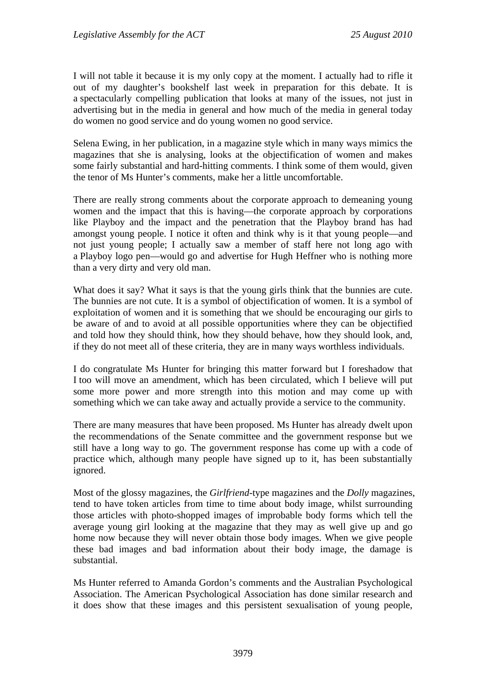I will not table it because it is my only copy at the moment. I actually had to rifle it out of my daughter's bookshelf last week in preparation for this debate. It is a spectacularly compelling publication that looks at many of the issues, not just in advertising but in the media in general and how much of the media in general today do women no good service and do young women no good service.

Selena Ewing, in her publication, in a magazine style which in many ways mimics the magazines that she is analysing, looks at the objectification of women and makes some fairly substantial and hard-hitting comments. I think some of them would, given the tenor of Ms Hunter's comments, make her a little uncomfortable.

There are really strong comments about the corporate approach to demeaning young women and the impact that this is having—the corporate approach by corporations like Playboy and the impact and the penetration that the Playboy brand has had amongst young people. I notice it often and think why is it that young people—and not just young people; I actually saw a member of staff here not long ago with a Playboy logo pen—would go and advertise for Hugh Heffner who is nothing more than a very dirty and very old man.

What does it say? What it says is that the young girls think that the bunnies are cute. The bunnies are not cute. It is a symbol of objectification of women. It is a symbol of exploitation of women and it is something that we should be encouraging our girls to be aware of and to avoid at all possible opportunities where they can be objectified and told how they should think, how they should behave, how they should look, and, if they do not meet all of these criteria, they are in many ways worthless individuals.

I do congratulate Ms Hunter for bringing this matter forward but I foreshadow that I too will move an amendment, which has been circulated, which I believe will put some more power and more strength into this motion and may come up with something which we can take away and actually provide a service to the community.

There are many measures that have been proposed. Ms Hunter has already dwelt upon the recommendations of the Senate committee and the government response but we still have a long way to go. The government response has come up with a code of practice which, although many people have signed up to it, has been substantially ignored.

Most of the glossy magazines, the *Girlfriend*-type magazines and the *Dolly* magazines, tend to have token articles from time to time about body image, whilst surrounding those articles with photo-shopped images of improbable body forms which tell the average young girl looking at the magazine that they may as well give up and go home now because they will never obtain those body images. When we give people these bad images and bad information about their body image, the damage is substantial.

Ms Hunter referred to Amanda Gordon's comments and the Australian Psychological Association. The American Psychological Association has done similar research and it does show that these images and this persistent sexualisation of young people,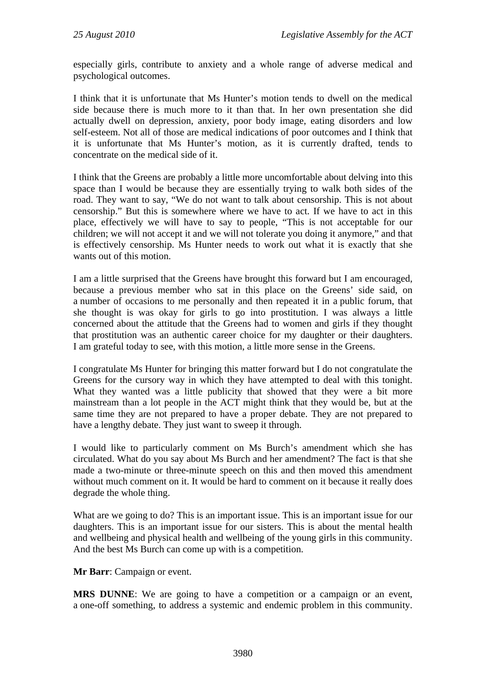especially girls, contribute to anxiety and a whole range of adverse medical and psychological outcomes.

I think that it is unfortunate that Ms Hunter's motion tends to dwell on the medical side because there is much more to it than that. In her own presentation she did actually dwell on depression, anxiety, poor body image, eating disorders and low self-esteem. Not all of those are medical indications of poor outcomes and I think that it is unfortunate that Ms Hunter's motion, as it is currently drafted, tends to concentrate on the medical side of it.

I think that the Greens are probably a little more uncomfortable about delving into this space than I would be because they are essentially trying to walk both sides of the road. They want to say, "We do not want to talk about censorship. This is not about censorship." But this is somewhere where we have to act. If we have to act in this place, effectively we will have to say to people, "This is not acceptable for our children; we will not accept it and we will not tolerate you doing it anymore," and that is effectively censorship. Ms Hunter needs to work out what it is exactly that she wants out of this motion.

I am a little surprised that the Greens have brought this forward but I am encouraged, because a previous member who sat in this place on the Greens' side said, on a number of occasions to me personally and then repeated it in a public forum, that she thought is was okay for girls to go into prostitution. I was always a little concerned about the attitude that the Greens had to women and girls if they thought that prostitution was an authentic career choice for my daughter or their daughters. I am grateful today to see, with this motion, a little more sense in the Greens.

I congratulate Ms Hunter for bringing this matter forward but I do not congratulate the Greens for the cursory way in which they have attempted to deal with this tonight. What they wanted was a little publicity that showed that they were a bit more mainstream than a lot people in the ACT might think that they would be, but at the same time they are not prepared to have a proper debate. They are not prepared to have a lengthy debate. They just want to sweep it through.

I would like to particularly comment on Ms Burch's amendment which she has circulated. What do you say about Ms Burch and her amendment? The fact is that she made a two-minute or three-minute speech on this and then moved this amendment without much comment on it. It would be hard to comment on it because it really does degrade the whole thing.

What are we going to do? This is an important issue. This is an important issue for our daughters. This is an important issue for our sisters. This is about the mental health and wellbeing and physical health and wellbeing of the young girls in this community. And the best Ms Burch can come up with is a competition.

**Mr Barr**: Campaign or event.

**MRS DUNNE**: We are going to have a competition or a campaign or an event, a one-off something, to address a systemic and endemic problem in this community.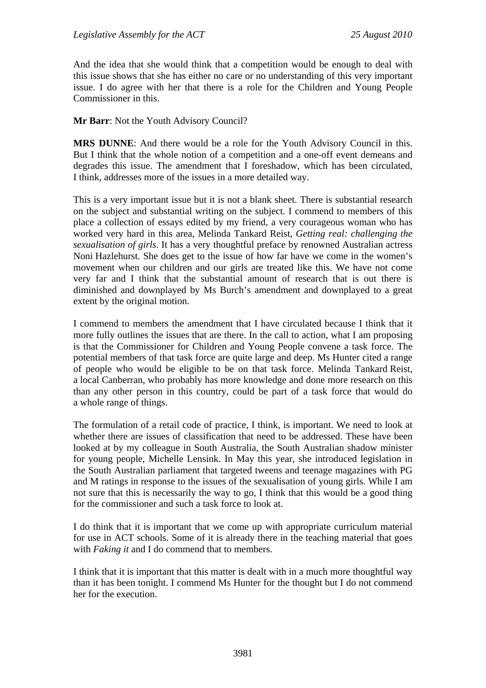And the idea that she would think that a competition would be enough to deal with this issue shows that she has either no care or no understanding of this very important issue. I do agree with her that there is a role for the Children and Young People Commissioner in this.

# **Mr Barr**: Not the Youth Advisory Council?

**MRS DUNNE**: And there would be a role for the Youth Advisory Council in this. But I think that the whole notion of a competition and a one-off event demeans and degrades this issue. The amendment that I foreshadow, which has been circulated, I think, addresses more of the issues in a more detailed way.

This is a very important issue but it is not a blank sheet. There is substantial research on the subject and substantial writing on the subject. I commend to members of this place a collection of essays edited by my friend, a very courageous woman who has worked very hard in this area, Melinda Tankard Reist, *Getting real: challenging the sexualisation of girls*. It has a very thoughtful preface by renowned Australian actress Noni Hazlehurst. She does get to the issue of how far have we come in the women's movement when our children and our girls are treated like this. We have not come very far and I think that the substantial amount of research that is out there is diminished and downplayed by Ms Burch's amendment and downplayed to a great extent by the original motion.

I commend to members the amendment that I have circulated because I think that it more fully outlines the issues that are there. In the call to action, what I am proposing is that the Commissioner for Children and Young People convene a task force. The potential members of that task force are quite large and deep. Ms Hunter cited a range of people who would be eligible to be on that task force. Melinda Tankard Reist, a local Canberran, who probably has more knowledge and done more research on this than any other person in this country, could be part of a task force that would do a whole range of things.

The formulation of a retail code of practice, I think, is important. We need to look at whether there are issues of classification that need to be addressed. These have been looked at by my colleague in South Australia, the South Australian shadow minister for young people, Michelle Lensink. In May this year, she introduced legislation in the South Australian parliament that targeted tweens and teenage magazines with PG and M ratings in response to the issues of the sexualisation of young girls. While I am not sure that this is necessarily the way to go, I think that this would be a good thing for the commissioner and such a task force to look at.

I do think that it is important that we come up with appropriate curriculum material for use in ACT schools. Some of it is already there in the teaching material that goes with *Faking it* and I do commend that to members.

I think that it is important that this matter is dealt with in a much more thoughtful way than it has been tonight. I commend Ms Hunter for the thought but I do not commend her for the execution.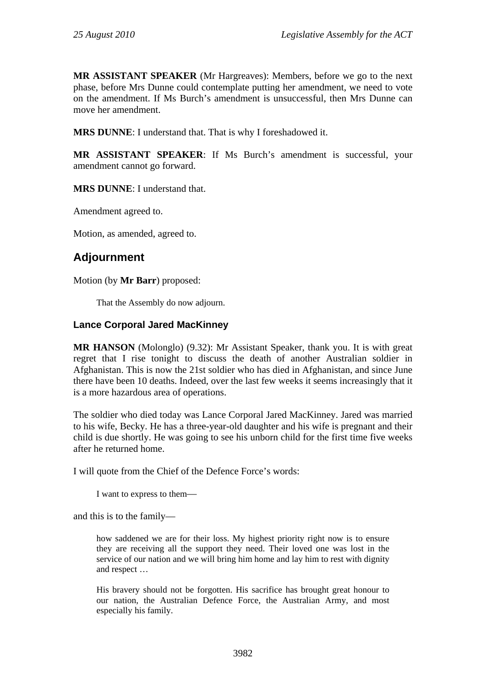**MR ASSISTANT SPEAKER** (Mr Hargreaves): Members, before we go to the next phase, before Mrs Dunne could contemplate putting her amendment, we need to vote on the amendment. If Ms Burch's amendment is unsuccessful, then Mrs Dunne can move her amendment.

**MRS DUNNE**: I understand that. That is why I foreshadowed it.

**MR ASSISTANT SPEAKER**: If Ms Burch's amendment is successful, your amendment cannot go forward.

**MRS DUNNE**: I understand that.

Amendment agreed to.

Motion, as amended, agreed to.

# **Adjournment**

Motion (by **Mr Barr**) proposed:

That the Assembly do now adjourn.

## **Lance Corporal Jared MacKinney**

**MR HANSON** (Molonglo) (9.32): Mr Assistant Speaker, thank you. It is with great regret that I rise tonight to discuss the death of another Australian soldier in Afghanistan. This is now the 21st soldier who has died in Afghanistan, and since June there have been 10 deaths. Indeed, over the last few weeks it seems increasingly that it is a more hazardous area of operations.

The soldier who died today was Lance Corporal Jared MacKinney. Jared was married to his wife, Becky. He has a three-year-old daughter and his wife is pregnant and their child is due shortly. He was going to see his unborn child for the first time five weeks after he returned home.

I will quote from the Chief of the Defence Force's words:

I want to express to them—

and this is to the family—

how saddened we are for their loss. My highest priority right now is to ensure they are receiving all the support they need. Their loved one was lost in the service of our nation and we will bring him home and lay him to rest with dignity and respect …

His bravery should not be forgotten. His sacrifice has brought great honour to our nation, the Australian Defence Force, the Australian Army, and most especially his family.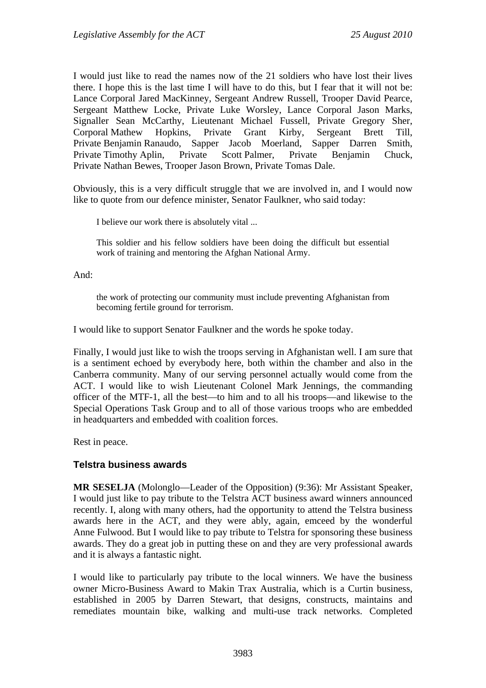I would just like to read the names now of the 21 soldiers who have lost their lives there. I hope this is the last time I will have to do this, but I fear that it will not be: Lance Corporal Jared MacKinney, Sergeant Andrew Russell, Trooper David Pearce, Sergeant Matthew Locke, Private Luke Worsley, Lance Corporal Jason Marks, Signaller Sean McCarthy, Lieutenant Michael Fussell, Private Gregory Sher, Corporal Mathew Hopkins, Private Grant Kirby, Sergeant Brett Till, Private Benjamin Ranaudo, Sapper Jacob Moerland, Sapper Darren Smith, Private Timothy Aplin, Private Scott Palmer, Private Benjamin Chuck, Private Nathan Bewes, Trooper Jason Brown, Private Tomas Dale.

Obviously, this is a very difficult struggle that we are involved in, and I would now like to quote from our defence minister, Senator Faulkner, who said today:

I believe our work there is absolutely vital ...

This soldier and his fellow soldiers have been doing the difficult but essential work of training and mentoring the Afghan National Army.

And:

the work of protecting our community must include preventing Afghanistan from becoming fertile ground for terrorism.

I would like to support Senator Faulkner and the words he spoke today.

Finally, I would just like to wish the troops serving in Afghanistan well. I am sure that is a sentiment echoed by everybody here, both within the chamber and also in the Canberra community. Many of our serving personnel actually would come from the ACT. I would like to wish Lieutenant Colonel Mark Jennings, the commanding officer of the MTF-1, all the best—to him and to all his troops—and likewise to the Special Operations Task Group and to all of those various troops who are embedded in headquarters and embedded with coalition forces.

Rest in peace.

# **Telstra business awards**

**MR SESELJA** (Molonglo—Leader of the Opposition) (9:36): Mr Assistant Speaker, I would just like to pay tribute to the Telstra ACT business award winners announced recently. I, along with many others, had the opportunity to attend the Telstra business awards here in the ACT, and they were ably, again, emceed by the wonderful Anne Fulwood. But I would like to pay tribute to Telstra for sponsoring these business awards. They do a great job in putting these on and they are very professional awards and it is always a fantastic night.

I would like to particularly pay tribute to the local winners. We have the business owner Micro-Business Award to Makin Trax Australia, which is a Curtin business, established in 2005 by Darren Stewart, that designs, constructs, maintains and remediates mountain bike, walking and multi-use track networks. Completed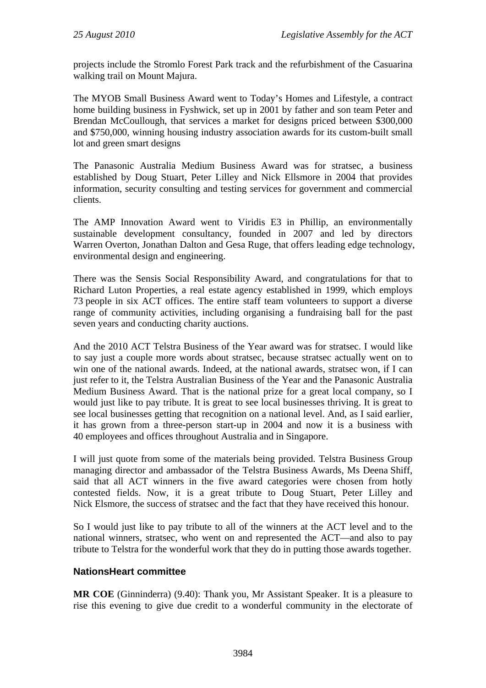projects include the Stromlo Forest Park track and the refurbishment of the Casuarina walking trail on Mount Majura.

The MYOB Small Business Award went to Today's Homes and Lifestyle, a contract home building business in Fyshwick, set up in 2001 by father and son team Peter and Brendan McCoullough, that services a market for designs priced between \$300,000 and \$750,000, winning housing industry association awards for its custom-built small lot and green smart designs

The Panasonic Australia Medium Business Award was for stratsec, a business established by Doug Stuart, Peter Lilley and Nick Ellsmore in 2004 that provides information, security consulting and testing services for government and commercial clients.

The AMP Innovation Award went to Viridis E3 in Phillip, an environmentally sustainable development consultancy, founded in 2007 and led by directors Warren Overton, Jonathan Dalton and Gesa Ruge, that offers leading edge technology, environmental design and engineering.

There was the Sensis Social Responsibility Award, and congratulations for that to Richard Luton Properties, a real estate agency established in 1999, which employs 73 people in six ACT offices. The entire staff team volunteers to support a diverse range of community activities, including organising a fundraising ball for the past seven years and conducting charity auctions.

And the 2010 ACT Telstra Business of the Year award was for stratsec. I would like to say just a couple more words about stratsec, because stratsec actually went on to win one of the national awards. Indeed, at the national awards, stratsec won, if I can just refer to it, the Telstra Australian Business of the Year and the Panasonic Australia Medium Business Award. That is the national prize for a great local company, so I would just like to pay tribute. It is great to see local businesses thriving. It is great to see local businesses getting that recognition on a national level. And, as I said earlier, it has grown from a three-person start-up in 2004 and now it is a business with 40 employees and offices throughout Australia and in Singapore.

I will just quote from some of the materials being provided. Telstra Business Group managing director and ambassador of the Telstra Business Awards, Ms Deena Shiff, said that all ACT winners in the five award categories were chosen from hotly contested fields. Now, it is a great tribute to Doug Stuart, Peter Lilley and Nick Elsmore, the success of stratsec and the fact that they have received this honour.

So I would just like to pay tribute to all of the winners at the ACT level and to the national winners, stratsec, who went on and represented the ACT—and also to pay tribute to Telstra for the wonderful work that they do in putting those awards together.

# **NationsHeart committee**

**MR COE** (Ginninderra) (9.40): Thank you, Mr Assistant Speaker. It is a pleasure to rise this evening to give due credit to a wonderful community in the electorate of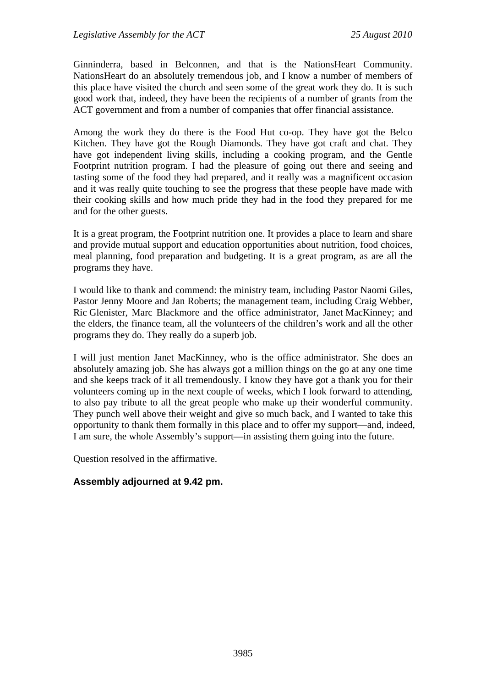Ginninderra, based in Belconnen, and that is the NationsHeart Community. NationsHeart do an absolutely tremendous job, and I know a number of members of this place have visited the church and seen some of the great work they do. It is such good work that, indeed, they have been the recipients of a number of grants from the ACT government and from a number of companies that offer financial assistance.

Among the work they do there is the Food Hut co-op. They have got the Belco Kitchen. They have got the Rough Diamonds. They have got craft and chat. They have got independent living skills, including a cooking program, and the Gentle Footprint nutrition program. I had the pleasure of going out there and seeing and tasting some of the food they had prepared, and it really was a magnificent occasion and it was really quite touching to see the progress that these people have made with their cooking skills and how much pride they had in the food they prepared for me and for the other guests.

It is a great program, the Footprint nutrition one. It provides a place to learn and share and provide mutual support and education opportunities about nutrition, food choices, meal planning, food preparation and budgeting. It is a great program, as are all the programs they have.

I would like to thank and commend: the ministry team, including Pastor Naomi Giles, Pastor Jenny Moore and Jan Roberts; the management team, including Craig Webber, Ric Glenister, Marc Blackmore and the office administrator, Janet MacKinney; and the elders, the finance team, all the volunteers of the children's work and all the other programs they do. They really do a superb job.

I will just mention Janet MacKinney, who is the office administrator. She does an absolutely amazing job. She has always got a million things on the go at any one time and she keeps track of it all tremendously. I know they have got a thank you for their volunteers coming up in the next couple of weeks, which I look forward to attending, to also pay tribute to all the great people who make up their wonderful community. They punch well above their weight and give so much back, and I wanted to take this opportunity to thank them formally in this place and to offer my support—and, indeed, I am sure, the whole Assembly's support—in assisting them going into the future.

Question resolved in the affirmative.

# **Assembly adjourned at 9.42 pm.**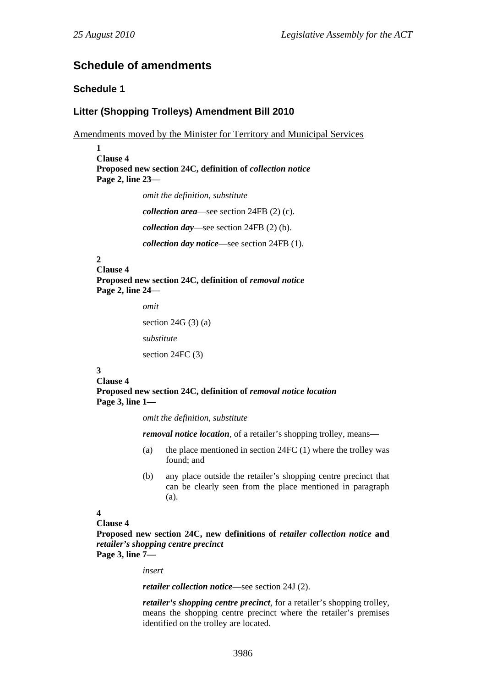# **Schedule of amendments**

## **Schedule 1**

## **Litter (Shopping Trolleys) Amendment Bill 2010**

Amendments moved by the Minister for Territory and Municipal Services

```
1 
Clause 4 
Proposed new section 24C, definition of collection notice
Page 2, line 23—
```
*omit the definition, substitute* 

*collection area*—see section 24FB (2) (c).

*collection day*—see section 24FB (2) (b).

*collection day notice*—see section 24FB (1).

# **2**

**Clause 4**  Proposed new section 24C, definition of *removal notice* **Page 2, line 24—** 

*omit* 

section  $24G(3)$  (a)

```
substitute
```
section 24FC (3)

#### **3**

**Clause 4 Proposed new section 24C, definition of** *removal notice location* **Page 3, line 1—** 

*omit the definition, substitute* 

*removal notice location*, of a retailer's shopping trolley, means—

- (a) the place mentioned in section  $24FC (1)$  where the trolley was found; and
- (b) any place outside the retailer's shopping centre precinct that can be clearly seen from the place mentioned in paragraph (a).

### **4**

### **Clause 4**

**Proposed new section 24C, new definitions of** *retailer collection notice* **and**  *retailer's shopping centre precinct*

**Page 3, line 7—** 

*insert* 

*retailer collection notice*—see section 24J (2).

*retailer's shopping centre precinct*, for a retailer's shopping trolley, means the shopping centre precinct where the retailer's premises identified on the trolley are located.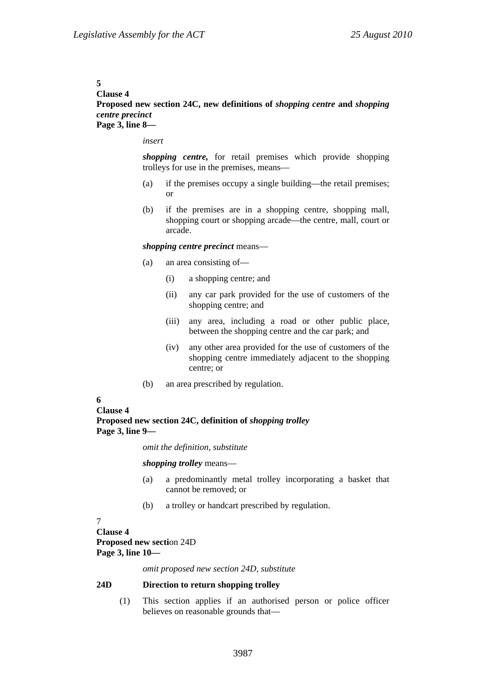#### **5**

#### **Clause 4**

### **Proposed new section 24C, new definitions of** *shopping centre* **and** *shopping centre precinct* **Page 3, line 8—**

*insert* 

*shopping centre,* for retail premises which provide shopping trolleys for use in the premises, means—

- (a) if the premises occupy a single building—the retail premises; or
- (b) if the premises are in a shopping centre, shopping mall, shopping court or shopping arcade—the centre, mall, court or arcade.

#### *shopping centre precinct* means—

- (a) an area consisting of—
	- (i) a shopping centre; and
	- (ii) any car park provided for the use of customers of the shopping centre; and
	- (iii) any area, including a road or other public place, between the shopping centre and the car park; and
	- (iv) any other area provided for the use of customers of the shopping centre immediately adjacent to the shopping centre; or
- (b) an area prescribed by regulation.

#### **6**

**Clause 4 Proposed new section 24C, definition of** *shopping trolley* **Page 3, line 9—** 

*omit the definition, substitute* 

*shopping trolley* means—

- (a) a predominantly metal trolley incorporating a basket that cannot be removed; or
- (b) a trolley or handcart prescribed by regulation.

## 7

**Clause 4 Proposed new secti**on 24D **Page 3, line 10—** 

*omit proposed new section 24D, substitute* 

### **24D Direction to return shopping trolley**

(1) This section applies if an authorised person or police officer believes on reasonable grounds that—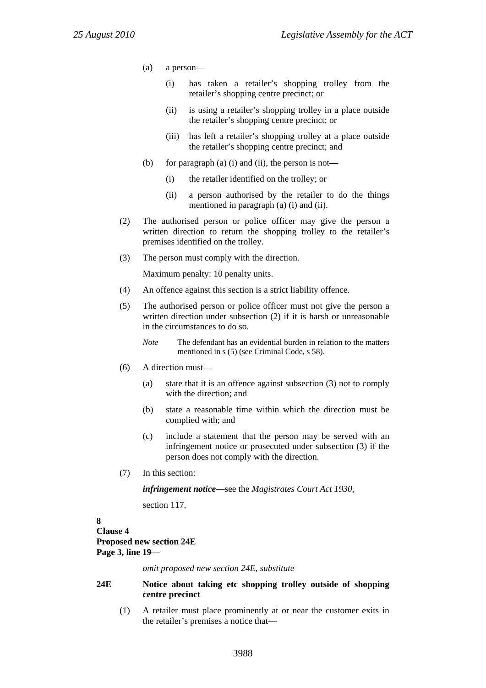- (a) a person—
	- (i) has taken a retailer's shopping trolley from the retailer's shopping centre precinct; or
	- (ii) is using a retailer's shopping trolley in a place outside the retailer's shopping centre precinct; or
	- (iii) has left a retailer's shopping trolley at a place outside the retailer's shopping centre precinct; and
- (b) for paragraph (a) (i) and (ii), the person is not—
	- (i) the retailer identified on the trolley; or
	- (ii) a person authorised by the retailer to do the things mentioned in paragraph (a) (i) and (ii).
- (2) The authorised person or police officer may give the person a written direction to return the shopping trolley to the retailer's premises identified on the trolley.
- (3) The person must comply with the direction.

Maximum penalty: 10 penalty units.

- (4) An offence against this section is a strict liability offence.
- (5) The authorised person or police officer must not give the person a written direction under subsection (2) if it is harsh or unreasonable in the circumstances to do so.
	- *Note* The defendant has an evidential burden in relation to the matters mentioned in s (5) (see Criminal Code, s 58).
- (6) A direction must—
	- (a) state that it is an offence against subsection (3) not to comply with the direction; and
	- (b) state a reasonable time within which the direction must be complied with; and
	- (c) include a statement that the person may be served with an infringement notice or prosecuted under subsection (3) if the person does not comply with the direction.
- (7) In this section:

*infringement notice*—see the *Magistrates Court Act 1930*,

section 117.

# **8**

## **Clause 4 Proposed new section 24E Page 3, line 19—**

*omit proposed new section 24E, substitute* 

### **24E Notice about taking etc shopping trolley outside of shopping centre precinct**

(1) A retailer must place prominently at or near the customer exits in the retailer's premises a notice that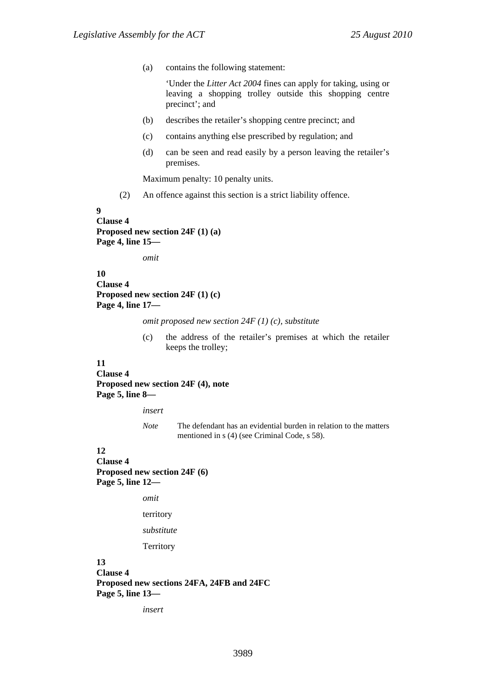(a) contains the following statement:

'Under the *Litter Act 2004* fines can apply for taking, using or leaving a shopping trolley outside this shopping centre precinct'; and

- (b) describes the retailer's shopping centre precinct; and
- (c) contains anything else prescribed by regulation; and
- (d) can be seen and read easily by a person leaving the retailer's premises.

Maximum penalty: 10 penalty units.

(2) An offence against this section is a strict liability offence.

**9** 

```
Clause 4 
Proposed new section 24F (1) (a) 
Page 4, line 15—
```
*omit* 

**10 Clause 4 Proposed new section 24F (1) (c) Page 4, line 17—** 

*omit proposed new section 24F (1) (c), substitute* 

(c) the address of the retailer's premises at which the retailer keeps the trolley;

### **11**

**Clause 4 Proposed new section 24F (4), note Page 5, line 8—** 

*insert* 

*Note* The defendant has an evidential burden in relation to the matters mentioned in s (4) (see Criminal Code, s 58).

### **12**

**Clause 4 Proposed new section 24F (6) Page 5, line 12—** 

*omit* 

territory

*substitute*

**Territory** 

## **13**

**Clause 4 Proposed new sections 24FA, 24FB and 24FC Page 5, line 13—** 

*insert*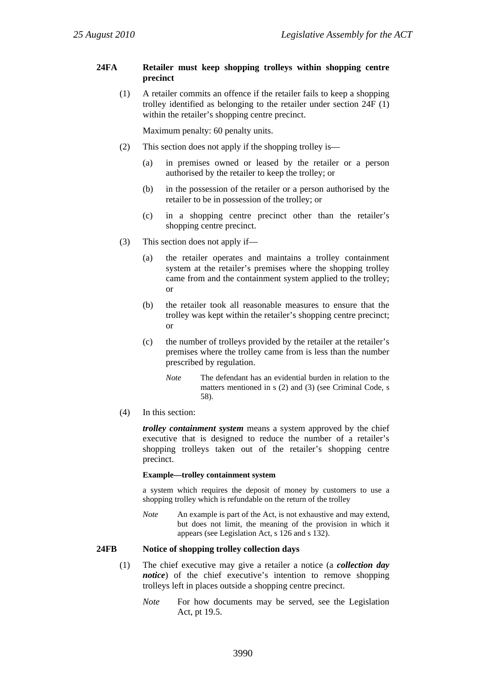### **24FA Retailer must keep shopping trolleys within shopping centre precinct**

(1) A retailer commits an offence if the retailer fails to keep a shopping trolley identified as belonging to the retailer under section 24F (1) within the retailer's shopping centre precinct.

Maximum penalty: 60 penalty units.

- (2) This section does not apply if the shopping trolley is—
	- (a) in premises owned or leased by the retailer or a person authorised by the retailer to keep the trolley; or
	- (b) in the possession of the retailer or a person authorised by the retailer to be in possession of the trolley; or
	- (c) in a shopping centre precinct other than the retailer's shopping centre precinct.
- (3) This section does not apply if—
	- (a) the retailer operates and maintains a trolley containment system at the retailer's premises where the shopping trolley came from and the containment system applied to the trolley; or
	- (b) the retailer took all reasonable measures to ensure that the trolley was kept within the retailer's shopping centre precinct; or
	- (c) the number of trolleys provided by the retailer at the retailer's premises where the trolley came from is less than the number prescribed by regulation.
		- *Note* The defendant has an evidential burden in relation to the matters mentioned in s (2) and (3) (see Criminal Code, s 58).
- (4) In this section:

*trolley containment system* means a system approved by the chief executive that is designed to reduce the number of a retailer's shopping trolleys taken out of the retailer's shopping centre precinct.

#### **Example—trolley containment system**

a system which requires the deposit of money by customers to use a shopping trolley which is refundable on the return of the trolley

*Note* An example is part of the Act, is not exhaustive and may extend, but does not limit, the meaning of the provision in which it appears (see Legislation Act, s 126 and s 132).

### **24FB Notice of shopping trolley collection days**

- (1) The chief executive may give a retailer a notice (a *collection day notice*) of the chief executive's intention to remove shopping trolleys left in places outside a shopping centre precinct.
	- *Note* For how documents may be served, see the Legislation Act, pt 19.5.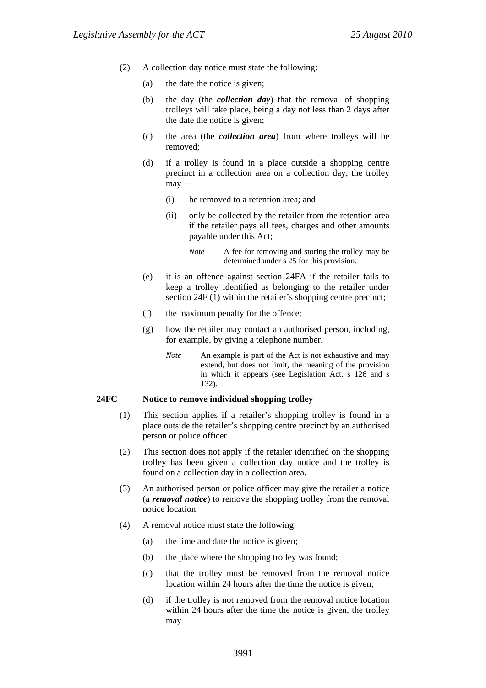- (2) A collection day notice must state the following:
	- (a) the date the notice is given;
	- (b) the day (the *collection day*) that the removal of shopping trolleys will take place, being a day not less than 2 days after the date the notice is given;
	- (c) the area (the *collection area*) from where trolleys will be removed;
	- (d) if a trolley is found in a place outside a shopping centre precinct in a collection area on a collection day, the trolley may—
		- (i) be removed to a retention area; and
		- (ii) only be collected by the retailer from the retention area if the retailer pays all fees, charges and other amounts payable under this Act;
			- *Note* A fee for removing and storing the trolley may be determined under s 25 for this provision.
	- (e) it is an offence against section 24FA if the retailer fails to keep a trolley identified as belonging to the retailer under section 24F (1) within the retailer's shopping centre precinct;
	- (f) the maximum penalty for the offence;
	- (g) how the retailer may contact an authorised person, including, for example, by giving a telephone number.
		- *Note* An example is part of the Act is not exhaustive and may extend, but does not limit, the meaning of the provision in which it appears (see Legislation Act, s 126 and s 132).

#### **24FC Notice to remove individual shopping trolley**

- (1) This section applies if a retailer's shopping trolley is found in a place outside the retailer's shopping centre precinct by an authorised person or police officer.
- (2) This section does not apply if the retailer identified on the shopping trolley has been given a collection day notice and the trolley is found on a collection day in a collection area.
- (3) An authorised person or police officer may give the retailer a notice (a *removal notice*) to remove the shopping trolley from the removal notice location.
- (4) A removal notice must state the following:
	- (a) the time and date the notice is given;
	- (b) the place where the shopping trolley was found;
	- (c) that the trolley must be removed from the removal notice location within 24 hours after the time the notice is given;
	- (d) if the trolley is not removed from the removal notice location within 24 hours after the time the notice is given, the trolley may—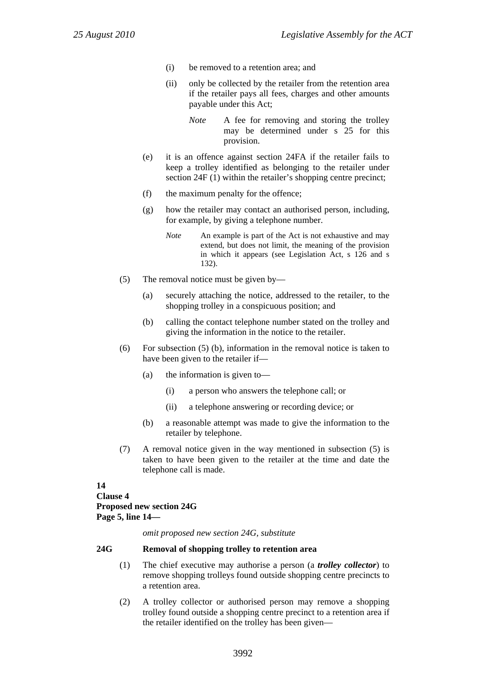- (i) be removed to a retention area; and
- (ii) only be collected by the retailer from the retention area if the retailer pays all fees, charges and other amounts payable under this Act;

*Note* A fee for removing and storing the trolley may be determined under s 25 for this provision.

- (e) it is an offence against section 24FA if the retailer fails to keep a trolley identified as belonging to the retailer under section 24F (1) within the retailer's shopping centre precinct;
- (f) the maximum penalty for the offence;
- (g) how the retailer may contact an authorised person, including, for example, by giving a telephone number.
	- *Note* An example is part of the Act is not exhaustive and may extend, but does not limit, the meaning of the provision in which it appears (see Legislation Act, s 126 and s 132).
- (5) The removal notice must be given by—
	- (a) securely attaching the notice, addressed to the retailer, to the shopping trolley in a conspicuous position; and
	- (b) calling the contact telephone number stated on the trolley and giving the information in the notice to the retailer.
- (6) For subsection (5) (b), information in the removal notice is taken to have been given to the retailer if—
	- (a) the information is given to—
		- (i) a person who answers the telephone call; or
		- (ii) a telephone answering or recording device; or
	- (b) a reasonable attempt was made to give the information to the retailer by telephone.
- (7) A removal notice given in the way mentioned in subsection (5) is taken to have been given to the retailer at the time and date the telephone call is made.

### **14 Clause 4 Proposed new section 24G Page 5, line 14—**

*omit proposed new section 24G, substitute* 

### **24G Removal of shopping trolley to retention area**

- (1) The chief executive may authorise a person (a *trolley collector*) to remove shopping trolleys found outside shopping centre precincts to a retention area.
- (2) A trolley collector or authorised person may remove a shopping trolley found outside a shopping centre precinct to a retention area if the retailer identified on the trolley has been given—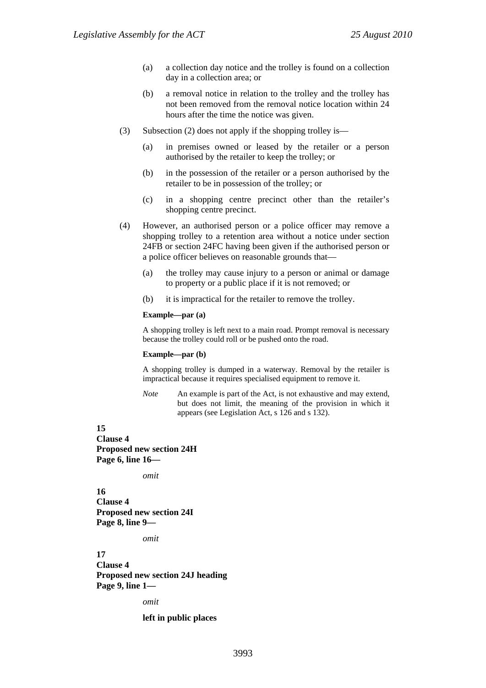- (a) a collection day notice and the trolley is found on a collection day in a collection area; or
- (b) a removal notice in relation to the trolley and the trolley has not been removed from the removal notice location within 24 hours after the time the notice was given.
- (3) Subsection (2) does not apply if the shopping trolley is—
	- (a) in premises owned or leased by the retailer or a person authorised by the retailer to keep the trolley; or
	- (b) in the possession of the retailer or a person authorised by the retailer to be in possession of the trolley; or
	- (c) in a shopping centre precinct other than the retailer's shopping centre precinct.
- (4) However, an authorised person or a police officer may remove a shopping trolley to a retention area without a notice under section 24FB or section 24FC having been given if the authorised person or a police officer believes on reasonable grounds that—
	- (a) the trolley may cause injury to a person or animal or damage to property or a public place if it is not removed; or
	- (b) it is impractical for the retailer to remove the trolley.

#### **Example—par (a)**

A shopping trolley is left next to a main road. Prompt removal is necessary because the trolley could roll or be pushed onto the road.

#### **Example—par (b)**

A shopping trolley is dumped in a waterway. Removal by the retailer is impractical because it requires specialised equipment to remove it.

*Note* An example is part of the Act, is not exhaustive and may extend, but does not limit, the meaning of the provision in which it appears (see Legislation Act, s 126 and s 132).

#### **15**

**Clause 4 Proposed new section 24H Page 6, line 16—** 

*omit* 

**16 Clause 4 Proposed new section 24I Page 8, line 9—** 

*omit* 

**17 Clause 4 Proposed new section 24J heading Page 9, line 1—** 

*omit* 

**left in public places**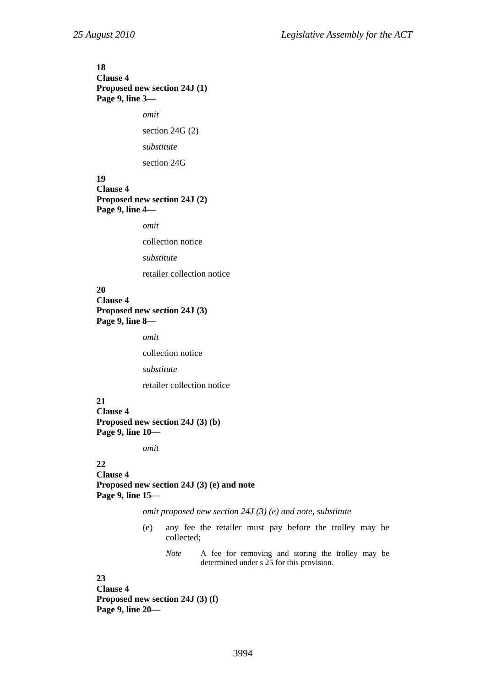# **18 Clause 4 Proposed new section 24J (1) Page 9, line 3**  *omit*

section 24G (2)

```
substitute
```
section 24G

### **19 Clause 4 Proposed new section 24J (2) Page 9, line 4—**

*omit* 

collection notice

*substitute* 

retailer collection notice

### **20 Clause 4 Proposed new section 24J (3) Page 9, line 8—**

*omit* 

collection notice

*substitute* 

retailer collection notice

**21 Clause 4 Proposed new section 24J (3) (b) Page 9, line 10—** 

*omit* 

### **22**

**Clause 4 Proposed new section 24J (3) (e) and note Page 9, line 15—** 

*omit proposed new section 24J (3) (e) and note, substitute* 

- (e) any fee the retailer must pay before the trolley may be collected;
	- *Note* A fee for removing and storing the trolley may be determined under s 25 for this provision.

### **23**

**Clause 4 Proposed new section 24J (3) (f) Page 9, line 20—**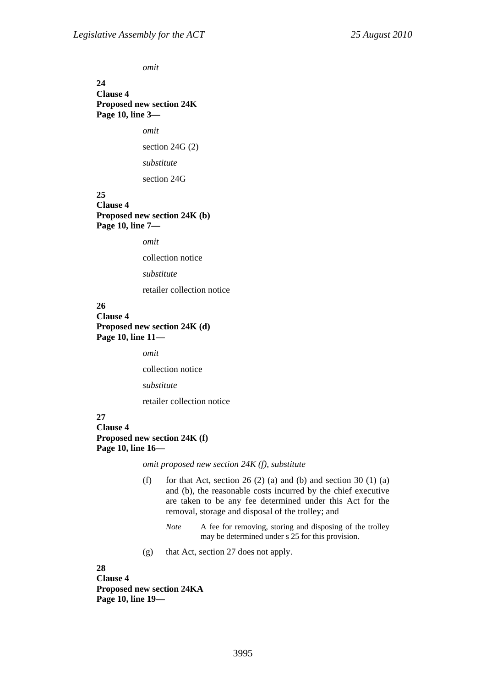*omit* 

**24 Clause 4 Proposed new section 24K Page 10, line 3—** 

*omit* 

section 24G (2)

*substitute* 

section 24G

### **25 Clause 4 Proposed new section 24K (b) Page 10, line 7—**

*omit* 

collection notice

*substitute* 

retailer collection notice

### **26 Clause 4 Proposed new section 24K (d) Page 10, line 11—**

*omit* 

collection notice

*substitute* 

retailer collection notice

### **27 Clause 4 Proposed new section 24K (f) Page 10, line 16—**

*omit proposed new section 24K (f), substitute* 

- (f) for that Act, section 26 (2) (a) and (b) and section 30 (1) (a) and (b), the reasonable costs incurred by the chief executive are taken to be any fee determined under this Act for the removal, storage and disposal of the trolley; and
	- *Note* A fee for removing, storing and disposing of the trolley may be determined under s 25 for this provision.
- (g) that Act, section 27 does not apply.

**28** 

**Clause 4 Proposed new section 24KA Page 10, line 19—**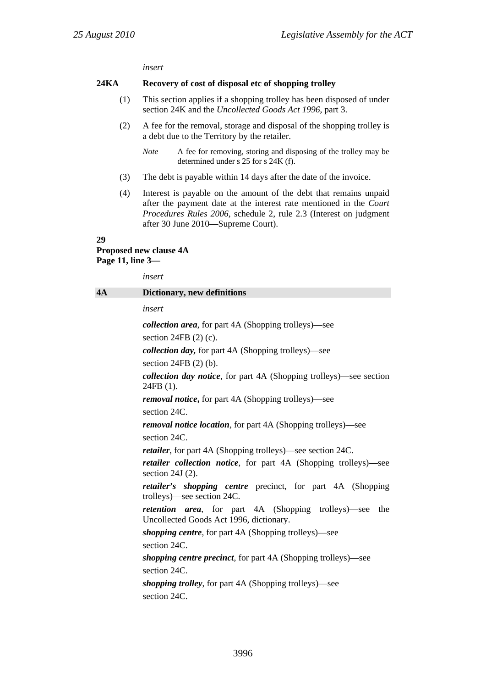*insert* 

#### **24KA Recovery of cost of disposal etc of shopping trolley**

- (1) This section applies if a shopping trolley has been disposed of under section 24K and the *Uncollected Goods Act 1996*, part 3.
- (2) A fee for the removal, storage and disposal of the shopping trolley is a debt due to the Territory by the retailer.
	- *Note* A fee for removing, storing and disposing of the trolley may be determined under s 25 for s 24K (f).
- (3) The debt is payable within 14 days after the date of the invoice.
- (4) Interest is payable on the amount of the debt that remains unpaid after the payment date at the interest rate mentioned in the *Court Procedures Rules 2006*, schedule 2, rule 2.3 (Interest on judgment after 30 June 2010—Supreme Court).

#### **29**

# **Proposed new clause 4A Page 11, line 3—**

*insert* 

| 4A | Dictionary, new definitions                                                                                   |  |  |
|----|---------------------------------------------------------------------------------------------------------------|--|--|
|    | insert                                                                                                        |  |  |
|    | <i>collection area,</i> for part 4A (Shopping trolleys)—see                                                   |  |  |
|    | section $24FB$ (2) (c).                                                                                       |  |  |
|    | <i>collection day</i> , for part 4A (Shopping trolleys)—see                                                   |  |  |
|    | section $24FB$ (2) (b).                                                                                       |  |  |
|    | collection day notice, for part 4A (Shopping trolleys)-see section<br>24FB (1).                               |  |  |
|    | <i>removal notice</i> , for part 4A (Shopping trolleys)—see                                                   |  |  |
|    | section 24C.                                                                                                  |  |  |
|    | <i>removal notice location</i> , for part 4A (Shopping trolleys)—see                                          |  |  |
|    | section 24C.                                                                                                  |  |  |
|    | <i>retailer</i> , for part 4A (Shopping trolleys)—see section 24C.                                            |  |  |
|    | retailer collection notice, for part 4A (Shopping trolleys)-see<br>section $24J(2)$ .                         |  |  |
|    | retailer's shopping centre precinct, for part 4A (Shopping<br>trolleys)—see section 24C.                      |  |  |
|    | <i>retention area</i> , for part 4A (Shopping trolleys)—see<br>the<br>Uncollected Goods Act 1996, dictionary. |  |  |
|    | <i>shopping centre,</i> for part 4A (Shopping trolleys)—see                                                   |  |  |
|    | section 24C.                                                                                                  |  |  |
|    | <i>shopping centre precinct</i> , for part 4A (Shopping trolleys)—see                                         |  |  |
|    | section 24C.                                                                                                  |  |  |
|    | <i>shopping trolley, for part 4A (Shopping trolleys)—see</i>                                                  |  |  |
|    | section 24C.                                                                                                  |  |  |
|    |                                                                                                               |  |  |